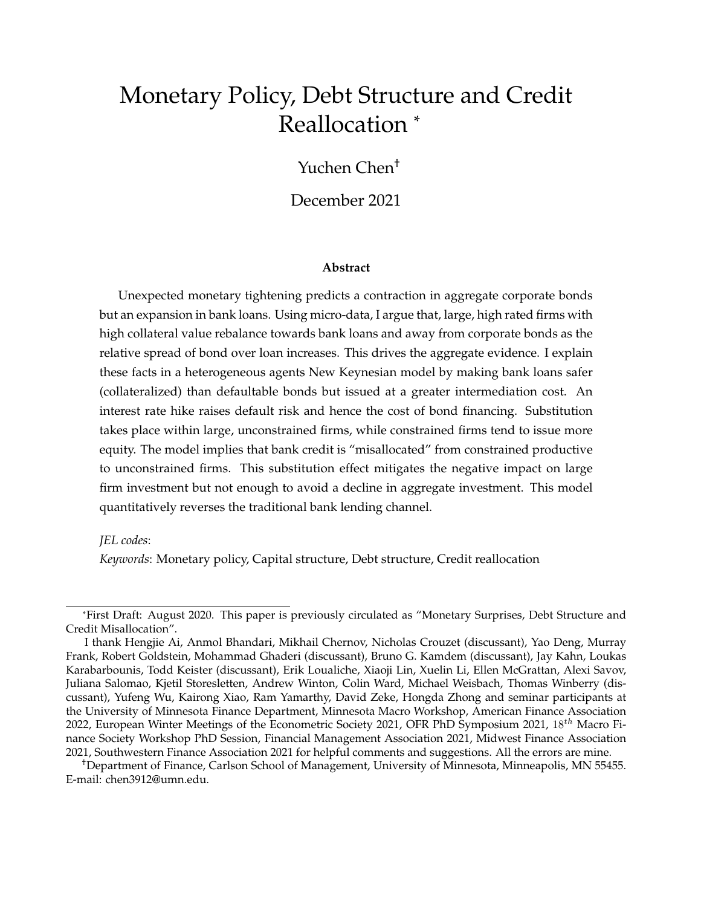# Monetary Policy, Debt Structure and Credit Reallocation \*

## Yuchen Chen†

## December 2021

#### **Abstract**

Unexpected monetary tightening predicts a contraction in aggregate corporate bonds but an expansion in bank loans. Using micro-data, I argue that, large, high rated firms with high collateral value rebalance towards bank loans and away from corporate bonds as the relative spread of bond over loan increases. This drives the aggregate evidence. I explain these facts in a heterogeneous agents New Keynesian model by making bank loans safer (collateralized) than defaultable bonds but issued at a greater intermediation cost. An interest rate hike raises default risk and hence the cost of bond financing. Substitution takes place within large, unconstrained firms, while constrained firms tend to issue more equity. The model implies that bank credit is "misallocated" from constrained productive to unconstrained firms. This substitution effect mitigates the negative impact on large firm investment but not enough to avoid a decline in aggregate investment. This model quantitatively reverses the traditional bank lending channel.

#### *JEL codes*:

*Keywords*: Monetary policy, Capital structure, Debt structure, Credit reallocation

†Department of Finance, Carlson School of Management, University of Minnesota, Minneapolis, MN 55455. E-mail: chen3912@umn.edu.

<sup>\*</sup>First Draft: August 2020. This paper is previously circulated as "Monetary Surprises, Debt Structure and Credit Misallocation".

I thank Hengjie Ai, Anmol Bhandari, Mikhail Chernov, Nicholas Crouzet (discussant), Yao Deng, Murray Frank, Robert Goldstein, Mohammad Ghaderi (discussant), Bruno G. Kamdem (discussant), Jay Kahn, Loukas Karabarbounis, Todd Keister (discussant), Erik Loualiche, Xiaoji Lin, Xuelin Li, Ellen McGrattan, Alexi Savov, Juliana Salomao, Kjetil Storesletten, Andrew Winton, Colin Ward, Michael Weisbach, Thomas Winberry (discussant), Yufeng Wu, Kairong Xiao, Ram Yamarthy, David Zeke, Hongda Zhong and seminar participants at the University of Minnesota Finance Department, Minnesota Macro Workshop, American Finance Association 2022, European Winter Meetings of the Econometric Society 2021, OFR PhD Symposium 2021, 18<sup>th</sup> Macro Finance Society Workshop PhD Session, Financial Management Association 2021, Midwest Finance Association 2021, Southwestern Finance Association 2021 for helpful comments and suggestions. All the errors are mine.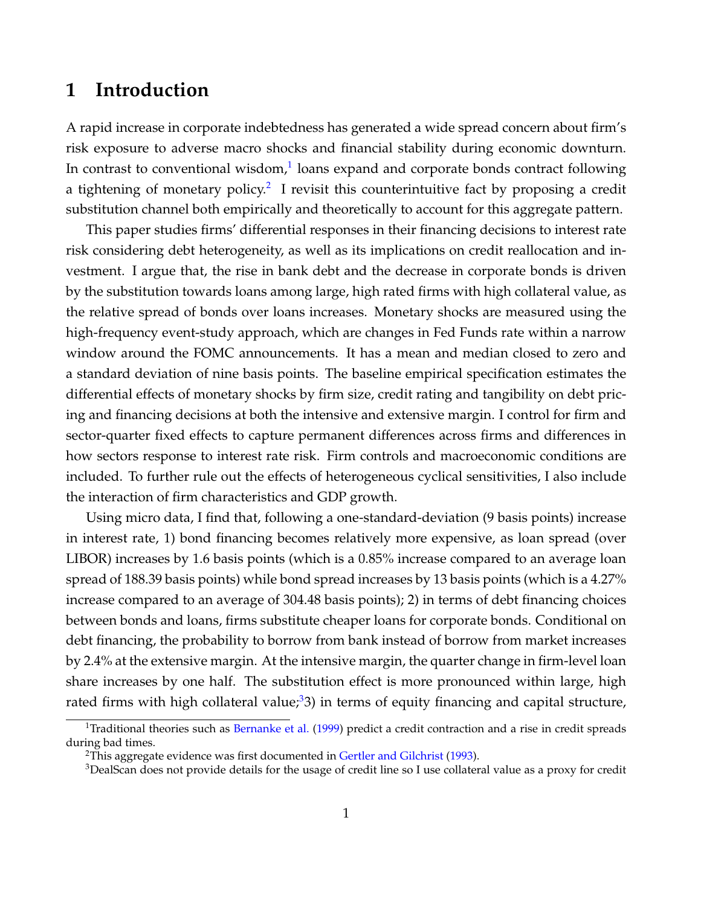## **1 Introduction**

A rapid increase in corporate indebtedness has generated a wide spread concern about firm's risk exposure to adverse macro shocks and financial stability during economic downturn. In contrast to conventional wisdom, $1$  loans expand and corporate bonds contract following a tightening of monetary policy.<sup>[2](#page-1-1)</sup> I revisit this counterintuitive fact by proposing a credit substitution channel both empirically and theoretically to account for this aggregate pattern.

This paper studies firms' differential responses in their financing decisions to interest rate risk considering debt heterogeneity, as well as its implications on credit reallocation and investment. I argue that, the rise in bank debt and the decrease in corporate bonds is driven by the substitution towards loans among large, high rated firms with high collateral value, as the relative spread of bonds over loans increases. Monetary shocks are measured using the high-frequency event-study approach, which are changes in Fed Funds rate within a narrow window around the FOMC announcements. It has a mean and median closed to zero and a standard deviation of nine basis points. The baseline empirical specification estimates the differential effects of monetary shocks by firm size, credit rating and tangibility on debt pricing and financing decisions at both the intensive and extensive margin. I control for firm and sector-quarter fixed effects to capture permanent differences across firms and differences in how sectors response to interest rate risk. Firm controls and macroeconomic conditions are included. To further rule out the effects of heterogeneous cyclical sensitivities, I also include the interaction of firm characteristics and GDP growth.

Using micro data, I find that, following a one-standard-deviation (9 basis points) increase in interest rate, 1) bond financing becomes relatively more expensive, as loan spread (over LIBOR) increases by 1.6 basis points (which is a 0.85% increase compared to an average loan spread of 188.39 basis points) while bond spread increases by 13 basis points (which is a 4.27% increase compared to an average of 304.48 basis points); 2) in terms of debt financing choices between bonds and loans, firms substitute cheaper loans for corporate bonds. Conditional on debt financing, the probability to borrow from bank instead of borrow from market increases by 2.4% at the extensive margin. At the intensive margin, the quarter change in firm-level loan share increases by one half. The substitution effect is more pronounced within large, high rated firms with high collateral value;<sup>[3](#page-1-2)</sup>3) in terms of equity financing and capital structure,

<span id="page-1-0"></span><sup>&</sup>lt;sup>1</sup>Traditional theories such as [Bernanke et al.](#page-36-0) [\(1999\)](#page-36-0) predict a credit contraction and a rise in credit spreads during bad times.

<span id="page-1-1"></span><sup>&</sup>lt;sup>2</sup>This aggregate evidence was first documented in [Gertler and Gilchrist](#page-38-0) [\(1993\)](#page-38-0).

<span id="page-1-2"></span><sup>&</sup>lt;sup>3</sup>DealScan does not provide details for the usage of credit line so I use collateral value as a proxy for credit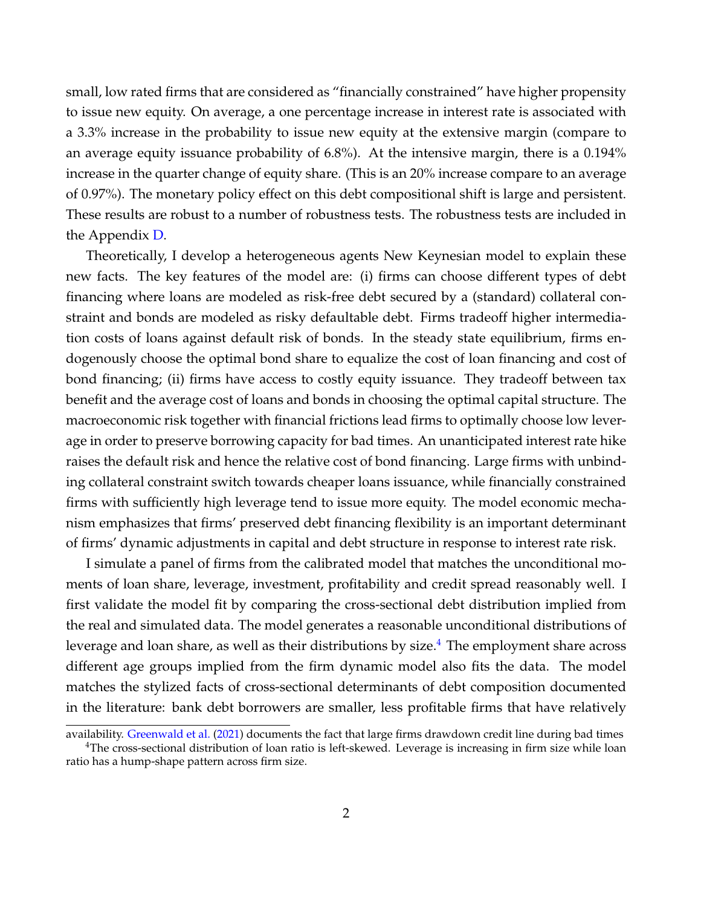small, low rated firms that are considered as "financially constrained" have higher propensity to issue new equity. On average, a one percentage increase in interest rate is associated with a 3.3% increase in the probability to issue new equity at the extensive margin (compare to an average equity issuance probability of 6.8%). At the intensive margin, there is a 0.194% increase in the quarter change of equity share. (This is an 20% increase compare to an average of 0.97%). The monetary policy effect on this debt compositional shift is large and persistent. These results are robust to a number of robustness tests. The robustness tests are included in the Appendix [D.](#page-75-0)

Theoretically, I develop a heterogeneous agents New Keynesian model to explain these new facts. The key features of the model are: (i) firms can choose different types of debt financing where loans are modeled as risk-free debt secured by a (standard) collateral constraint and bonds are modeled as risky defaultable debt. Firms tradeoff higher intermediation costs of loans against default risk of bonds. In the steady state equilibrium, firms endogenously choose the optimal bond share to equalize the cost of loan financing and cost of bond financing; (ii) firms have access to costly equity issuance. They tradeoff between tax benefit and the average cost of loans and bonds in choosing the optimal capital structure. The macroeconomic risk together with financial frictions lead firms to optimally choose low leverage in order to preserve borrowing capacity for bad times. An unanticipated interest rate hike raises the default risk and hence the relative cost of bond financing. Large firms with unbinding collateral constraint switch towards cheaper loans issuance, while financially constrained firms with sufficiently high leverage tend to issue more equity. The model economic mechanism emphasizes that firms' preserved debt financing flexibility is an important determinant of firms' dynamic adjustments in capital and debt structure in response to interest rate risk.

I simulate a panel of firms from the calibrated model that matches the unconditional moments of loan share, leverage, investment, profitability and credit spread reasonably well. I first validate the model fit by comparing the cross-sectional debt distribution implied from the real and simulated data. The model generates a reasonable unconditional distributions of leverage and loan share, as well as their distributions by size. $4$  The employment share across different age groups implied from the firm dynamic model also fits the data. The model matches the stylized facts of cross-sectional determinants of debt composition documented in the literature: bank debt borrowers are smaller, less profitable firms that have relatively

<span id="page-2-0"></span>availability. [Greenwald et al.](#page-38-1) [\(2021\)](#page-38-1) documents the fact that large firms drawdown credit line during bad times <sup>4</sup>The cross-sectional distribution of loan ratio is left-skewed. Leverage is increasing in firm size while loan ratio has a hump-shape pattern across firm size.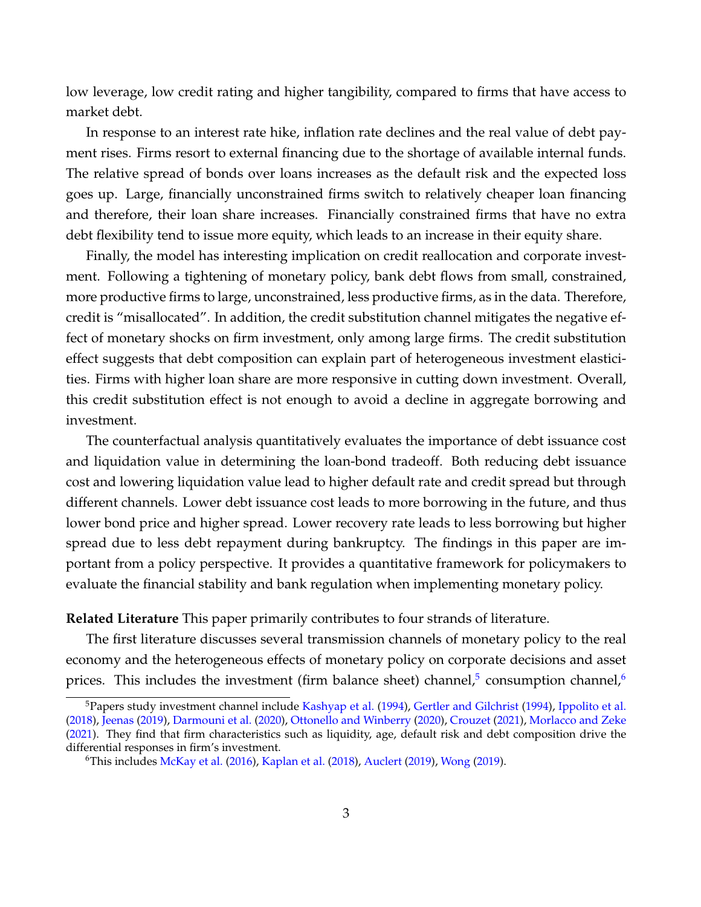low leverage, low credit rating and higher tangibility, compared to firms that have access to market debt.

In response to an interest rate hike, inflation rate declines and the real value of debt payment rises. Firms resort to external financing due to the shortage of available internal funds. The relative spread of bonds over loans increases as the default risk and the expected loss goes up. Large, financially unconstrained firms switch to relatively cheaper loan financing and therefore, their loan share increases. Financially constrained firms that have no extra debt flexibility tend to issue more equity, which leads to an increase in their equity share.

Finally, the model has interesting implication on credit reallocation and corporate investment. Following a tightening of monetary policy, bank debt flows from small, constrained, more productive firms to large, unconstrained, less productive firms, as in the data. Therefore, credit is "misallocated". In addition, the credit substitution channel mitigates the negative effect of monetary shocks on firm investment, only among large firms. The credit substitution effect suggests that debt composition can explain part of heterogeneous investment elasticities. Firms with higher loan share are more responsive in cutting down investment. Overall, this credit substitution effect is not enough to avoid a decline in aggregate borrowing and investment.

The counterfactual analysis quantitatively evaluates the importance of debt issuance cost and liquidation value in determining the loan-bond tradeoff. Both reducing debt issuance cost and lowering liquidation value lead to higher default rate and credit spread but through different channels. Lower debt issuance cost leads to more borrowing in the future, and thus lower bond price and higher spread. Lower recovery rate leads to less borrowing but higher spread due to less debt repayment during bankruptcy. The findings in this paper are important from a policy perspective. It provides a quantitative framework for policymakers to evaluate the financial stability and bank regulation when implementing monetary policy.

**Related Literature** This paper primarily contributes to four strands of literature.

The first literature discusses several transmission channels of monetary policy to the real economy and the heterogeneous effects of monetary policy on corporate decisions and asset prices. This includes the investment (firm balance sheet) channel,<sup>[5](#page-3-0)</sup> consumption channel,<sup>[6](#page-3-1)</sup>

<span id="page-3-0"></span><sup>&</sup>lt;sup>5</sup>Papers study investment channel include [Kashyap et al.](#page-39-0) [\(1994\)](#page-38-2), [Gertler and Gilchrist](#page-38-2) (1994), [Ippolito et al.](#page-39-1) [\(2018\)](#page-39-1), [Jeenas](#page-39-2) [\(2019\)](#page-39-2), [Darmouni et al.](#page-37-0) [\(2020\)](#page-37-0), [Ottonello and Winberry](#page-40-0) [\(2020\)](#page-40-0), [Crouzet](#page-37-1) [\(2021\)](#page-37-1), [Morlacco and Zeke](#page-40-1) [\(2021\)](#page-40-1). They find that firm characteristics such as liquidity, age, default risk and debt composition drive the differential responses in firm's investment.

<span id="page-3-1"></span><sup>6</sup>This includes [McKay et al.](#page-40-2) [\(2016\)](#page-40-2), [Kaplan et al.](#page-39-3) [\(2018\)](#page-39-3), [Auclert](#page-36-1) [\(2019\)](#page-36-1), [Wong](#page-41-0) [\(2019\)](#page-41-0).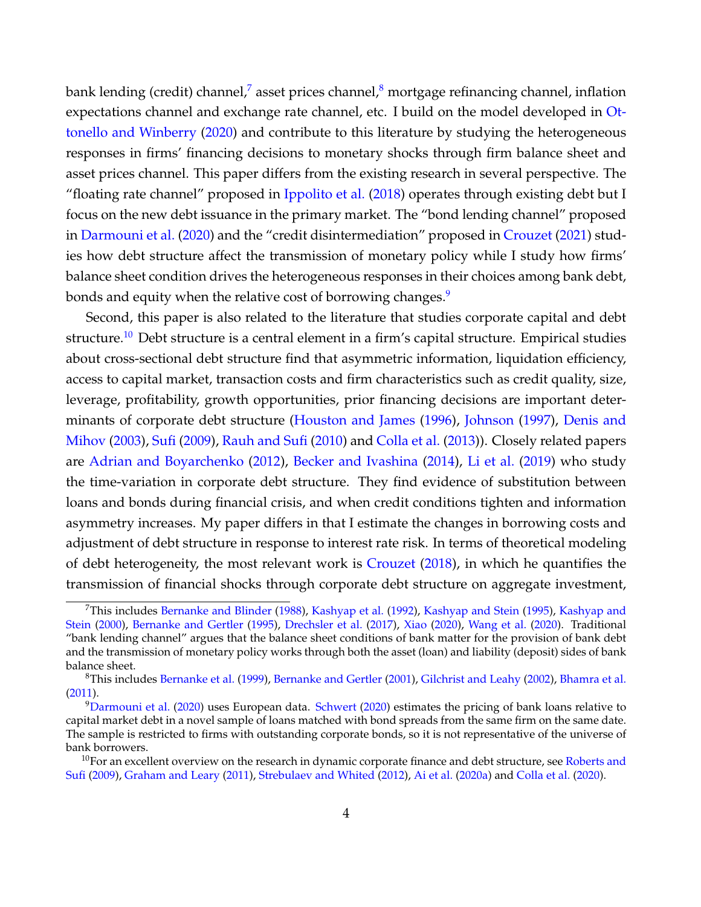bank lending (credit) channel,<sup>[7](#page-4-0)</sup> asset prices channel,<sup>[8](#page-4-1)</sup> mortgage refinancing channel, inflation expectations channel and exchange rate channel, etc. I build on the model developed in [Ot](#page-40-0)[tonello and Winberry](#page-40-0) [\(2020\)](#page-40-0) and contribute to this literature by studying the heterogeneous responses in firms' financing decisions to monetary shocks through firm balance sheet and asset prices channel. This paper differs from the existing research in several perspective. The "floating rate channel" proposed in [Ippolito et al.](#page-39-1) [\(2018\)](#page-39-1) operates through existing debt but I focus on the new debt issuance in the primary market. The "bond lending channel" proposed in [Darmouni et al.](#page-37-0) [\(2020\)](#page-37-0) and the "credit disintermediation" proposed in [Crouzet](#page-37-1) [\(2021\)](#page-37-1) studies how debt structure affect the transmission of monetary policy while I study how firms' balance sheet condition drives the heterogeneous responses in their choices among bank debt, bonds and equity when the relative cost of borrowing changes.<sup>[9](#page-4-2)</sup>

Second, this paper is also related to the literature that studies corporate capital and debt structure.<sup>[10](#page-4-3)</sup> Debt structure is a central element in a firm's capital structure. Empirical studies about cross-sectional debt structure find that asymmetric information, liquidation efficiency, access to capital market, transaction costs and firm characteristics such as credit quality, size, leverage, profitability, growth opportunities, prior financing decisions are important determinants of corporate debt structure [\(Houston and James](#page-39-4) [\(1996\)](#page-39-4), [Johnson](#page-39-5) [\(1997\)](#page-39-5), [Denis and](#page-37-2) [Mihov](#page-37-2) [\(2003\)](#page-37-2), [Sufi](#page-41-1) [\(2009\)](#page-41-1), [Rauh and Sufi](#page-41-2) [\(2010\)](#page-41-2) and [Colla et al.](#page-37-3) [\(2013\)](#page-37-3)). Closely related papers are [Adrian and Boyarchenko](#page-36-2) [\(2012\)](#page-36-2), [Becker and Ivashina](#page-36-3) [\(2014\)](#page-36-3), [Li et al.](#page-40-3) [\(2019\)](#page-40-3) who study the time-variation in corporate debt structure. They find evidence of substitution between loans and bonds during financial crisis, and when credit conditions tighten and information asymmetry increases. My paper differs in that I estimate the changes in borrowing costs and adjustment of debt structure in response to interest rate risk. In terms of theoretical modeling of debt heterogeneity, the most relevant work is [Crouzet](#page-37-4) [\(2018\)](#page-37-4), in which he quantifies the transmission of financial shocks through corporate debt structure on aggregate investment,

<span id="page-4-0"></span><sup>&</sup>lt;sup>7</sup>This includes [Bernanke and Blinder](#page-36-4) [\(1988\)](#page-36-4), [Kashyap et al.](#page-39-6) [\(1992\)](#page-39-6), [Kashyap and Stein](#page-39-7) [\(1995\)](#page-39-7), [Kashyap and](#page-39-8) [Stein](#page-39-8) [\(2000\)](#page-39-8), [Bernanke and Gertler](#page-36-5) [\(1995\)](#page-36-5), [Drechsler et al.](#page-38-3) [\(2017\)](#page-38-3), [Xiao](#page-41-3) [\(2020\)](#page-41-3), [Wang et al.](#page-41-4) [\(2020\)](#page-41-4). Traditional "bank lending channel" argues that the balance sheet conditions of bank matter for the provision of bank debt and the transmission of monetary policy works through both the asset (loan) and liability (deposit) sides of bank balance sheet.

<span id="page-4-1"></span><sup>8</sup>This includes [Bernanke et al.](#page-36-0) [\(1999\)](#page-36-0), [Bernanke and Gertler](#page-36-6) [\(2001\)](#page-36-6), [Gilchrist and Leahy](#page-38-4) [\(2002\)](#page-38-4), [Bhamra et al.](#page-36-7) [\(2011\)](#page-36-7).

<span id="page-4-2"></span><sup>9</sup>[Darmouni et al.](#page-37-0) [\(2020\)](#page-37-0) uses European data. [Schwert](#page-41-5) [\(2020\)](#page-41-5) estimates the pricing of bank loans relative to capital market debt in a novel sample of loans matched with bond spreads from the same firm on the same date. The sample is restricted to firms with outstanding corporate bonds, so it is not representative of the universe of bank borrowers.

<span id="page-4-3"></span><sup>&</sup>lt;sup>10</sup>For an excellent overview on the research in dynamic corporate finance and debt structure, see [Roberts and](#page-41-6) [Sufi](#page-41-6) [\(2009\)](#page-41-6), [Graham and Leary](#page-38-5) [\(2011\)](#page-38-5), [Strebulaev and Whited](#page-41-7) [\(2012\)](#page-41-7), [Ai et al.](#page-36-8) [\(2020a\)](#page-36-8) and [Colla et al.](#page-37-5) [\(2020\)](#page-37-5).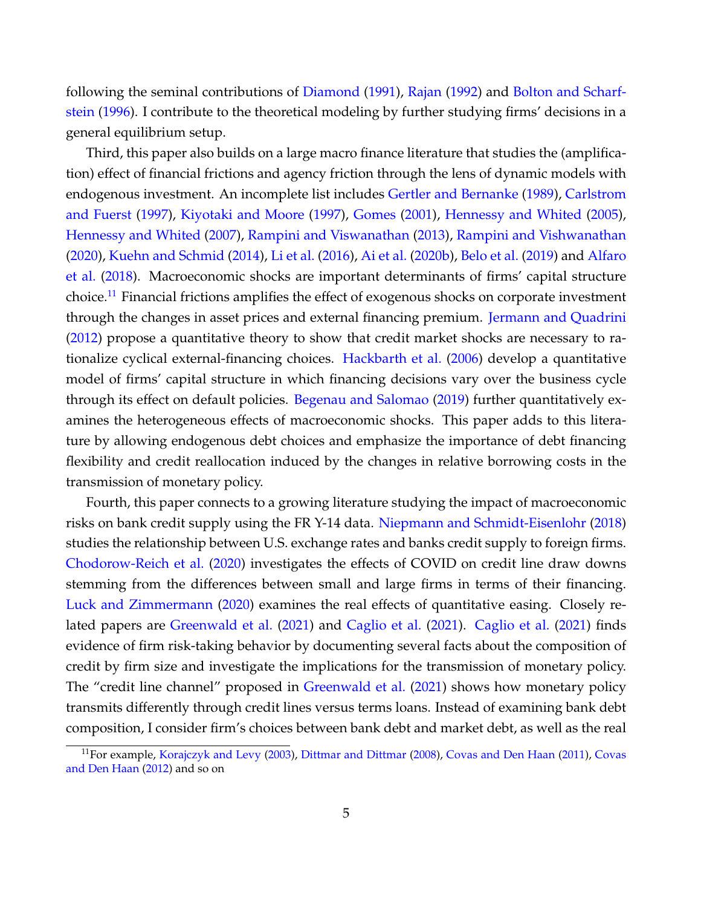following the seminal contributions of [Diamond](#page-38-6) [\(1991\)](#page-38-6), [Rajan](#page-40-4) [\(1992\)](#page-40-4) and [Bolton and Scharf](#page-37-6)[stein](#page-37-6) [\(1996\)](#page-37-6). I contribute to the theoretical modeling by further studying firms' decisions in a general equilibrium setup.

Third, this paper also builds on a large macro finance literature that studies the (amplification) effect of financial frictions and agency friction through the lens of dynamic models with endogenous investment. An incomplete list includes [Gertler and Bernanke](#page-38-7) [\(1989\)](#page-38-7), [Carlstrom](#page-37-7) [and Fuerst](#page-37-7) [\(1997\)](#page-37-7), [Kiyotaki and Moore](#page-40-5) [\(1997\)](#page-40-5), [Gomes](#page-38-8) [\(2001\)](#page-38-8), [Hennessy and Whited](#page-39-9) [\(2005\)](#page-39-9), [Hennessy and Whited](#page-39-10) [\(2007\)](#page-39-10), [Rampini and Viswanathan](#page-41-8) [\(2013\)](#page-41-8), [Rampini and Vishwanathan](#page-40-6) [\(2020\)](#page-40-6), [Kuehn and Schmid](#page-40-7) [\(2014\)](#page-40-7), [Li et al.](#page-40-8) [\(2016\)](#page-40-8), [Ai et al.](#page-36-9) [\(2020b\)](#page-36-9), [Belo et al.](#page-36-10) [\(2019\)](#page-36-10) and [Alfaro](#page-36-11) [et al.](#page-36-11) [\(2018\)](#page-36-11). Macroeconomic shocks are important determinants of firms' capital structure choice.<sup>[11](#page-5-0)</sup> Financial frictions amplifies the effect of exogenous shocks on corporate investment through the changes in asset prices and external financing premium. [Jermann and Quadrini](#page-39-11) [\(2012\)](#page-39-11) propose a quantitative theory to show that credit market shocks are necessary to rationalize cyclical external-financing choices. [Hackbarth et al.](#page-39-12) [\(2006\)](#page-39-12) develop a quantitative model of firms' capital structure in which financing decisions vary over the business cycle through its effect on default policies. [Begenau and Salomao](#page-36-12) [\(2019\)](#page-36-12) further quantitatively examines the heterogeneous effects of macroeconomic shocks. This paper adds to this literature by allowing endogenous debt choices and emphasize the importance of debt financing flexibility and credit reallocation induced by the changes in relative borrowing costs in the transmission of monetary policy.

Fourth, this paper connects to a growing literature studying the impact of macroeconomic risks on bank credit supply using the FR Y-14 data. [Niepmann and Schmidt-Eisenlohr](#page-40-9) [\(2018\)](#page-40-9) studies the relationship between U.S. exchange rates and banks credit supply to foreign firms. [Chodorow-Reich et al.](#page-37-8) [\(2020\)](#page-37-8) investigates the effects of COVID on credit line draw downs stemming from the differences between small and large firms in terms of their financing. [Luck and Zimmermann](#page-40-10) [\(2020\)](#page-40-10) examines the real effects of quantitative easing. Closely related papers are [Greenwald et al.](#page-38-1) [\(2021\)](#page-38-1) and [Caglio et al.](#page-37-9) [\(2021\)](#page-37-9). [Caglio et al.](#page-37-9) [\(2021\)](#page-37-9) finds evidence of firm risk-taking behavior by documenting several facts about the composition of credit by firm size and investigate the implications for the transmission of monetary policy. The "credit line channel" proposed in [Greenwald et al.](#page-38-1) [\(2021\)](#page-38-1) shows how monetary policy transmits differently through credit lines versus terms loans. Instead of examining bank debt composition, I consider firm's choices between bank debt and market debt, as well as the real

<span id="page-5-0"></span><sup>&</sup>lt;sup>11</sup>For example, [Korajczyk and Levy](#page-40-11) [\(2003\)](#page-40-11), [Dittmar and Dittmar](#page-38-9) [\(2008\)](#page-38-9), [Covas and Den Haan](#page-37-10) [\(2011\)](#page-37-10), [Covas](#page-37-11) [and Den Haan](#page-37-11) [\(2012\)](#page-37-11) and so on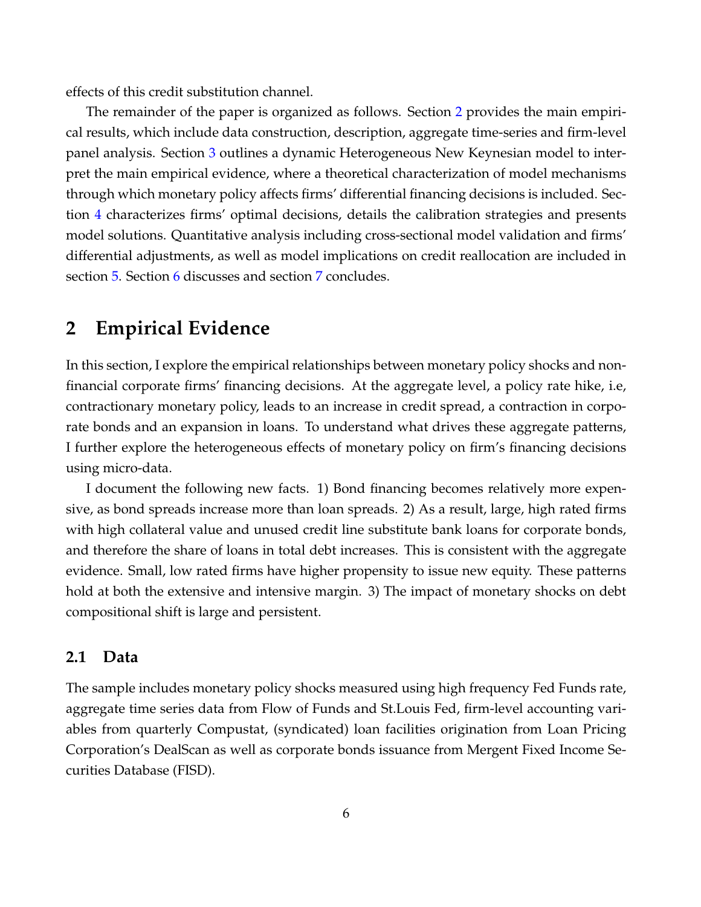effects of this credit substitution channel.

The remainder of the paper is organized as follows. Section [2](#page-6-0) provides the main empirical results, which include data construction, description, aggregate time-series and firm-level panel analysis. Section [3](#page-14-0) outlines a dynamic Heterogeneous New Keynesian model to interpret the main empirical evidence, where a theoretical characterization of model mechanisms through which monetary policy affects firms' differential financing decisions is included. Section [4](#page-23-0) characterizes firms' optimal decisions, details the calibration strategies and presents model solutions. Quantitative analysis including cross-sectional model validation and firms' differential adjustments, as well as model implications on credit reallocation are included in section [5.](#page-29-0) Section [6](#page-33-0) discusses and section [7](#page-34-0) concludes.

## <span id="page-6-0"></span>**2 Empirical Evidence**

In this section, I explore the empirical relationships between monetary policy shocks and nonfinancial corporate firms' financing decisions. At the aggregate level, a policy rate hike, i.e, contractionary monetary policy, leads to an increase in credit spread, a contraction in corporate bonds and an expansion in loans. To understand what drives these aggregate patterns, I further explore the heterogeneous effects of monetary policy on firm's financing decisions using micro-data.

I document the following new facts. 1) Bond financing becomes relatively more expensive, as bond spreads increase more than loan spreads. 2) As a result, large, high rated firms with high collateral value and unused credit line substitute bank loans for corporate bonds, and therefore the share of loans in total debt increases. This is consistent with the aggregate evidence. Small, low rated firms have higher propensity to issue new equity. These patterns hold at both the extensive and intensive margin. 3) The impact of monetary shocks on debt compositional shift is large and persistent.

## **2.1 Data**

The sample includes monetary policy shocks measured using high frequency Fed Funds rate, aggregate time series data from Flow of Funds and St.Louis Fed, firm-level accounting variables from quarterly Compustat, (syndicated) loan facilities origination from Loan Pricing Corporation's DealScan as well as corporate bonds issuance from Mergent Fixed Income Securities Database (FISD).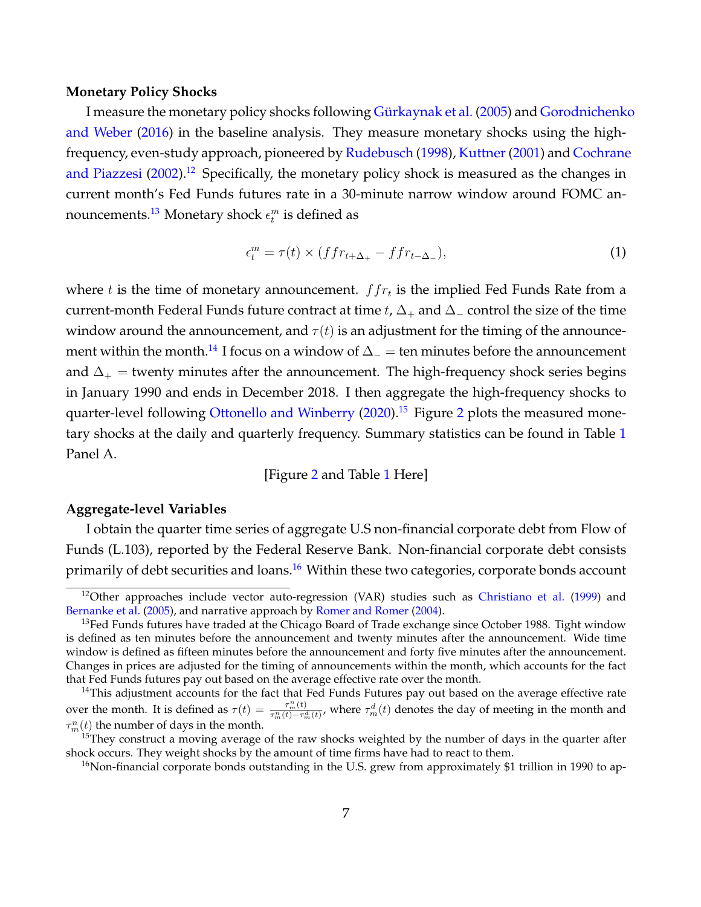#### **Monetary Policy Shocks**

I measure the monetary policy shocks following Gürkaynak et al. [\(2005\)](#page-38-10) and [Gorodnichenk](#page-38-11)o [and Weber](#page-38-11) [\(2016\)](#page-38-11) in the baseline analysis. They measure monetary shocks using the high-frequency, even-study approach, pioneered by [Rudebusch](#page-41-9) [\(1998\)](#page-41-9), Kuttner (2001) and [Cochrane](#page-37-12) [and Piazzesi](#page-37-12)  $(2002)$ .<sup>[12](#page-7-0)</sup> Specifically, the monetary policy shock is measured as the changes in current month's Fed Funds futures rate in a 30-minute narrow window around FOMC announcements. $^{13}$  $^{13}$  $^{13}$  Monetary shock  $\epsilon^m_t$  is defined as

$$
\epsilon_t^m = \tau(t) \times (ffr_{t+\Delta_+} - ffr_{t-\Delta_-}),\tag{1}
$$

where  $t$  is the time of monetary announcement.  $ffr_t$  is the implied Fed Funds Rate from a current-month Federal Funds future contract at time t,  $\Delta_+$  and  $\Delta_-$  control the size of the time window around the announcement, and  $\tau(t)$  is an adjustment for the timing of the announce-ment within the month.<sup>[14](#page-7-2)</sup> I focus on a window of  $\Delta_-\neq$  ten minutes before the announcement and  $\Delta_+$  = twenty minutes after the announcement. The high-frequency shock series begins in January 1990 and ends in December 2018. I then aggregate the high-frequency shocks to quarter-level following [Ottonello and Winberry](#page-40-0) [\(2020\)](#page-40-0).<sup>[15](#page-7-3)</sup> Figure [2](#page-43-0) plots the measured mone-tary shocks at the daily and quarterly frequency. Summary statistics can be found in Table [1](#page-49-0) Panel A.

#### [Figure [2](#page-43-0) and Table [1](#page-49-0) Here]

### **Aggregate-level Variables**

I obtain the quarter time series of aggregate U.S non-financial corporate debt from Flow of Funds (L.103), reported by the Federal Reserve Bank. Non-financial corporate debt consists primarily of debt securities and loans.<sup>[16](#page-7-4)</sup> Within these two categories, corporate bonds account

<span id="page-7-0"></span> $12$ Other approaches include vector auto-regression (VAR) studies such as [Christiano et al.](#page-37-13) [\(1999\)](#page-37-13) and [Bernanke et al.](#page-36-13) [\(2005\)](#page-36-13), and narrative approach by [Romer and Romer](#page-41-10) [\(2004\)](#page-41-10).

<span id="page-7-1"></span> $13$ Fed Funds futures have traded at the Chicago Board of Trade exchange since October 1988. Tight window is defined as ten minutes before the announcement and twenty minutes after the announcement. Wide time window is defined as fifteen minutes before the announcement and forty five minutes after the announcement. Changes in prices are adjusted for the timing of announcements within the month, which accounts for the fact that Fed Funds futures pay out based on the average effective rate over the month.

<span id="page-7-2"></span> $14$ This adjustment accounts for the fact that Fed Funds Futures pay out based on the average effective rate over the month. It is defined as  $\tau(t) = \frac{\tau_m^n(t)}{\tau^n(t) - \tau^c}$  $\frac{\tau_m^m(t)}{\tau_m^m(t)-\tau_m^d(t)}$ , where  $\tau_m^d(t)$  denotes the day of meeting in the month and  $\tau^n_m(t)$  the number of days in the month.

<span id="page-7-3"></span><sup>&</sup>lt;sup>15</sup>They construct a moving average of the raw shocks weighted by the number of days in the quarter after shock occurs. They weight shocks by the amount of time firms have had to react to them.

<span id="page-7-4"></span><sup>&</sup>lt;sup>16</sup>Non-financial corporate bonds outstanding in the U.S. grew from approximately \$1 trillion in 1990 to ap-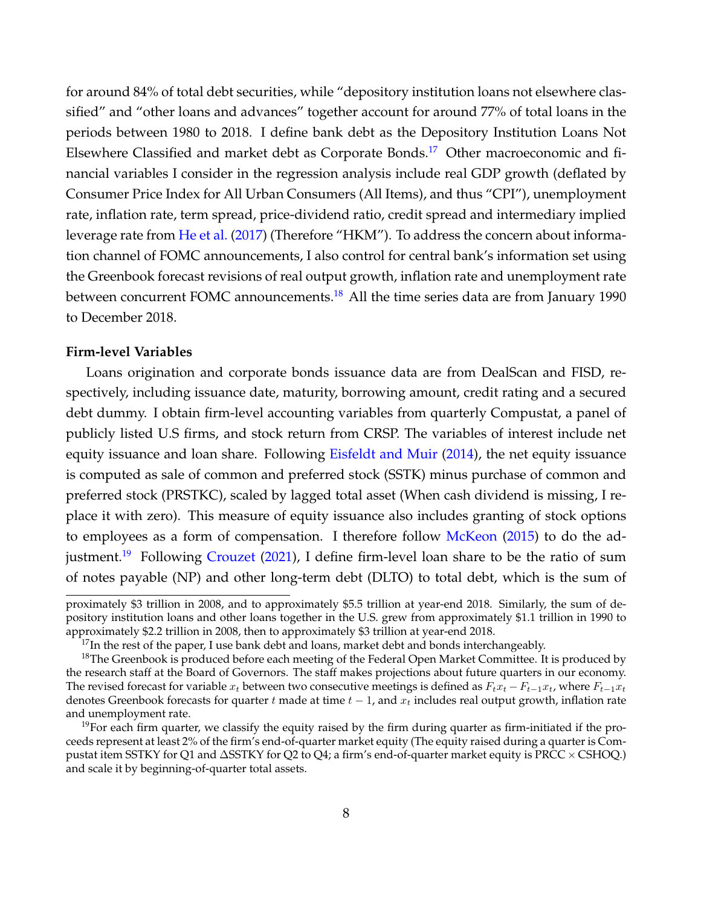for around 84% of total debt securities, while "depository institution loans not elsewhere classified" and "other loans and advances" together account for around 77% of total loans in the periods between 1980 to 2018. I define bank debt as the Depository Institution Loans Not Elsewhere Classified and market debt as Corporate Bonds.[17](#page-8-0) Other macroeconomic and financial variables I consider in the regression analysis include real GDP growth (deflated by Consumer Price Index for All Urban Consumers (All Items), and thus "CPI"), unemployment rate, inflation rate, term spread, price-dividend ratio, credit spread and intermediary implied leverage rate from [He et al.](#page-39-13) [\(2017\)](#page-39-13) (Therefore "HKM"). To address the concern about information channel of FOMC announcements, I also control for central bank's information set using the Greenbook forecast revisions of real output growth, inflation rate and unemployment rate between concurrent FOMC announcements.<sup>[18](#page-8-1)</sup> All the time series data are from January 1990 to December 2018.

## **Firm-level Variables**

Loans origination and corporate bonds issuance data are from DealScan and FISD, respectively, including issuance date, maturity, borrowing amount, credit rating and a secured debt dummy. I obtain firm-level accounting variables from quarterly Compustat, a panel of publicly listed U.S firms, and stock return from CRSP. The variables of interest include net equity issuance and loan share. Following [Eisfeldt and Muir](#page-38-12) [\(2014\)](#page-38-12), the net equity issuance is computed as sale of common and preferred stock (SSTK) minus purchase of common and preferred stock (PRSTKC), scaled by lagged total asset (When cash dividend is missing, I replace it with zero). This measure of equity issuance also includes granting of stock options to employees as a form of compensation. I therefore follow [McKeon](#page-40-13) [\(2015\)](#page-40-13) to do the ad-justment.<sup>[19](#page-8-2)</sup> Following [Crouzet](#page-37-1) [\(2021\)](#page-37-1), I define firm-level loan share to be the ratio of sum of notes payable (NP) and other long-term debt (DLTO) to total debt, which is the sum of

proximately \$3 trillion in 2008, and to approximately \$5.5 trillion at year-end 2018. Similarly, the sum of depository institution loans and other loans together in the U.S. grew from approximately \$1.1 trillion in 1990 to approximately \$2.2 trillion in 2008, then to approximately \$3 trillion at year-end 2018.

<span id="page-8-1"></span><span id="page-8-0"></span> $^{17}$ In the rest of the paper, I use bank debt and loans, market debt and bonds interchangeably.

<sup>&</sup>lt;sup>18</sup>The Greenbook is produced before each meeting of the Federal Open Market Committee. It is produced by the research staff at the Board of Governors. The staff makes projections about future quarters in our economy. The revised forecast for variable  $x_t$  between two consecutive meetings is defined as  $F_tx_t - F_{t-1}x_t$ , where  $F_{t-1}x_t$ denotes Greenbook forecasts for quarter t made at time  $t - 1$ , and  $x_t$  includes real output growth, inflation rate and unemployment rate.

<span id="page-8-2"></span> $19$ For each firm quarter, we classify the equity raised by the firm during quarter as firm-initiated if the proceeds represent at least 2% of the firm's end-of-quarter market equity (The equity raised during a quarter is Compustat item SSTKY for Q1 and ∆SSTKY for Q2 to Q4; a firm's end-of-quarter market equity is PRCC × CSHOQ.) and scale it by beginning-of-quarter total assets.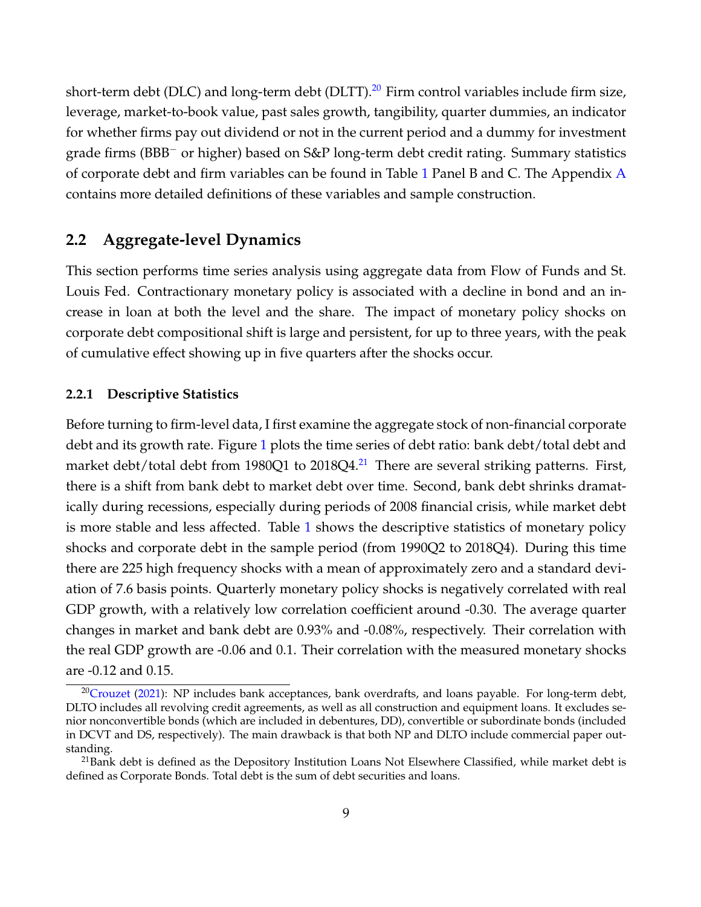short-term debt (DLC) and long-term debt (DLTT). $^{20}$  $^{20}$  $^{20}$  Firm control variables include firm size, leverage, market-to-book value, past sales growth, tangibility, quarter dummies, an indicator for whether firms pay out dividend or not in the current period and a dummy for investment grade firms (BBB<sup>-</sup> or higher) based on S&P long-term debt credit rating. Summary statistics of corporate debt and firm variables can be found in Table [1](#page-49-0) Panel B and C. The [A](#page-61-0)ppendix  $\bf{A}$ contains more detailed definitions of these variables and sample construction.

## **2.2 Aggregate-level Dynamics**

This section performs time series analysis using aggregate data from Flow of Funds and St. Louis Fed. Contractionary monetary policy is associated with a decline in bond and an increase in loan at both the level and the share. The impact of monetary policy shocks on corporate debt compositional shift is large and persistent, for up to three years, with the peak of cumulative effect showing up in five quarters after the shocks occur.

### **2.2.1 Descriptive Statistics**

Before turning to firm-level data, I first examine the aggregate stock of non-financial corporate debt and its growth rate. Figure [1](#page-42-0) plots the time series of debt ratio: bank debt/total debt and market debt/total debt from 1980Q1 to 2018Q4.<sup>[21](#page-9-1)</sup> There are several striking patterns. First, there is a shift from bank debt to market debt over time. Second, bank debt shrinks dramatically during recessions, especially during periods of 2008 financial crisis, while market debt is more stable and less affected. Table [1](#page-49-0) shows the descriptive statistics of monetary policy shocks and corporate debt in the sample period (from 1990Q2 to 2018Q4). During this time there are 225 high frequency shocks with a mean of approximately zero and a standard deviation of 7.6 basis points. Quarterly monetary policy shocks is negatively correlated with real GDP growth, with a relatively low correlation coefficient around -0.30. The average quarter changes in market and bank debt are 0.93% and -0.08%, respectively. Their correlation with the real GDP growth are -0.06 and 0.1. Their correlation with the measured monetary shocks are -0.12 and 0.15.

<span id="page-9-0"></span><sup>&</sup>lt;sup>20</sup>[Crouzet](#page-37-1) [\(2021\)](#page-37-1): NP includes bank acceptances, bank overdrafts, and loans payable. For long-term debt, DLTO includes all revolving credit agreements, as well as all construction and equipment loans. It excludes senior nonconvertible bonds (which are included in debentures, DD), convertible or subordinate bonds (included in DCVT and DS, respectively). The main drawback is that both NP and DLTO include commercial paper outstanding.

<span id="page-9-1"></span> $21$ Bank debt is defined as the Depository Institution Loans Not Elsewhere Classified, while market debt is defined as Corporate Bonds. Total debt is the sum of debt securities and loans.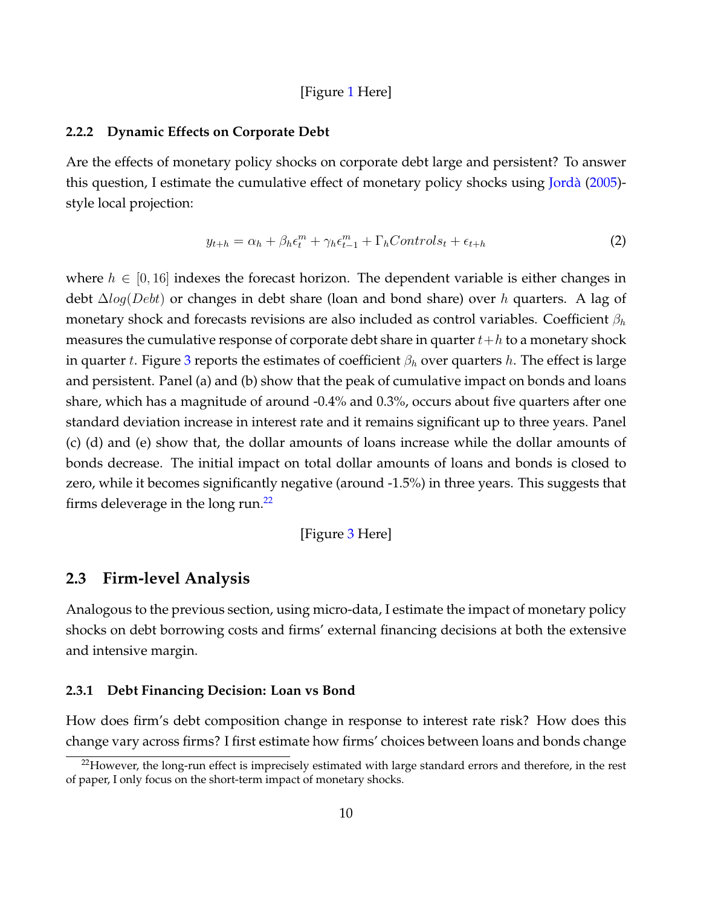### [Figure [1](#page-42-0) Here]

#### **2.2.2 Dynamic Effects on Corporate Debt**

Are the effects of monetary policy shocks on corporate debt large and persistent? To answer this question, I estimate the cumulative effect of monetary policy shocks using [Jorda`](#page-39-14) [\(2005\)](#page-39-14) style local projection:

$$
y_{t+h} = \alpha_h + \beta_h \epsilon_t^m + \gamma_h \epsilon_{t-1}^m + \Gamma_h Controls_t + \epsilon_{t+h}
$$
 (2)

where  $h \in [0, 16]$  indexes the forecast horizon. The dependent variable is either changes in debt  $\Delta log(Debt)$  or changes in debt share (loan and bond share) over h quarters. A lag of monetary shock and forecasts revisions are also included as control variables. Coefficient  $\beta_h$ measures the cumulative response of corporate debt share in quarter  $t+h$  to a monetary shock in quarter t. Figure [3](#page-44-0) reports the estimates of coefficient  $\beta_h$  over quarters h. The effect is large and persistent. Panel (a) and (b) show that the peak of cumulative impact on bonds and loans share, which has a magnitude of around -0.4% and 0.3%, occurs about five quarters after one standard deviation increase in interest rate and it remains significant up to three years. Panel (c) (d) and (e) show that, the dollar amounts of loans increase while the dollar amounts of bonds decrease. The initial impact on total dollar amounts of loans and bonds is closed to zero, while it becomes significantly negative (around -1.5%) in three years. This suggests that firms deleverage in the long run.<sup>[22](#page-10-0)</sup>

[Figure [3](#page-44-0) Here]

## **2.3 Firm-level Analysis**

Analogous to the previous section, using micro-data, I estimate the impact of monetary policy shocks on debt borrowing costs and firms' external financing decisions at both the extensive and intensive margin.

#### **2.3.1 Debt Financing Decision: Loan vs Bond**

How does firm's debt composition change in response to interest rate risk? How does this change vary across firms? I first estimate how firms' choices between loans and bonds change

<span id="page-10-0"></span> $22$ However, the long-run effect is imprecisely estimated with large standard errors and therefore, in the rest of paper, I only focus on the short-term impact of monetary shocks.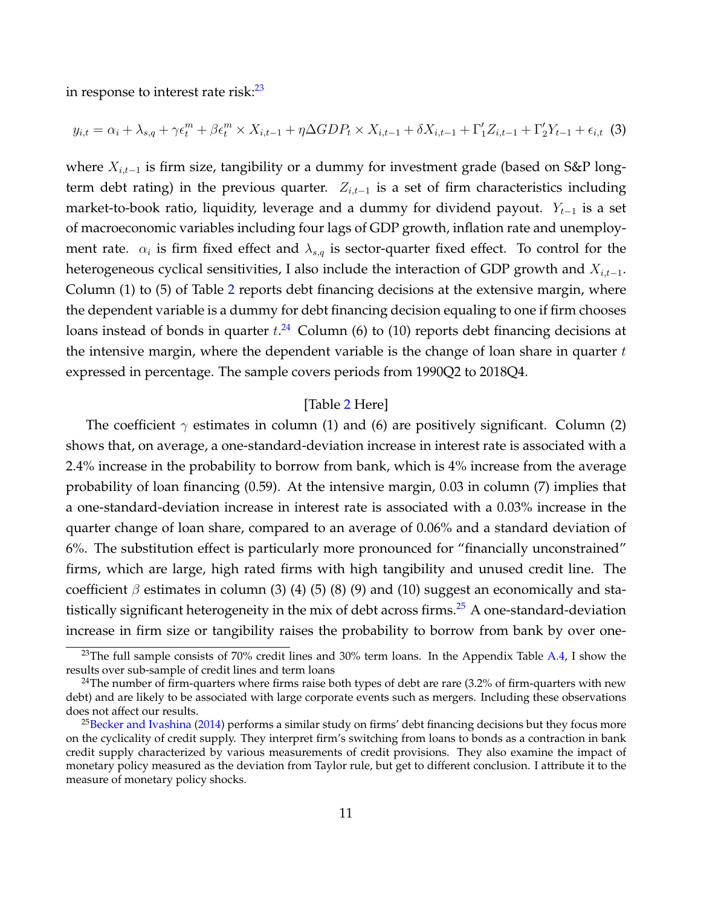in response to interest rate risk: $23$ 

$$
y_{i,t} = \alpha_i + \lambda_{s,q} + \gamma \epsilon_t^m + \beta \epsilon_t^m \times X_{i,t-1} + \eta \Delta GDP_t \times X_{i,t-1} + \delta X_{i,t-1} + \Gamma'_1 Z_{i,t-1} + \Gamma'_2 Y_{t-1} + \epsilon_{i,t} \tag{3}
$$

where  $X_{i,t-1}$  is firm size, tangibility or a dummy for investment grade (based on S&P longterm debt rating) in the previous quarter.  $Z_{i,t-1}$  is a set of firm characteristics including market-to-book ratio, liquidity, leverage and a dummy for dividend payout.  $Y_{t-1}$  is a set of macroeconomic variables including four lags of GDP growth, inflation rate and unemployment rate.  $\alpha_i$  is firm fixed effect and  $\lambda_{s,q}$  is sector-quarter fixed effect. To control for the heterogeneous cyclical sensitivities, I also include the interaction of GDP growth and  $X_{i,t-1}$ . Column (1) to (5) of Table [2](#page-51-0) reports debt financing decisions at the extensive margin, where the dependent variable is a dummy for debt financing decision equaling to one if firm chooses loans instead of bonds in quarter  $t.^{24}$  $t.^{24}$  $t.^{24}$  Column (6) to (10) reports debt financing decisions at the intensive margin, where the dependent variable is the change of loan share in quarter  $t$ expressed in percentage. The sample covers periods from 1990Q2 to 2018Q4.

## [Table [2](#page-51-0) Here]

The coefficient  $\gamma$  estimates in column (1) and (6) are positively significant. Column (2) shows that, on average, a one-standard-deviation increase in interest rate is associated with a 2.4% increase in the probability to borrow from bank, which is 4% increase from the average probability of loan financing (0.59). At the intensive margin, 0.03 in column (7) implies that a one-standard-deviation increase in interest rate is associated with a 0.03% increase in the quarter change of loan share, compared to an average of 0.06% and a standard deviation of 6%. The substitution effect is particularly more pronounced for "financially unconstrained" firms, which are large, high rated firms with high tangibility and unused credit line. The coefficient  $\beta$  estimates in column (3) (4) (5) (8) (9) and (10) suggest an economically and sta-tistically significant heterogeneity in the mix of debt across firms.<sup>[25](#page-11-2)</sup> A one-standard-deviation increase in firm size or tangibility raises the probability to borrow from bank by over one-

<span id="page-11-0"></span><sup>&</sup>lt;sup>23</sup>The full sample consists of 70% credit lines and 30% term loans. In the Appendix Table [A.4,](#page-82-0) I show the results over sub-sample of credit lines and term loans

<span id="page-11-1"></span><sup>&</sup>lt;sup>24</sup>The number of firm-quarters where firms raise both types of debt are rare  $(3.2%$  of firm-quarters with new debt) and are likely to be associated with large corporate events such as mergers. Including these observations does not affect our results.

<span id="page-11-2"></span> $25$ [Becker and Ivashina](#page-36-3) [\(2014\)](#page-36-3) performs a similar study on firms' debt financing decisions but they focus more on the cyclicality of credit supply. They interpret firm's switching from loans to bonds as a contraction in bank credit supply characterized by various measurements of credit provisions. They also examine the impact of monetary policy measured as the deviation from Taylor rule, but get to different conclusion. I attribute it to the measure of monetary policy shocks.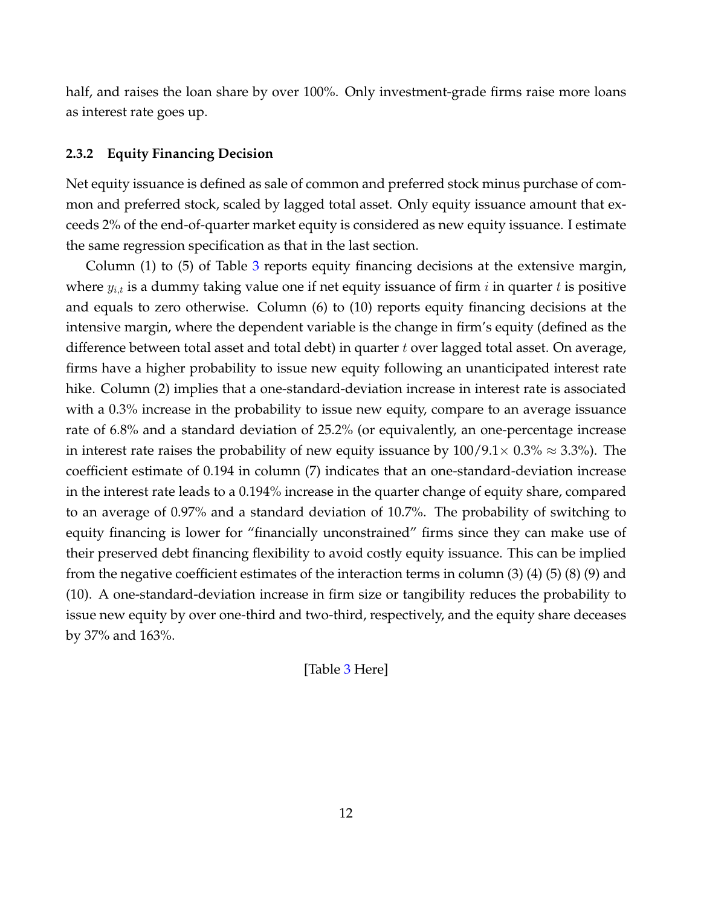half, and raises the loan share by over 100%. Only investment-grade firms raise more loans as interest rate goes up.

### **2.3.2 Equity Financing Decision**

Net equity issuance is defined as sale of common and preferred stock minus purchase of common and preferred stock, scaled by lagged total asset. Only equity issuance amount that exceeds 2% of the end-of-quarter market equity is considered as new equity issuance. I estimate the same regression specification as that in the last section.

Column (1) to (5) of Table [3](#page-52-0) reports equity financing decisions at the extensive margin, where  $y_{i,t}$  is a dummy taking value one if net equity issuance of firm i in quarter t is positive and equals to zero otherwise. Column (6) to (10) reports equity financing decisions at the intensive margin, where the dependent variable is the change in firm's equity (defined as the difference between total asset and total debt) in quarter t over lagged total asset. On average, firms have a higher probability to issue new equity following an unanticipated interest rate hike. Column (2) implies that a one-standard-deviation increase in interest rate is associated with a 0.3% increase in the probability to issue new equity, compare to an average issuance rate of 6.8% and a standard deviation of 25.2% (or equivalently, an one-percentage increase in interest rate raises the probability of new equity issuance by  $100/9.1 \times 0.3\% \approx 3.3\%$ ). The coefficient estimate of 0.194 in column (7) indicates that an one-standard-deviation increase in the interest rate leads to a 0.194% increase in the quarter change of equity share, compared to an average of 0.97% and a standard deviation of 10.7%. The probability of switching to equity financing is lower for "financially unconstrained" firms since they can make use of their preserved debt financing flexibility to avoid costly equity issuance. This can be implied from the negative coefficient estimates of the interaction terms in column (3) (4) (5) (8) (9) and (10). A one-standard-deviation increase in firm size or tangibility reduces the probability to issue new equity by over one-third and two-third, respectively, and the equity share deceases by 37% and 163%.

[Table [3](#page-52-0) Here]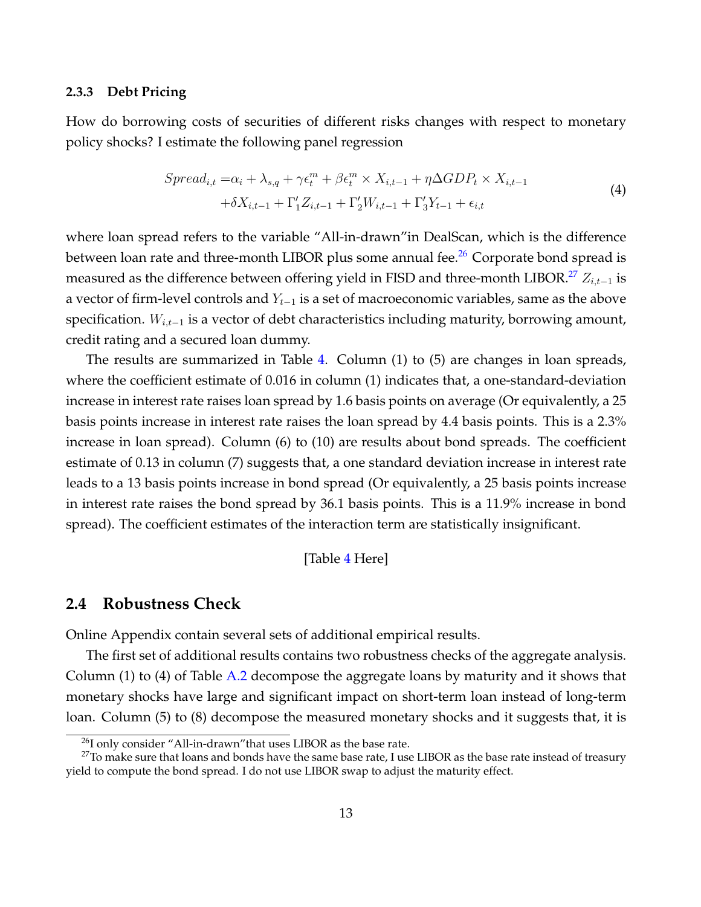#### **2.3.3 Debt Pricing**

How do borrowing costs of securities of different risks changes with respect to monetary policy shocks? I estimate the following panel regression

$$
Spread_{i,t} = \alpha_i + \lambda_{s,q} + \gamma \epsilon_t^m + \beta \epsilon_t^m \times X_{i,t-1} + \eta \Delta GDP_t \times X_{i,t-1}
$$
  
+
$$
\delta X_{i,t-1} + \Gamma'_1 Z_{i,t-1} + \Gamma'_2 W_{i,t-1} + \Gamma'_3 Y_{t-1} + \epsilon_{i,t}
$$
\n(4)

where loan spread refers to the variable "All-in-drawn"in DealScan, which is the difference between loan rate and three-month LIBOR plus some annual fee.<sup>[26](#page-13-0)</sup> Corporate bond spread is measured as the difference between offering yield in FISD and three-month LIBOR.<sup>[27](#page-13-1)</sup>  $Z_{i,t-1}$  is a vector of firm-level controls and  $Y_{t-1}$  is a set of macroeconomic variables, same as the above specification.  $W_{i,t-1}$  is a vector of debt characteristics including maturity, borrowing amount, credit rating and a secured loan dummy.

The results are summarized in Table [4.](#page-53-0) Column (1) to (5) are changes in loan spreads, where the coefficient estimate of 0.016 in column (1) indicates that, a one-standard-deviation increase in interest rate raises loan spread by 1.6 basis points on average (Or equivalently, a 25 basis points increase in interest rate raises the loan spread by 4.4 basis points. This is a 2.3% increase in loan spread). Column (6) to (10) are results about bond spreads. The coefficient estimate of 0.13 in column (7) suggests that, a one standard deviation increase in interest rate leads to a 13 basis points increase in bond spread (Or equivalently, a 25 basis points increase in interest rate raises the bond spread by 36.1 basis points. This is a 11.9% increase in bond spread). The coefficient estimates of the interaction term are statistically insignificant.

[Table [4](#page-53-0) Here]

## **2.4 Robustness Check**

Online Appendix contain several sets of additional empirical results.

The first set of additional results contains two robustness checks of the aggregate analysis. Column (1) to (4) of Table [A.2](#page-80-0) decompose the aggregate loans by maturity and it shows that monetary shocks have large and significant impact on short-term loan instead of long-term loan. Column (5) to (8) decompose the measured monetary shocks and it suggests that, it is

<span id="page-13-1"></span><span id="page-13-0"></span><sup>&</sup>lt;sup>26</sup>I only consider "All-in-drawn" that uses LIBOR as the base rate.

 $27$ To make sure that loans and bonds have the same base rate, I use LIBOR as the base rate instead of treasury yield to compute the bond spread. I do not use LIBOR swap to adjust the maturity effect.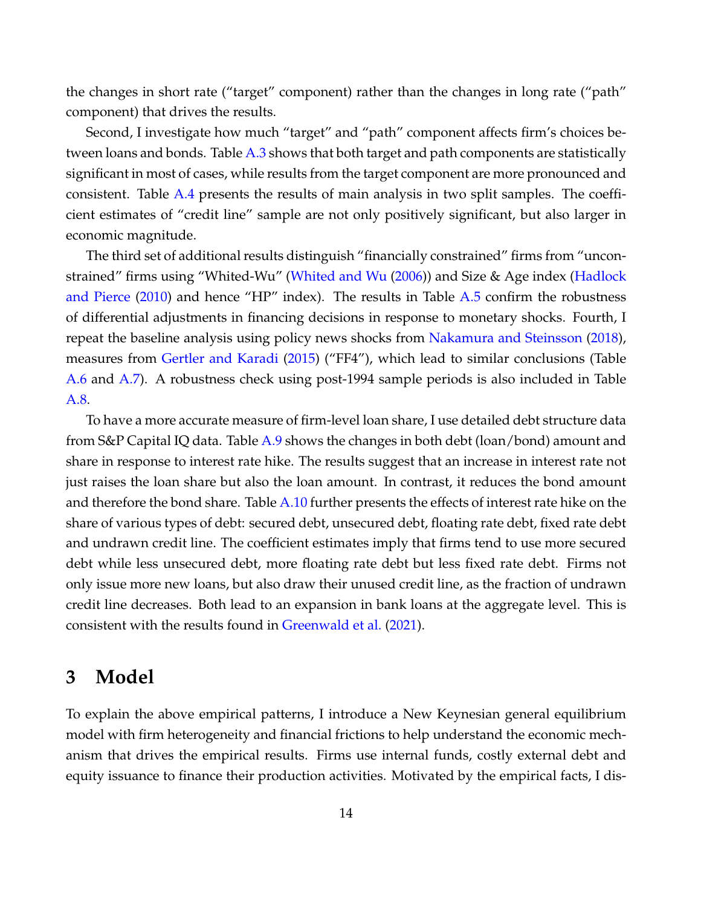the changes in short rate ("target" component) rather than the changes in long rate ("path" component) that drives the results.

Second, I investigate how much "target" and "path" component affects firm's choices between loans and bonds. Table  $A.3$  shows that both target and path components are statistically significant in most of cases, while results from the target component are more pronounced and consistent. Table [A.4](#page-82-0) presents the results of main analysis in two split samples. The coefficient estimates of "credit line" sample are not only positively significant, but also larger in economic magnitude.

The third set of additional results distinguish "financially constrained" firms from "unconstrained" firms using "Whited-Wu" [\(Whited and Wu](#page-41-11) [\(2006\)](#page-41-11)) and Size & Age index [\(Hadlock](#page-39-15) [and Pierce](#page-39-15)  $(2010)$  and hence "HP" index). The results in Table [A.5](#page-83-0) confirm the robustness of differential adjustments in financing decisions in response to monetary shocks. Fourth, I repeat the baseline analysis using policy news shocks from [Nakamura and Steinsson](#page-40-14) [\(2018\)](#page-40-14), measures from [Gertler and Karadi](#page-38-13) [\(2015\)](#page-38-13) ("FF4"), which lead to similar conclusions (Table [A.6](#page-84-0) and [A.7\)](#page-85-0). A robustness check using post-1994 sample periods is also included in Table [A.8.](#page-86-0)

To have a more accurate measure of firm-level loan share, I use detailed debt structure data from S&P Capital IQ data. Table [A.9](#page-87-0) shows the changes in both debt (loan/bond) amount and share in response to interest rate hike. The results suggest that an increase in interest rate not just raises the loan share but also the loan amount. In contrast, it reduces the bond amount and therefore the bond share. Table [A.10](#page-88-0) further presents the effects of interest rate hike on the share of various types of debt: secured debt, unsecured debt, floating rate debt, fixed rate debt and undrawn credit line. The coefficient estimates imply that firms tend to use more secured debt while less unsecured debt, more floating rate debt but less fixed rate debt. Firms not only issue more new loans, but also draw their unused credit line, as the fraction of undrawn credit line decreases. Both lead to an expansion in bank loans at the aggregate level. This is consistent with the results found in [Greenwald et al.](#page-38-1) [\(2021\)](#page-38-1).

## <span id="page-14-0"></span>**3 Model**

To explain the above empirical patterns, I introduce a New Keynesian general equilibrium model with firm heterogeneity and financial frictions to help understand the economic mechanism that drives the empirical results. Firms use internal funds, costly external debt and equity issuance to finance their production activities. Motivated by the empirical facts, I dis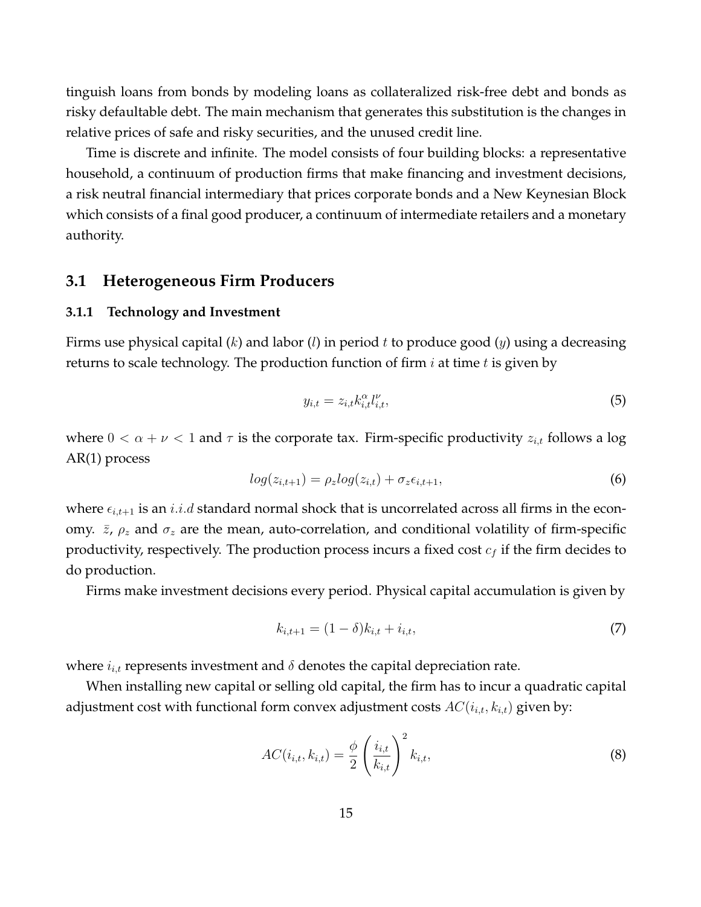tinguish loans from bonds by modeling loans as collateralized risk-free debt and bonds as risky defaultable debt. The main mechanism that generates this substitution is the changes in relative prices of safe and risky securities, and the unused credit line.

Time is discrete and infinite. The model consists of four building blocks: a representative household, a continuum of production firms that make financing and investment decisions, a risk neutral financial intermediary that prices corporate bonds and a New Keynesian Block which consists of a final good producer, a continuum of intermediate retailers and a monetary authority.

## **3.1 Heterogeneous Firm Producers**

#### **3.1.1 Technology and Investment**

Firms use physical capital  $(k)$  and labor  $(l)$  in period  $t$  to produce good  $(y)$  using a decreasing returns to scale technology. The production function of firm  $i$  at time  $t$  is given by

$$
y_{i,t} = z_{i,t} k_{i,t}^{\alpha} l_{i,t}^{\nu},\tag{5}
$$

where  $0 < \alpha + \nu < 1$  and  $\tau$  is the corporate tax. Firm-specific productivity  $z_{i,t}$  follows a log AR(1) process

$$
log(z_{i,t+1}) = \rho_z log(z_{i,t}) + \sigma_z \epsilon_{i,t+1}, \qquad (6)
$$

where  $\epsilon_{i,t+1}$  is an  $i.i.d$  standard normal shock that is uncorrelated across all firms in the economy.  $\bar{z}$ ,  $\rho_z$  and  $\sigma_z$  are the mean, auto-correlation, and conditional volatility of firm-specific productivity, respectively. The production process incurs a fixed cost  $c_f$  if the firm decides to do production.

Firms make investment decisions every period. Physical capital accumulation is given by

$$
k_{i,t+1} = (1 - \delta)k_{i,t} + i_{i,t},\tag{7}
$$

where  $i_{i,t}$  represents investment and  $\delta$  denotes the capital depreciation rate.

When installing new capital or selling old capital, the firm has to incur a quadratic capital adjustment cost with functional form convex adjustment costs  $AC(i_{i,t}, k_{i,t})$  given by:

$$
AC(i_{i,t}, k_{i,t}) = \frac{\phi}{2} \left( \frac{i_{i,t}}{k_{i,t}} \right)^2 k_{i,t},
$$
\n(8)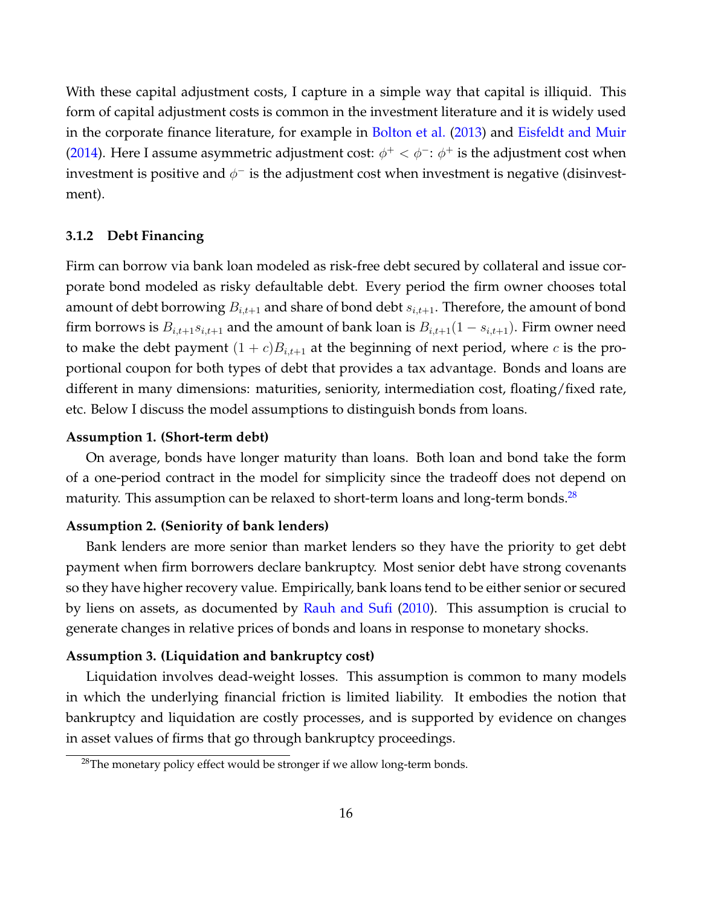With these capital adjustment costs, I capture in a simple way that capital is illiquid. This form of capital adjustment costs is common in the investment literature and it is widely used in the corporate finance literature, for example in [Bolton et al.](#page-36-14) [\(2013\)](#page-36-14) and [Eisfeldt and Muir](#page-38-12) [\(2014\)](#page-38-12). Here I assume asymmetric adjustment cost:  $\phi^+ < \phi^-$ :  $\phi^+$  is the adjustment cost when investment is positive and  $\phi^-$  is the adjustment cost when investment is negative (disinvestment).

### **3.1.2 Debt Financing**

Firm can borrow via bank loan modeled as risk-free debt secured by collateral and issue corporate bond modeled as risky defaultable debt. Every period the firm owner chooses total amount of debt borrowing  $B_{i,t+1}$  and share of bond debt  $s_{i,t+1}$ . Therefore, the amount of bond firm borrows is  $B_{i,t+1}s_{i,t+1}$  and the amount of bank loan is  $B_{i,t+1}(1-s_{i,t+1})$ . Firm owner need to make the debt payment  $(1 + c)B_{i,t+1}$  at the beginning of next period, where c is the proportional coupon for both types of debt that provides a tax advantage. Bonds and loans are different in many dimensions: maturities, seniority, intermediation cost, floating/fixed rate, etc. Below I discuss the model assumptions to distinguish bonds from loans.

#### **Assumption 1. (Short-term debt)**

On average, bonds have longer maturity than loans. Both loan and bond take the form of a one-period contract in the model for simplicity since the tradeoff does not depend on maturity. This assumption can be relaxed to short-term loans and long-term bonds.<sup>[28](#page-16-0)</sup>

## **Assumption 2. (Seniority of bank lenders)**

Bank lenders are more senior than market lenders so they have the priority to get debt payment when firm borrowers declare bankruptcy. Most senior debt have strong covenants so they have higher recovery value. Empirically, bank loans tend to be either senior or secured by liens on assets, as documented by [Rauh and Sufi](#page-41-2) [\(2010\)](#page-41-2). This assumption is crucial to generate changes in relative prices of bonds and loans in response to monetary shocks.

### **Assumption 3. (Liquidation and bankruptcy cost)**

Liquidation involves dead-weight losses. This assumption is common to many models in which the underlying financial friction is limited liability. It embodies the notion that bankruptcy and liquidation are costly processes, and is supported by evidence on changes in asset values of firms that go through bankruptcy proceedings.

<span id="page-16-0"></span> $^{28}$ The monetary policy effect would be stronger if we allow long-term bonds.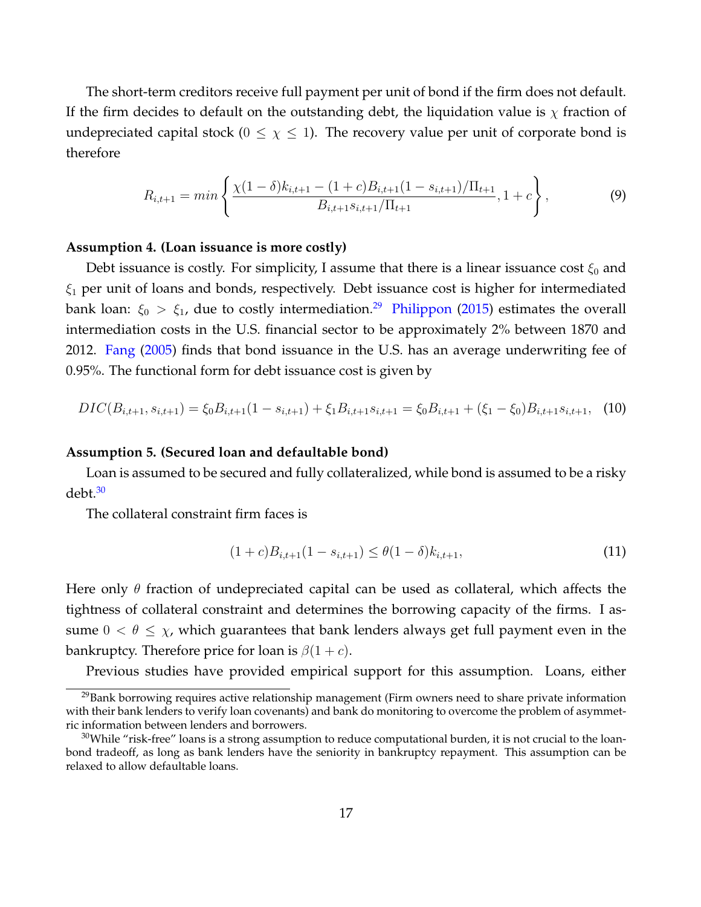The short-term creditors receive full payment per unit of bond if the firm does not default. If the firm decides to default on the outstanding debt, the liquidation value is  $\chi$  fraction of undepreciated capital stock ( $0 \leq \chi \leq 1$ ). The recovery value per unit of corporate bond is therefore

$$
R_{i,t+1} = min\left\{\frac{\chi(1-\delta)k_{i,t+1} - (1+c)B_{i,t+1}(1-s_{i,t+1})/\Pi_{t+1}}{B_{i,t+1}S_{i,t+1}/\Pi_{t+1}}, 1+c\right\},\tag{9}
$$

#### **Assumption 4. (Loan issuance is more costly)**

Debt issuance is costly. For simplicity, I assume that there is a linear issuance cost  $\xi_0$  and  $\xi_1$  per unit of loans and bonds, respectively. Debt issuance cost is higher for intermediated bank loan:  $\xi_0 > \xi_1$ , due to costly intermediation.<sup>[29](#page-17-0)</sup> [Philippon](#page-40-15) [\(2015\)](#page-40-15) estimates the overall intermediation costs in the U.S. financial sector to be approximately 2% between 1870 and 2012. [Fang](#page-38-14) [\(2005\)](#page-38-14) finds that bond issuance in the U.S. has an average underwriting fee of 0.95%. The functional form for debt issuance cost is given by

$$
DIC(B_{i,t+1}, s_{i,t+1}) = \xi_0 B_{i,t+1} (1 - s_{i,t+1}) + \xi_1 B_{i,t+1} s_{i,t+1} = \xi_0 B_{i,t+1} + (\xi_1 - \xi_0) B_{i,t+1} s_{i,t+1}, \tag{10}
$$

### **Assumption 5. (Secured loan and defaultable bond)**

Loan is assumed to be secured and fully collateralized, while bond is assumed to be a risky debt.[30](#page-17-1)

The collateral constraint firm faces is

$$
(1+c)B_{i,t+1}(1-s_{i,t+1}) \leq \theta(1-\delta)k_{i,t+1},\tag{11}
$$

Here only  $\theta$  fraction of undepreciated capital can be used as collateral, which affects the tightness of collateral constraint and determines the borrowing capacity of the firms. I assume  $0 < \theta \leq \chi$ , which guarantees that bank lenders always get full payment even in the bankruptcy. Therefore price for loan is  $\beta(1+c)$ .

<span id="page-17-0"></span>Previous studies have provided empirical support for this assumption. Loans, either

<sup>&</sup>lt;sup>29</sup>Bank borrowing requires active relationship management (Firm owners need to share private information with their bank lenders to verify loan covenants) and bank do monitoring to overcome the problem of asymmetric information between lenders and borrowers.

<span id="page-17-1"></span> $30$ While "risk-free" loans is a strong assumption to reduce computational burden, it is not crucial to the loanbond tradeoff, as long as bank lenders have the seniority in bankruptcy repayment. This assumption can be relaxed to allow defaultable loans.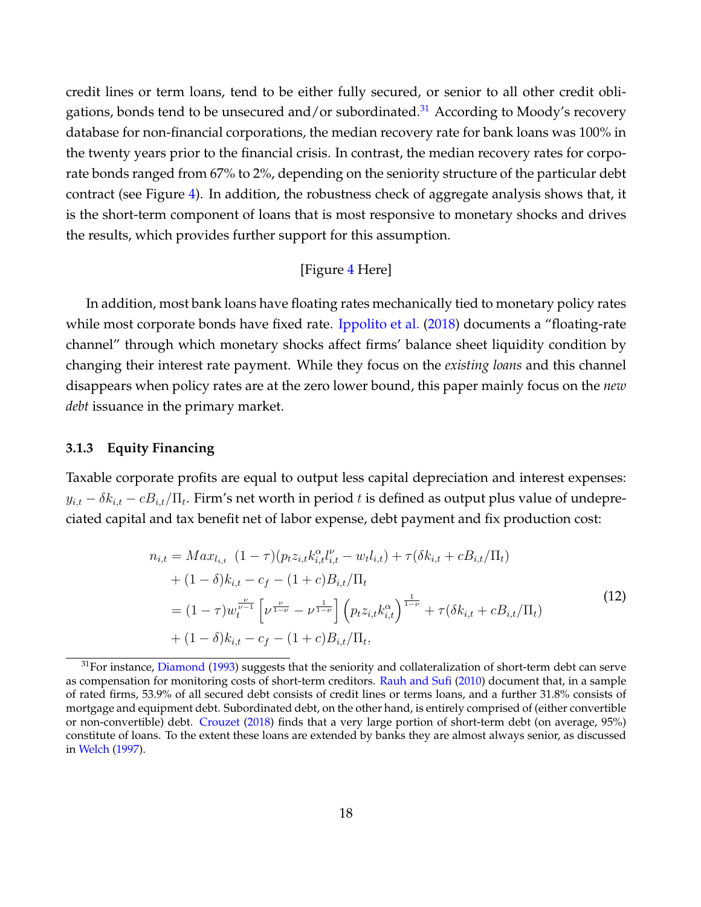credit lines or term loans, tend to be either fully secured, or senior to all other credit obli-gations, bonds tend to be unsecured and/or subordinated.<sup>[31](#page-18-0)</sup> According to Moody's recovery database for non-financial corporations, the median recovery rate for bank loans was 100% in the twenty years prior to the financial crisis. In contrast, the median recovery rates for corporate bonds ranged from 67% to 2%, depending on the seniority structure of the particular debt contract (see Figure [4\)](#page-45-0). In addition, the robustness check of aggregate analysis shows that, it is the short-term component of loans that is most responsive to monetary shocks and drives the results, which provides further support for this assumption.

## [Figure [4](#page-45-0) Here]

In addition, most bank loans have floating rates mechanically tied to monetary policy rates while most corporate bonds have fixed rate. [Ippolito et al.](#page-39-1) [\(2018\)](#page-39-1) documents a "floating-rate channel" through which monetary shocks affect firms' balance sheet liquidity condition by changing their interest rate payment. While they focus on the *existing loans* and this channel disappears when policy rates are at the zero lower bound, this paper mainly focus on the *new debt* issuance in the primary market.

#### **3.1.3 Equity Financing**

Taxable corporate profits are equal to output less capital depreciation and interest expenses:  $y_{i,t} - \delta k_{i,t} - cB_{i,t}/\Pi_t.$  Firm's net worth in period  $t$  is defined as output plus value of undepreciated capital and tax benefit net of labor expense, debt payment and fix production cost:

$$
n_{i,t} = Max_{l_{i,t}} (1 - \tau)(p_t z_{i,t} k_{i,t}^{\alpha} l_{i,t}^{\nu} - w_t l_{i,t}) + \tau(\delta k_{i,t} + c B_{i,t}/\Pi_t)
$$
  
+  $(1 - \delta)k_{i,t} - c_f - (1 + c)B_{i,t}/\Pi_t$   
=  $(1 - \tau)w_t^{\frac{\nu}{\nu - 1}} \left[ \nu^{\frac{\nu}{1 - \nu}} - \nu^{\frac{1}{1 - \nu}} \right] \left( p_t z_{i,t} k_{i,t}^{\alpha} \right)^{\frac{1}{1 - \nu}} + \tau(\delta k_{i,t} + c B_{i,t}/\Pi_t)$   
+  $(1 - \delta)k_{i,t} - c_f - (1 + c)B_{i,t}/\Pi_t,$  (12)

<span id="page-18-0"></span><sup>&</sup>lt;sup>31</sup>For instance, [Diamond](#page-38-15) [\(1993\)](#page-38-15) suggests that the seniority and collateralization of short-term debt can serve as compensation for monitoring costs of short-term creditors. [Rauh and Sufi](#page-41-2) [\(2010\)](#page-41-2) document that, in a sample of rated firms, 53.9% of all secured debt consists of credit lines or terms loans, and a further 31.8% consists of mortgage and equipment debt. Subordinated debt, on the other hand, is entirely comprised of (either convertible or non-convertible) debt. [Crouzet](#page-37-4) [\(2018\)](#page-37-4) finds that a very large portion of short-term debt (on average, 95%) constitute of loans. To the extent these loans are extended by banks they are almost always senior, as discussed in [Welch](#page-41-12) [\(1997\)](#page-41-12).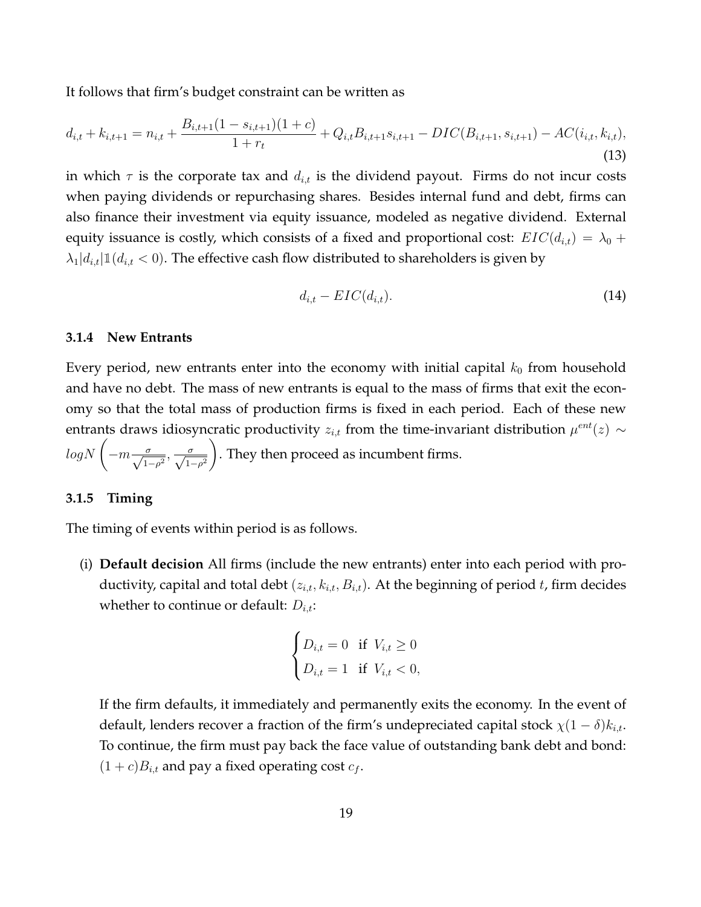It follows that firm's budget constraint can be written as

$$
d_{i,t} + k_{i,t+1} = n_{i,t} + \frac{B_{i,t+1}(1 - s_{i,t+1})(1 + c)}{1 + r_t} + Q_{i,t}B_{i,t+1}s_{i,t+1} - DIC(B_{i,t+1}, s_{i,t+1}) - AC(i_{i,t}, k_{i,t}),
$$
\n(13)

in which  $\tau$  is the corporate tax and  $d_{i,t}$  is the dividend payout. Firms do not incur costs when paying dividends or repurchasing shares. Besides internal fund and debt, firms can also finance their investment via equity issuance, modeled as negative dividend. External equity issuance is costly, which consists of a fixed and proportional cost:  $EIC(d_{i,t}) = \lambda_0 +$  $\lambda_1|d_{i,t}|1(d_{i,t} < 0)$ . The effective cash flow distributed to shareholders is given by

$$
d_{i,t} - EIC(d_{i,t}). \tag{14}
$$

### **3.1.4 New Entrants**

Every period, new entrants enter into the economy with initial capital  $k_0$  from household and have no debt. The mass of new entrants is equal to the mass of firms that exit the economy so that the total mass of production firms is fixed in each period. Each of these new entrants draws idiosyncratic productivity  $z_{i,t}$  from the time-invariant distribution  $\mu^{ent}(z) \sim$  $logN\left(-m\frac{\sigma}{\sqrt{1-\rho^2}},\frac{\sigma}{\sqrt{1-\rho^2}}\right)$  $\setminus$ . They then proceed as incumbent firms.

### **3.1.5 Timing**

The timing of events within period is as follows.

(i) **Default decision** All firms (include the new entrants) enter into each period with productivity, capital and total debt  $(z_{i,t}, k_{i,t}, B_{i,t})$ . At the beginning of period t, firm decides whether to continue or default:  $D_{i,t}$ :

$$
\begin{cases} D_{i,t} = 0 & \text{if } V_{i,t} \ge 0 \\ D_{i,t} = 1 & \text{if } V_{i,t} < 0, \end{cases}
$$

If the firm defaults, it immediately and permanently exits the economy. In the event of default, lenders recover a fraction of the firm's undepreciated capital stock  $\chi(1-\delta)k_{i,t}$ . To continue, the firm must pay back the face value of outstanding bank debt and bond:  $(1 + c)B_{i,t}$  and pay a fixed operating cost  $c_f$ .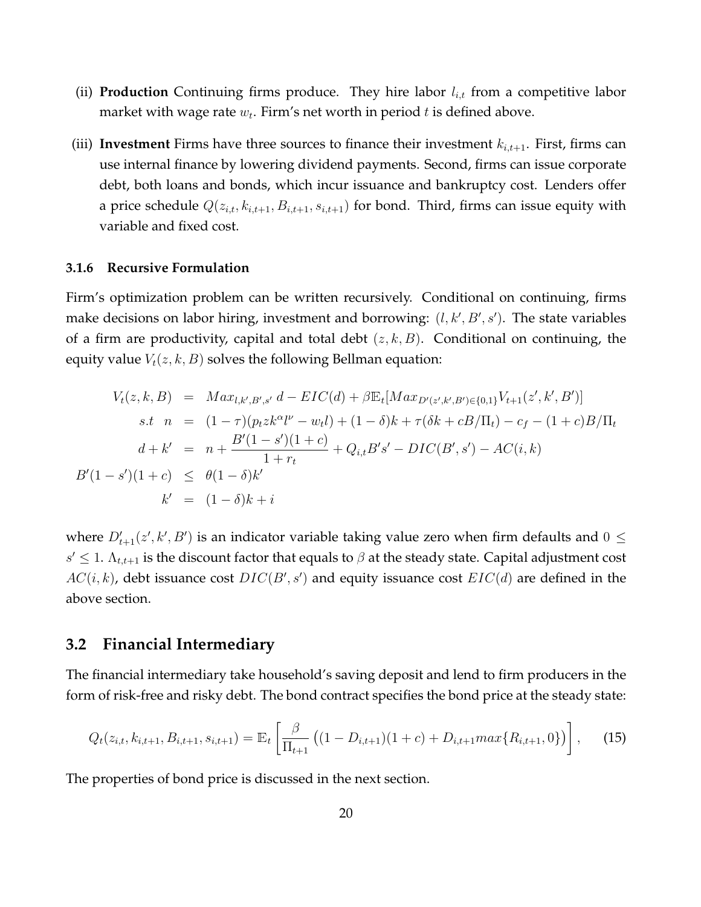- (ii) **Production** Continuing firms produce. They hire labor  $l_{i,t}$  from a competitive labor market with wage rate  $w_t$ . Firm's net worth in period  $t$  is defined above.
- (iii) **Investment** Firms have three sources to finance their investment  $k_{i,t+1}$ . First, firms can use internal finance by lowering dividend payments. Second, firms can issue corporate debt, both loans and bonds, which incur issuance and bankruptcy cost. Lenders offer a price schedule  $Q(z_{i,t}, k_{i,t+1}, B_{i,t+1}, s_{i,t+1})$  for bond. Third, firms can issue equity with variable and fixed cost.

## **3.1.6 Recursive Formulation**

Firm's optimization problem can be written recursively. Conditional on continuing, firms make decisions on labor hiring, investment and borrowing:  $(l, k', B', s')$ . The state variables of a firm are productivity, capital and total debt  $(z, k, B)$ . Conditional on continuing, the equity value  $V_t(z, k, B)$  solves the following Bellman equation:

$$
V_t(z, k, B) = Max_{l,k',B',s'} d - EIC(d) + \beta \mathbb{E}_t[Max_{D'(z',k',B') \in \{0,1\}} V_{t+1}(z',k',B')]
$$
  
s.t  $n = (1 - \tau)(p_t z k^{\alpha} l^{\nu} - w_t l) + (1 - \delta) k + \tau (\delta k + cB/\Pi_t) - c_f - (1 + c)B/\Pi_t$   
 $d + k' = n + \frac{B'(1 - s')(1 + c)}{1 + r_t} + Q_{i,t} B' s' - DIC(B',s') - AC(i,k)$   
 $B'(1 - s')(1 + c) \leq \theta(1 - \delta) k'$   
 $k' = (1 - \delta) k + i$ 

where  $D'_{t+1}(z',k',B')$  is an indicator variable taking value zero when firm defaults and  $0 \leq$  $s' \leq 1$ .  $\Lambda_{t,t+1}$  is the discount factor that equals to  $\beta$  at the steady state. Capital adjustment cost  $AC(i, k)$ , debt issuance cost  $DIC(B', s')$  and equity issuance cost  $EIC(d)$  are defined in the above section.

## **3.2 Financial Intermediary**

The financial intermediary take household's saving deposit and lend to firm producers in the form of risk-free and risky debt. The bond contract specifies the bond price at the steady state:

$$
Q_t(z_{i,t}, k_{i,t+1}, B_{i,t+1}, s_{i,t+1}) = \mathbb{E}_t \left[ \frac{\beta}{\Pi_{t+1}} \left( (1 - D_{i,t+1})(1 + c) + D_{i,t+1} \max\{R_{i,t+1}, 0\} \right) \right], \quad (15)
$$

The properties of bond price is discussed in the next section.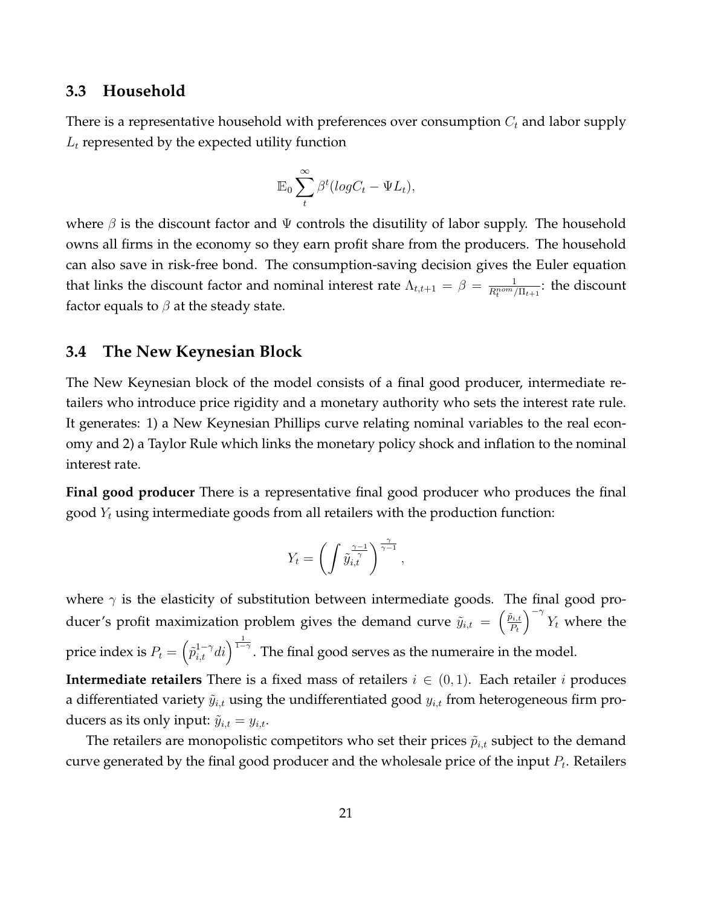## **3.3 Household**

There is a representative household with preferences over consumption  $C_t$  and labor supply  $L_t$  represented by the expected utility function

$$
\mathbb{E}_0 \sum_t^{\infty} \beta^t (log C_t - \Psi L_t),
$$

where  $\beta$  is the discount factor and  $\Psi$  controls the disutility of labor supply. The household owns all firms in the economy so they earn profit share from the producers. The household can also save in risk-free bond. The consumption-saving decision gives the Euler equation that links the discount factor and nominal interest rate  $\Lambda_{t,t+1} = \beta = \frac{1}{R_t^{nom}/\Pi_{t+1}}$ : the discount factor equals to  $\beta$  at the steady state.

## **3.4 The New Keynesian Block**

The New Keynesian block of the model consists of a final good producer, intermediate retailers who introduce price rigidity and a monetary authority who sets the interest rate rule. It generates: 1) a New Keynesian Phillips curve relating nominal variables to the real economy and 2) a Taylor Rule which links the monetary policy shock and inflation to the nominal interest rate.

**Final good producer** There is a representative final good producer who produces the final good  $Y_t$  using intermediate goods from all retailers with the production function:

$$
Y_t = \left(\int \tilde{y}_{i,t}^{\frac{\gamma-1}{\gamma}}\right)^{\frac{\gamma}{\gamma-1}},
$$

where  $\gamma$  is the elasticity of substitution between intermediate goods. The final good producer's profit maximization problem gives the demand curve  $\tilde{y}_{i,t} = \begin{pmatrix} \tilde{p}_{i,t} \\ P_t \end{pmatrix}$  $P_t$  $\int_{0}^{-\gamma} Y_t$  where the price index is  $P_t = \left( \tilde{p}^{1-\gamma}_{i,t}di \right)^{\frac{1}{1-\gamma}}$ . The final good serves as the numeraire in the model.

**Intermediate retailers** There is a fixed mass of retailers  $i \in (0,1)$ . Each retailer i produces a differentiated variety  $\tilde{y}_{i,t}$  using the undifferentiated good  $y_{i,t}$  from heterogeneous firm producers as its only input:  $\tilde{y}_{i,t} = y_{i,t}$ .

The retailers are monopolistic competitors who set their prices  $\tilde{p}_{i,t}$  subject to the demand curve generated by the final good producer and the wholesale price of the input  $P_t$ . Retailers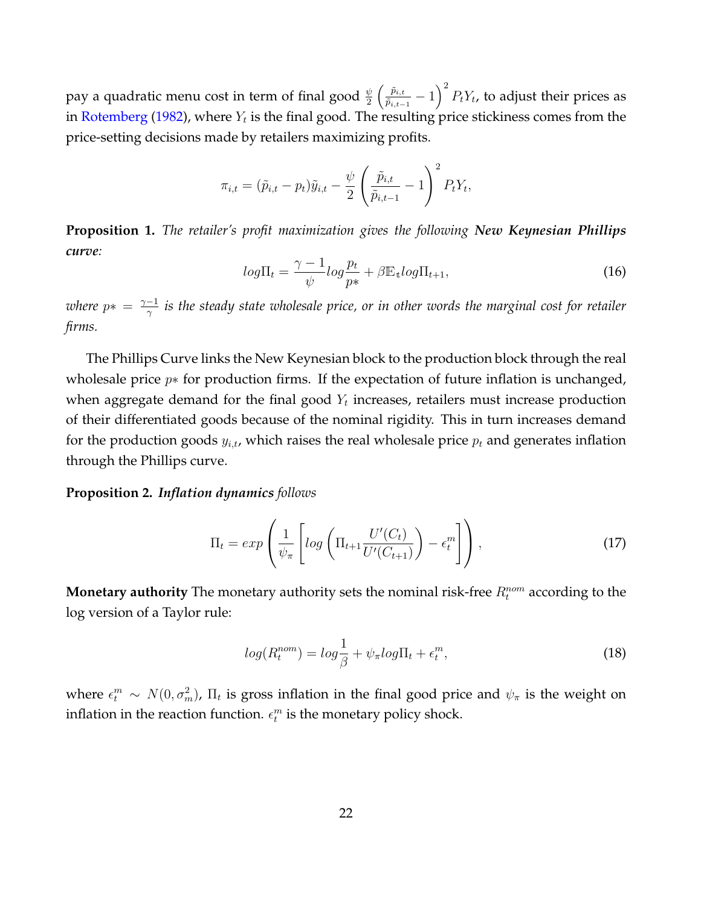pay a quadratic menu cost in term of final good  $\frac{\psi}{2}\left(\frac{\tilde{p}_{i,t}}{\tilde{p}_{i,t-1}}\right)$  $\frac{\tilde{p}_{i,t}}{\tilde{p}_{i,t-1}} - 1 \Big)^2 \, P_t Y_t$ , to adjust their prices as in [Rotemberg](#page-41-13) [\(1982\)](#page-41-13), where  $Y_t$  is the final good. The resulting price stickiness comes from the price-setting decisions made by retailers maximizing profits.

$$
\pi_{i,t} = (\tilde{p}_{i,t} - p_t)\tilde{y}_{i,t} - \frac{\psi}{2} \left(\frac{\tilde{p}_{i,t}}{\tilde{p}_{i,t-1}} - 1\right)^2 P_t Y_t,
$$

**Proposition 1.** *The retailer's profit maximization gives the following New Keynesian Phillips curve:*

$$
log\Pi_t = \frac{\gamma - 1}{\psi} log \frac{p_t}{p*} + \beta \mathbb{E}_t log \Pi_{t+1}, \qquad (16)
$$

*where*  $p* = \frac{\gamma - 1}{\gamma}$  $\frac{-1}{\gamma}$  is the steady state wholesale price, or in other words the marginal cost for retailer *firms.*

The Phillips Curve links the New Keynesian block to the production block through the real wholesale price  $p*$  for production firms. If the expectation of future inflation is unchanged, when aggregate demand for the final good  $Y_t$  increases, retailers must increase production of their differentiated goods because of the nominal rigidity. This in turn increases demand for the production goods  $y_{i,t}$ , which raises the real wholesale price  $p_t$  and generates inflation through the Phillips curve.

#### **Proposition 2.** *Inflation dynamics follows*

$$
\Pi_t = exp\left(\frac{1}{\psi_\pi} \left[log\left(\Pi_{t+1} \frac{U'(C_t)}{U'(C_{t+1})}\right) - \epsilon_t^m\right]\right),\tag{17}
$$

**Monetary authority** The monetary authority sets the nominal risk-free  $R_t^{nom}$  according to the log version of a Taylor rule:

$$
log(R_t^{nom}) = log \frac{1}{\beta} + \psi_\pi log \Pi_t + \epsilon_t^m,
$$
\n(18)

where  $\epsilon_t^m \sim N(0, \sigma_m^2)$ ,  $\Pi_t$  is gross inflation in the final good price and  $\psi_\pi$  is the weight on inflation in the reaction function.  $\epsilon_t^m$  is the monetary policy shock.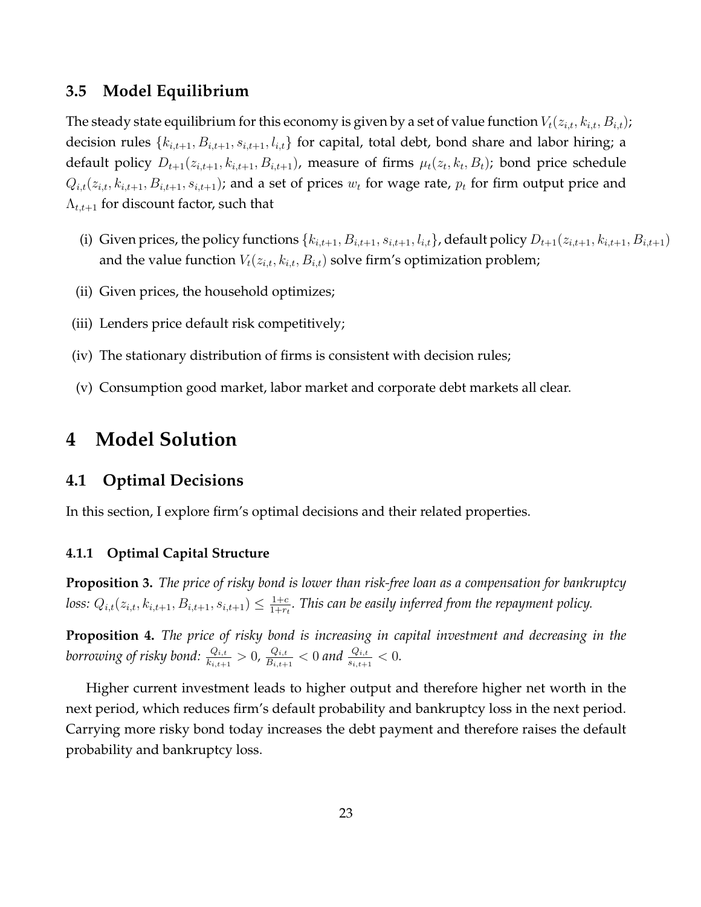## **3.5 Model Equilibrium**

The steady state equilibrium for this economy is given by a set of value function  $V_t(z_{i,t}, k_{i,t}, B_{i,t})$ ; decision rules  $\{k_{i,t+1}, B_{i,t+1}, s_{i,t+1}, l_{i,t}\}$  for capital, total debt, bond share and labor hiring; a default policy  $D_{t+1}(z_{i,t+1},k_{i,t+1},B_{i,t+1})$ , measure of firms  $\mu_t(z_t,k_t,B_t)$ ; bond price schedule  $Q_{i,t}(z_{i,t}, k_{i,t+1}, B_{i,t+1}, s_{i,t+1})$ ; and a set of prices  $w_t$  for wage rate,  $p_t$  for firm output price and  $\Lambda_{t,t+1}$  for discount factor, such that

- (i) Given prices, the policy functions  $\{k_{i,t+1}, B_{i,t+1}, s_{i,t+1}, l_{i,t}\}$ , default policy  $D_{t+1}(z_{i,t+1}, k_{i,t+1}, B_{i,t+1})$ and the value function  $V_t(z_{i,t}, k_{i,t}, B_{i,t})$  solve firm's optimization problem;
- (ii) Given prices, the household optimizes;
- (iii) Lenders price default risk competitively;
- (iv) The stationary distribution of firms is consistent with decision rules;
- (v) Consumption good market, labor market and corporate debt markets all clear.

## <span id="page-23-0"></span>**4 Model Solution**

## **4.1 Optimal Decisions**

In this section, I explore firm's optimal decisions and their related properties.

## **4.1.1 Optimal Capital Structure**

**Proposition 3.** *The price of risky bond is lower than risk-free loan as a compensation for bankruptcy loss:*  $Q_{i,t}(z_{i,t}, k_{i,t+1}, B_{i,t+1}, s_{i,t+1}) \leq \frac{1+c}{1+r}$  $\frac{1+c}{1+r_t}$ . This can be easily inferred from the repayment policy.

**Proposition 4.** *The price of risky bond is increasing in capital investment and decreasing in the* borrowing of risky bond:  $\frac{Q_{i,t}}{k_{i,t+1}}>0$ ,  $\frac{Q_{i,t}}{B_{i,t+1}}$  $\frac{Q_{i,t}}{B_{i,t+1}} < 0$  and  $\frac{Q_{i,t}}{s_{i,t+1}} < 0$ .

Higher current investment leads to higher output and therefore higher net worth in the next period, which reduces firm's default probability and bankruptcy loss in the next period. Carrying more risky bond today increases the debt payment and therefore raises the default probability and bankruptcy loss.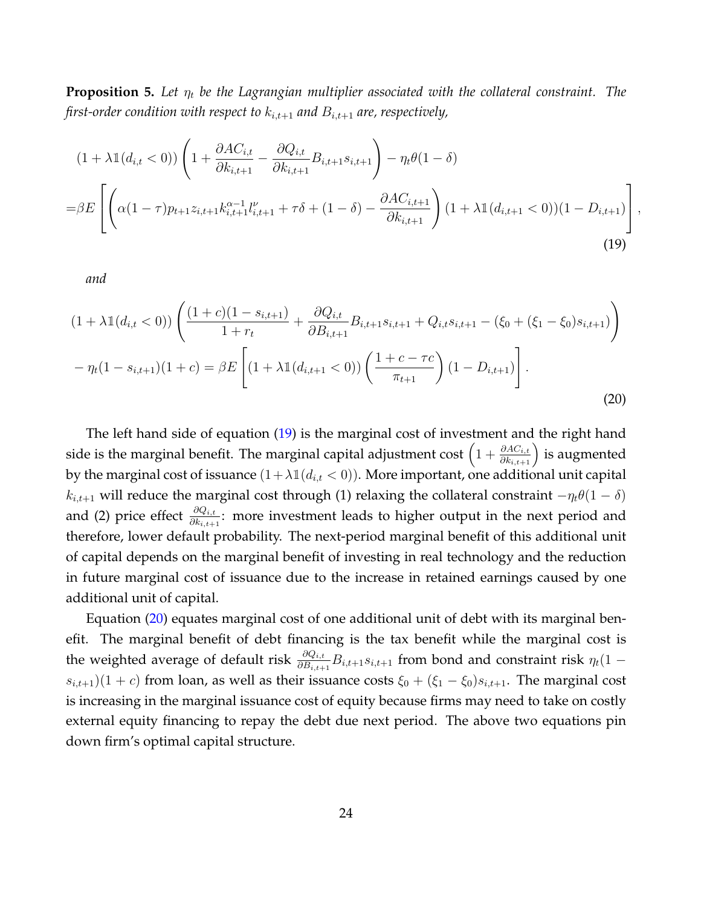**Proposition 5.** Let  $\eta_t$  be the Lagrangian multiplier associated with the collateral constraint. The *first-order condition with respect to*  $k_{i,t+1}$  *and*  $B_{i,t+1}$  *are, respectively,* 

<span id="page-24-0"></span>
$$
(1 + \lambda \mathbb{1}(d_{i,t} < 0)) \left( 1 + \frac{\partial A C_{i,t}}{\partial k_{i,t+1}} - \frac{\partial Q_{i,t}}{\partial k_{i,t+1}} B_{i,t+1} s_{i,t+1} \right) - \eta_t \theta (1 - \delta)
$$
  
=  $\beta E \left[ \left( \alpha (1 - \tau) p_{t+1} z_{i,t+1} k_{i,t+1}^{\alpha - 1} l_{i,t+1}^{\nu} + \tau \delta + (1 - \delta) - \frac{\partial A C_{i,t+1}}{\partial k_{i,t+1}} \right) (1 + \lambda \mathbb{1}(d_{i,t+1} < 0)) (1 - D_{i,t+1}) \right],$  (19)

*and*

<span id="page-24-1"></span>
$$
(1 + \lambda \mathbb{1}(d_{i,t} < 0)) \left( \frac{(1+c)(1-s_{i,t+1})}{1+r_t} + \frac{\partial Q_{i,t}}{\partial B_{i,t+1}} B_{i,t+1} s_{i,t+1} + Q_{i,t} s_{i,t+1} - (\xi_0 + (\xi_1 - \xi_0) s_{i,t+1}) \right)
$$

$$
- \eta_t (1 - s_{i,t+1})(1+c) = \beta E \left[ (1 + \lambda \mathbb{1}(d_{i,t+1} < 0)) \left( \frac{1+c-\tau c}{\pi_{t+1}} \right) (1 - D_{i,t+1}) \right].
$$
(20)

The left hand side of equation [\(19\)](#page-24-0) is the marginal cost of investment and the right hand side is the marginal benefit. The marginal capital adjustment  $\cos\left(1+\frac{\partial AC_{i,t}}{\partial k_{i,t+1}}\right)$  is augmented by the marginal cost of issuance  $(1+\lambda \mathbb{1}(d_{i,t} < 0))$ . More important, one additional unit capital  $k_{i,t+1}$  will reduce the marginal cost through (1) relaxing the collateral constraint  $-\eta_t\theta(1-\delta)$ and (2) price effect  $\frac{\partial Q_{i,t}}{\partial k_{i,t+1}}$ : more investment leads to higher output in the next period and therefore, lower default probability. The next-period marginal benefit of this additional unit of capital depends on the marginal benefit of investing in real technology and the reduction in future marginal cost of issuance due to the increase in retained earnings caused by one additional unit of capital.

Equation [\(20\)](#page-24-1) equates marginal cost of one additional unit of debt with its marginal benefit. The marginal benefit of debt financing is the tax benefit while the marginal cost is the weighted average of default risk  $\frac{\partial Q_{i,t}}{\partial B_{i,t+1}}B_{i,t+1}s_{i,t+1}$  from bond and constraint risk  $\eta_t(1-\tau)$  $s_{i,t+1}(1 + c)$  from loan, as well as their issuance costs  $\xi_0 + (\xi_1 - \xi_0)s_{i,t+1}$ . The marginal cost is increasing in the marginal issuance cost of equity because firms may need to take on costly external equity financing to repay the debt due next period. The above two equations pin down firm's optimal capital structure.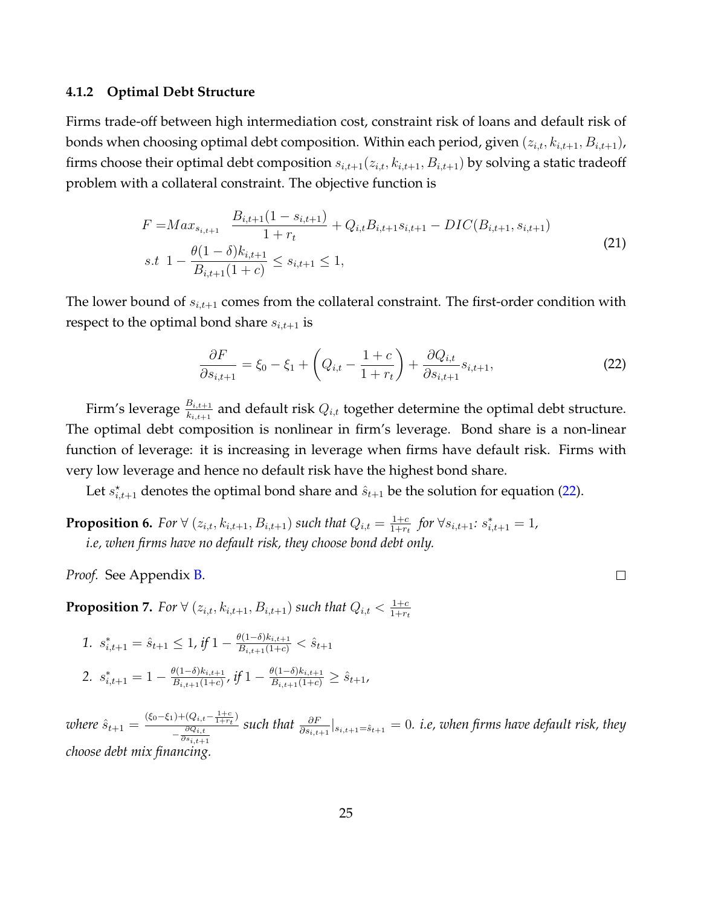#### **4.1.2 Optimal Debt Structure**

Firms trade-off between high intermediation cost, constraint risk of loans and default risk of bonds when choosing optimal debt composition. Within each period, given  $(z_{i,t}, k_{i,t+1}, B_{i,t+1})$ , firms choose their optimal debt composition  $s_{i,t+1}(z_{i,t}, k_{i,t+1}, B_{i,t+1})$  by solving a static tradeoff problem with a collateral constraint. The objective function is

$$
F = Max_{s_{i,t+1}} \frac{B_{i,t+1}(1 - s_{i,t+1})}{1 + r_t} + Q_{i,t}B_{i,t+1}s_{i,t+1} - DIC(B_{i,t+1}, s_{i,t+1})
$$
  
s.t 
$$
1 - \frac{\theta(1 - \delta)k_{i,t+1}}{B_{i,t+1}(1 + c)} \le s_{i,t+1} \le 1,
$$
 (21)

The lower bound of  $s_{i,t+1}$  comes from the collateral constraint. The first-order condition with respect to the optimal bond share  $s_{i,t+1}$  is

<span id="page-25-0"></span>
$$
\frac{\partial F}{\partial s_{i,t+1}} = \xi_0 - \xi_1 + \left(Q_{i,t} - \frac{1+c}{1+r_t}\right) + \frac{\partial Q_{i,t}}{\partial s_{i,t+1}} s_{i,t+1},\tag{22}
$$

Firm's leverage  $\frac{B_{i,t+1}}{k_{i,t+1}}$  and default risk  $Q_{i,t}$  together determine the optimal debt structure. The optimal debt composition is nonlinear in firm's leverage. Bond share is a non-linear function of leverage: it is increasing in leverage when firms have default risk. Firms with very low leverage and hence no default risk have the highest bond share.

Let  $s_{i,t+1}^*$  denotes the optimal bond share and  $\hat{s}_{t+1}$  be the solution for equation [\(22\)](#page-25-0).

**Proposition 6.** For  $\forall$  ( $z_{i,t}$ ,  $k_{i,t+1}$ ,  $B_{i,t+1}$ ) such that  $Q_{i,t} = \frac{1+c}{1+r}$  $\frac{1+c}{1+r_t}$  *for* ∀ $s_{i,t+1}$ :  $s_{i,t+1}^* = 1$ *, i.e, when firms have no default risk, they choose bond debt only.*

*Proof.* See Appendix [B.](#page-66-0)

**Proposition 7.** For  $\forall$  ( $z_{i,t}$ ,  $k_{i,t+1}$ ,  $B_{i,t+1}$ ) such that  $Q_{i,t} < \frac{1+c}{1+r}$  $1+r_t$ 

1. 
$$
s_{i,t+1}^* = \hat{s}_{t+1} \le 1
$$
, if  $1 - \frac{\theta(1-\delta)k_{i,t+1}}{B_{i,t+1}(1+c)} < \hat{s}_{t+1}$   
\n2.  $s_{i,t+1}^* = 1 - \frac{\theta(1-\delta)k_{i,t+1}}{B_{i,t+1}(1+c)}$ , if  $1 - \frac{\theta(1-\delta)k_{i,t+1}}{B_{i,t+1}(1+c)} \ge \hat{s}_{t+1}$ ,

*where*  $\hat{s}_{t+1} = \frac{(\xi_0 - \xi_1) + (Q_{i,t} - \frac{1+c}{1+r_t})}{\partial Q_{i,t}}$  $-\frac{\partial Q_{i,t}}{\partial q_i}$  $\partial s_{i,t+1}$  $\textit{such that } \frac{\partial F}{\partial s_{i,t+1}}|_{s_{i,t+1}=\hat{s}_{t+1}}=0.$  *i.e, when firms have default risk, they choose debt mix financing.*

 $\Box$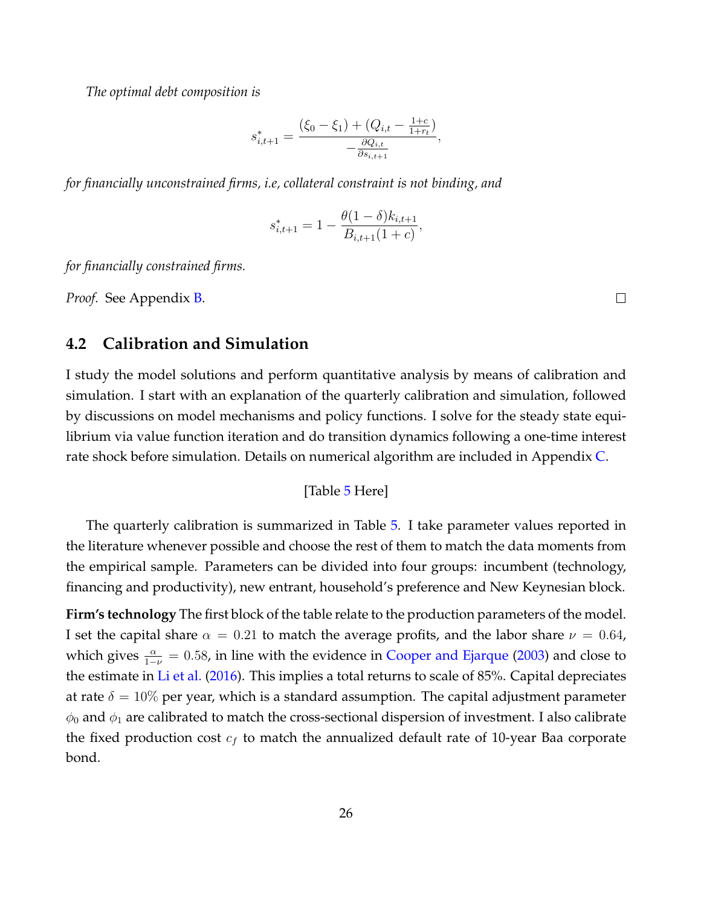*The optimal debt composition is*

$$
s_{i,t+1}^* = \frac{(\xi_0 - \xi_1) + (Q_{i,t} - \frac{1+c}{1+r_t})}{-\frac{\partial Q_{i,t}}{\partial s_{i,t+1}}},
$$

*for financially unconstrained firms, i.e, collateral constraint is not binding, and*

$$
s_{i,t+1}^* = 1 - \frac{\theta(1-\delta)k_{i,t+1}}{B_{i,t+1}(1+c)},
$$

*for financially constrained firms.*

*Proof.* See Appendix [B.](#page-66-0)

## $\Box$

## **4.2 Calibration and Simulation**

I study the model solutions and perform quantitative analysis by means of calibration and simulation. I start with an explanation of the quarterly calibration and simulation, followed by discussions on model mechanisms and policy functions. I solve for the steady state equilibrium via value function iteration and do transition dynamics following a one-time interest rate shock before simulation. Details on numerical algorithm are included in Appendix [C.](#page-72-0)

[Table [5](#page-54-0) Here]

The quarterly calibration is summarized in Table [5.](#page-54-0) I take parameter values reported in the literature whenever possible and choose the rest of them to match the data moments from the empirical sample. Parameters can be divided into four groups: incumbent (technology, financing and productivity), new entrant, household's preference and New Keynesian block.

**Firm's technology** The first block of the table relate to the production parameters of the model. I set the capital share  $\alpha = 0.21$  to match the average profits, and the labor share  $\nu = 0.64$ , which gives  $\frac{\alpha}{1-\nu} = 0.58$ , in line with the evidence in [Cooper and Ejarque](#page-37-14) [\(2003\)](#page-37-14) and close to the estimate in [Li et al.](#page-40-8) [\(2016\)](#page-40-8). This implies a total returns to scale of 85%. Capital depreciates at rate  $\delta = 10\%$  per year, which is a standard assumption. The capital adjustment parameter  $\phi_0$  and  $\phi_1$  are calibrated to match the cross-sectional dispersion of investment. I also calibrate the fixed production cost  $c_f$  to match the annualized default rate of 10-year Baa corporate bond.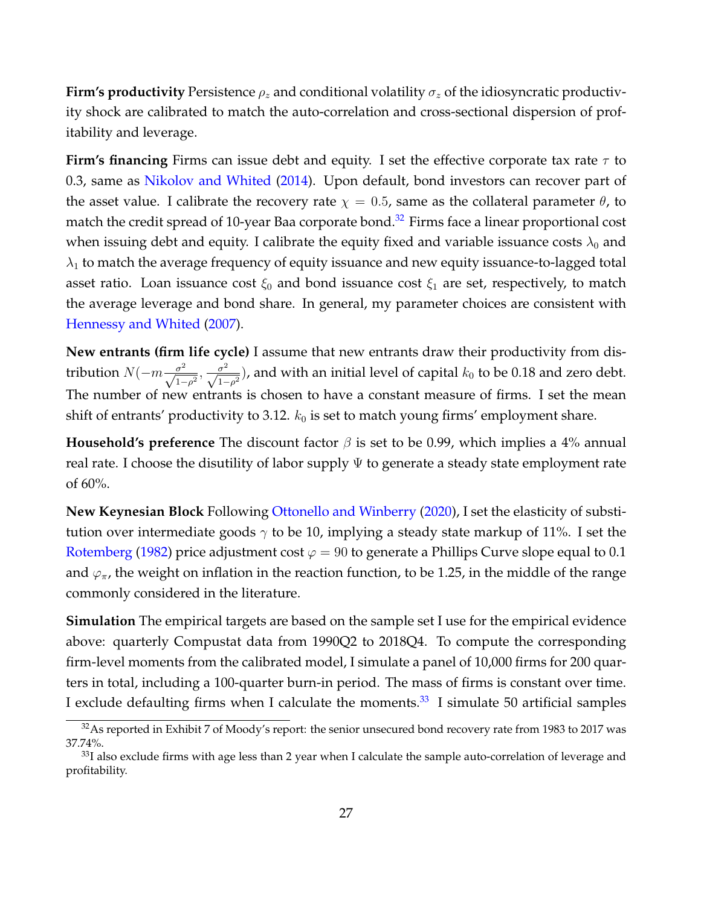**Firm's productivity** Persistence  $\rho_z$  and conditional volatility  $\sigma_z$  of the idiosyncratic productivity shock are calibrated to match the auto-correlation and cross-sectional dispersion of profitability and leverage.

**Firm's financing** Firms can issue debt and equity. I set the effective corporate tax rate  $\tau$  to 0.3, same as [Nikolov and Whited](#page-40-16) [\(2014\)](#page-40-16). Upon default, bond investors can recover part of the asset value. I calibrate the recovery rate  $\chi = 0.5$ , same as the collateral parameter  $\theta$ , to match the credit spread of 10-year Baa corporate bond.<sup>[32](#page-27-0)</sup> Firms face a linear proportional cost when issuing debt and equity. I calibrate the equity fixed and variable issuance costs  $\lambda_0$  and  $\lambda_1$  to match the average frequency of equity issuance and new equity issuance-to-lagged total asset ratio. Loan issuance cost  $\xi_0$  and bond issuance cost  $\xi_1$  are set, respectively, to match the average leverage and bond share. In general, my parameter choices are consistent with [Hennessy and Whited](#page-39-10) [\(2007\)](#page-39-10).

**New entrants (firm life cycle)** I assume that new entrants draw their productivity from distribution  $N(-m\frac{\sigma^2}{\sqrt{1-\rho^2}},\frac{\sigma^2}{\sqrt{1-\rho^2}})$ , and with an initial level of capital  $k_0$  to be 0.18 and zero debt. The number of new entrants is chosen to have a constant measure of firms. I set the mean shift of entrants' productivity to 3.12.  $k_0$  is set to match young firms' employment share.

**Household's preference** The discount factor  $\beta$  is set to be 0.99, which implies a 4% annual real rate. I choose the disutility of labor supply  $\Psi$  to generate a steady state employment rate of 60%.

**New Keynesian Block** Following [Ottonello and Winberry](#page-40-0) [\(2020\)](#page-40-0), I set the elasticity of substitution over intermediate goods  $\gamma$  to be 10, implying a steady state markup of 11%. I set the [Rotemberg](#page-41-13) [\(1982\)](#page-41-13) price adjustment cost  $\varphi = 90$  to generate a Phillips Curve slope equal to 0.1 and  $\varphi_{\pi}$ , the weight on inflation in the reaction function, to be 1.25, in the middle of the range commonly considered in the literature.

**Simulation** The empirical targets are based on the sample set I use for the empirical evidence above: quarterly Compustat data from 1990Q2 to 2018Q4. To compute the corresponding firm-level moments from the calibrated model, I simulate a panel of 10,000 firms for 200 quarters in total, including a 100-quarter burn-in period. The mass of firms is constant over time. I exclude defaulting firms when I calculate the moments. $33$  I simulate 50 artificial samples

<span id="page-27-0"></span><sup>&</sup>lt;sup>32</sup>As reported in Exhibit 7 of Moody's report: the senior unsecured bond recovery rate from 1983 to 2017 was 37.74%.

<span id="page-27-1"></span> $33$ I also exclude firms with age less than 2 year when I calculate the sample auto-correlation of leverage and profitability.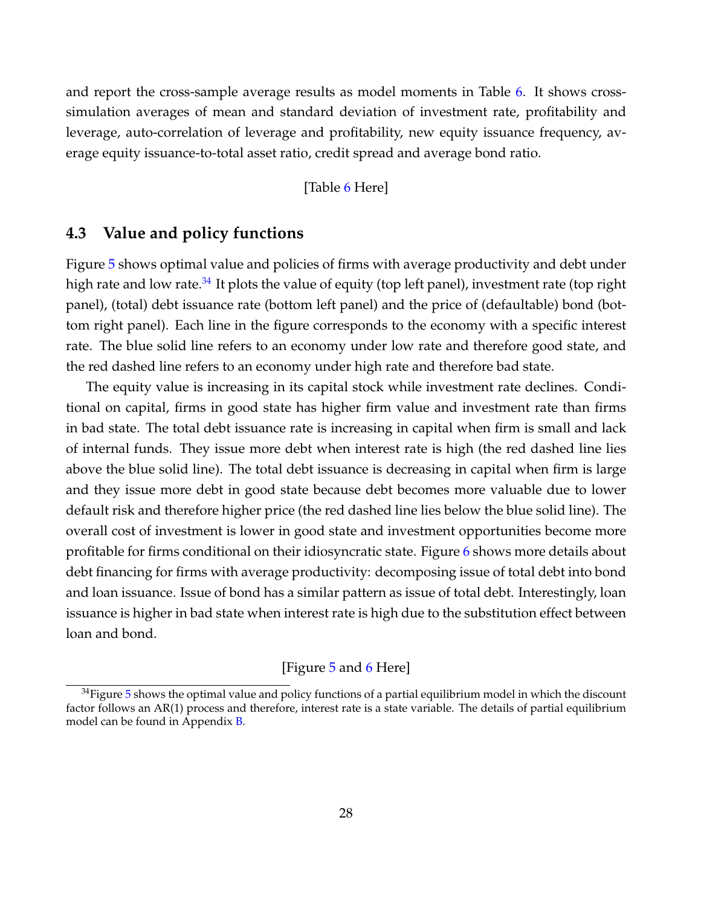and report the cross-sample average results as model moments in Table [6.](#page-55-0) It shows crosssimulation averages of mean and standard deviation of investment rate, profitability and leverage, auto-correlation of leverage and profitability, new equity issuance frequency, average equity issuance-to-total asset ratio, credit spread and average bond ratio.

[Table [6](#page-55-0) Here]

## **4.3 Value and policy functions**

Figure [5](#page-46-0) shows optimal value and policies of firms with average productivity and debt under high rate and low rate.<sup>[34](#page-28-0)</sup> It plots the value of equity (top left panel), investment rate (top right panel), (total) debt issuance rate (bottom left panel) and the price of (defaultable) bond (bottom right panel). Each line in the figure corresponds to the economy with a specific interest rate. The blue solid line refers to an economy under low rate and therefore good state, and the red dashed line refers to an economy under high rate and therefore bad state.

The equity value is increasing in its capital stock while investment rate declines. Conditional on capital, firms in good state has higher firm value and investment rate than firms in bad state. The total debt issuance rate is increasing in capital when firm is small and lack of internal funds. They issue more debt when interest rate is high (the red dashed line lies above the blue solid line). The total debt issuance is decreasing in capital when firm is large and they issue more debt in good state because debt becomes more valuable due to lower default risk and therefore higher price (the red dashed line lies below the blue solid line). The overall cost of investment is lower in good state and investment opportunities become more profitable for firms conditional on their idiosyncratic state. Figure [6](#page-47-0) shows more details about debt financing for firms with average productivity: decomposing issue of total debt into bond and loan issuance. Issue of bond has a similar pattern as issue of total debt. Interestingly, loan issuance is higher in bad state when interest rate is high due to the substitution effect between loan and bond.

## [Figure [5](#page-46-0) and [6](#page-47-0) Here]

<span id="page-28-0"></span> $34$ Figure [5](#page-46-0) shows the optimal value and policy functions of a partial equilibrium model in which the discount factor follows an AR(1) process and therefore, interest rate is a state variable. The details of partial equilibrium model can be found in Appendix [B.](#page-66-0)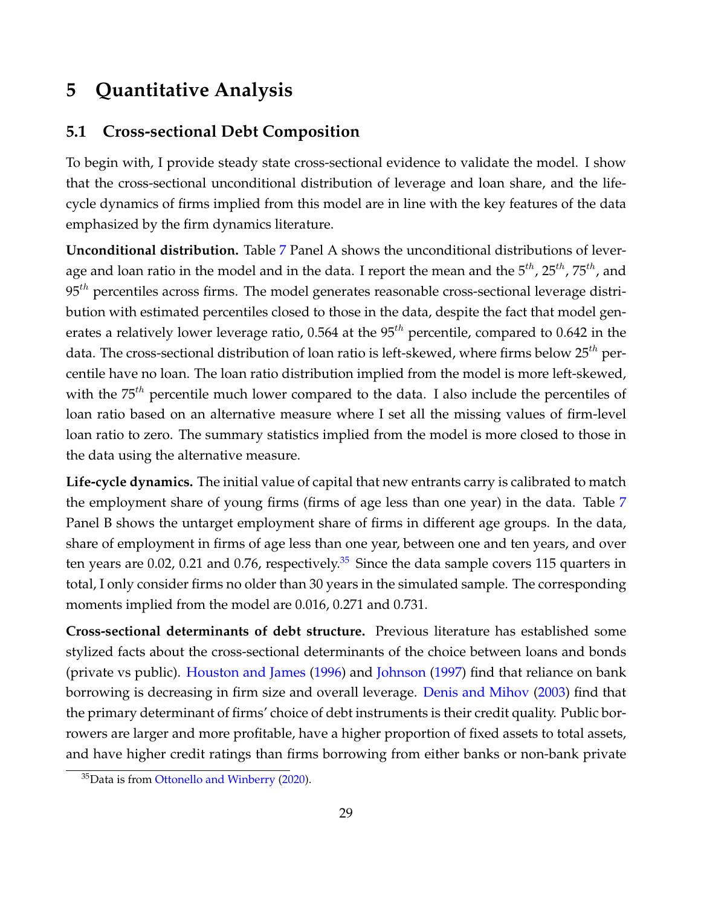## <span id="page-29-0"></span>**5 Quantitative Analysis**

## **5.1 Cross-sectional Debt Composition**

To begin with, I provide steady state cross-sectional evidence to validate the model. I show that the cross-sectional unconditional distribution of leverage and loan share, and the lifecycle dynamics of firms implied from this model are in line with the key features of the data emphasized by the firm dynamics literature.

**Unconditional distribution.** Table [7](#page-56-0) Panel A shows the unconditional distributions of leverage and loan ratio in the model and in the data. I report the mean and the  $5^{th}$ ,  $25^{th}$ ,  $75^{th}$ , and  $95<sup>th</sup>$  percentiles across firms. The model generates reasonable cross-sectional leverage distribution with estimated percentiles closed to those in the data, despite the fact that model generates a relatively lower leverage ratio, 0.564 at the  $95<sup>th</sup>$  percentile, compared to 0.642 in the data. The cross-sectional distribution of loan ratio is left-skewed, where firms below  $25^{th}$  percentile have no loan. The loan ratio distribution implied from the model is more left-skewed, with the  $75^{th}$  percentile much lower compared to the data. I also include the percentiles of loan ratio based on an alternative measure where I set all the missing values of firm-level loan ratio to zero. The summary statistics implied from the model is more closed to those in the data using the alternative measure.

**Life-cycle dynamics.** The initial value of capital that new entrants carry is calibrated to match the employment share of young firms (firms of age less than one year) in the data. Table [7](#page-56-0) Panel B shows the untarget employment share of firms in different age groups. In the data, share of employment in firms of age less than one year, between one and ten years, and over ten years are 0.02, 0.21 and 0.76, respectively.<sup>[35](#page-29-1)</sup> Since the data sample covers 115 quarters in total, I only consider firms no older than 30 years in the simulated sample. The corresponding moments implied from the model are 0.016, 0.271 and 0.731.

**Cross-sectional determinants of debt structure.** Previous literature has established some stylized facts about the cross-sectional determinants of the choice between loans and bonds (private vs public). [Houston and James](#page-39-4) [\(1996\)](#page-39-4) and [Johnson](#page-39-5) [\(1997\)](#page-39-5) find that reliance on bank borrowing is decreasing in firm size and overall leverage. [Denis and Mihov](#page-37-2) [\(2003\)](#page-37-2) find that the primary determinant of firms' choice of debt instruments is their credit quality. Public borrowers are larger and more profitable, have a higher proportion of fixed assets to total assets, and have higher credit ratings than firms borrowing from either banks or non-bank private

<span id="page-29-1"></span><sup>35</sup>Data is from [Ottonello and Winberry](#page-40-0) [\(2020\)](#page-40-0).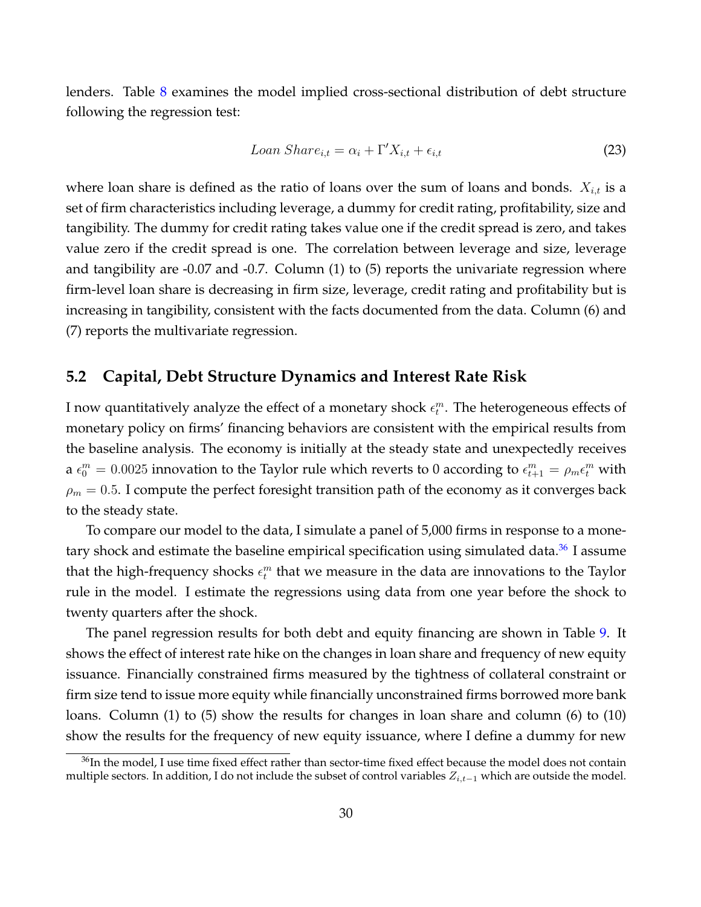lenders. Table [8](#page-57-0) examines the model implied cross-sectional distribution of debt structure following the regression test:

$$
Loan\,Share_{i,t} = \alpha_i + \Gamma'X_{i,t} + \epsilon_{i,t} \tag{23}
$$

where loan share is defined as the ratio of loans over the sum of loans and bonds.  $X_{i,t}$  is a set of firm characteristics including leverage, a dummy for credit rating, profitability, size and tangibility. The dummy for credit rating takes value one if the credit spread is zero, and takes value zero if the credit spread is one. The correlation between leverage and size, leverage and tangibility are -0.07 and -0.7. Column (1) to (5) reports the univariate regression where firm-level loan share is decreasing in firm size, leverage, credit rating and profitability but is increasing in tangibility, consistent with the facts documented from the data. Column (6) and (7) reports the multivariate regression.

## **5.2 Capital, Debt Structure Dynamics and Interest Rate Risk**

I now quantitatively analyze the effect of a monetary shock  $\epsilon^m_t$ . The heterogeneous effects of monetary policy on firms' financing behaviors are consistent with the empirical results from the baseline analysis. The economy is initially at the steady state and unexpectedly receives a  $\epsilon_0^m = 0.0025$  innovation to the Taylor rule which reverts to 0 according to  $\epsilon_{t+1}^m = \rho_m \epsilon_t^m$  with  $\rho_m=0.5.$  I compute the perfect foresight transition path of the economy as it converges back to the steady state.

To compare our model to the data, I simulate a panel of 5,000 firms in response to a monetary shock and estimate the baseline empirical specification using simulated data. $36$  I assume that the high-frequency shocks  $\epsilon_t^m$  that we measure in the data are innovations to the Taylor rule in the model. I estimate the regressions using data from one year before the shock to twenty quarters after the shock.

The panel regression results for both debt and equity financing are shown in Table [9.](#page-58-0) It shows the effect of interest rate hike on the changes in loan share and frequency of new equity issuance. Financially constrained firms measured by the tightness of collateral constraint or firm size tend to issue more equity while financially unconstrained firms borrowed more bank loans. Column (1) to (5) show the results for changes in loan share and column (6) to (10) show the results for the frequency of new equity issuance, where I define a dummy for new

<span id="page-30-0"></span><sup>&</sup>lt;sup>36</sup>In the model, I use time fixed effect rather than sector-time fixed effect because the model does not contain multiple sectors. In addition, I do not include the subset of control variables  $Z_{i,t-1}$  which are outside the model.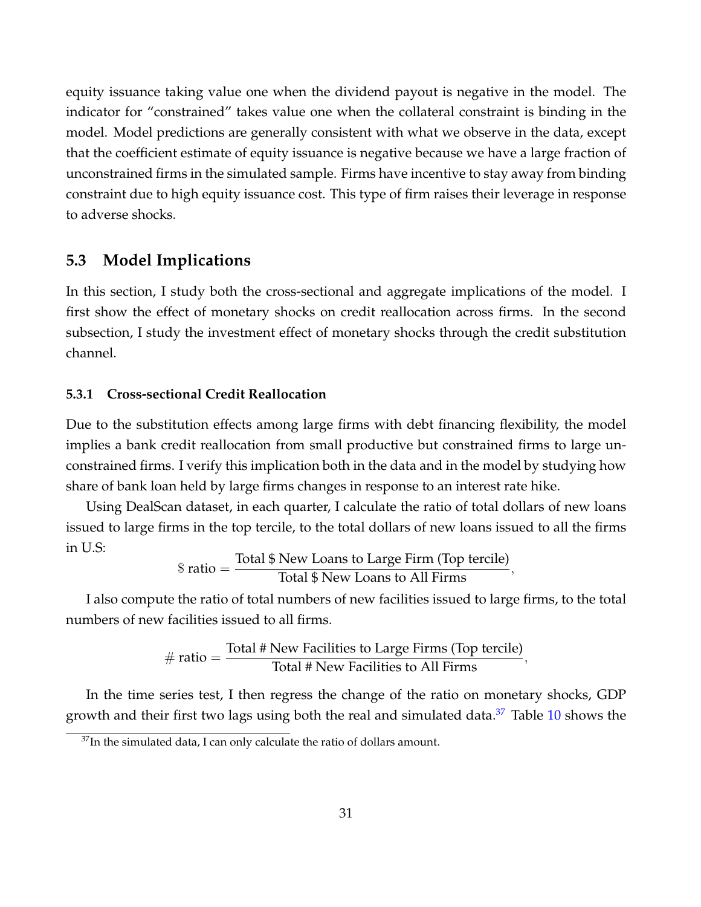equity issuance taking value one when the dividend payout is negative in the model. The indicator for "constrained" takes value one when the collateral constraint is binding in the model. Model predictions are generally consistent with what we observe in the data, except that the coefficient estimate of equity issuance is negative because we have a large fraction of unconstrained firms in the simulated sample. Firms have incentive to stay away from binding constraint due to high equity issuance cost. This type of firm raises their leverage in response to adverse shocks.

## **5.3 Model Implications**

In this section, I study both the cross-sectional and aggregate implications of the model. I first show the effect of monetary shocks on credit reallocation across firms. In the second subsection, I study the investment effect of monetary shocks through the credit substitution channel.

## **5.3.1 Cross-sectional Credit Reallocation**

Due to the substitution effects among large firms with debt financing flexibility, the model implies a bank credit reallocation from small productive but constrained firms to large unconstrained firms. I verify this implication both in the data and in the model by studying how share of bank loan held by large firms changes in response to an interest rate hike.

Using DealScan dataset, in each quarter, I calculate the ratio of total dollars of new loans issued to large firms in the top tercile, to the total dollars of new loans issued to all the firms in U.S:

$$
\$ ratio = \frac{\text{Total }\$ \text{ New Loans to Large Firm (Top tercile)}}{\text{Total }\$ \text{ New Loans to All Firms}},
$$

I also compute the ratio of total numbers of new facilities issued to large firms, to the total numbers of new facilities issued to all firms.

$$
\# ratio = \frac{\text{Total } \# \text{ New Facilities to Large Firms (Top tercile)}}{\text{Total } \# \text{ New Facilities to All Firms}},
$$

In the time series test, I then regress the change of the ratio on monetary shocks, GDP growth and their first two lags using both the real and simulated data. $37$  Table [10](#page-58-1) shows the

<span id="page-31-0"></span> $37$ In the simulated data, I can only calculate the ratio of dollars amount.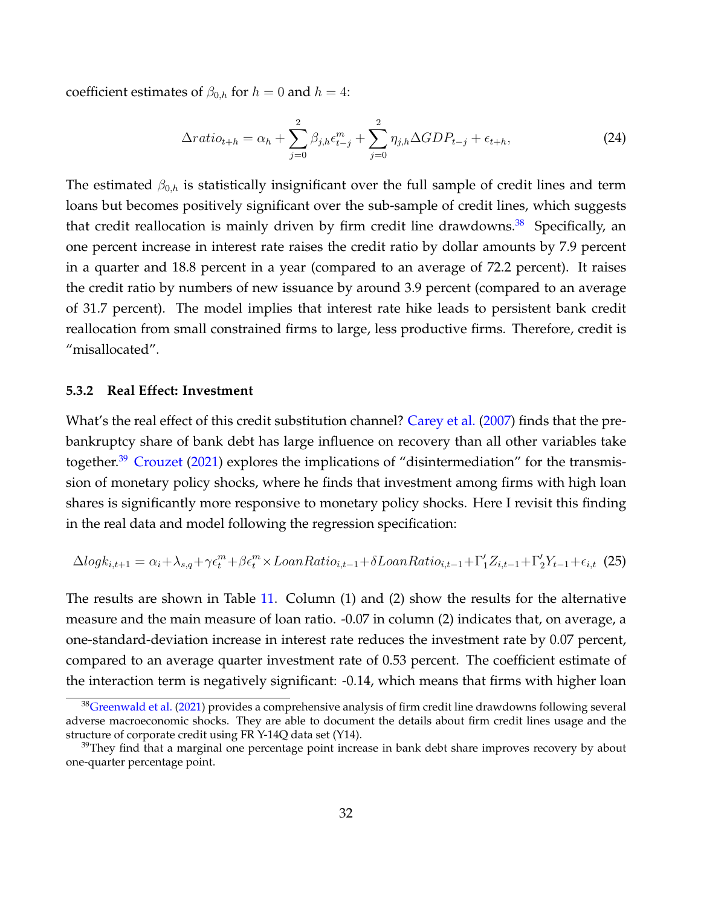coefficient estimates of  $\beta_{0,h}$  for  $h = 0$  and  $h = 4$ :

$$
\Delta ratio_{t+h} = \alpha_h + \sum_{j=0}^{2} \beta_{j,h} \epsilon_{t-j}^m + \sum_{j=0}^{2} \eta_{j,h} \Delta GDP_{t-j} + \epsilon_{t+h},
$$
\n(24)

The estimated  $\beta_{0,h}$  is statistically insignificant over the full sample of credit lines and term loans but becomes positively significant over the sub-sample of credit lines, which suggests that credit reallocation is mainly driven by firm credit line drawdowns. $38$  Specifically, an one percent increase in interest rate raises the credit ratio by dollar amounts by 7.9 percent in a quarter and 18.8 percent in a year (compared to an average of 72.2 percent). It raises the credit ratio by numbers of new issuance by around 3.9 percent (compared to an average of 31.7 percent). The model implies that interest rate hike leads to persistent bank credit reallocation from small constrained firms to large, less productive firms. Therefore, credit is "misallocated".

## **5.3.2 Real Effect: Investment**

What's the real effect of this credit substitution channel? [Carey et al.](#page-37-15) [\(2007\)](#page-37-15) finds that the prebankruptcy share of bank debt has large influence on recovery than all other variables take together.<sup>[39](#page-32-1)</sup> [Crouzet](#page-37-1) [\(2021\)](#page-37-1) explores the implications of "disintermediation" for the transmission of monetary policy shocks, where he finds that investment among firms with high loan shares is significantly more responsive to monetary policy shocks. Here I revisit this finding in the real data and model following the regression specification:

$$
\Delta log k_{i,t+1} = \alpha_i + \lambda_{s,q} + \gamma \epsilon_t^m + \beta \epsilon_t^m \times LoanRatio_{i,t-1} + \delta LoanRatio_{i,t-1} + \Gamma'_1 Z_{i,t-1} + \Gamma'_2 Y_{t-1} + \epsilon_{i,t}
$$
(25)

The results are shown in Table [11.](#page-59-0) Column (1) and (2) show the results for the alternative measure and the main measure of loan ratio. -0.07 in column (2) indicates that, on average, a one-standard-deviation increase in interest rate reduces the investment rate by 0.07 percent, compared to an average quarter investment rate of 0.53 percent. The coefficient estimate of the interaction term is negatively significant: -0.14, which means that firms with higher loan

<span id="page-32-0"></span> $38$ [Greenwald et al.](#page-38-1) [\(2021\)](#page-38-1) provides a comprehensive analysis of firm credit line drawdowns following several adverse macroeconomic shocks. They are able to document the details about firm credit lines usage and the structure of corporate credit using FR Y-14Q data set (Y14).

<span id="page-32-1"></span> $39$ They find that a marginal one percentage point increase in bank debt share improves recovery by about one-quarter percentage point.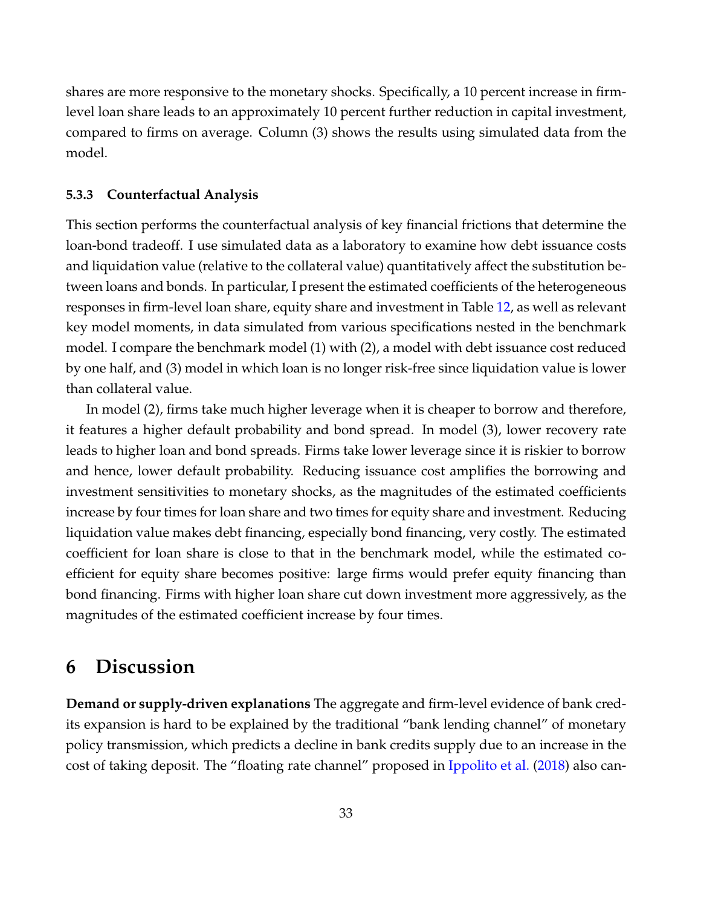shares are more responsive to the monetary shocks. Specifically, a 10 percent increase in firmlevel loan share leads to an approximately 10 percent further reduction in capital investment, compared to firms on average. Column (3) shows the results using simulated data from the model.

### **5.3.3 Counterfactual Analysis**

This section performs the counterfactual analysis of key financial frictions that determine the loan-bond tradeoff. I use simulated data as a laboratory to examine how debt issuance costs and liquidation value (relative to the collateral value) quantitatively affect the substitution between loans and bonds. In particular, I present the estimated coefficients of the heterogeneous responses in firm-level loan share, equity share and investment in Table [12,](#page-60-0) as well as relevant key model moments, in data simulated from various specifications nested in the benchmark model. I compare the benchmark model (1) with (2), a model with debt issuance cost reduced by one half, and (3) model in which loan is no longer risk-free since liquidation value is lower than collateral value.

In model (2), firms take much higher leverage when it is cheaper to borrow and therefore, it features a higher default probability and bond spread. In model (3), lower recovery rate leads to higher loan and bond spreads. Firms take lower leverage since it is riskier to borrow and hence, lower default probability. Reducing issuance cost amplifies the borrowing and investment sensitivities to monetary shocks, as the magnitudes of the estimated coefficients increase by four times for loan share and two times for equity share and investment. Reducing liquidation value makes debt financing, especially bond financing, very costly. The estimated coefficient for loan share is close to that in the benchmark model, while the estimated coefficient for equity share becomes positive: large firms would prefer equity financing than bond financing. Firms with higher loan share cut down investment more aggressively, as the magnitudes of the estimated coefficient increase by four times.

## <span id="page-33-0"></span>**6 Discussion**

**Demand or supply-driven explanations** The aggregate and firm-level evidence of bank credits expansion is hard to be explained by the traditional "bank lending channel" of monetary policy transmission, which predicts a decline in bank credits supply due to an increase in the cost of taking deposit. The "floating rate channel" proposed in [Ippolito et al.](#page-39-1) [\(2018\)](#page-39-1) also can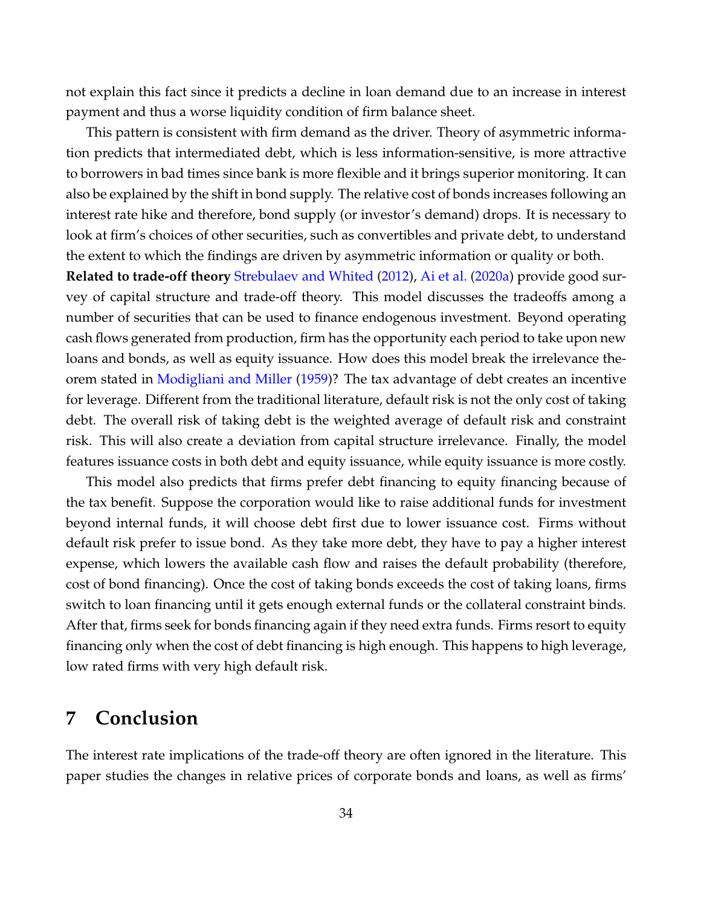not explain this fact since it predicts a decline in loan demand due to an increase in interest payment and thus a worse liquidity condition of firm balance sheet.

This pattern is consistent with firm demand as the driver. Theory of asymmetric information predicts that intermediated debt, which is less information-sensitive, is more attractive to borrowers in bad times since bank is more flexible and it brings superior monitoring. It can also be explained by the shift in bond supply. The relative cost of bonds increases following an interest rate hike and therefore, bond supply (or investor's demand) drops. It is necessary to look at firm's choices of other securities, such as convertibles and private debt, to understand the extent to which the findings are driven by asymmetric information or quality or both.

**Related to trade-off theory** [Strebulaev and Whited](#page-41-7) [\(2012\)](#page-41-7), [Ai et al.](#page-36-8) [\(2020a\)](#page-36-8) provide good survey of capital structure and trade-off theory. This model discusses the tradeoffs among a number of securities that can be used to finance endogenous investment. Beyond operating cash flows generated from production, firm has the opportunity each period to take upon new loans and bonds, as well as equity issuance. How does this model break the irrelevance theorem stated in [Modigliani and Miller](#page-40-17) [\(1959\)](#page-40-17)? The tax advantage of debt creates an incentive for leverage. Different from the traditional literature, default risk is not the only cost of taking debt. The overall risk of taking debt is the weighted average of default risk and constraint risk. This will also create a deviation from capital structure irrelevance. Finally, the model features issuance costs in both debt and equity issuance, while equity issuance is more costly.

This model also predicts that firms prefer debt financing to equity financing because of the tax benefit. Suppose the corporation would like to raise additional funds for investment beyond internal funds, it will choose debt first due to lower issuance cost. Firms without default risk prefer to issue bond. As they take more debt, they have to pay a higher interest expense, which lowers the available cash flow and raises the default probability (therefore, cost of bond financing). Once the cost of taking bonds exceeds the cost of taking loans, firms switch to loan financing until it gets enough external funds or the collateral constraint binds. After that, firms seek for bonds financing again if they need extra funds. Firms resort to equity financing only when the cost of debt financing is high enough. This happens to high leverage, low rated firms with very high default risk.

## <span id="page-34-0"></span>**7 Conclusion**

The interest rate implications of the trade-off theory are often ignored in the literature. This paper studies the changes in relative prices of corporate bonds and loans, as well as firms'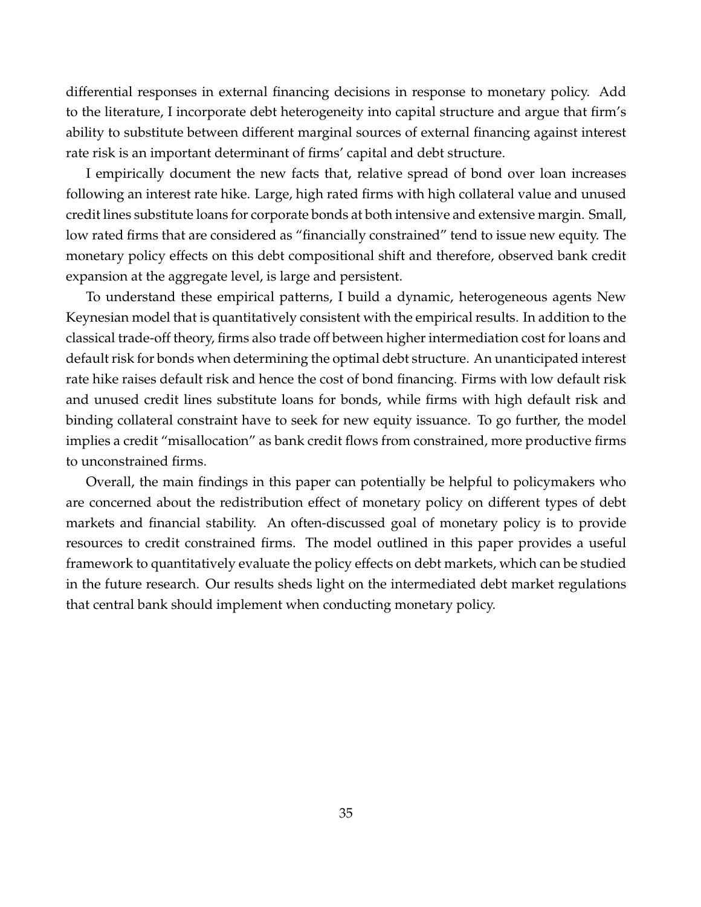differential responses in external financing decisions in response to monetary policy. Add to the literature, I incorporate debt heterogeneity into capital structure and argue that firm's ability to substitute between different marginal sources of external financing against interest rate risk is an important determinant of firms' capital and debt structure.

I empirically document the new facts that, relative spread of bond over loan increases following an interest rate hike. Large, high rated firms with high collateral value and unused credit lines substitute loans for corporate bonds at both intensive and extensive margin. Small, low rated firms that are considered as "financially constrained" tend to issue new equity. The monetary policy effects on this debt compositional shift and therefore, observed bank credit expansion at the aggregate level, is large and persistent.

To understand these empirical patterns, I build a dynamic, heterogeneous agents New Keynesian model that is quantitatively consistent with the empirical results. In addition to the classical trade-off theory, firms also trade off between higher intermediation cost for loans and default risk for bonds when determining the optimal debt structure. An unanticipated interest rate hike raises default risk and hence the cost of bond financing. Firms with low default risk and unused credit lines substitute loans for bonds, while firms with high default risk and binding collateral constraint have to seek for new equity issuance. To go further, the model implies a credit "misallocation" as bank credit flows from constrained, more productive firms to unconstrained firms.

Overall, the main findings in this paper can potentially be helpful to policymakers who are concerned about the redistribution effect of monetary policy on different types of debt markets and financial stability. An often-discussed goal of monetary policy is to provide resources to credit constrained firms. The model outlined in this paper provides a useful framework to quantitatively evaluate the policy effects on debt markets, which can be studied in the future research. Our results sheds light on the intermediated debt market regulations that central bank should implement when conducting monetary policy.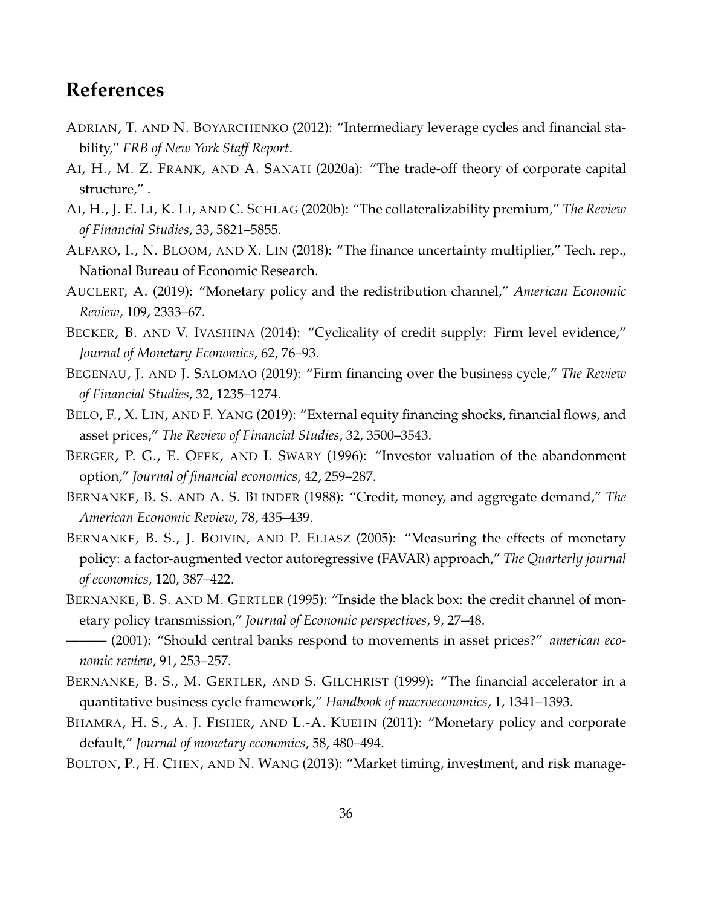# **References**

- ADRIAN, T. AND N. BOYARCHENKO (2012): "Intermediary leverage cycles and financial stability," *FRB of New York Staff Report*.
- AI, H., M. Z. FRANK, AND A. SANATI (2020a): "The trade-off theory of corporate capital structure," .
- AI, H., J. E. LI, K. LI, AND C. SCHLAG (2020b): "The collateralizability premium," *The Review of Financial Studies*, 33, 5821–5855.
- ALFARO, I., N. BLOOM, AND X. LIN (2018): "The finance uncertainty multiplier," Tech. rep., National Bureau of Economic Research.
- AUCLERT, A. (2019): "Monetary policy and the redistribution channel," *American Economic Review*, 109, 2333–67.
- BECKER, B. AND V. IVASHINA (2014): "Cyclicality of credit supply: Firm level evidence," *Journal of Monetary Economics*, 62, 76–93.
- BEGENAU, J. AND J. SALOMAO (2019): "Firm financing over the business cycle," *The Review of Financial Studies*, 32, 1235–1274.
- BELO, F., X. LIN, AND F. YANG (2019): "External equity financing shocks, financial flows, and asset prices," *The Review of Financial Studies*, 32, 3500–3543.
- <span id="page-36-0"></span>BERGER, P. G., E. OFEK, AND I. SWARY (1996): "Investor valuation of the abandonment option," *Journal of financial economics*, 42, 259–287.
- BERNANKE, B. S. AND A. S. BLINDER (1988): "Credit, money, and aggregate demand," *The American Economic Review*, 78, 435–439.
- BERNANKE, B. S., J. BOIVIN, AND P. ELIASZ (2005): "Measuring the effects of monetary policy: a factor-augmented vector autoregressive (FAVAR) approach," *The Quarterly journal of economics*, 120, 387–422.
- BERNANKE, B. S. AND M. GERTLER (1995): "Inside the black box: the credit channel of monetary policy transmission," *Journal of Economic perspectives*, 9, 27–48.
- ——— (2001): "Should central banks respond to movements in asset prices?" *american economic review*, 91, 253–257.
- BERNANKE, B. S., M. GERTLER, AND S. GILCHRIST (1999): "The financial accelerator in a quantitative business cycle framework," *Handbook of macroeconomics*, 1, 1341–1393.
- BHAMRA, H. S., A. J. FISHER, AND L.-A. KUEHN (2011): "Monetary policy and corporate default," *Journal of monetary economics*, 58, 480–494.
- BOLTON, P., H. CHEN, AND N. WANG (2013): "Market timing, investment, and risk manage-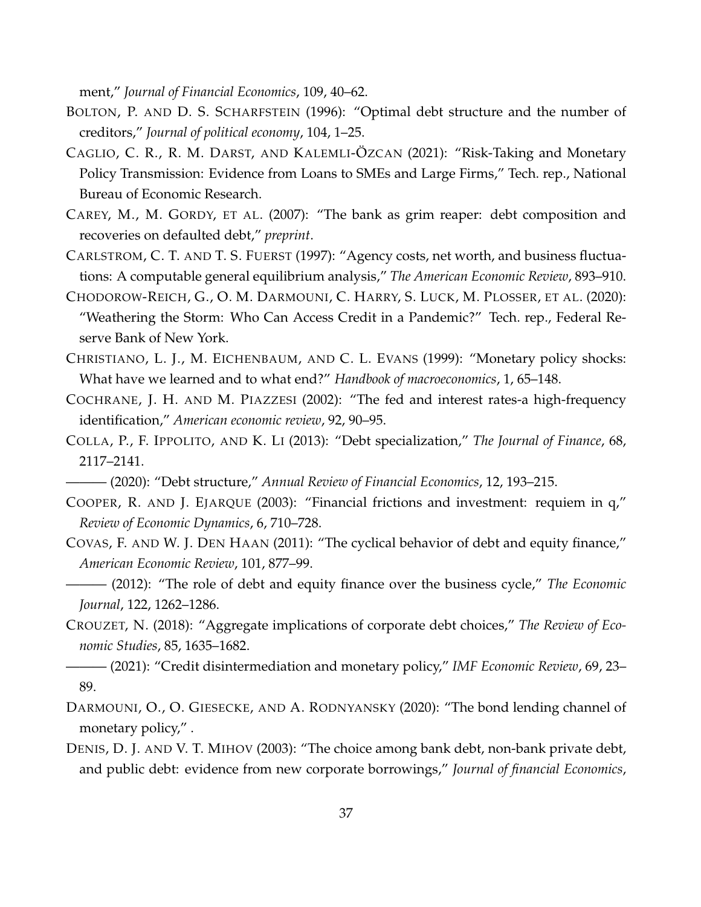ment," *Journal of Financial Economics*, 109, 40–62.

- BOLTON, P. AND D. S. SCHARFSTEIN (1996): "Optimal debt structure and the number of creditors," *Journal of political economy*, 104, 1–25.
- CAGLIO, C. R., R. M. DARST, AND KALEMLI-OZCAN (2021): "Risk-Taking and Monetary Policy Transmission: Evidence from Loans to SMEs and Large Firms," Tech. rep., National Bureau of Economic Research.
- CAREY, M., M. GORDY, ET AL. (2007): "The bank as grim reaper: debt composition and recoveries on defaulted debt," *preprint*.
- CARLSTROM, C. T. AND T. S. FUERST (1997): "Agency costs, net worth, and business fluctuations: A computable general equilibrium analysis," *The American Economic Review*, 893–910.
- CHODOROW-REICH, G., O. M. DARMOUNI, C. HARRY, S. LUCK, M. PLOSSER, ET AL. (2020): "Weathering the Storm: Who Can Access Credit in a Pandemic?" Tech. rep., Federal Reserve Bank of New York.
- CHRISTIANO, L. J., M. EICHENBAUM, AND C. L. EVANS (1999): "Monetary policy shocks: What have we learned and to what end?" *Handbook of macroeconomics*, 1, 65–148.
- COCHRANE, J. H. AND M. PIAZZESI (2002): "The fed and interest rates-a high-frequency identification," *American economic review*, 92, 90–95.
- COLLA, P., F. IPPOLITO, AND K. LI (2013): "Debt specialization," *The Journal of Finance*, 68, 2117–2141.
- ——— (2020): "Debt structure," *Annual Review of Financial Economics*, 12, 193–215.
- COOPER, R. AND J. EJARQUE (2003): "Financial frictions and investment: requiem in q," *Review of Economic Dynamics*, 6, 710–728.
- COVAS, F. AND W. J. DEN HAAN (2011): "The cyclical behavior of debt and equity finance," *American Economic Review*, 101, 877–99.
- ——— (2012): "The role of debt and equity finance over the business cycle," *The Economic Journal*, 122, 1262–1286.
- CROUZET, N. (2018): "Aggregate implications of corporate debt choices," *The Review of Economic Studies*, 85, 1635–1682.
- <span id="page-37-0"></span>——— (2021): "Credit disintermediation and monetary policy," *IMF Economic Review*, 69, 23– 89.
- DARMOUNI, O., O. GIESECKE, AND A. RODNYANSKY (2020): "The bond lending channel of monetary policy," .
- DENIS, D. J. AND V. T. MIHOV (2003): "The choice among bank debt, non-bank private debt, and public debt: evidence from new corporate borrowings," *Journal of financial Economics*,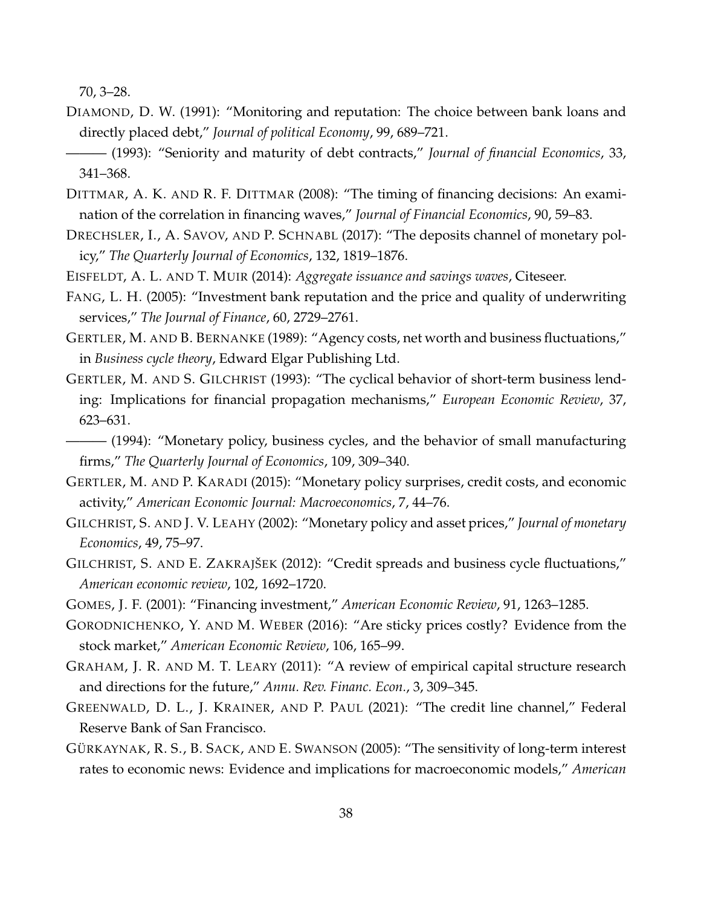70, 3–28.

DIAMOND, D. W. (1991): "Monitoring and reputation: The choice between bank loans and directly placed debt," *Journal of political Economy*, 99, 689–721.

- DITTMAR, A. K. AND R. F. DITTMAR (2008): "The timing of financing decisions: An examination of the correlation in financing waves," *Journal of Financial Economics*, 90, 59–83.
- DRECHSLER, I., A. SAVOV, AND P. SCHNABL (2017): "The deposits channel of monetary policy," *The Quarterly Journal of Economics*, 132, 1819–1876.
- EISFELDT, A. L. AND T. MUIR (2014): *Aggregate issuance and savings waves*, Citeseer.
- FANG, L. H. (2005): "Investment bank reputation and the price and quality of underwriting services," *The Journal of Finance*, 60, 2729–2761.
- GERTLER, M. AND B. BERNANKE (1989): "Agency costs, net worth and business fluctuations," in *Business cycle theory*, Edward Elgar Publishing Ltd.
- GERTLER, M. AND S. GILCHRIST (1993): "The cyclical behavior of short-term business lending: Implications for financial propagation mechanisms," *European Economic Review*, 37, 623–631.
- ——— (1994): "Monetary policy, business cycles, and the behavior of small manufacturing firms," *The Quarterly Journal of Economics*, 109, 309–340.
- <span id="page-38-2"></span>GERTLER, M. AND P. KARADI (2015): "Monetary policy surprises, credit costs, and economic activity," *American Economic Journal: Macroeconomics*, 7, 44–76.
- GILCHRIST, S. AND J. V. LEAHY (2002): "Monetary policy and asset prices," *Journal of monetary Economics*, 49, 75–97.
- <span id="page-38-3"></span>GILCHRIST, S. AND E. ZAKRAJŠEK (2012): "Credit spreads and business cycle fluctuations," *American economic review*, 102, 1692–1720.
- <span id="page-38-1"></span>GOMES, J. F. (2001): "Financing investment," *American Economic Review*, 91, 1263–1285.
- GORODNICHENKO, Y. AND M. WEBER (2016): "Are sticky prices costly? Evidence from the stock market," *American Economic Review*, 106, 165–99.
- GRAHAM, J. R. AND M. T. LEARY (2011): "A review of empirical capital structure research and directions for the future," *Annu. Rev. Financ. Econ.*, 3, 309–345.
- GREENWALD, D. L., J. KRAINER, AND P. PAUL (2021): "The credit line channel," Federal Reserve Bank of San Francisco.
- <span id="page-38-0"></span>GÜRKAYNAK, R. S., B. SACK, AND E. SWANSON (2005): "The sensitivity of long-term interest rates to economic news: Evidence and implications for macroeconomic models," *American*

<sup>——— (1993): &</sup>quot;Seniority and maturity of debt contracts," *Journal of financial Economics*, 33, 341–368.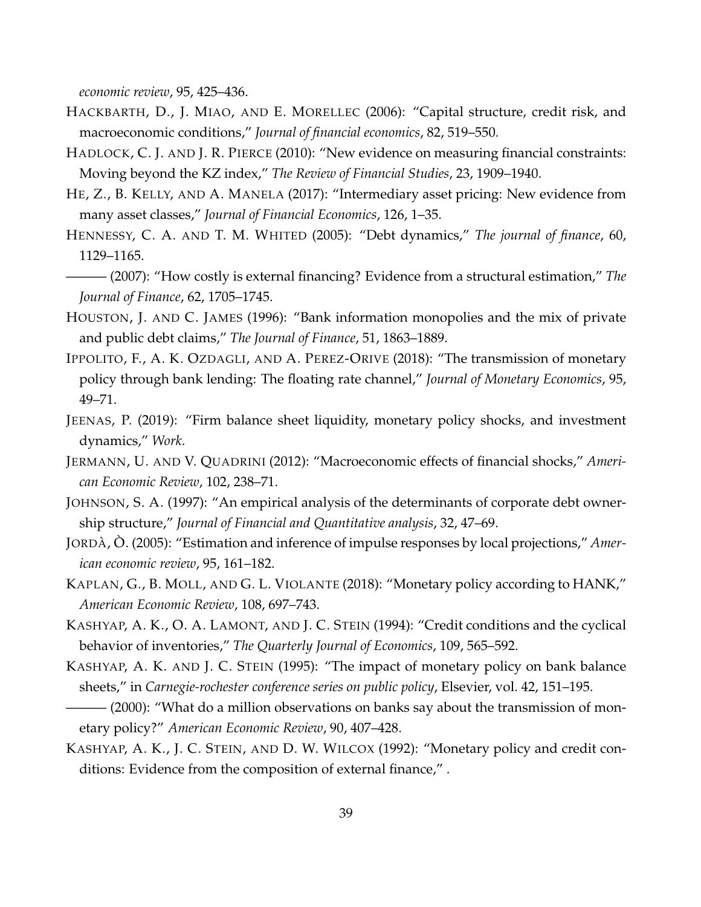*economic review*, 95, 425–436.

- HACKBARTH, D., J. MIAO, AND E. MORELLEC (2006): "Capital structure, credit risk, and macroeconomic conditions," *Journal of financial economics*, 82, 519–550.
- <span id="page-39-0"></span>HADLOCK, C. J. AND J. R. PIERCE (2010): "New evidence on measuring financial constraints: Moving beyond the KZ index," *The Review of Financial Studies*, 23, 1909–1940.
- HE, Z., B. KELLY, AND A. MANELA (2017): "Intermediary asset pricing: New evidence from many asset classes," *Journal of Financial Economics*, 126, 1–35.
- HENNESSY, C. A. AND T. M. WHITED (2005): "Debt dynamics," *The journal of finance*, 60, 1129–1165.
- <span id="page-39-1"></span>——— (2007): "How costly is external financing? Evidence from a structural estimation," *The Journal of Finance*, 62, 1705–1745.
- HOUSTON, J. AND C. JAMES (1996): "Bank information monopolies and the mix of private and public debt claims," *The Journal of Finance*, 51, 1863–1889.
- IPPOLITO, F., A. K. OZDAGLI, AND A. PEREZ-ORIVE (2018): "The transmission of monetary policy through bank lending: The floating rate channel," *Journal of Monetary Economics*, 95, 49–71.
- JEENAS, P. (2019): "Firm balance sheet liquidity, monetary policy shocks, and investment dynamics," *Work*.
- JERMANN, U. AND V. QUADRINI (2012): "Macroeconomic effects of financial shocks," *American Economic Review*, 102, 238–71.
- JOHNSON, S. A. (1997): "An empirical analysis of the determinants of corporate debt ownership structure," *Journal of Financial and Quantitative analysis*, 32, 47–69.
- JORDÀ, O. (2005): "Estimation and inference of impulse responses by local projections," *American economic review*, 95, 161–182.
- KAPLAN, G., B. MOLL, AND G. L. VIOLANTE (2018): "Monetary policy according to HANK," *American Economic Review*, 108, 697–743.
- KASHYAP, A. K., O. A. LAMONT, AND J. C. STEIN (1994): "Credit conditions and the cyclical behavior of inventories," *The Quarterly Journal of Economics*, 109, 565–592.
- KASHYAP, A. K. AND J. C. STEIN (1995): "The impact of monetary policy on bank balance sheets," in *Carnegie-rochester conference series on public policy*, Elsevier, vol. 42, 151–195.
- $-$  (2000): "What do a million observations on banks say about the transmission of monetary policy?" *American Economic Review*, 90, 407–428.
- KASHYAP, A. K., J. C. STEIN, AND D. W. WILCOX (1992): "Monetary policy and credit conditions: Evidence from the composition of external finance," .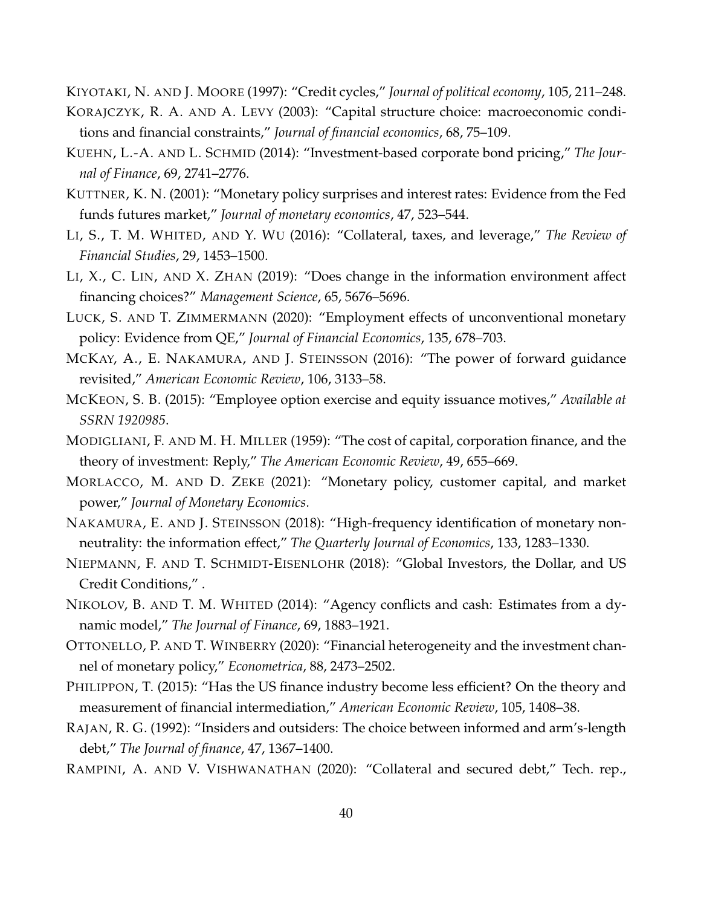KIYOTAKI, N. AND J. MOORE (1997): "Credit cycles," *Journal of political economy*, 105, 211–248.

- KORAJCZYK, R. A. AND A. LEVY (2003): "Capital structure choice: macroeconomic conditions and financial constraints," *Journal of financial economics*, 68, 75–109.
- KUEHN, L.-A. AND L. SCHMID (2014): "Investment-based corporate bond pricing," *The Journal of Finance*, 69, 2741–2776.
- KUTTNER, K. N. (2001): "Monetary policy surprises and interest rates: Evidence from the Fed funds futures market," *Journal of monetary economics*, 47, 523–544.
- LI, S., T. M. WHITED, AND Y. WU (2016): "Collateral, taxes, and leverage," *The Review of Financial Studies*, 29, 1453–1500.
- LI, X., C. LIN, AND X. ZHAN (2019): "Does change in the information environment affect financing choices?" *Management Science*, 65, 5676–5696.
- LUCK, S. AND T. ZIMMERMANN (2020): "Employment effects of unconventional monetary policy: Evidence from QE," *Journal of Financial Economics*, 135, 678–703.
- MCKAY, A., E. NAKAMURA, AND J. STEINSSON (2016): "The power of forward guidance revisited," *American Economic Review*, 106, 3133–58.
- <span id="page-40-2"></span>MCKEON, S. B. (2015): "Employee option exercise and equity issuance motives," *Available at SSRN 1920985*.
- MODIGLIANI, F. AND M. H. MILLER (1959): "The cost of capital, corporation finance, and the theory of investment: Reply," *The American Economic Review*, 49, 655–669.
- MORLACCO, M. AND D. ZEKE (2021): "Monetary policy, customer capital, and market power," *Journal of Monetary Economics*.
- <span id="page-40-0"></span>NAKAMURA, E. AND J. STEINSSON (2018): "High-frequency identification of monetary nonneutrality: the information effect," *The Quarterly Journal of Economics*, 133, 1283–1330.
- NIEPMANN, F. AND T. SCHMIDT-EISENLOHR (2018): "Global Investors, the Dollar, and US Credit Conditions," .
- NIKOLOV, B. AND T. M. WHITED (2014): "Agency conflicts and cash: Estimates from a dynamic model," *The Journal of Finance*, 69, 1883–1921.
- <span id="page-40-1"></span>OTTONELLO, P. AND T. WINBERRY (2020): "Financial heterogeneity and the investment channel of monetary policy," *Econometrica*, 88, 2473–2502.
- PHILIPPON, T. (2015): "Has the US finance industry become less efficient? On the theory and measurement of financial intermediation," *American Economic Review*, 105, 1408–38.
- RAJAN, R. G. (1992): "Insiders and outsiders: The choice between informed and arm's-length debt," *The Journal of finance*, 47, 1367–1400.
- RAMPINI, A. AND V. VISHWANATHAN (2020): "Collateral and secured debt," Tech. rep.,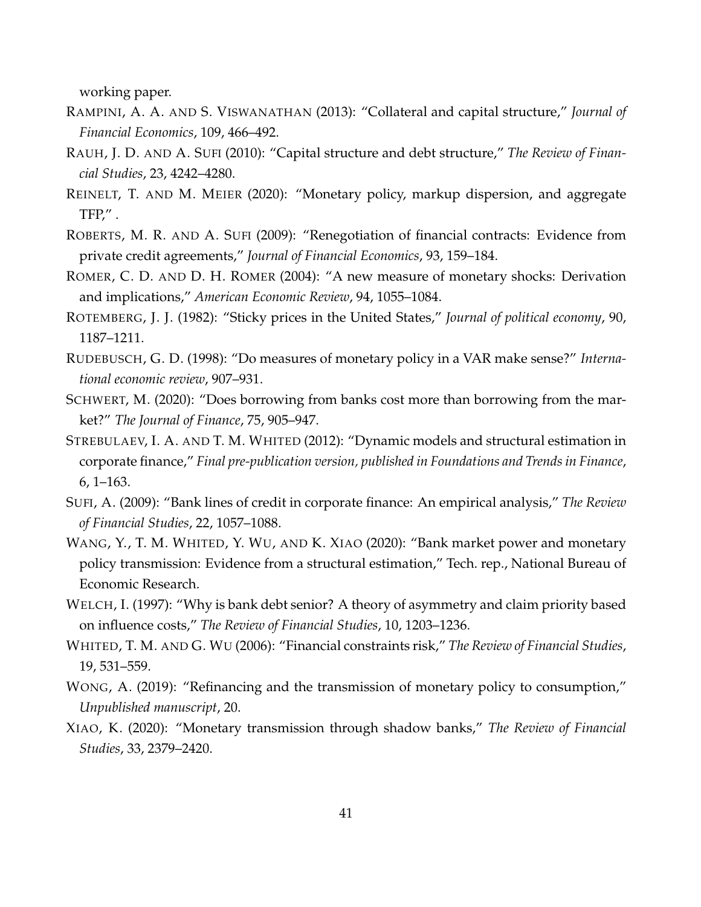working paper.

- RAMPINI, A. A. AND S. VISWANATHAN (2013): "Collateral and capital structure," *Journal of Financial Economics*, 109, 466–492.
- RAUH, J. D. AND A. SUFI (2010): "Capital structure and debt structure," *The Review of Financial Studies*, 23, 4242–4280.
- <span id="page-41-0"></span>REINELT, T. AND M. MEIER (2020): "Monetary policy, markup dispersion, and aggregate TFP, $''$ .
- ROBERTS, M. R. AND A. SUFI (2009): "Renegotiation of financial contracts: Evidence from private credit agreements," *Journal of Financial Economics*, 93, 159–184.
- ROMER, C. D. AND D. H. ROMER (2004): "A new measure of monetary shocks: Derivation and implications," *American Economic Review*, 94, 1055–1084.
- <span id="page-41-2"></span>ROTEMBERG, J. J. (1982): "Sticky prices in the United States," *Journal of political economy*, 90, 1187–1211.
- RUDEBUSCH, G. D. (1998): "Do measures of monetary policy in a VAR make sense?" *International economic review*, 907–931.
- SCHWERT, M. (2020): "Does borrowing from banks cost more than borrowing from the market?" *The Journal of Finance*, 75, 905–947.
- STREBULAEV, I. A. AND T. M. WHITED (2012): "Dynamic models and structural estimation in corporate finance," *Final pre-publication version, published in Foundations and Trends in Finance*, 6, 1–163.
- SUFI, A. (2009): "Bank lines of credit in corporate finance: An empirical analysis," *The Review of Financial Studies*, 22, 1057–1088.
- WANG, Y., T. M. WHITED, Y. WU, AND K. XIAO (2020): "Bank market power and monetary policy transmission: Evidence from a structural estimation," Tech. rep., National Bureau of Economic Research.
- WELCH, I. (1997): "Why is bank debt senior? A theory of asymmetry and claim priority based on influence costs," *The Review of Financial Studies*, 10, 1203–1236.
- <span id="page-41-1"></span>WHITED, T. M. AND G. WU (2006): "Financial constraints risk," *The Review of Financial Studies*, 19, 531–559.
- WONG, A. (2019): "Refinancing and the transmission of monetary policy to consumption," *Unpublished manuscript*, 20.
- XIAO, K. (2020): "Monetary transmission through shadow banks," *The Review of Financial Studies*, 33, 2379–2420.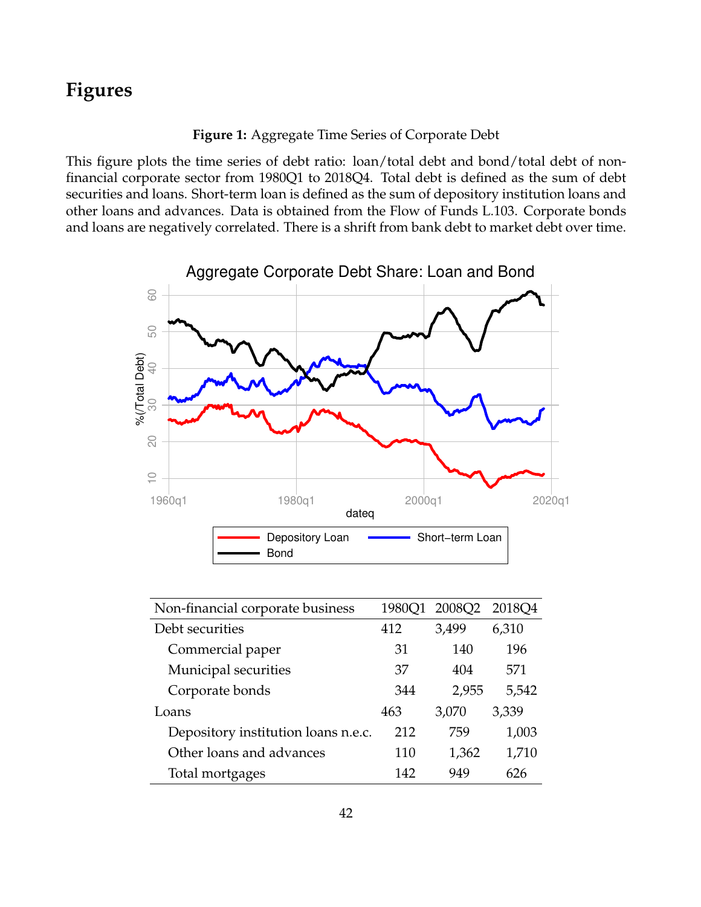# **Figures**

**Figure 1:** Aggregate Time Series of Corporate Debt

This figure plots the time series of debt ratio: loan/total debt and bond/total debt of nonfinancial corporate sector from 1980Q1 to 2018Q4. Total debt is defined as the sum of debt securities and loans. Short-term loan is defined as the sum of depository institution loans and other loans and advances. Data is obtained from the Flow of Funds L.103. Corporate bonds and loans are negatively correlated. There is a shrift from bank debt to market debt over time.



| Non-financial corporate business    |     | 1980Q1 2008Q2 | 2018Q4 |
|-------------------------------------|-----|---------------|--------|
| Debt securities                     | 412 | 3,499         | 6,310  |
| Commercial paper                    | 31  | 140           | 196    |
| Municipal securities                | 37  | 404           | 571    |
| Corporate bonds                     | 344 | 2,955         | 5,542  |
| Loans                               | 463 | 3,070         | 3,339  |
| Depository institution loans n.e.c. | 212 | 759           | 1,003  |
| Other loans and advances            | 110 | 1,362         | 1,710  |
| Total mortgages                     | 142 | 949           | 626    |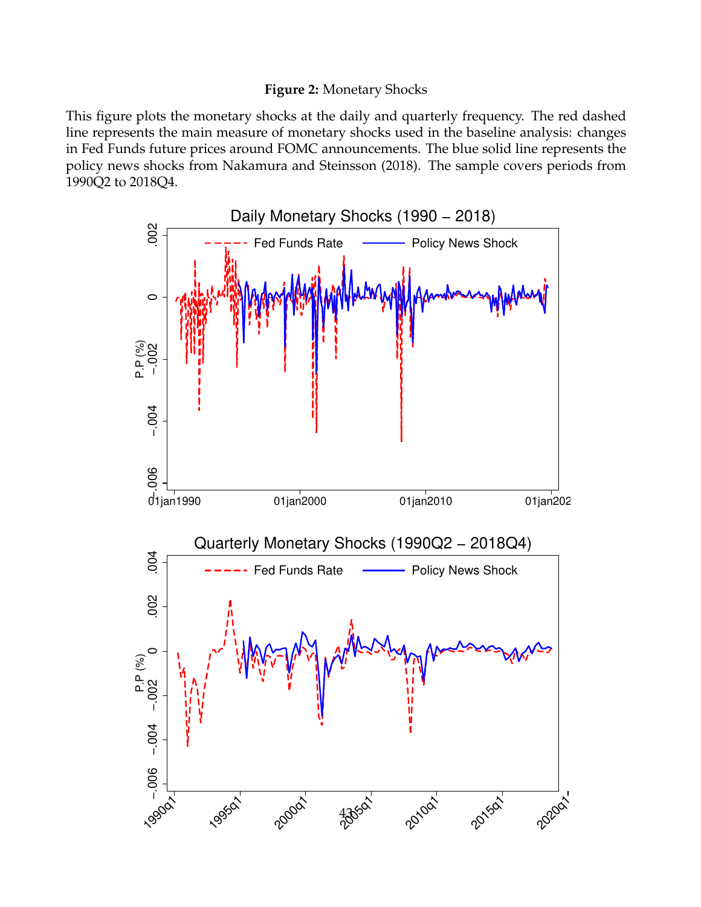# **Figure 2:** Monetary Shocks

This figure plots the monetary shocks at the daily and quarterly frequency. The red dashed line represents the main measure of monetary shocks used in the baseline analysis: changes in Fed Funds future prices around FOMC announcements. The blue solid line represents the policy news shocks from Nakamura and Steinsson (2018). The sample covers periods from 1990Q2 to 2018Q4.

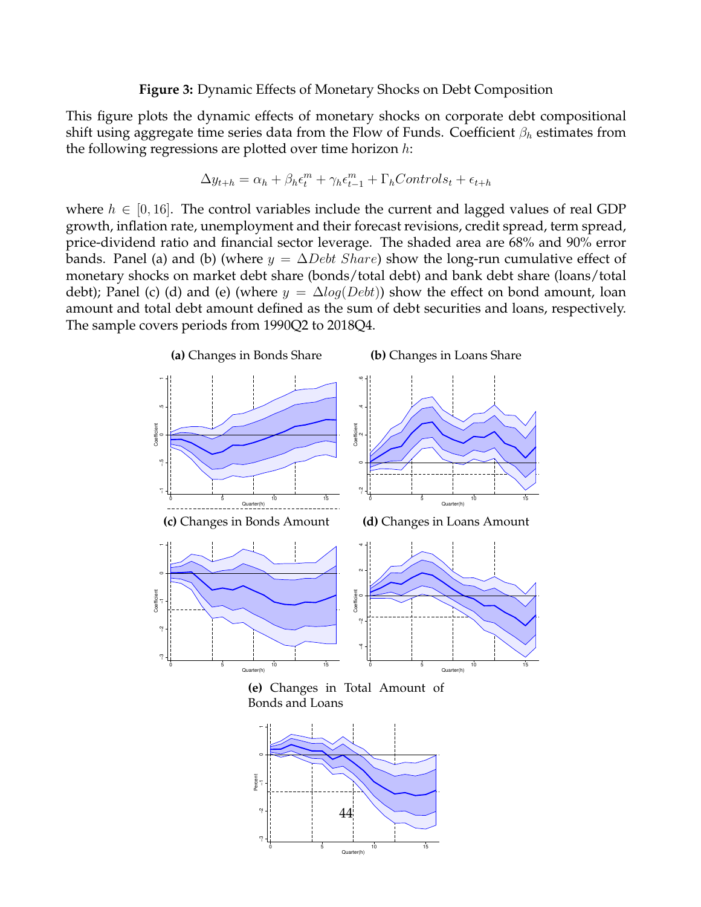#### **Figure 3:** Dynamic Effects of Monetary Shocks on Debt Composition

This figure plots the dynamic effects of monetary shocks on corporate debt compositional shift using aggregate time series data from the Flow of Funds. Coefficient  $\beta_h$  estimates from the following regressions are plotted over time horizon  $h$ :

$$
\Delta y_{t+h} = \alpha_h + \beta_h \epsilon_t^m + \gamma_h \epsilon_{t-1}^m + \Gamma_h Controls_t + \epsilon_{t+h}
$$

where  $h \in [0, 16]$ . The control variables include the current and lagged values of real GDP growth, inflation rate, unemployment and their forecast revisions, credit spread, term spread, price-dividend ratio and financial sector leverage. The shaded area are 68% and 90% error bands. Panel (a) and (b) (where  $y = \Delta Debt\,Share$ ) show the long-run cumulative effect of monetary shocks on market debt share (bonds/total debt) and bank debt share (loans/total debt); Panel (c) (d) and (e) (where  $y = \Delta log(Debt)$ ) show the effect on bond amount, loan amount and total debt amount defined as the sum of debt securities and loans, respectively. The sample covers periods from 1990Q2 to 2018Q4.

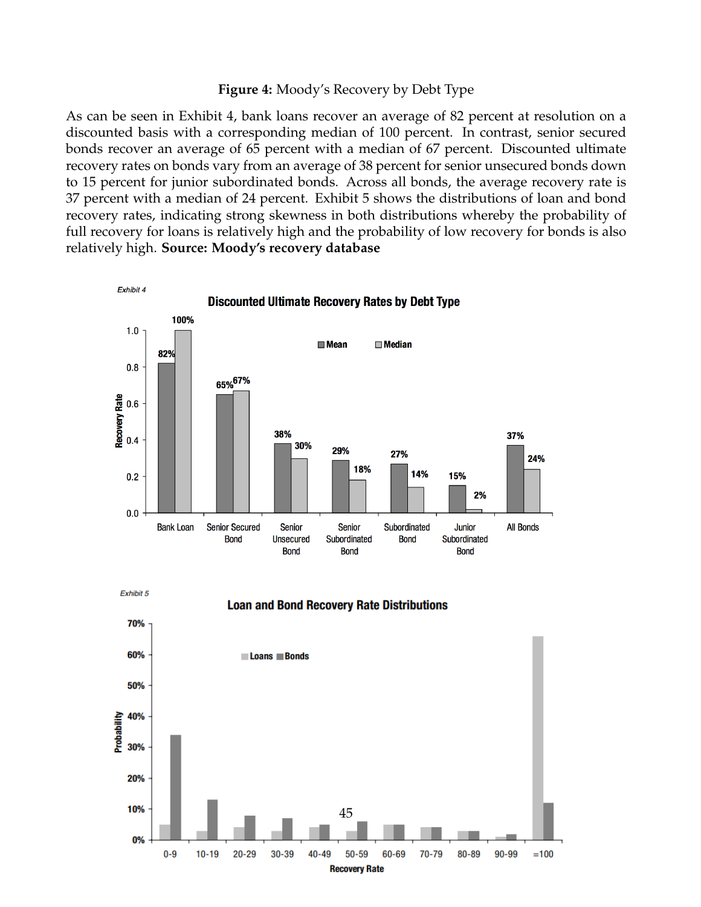#### **Figure 4:** Moody's Recovery by Debt Type

As can be seen in Exhibit 4, bank loans recover an average of 82 percent at resolution on a discounted basis with a corresponding median of 100 percent. In contrast, senior secured bonds recover an average of 65 percent with a median of 67 percent. Discounted ultimate recovery rates on bonds vary from an average of 38 percent for senior unsecured bonds down to 15 percent for junior subordinated bonds. Across all bonds, the average recovery rate is 37 percent with a median of 24 percent. Exhibit 5 shows the distributions of loan and bond recovery rates, indicating strong skewness in both distributions whereby the probability of full recovery for loans is relatively high and the probability of low recovery for bonds is also relatively high. **Source: Moody's recovery database**



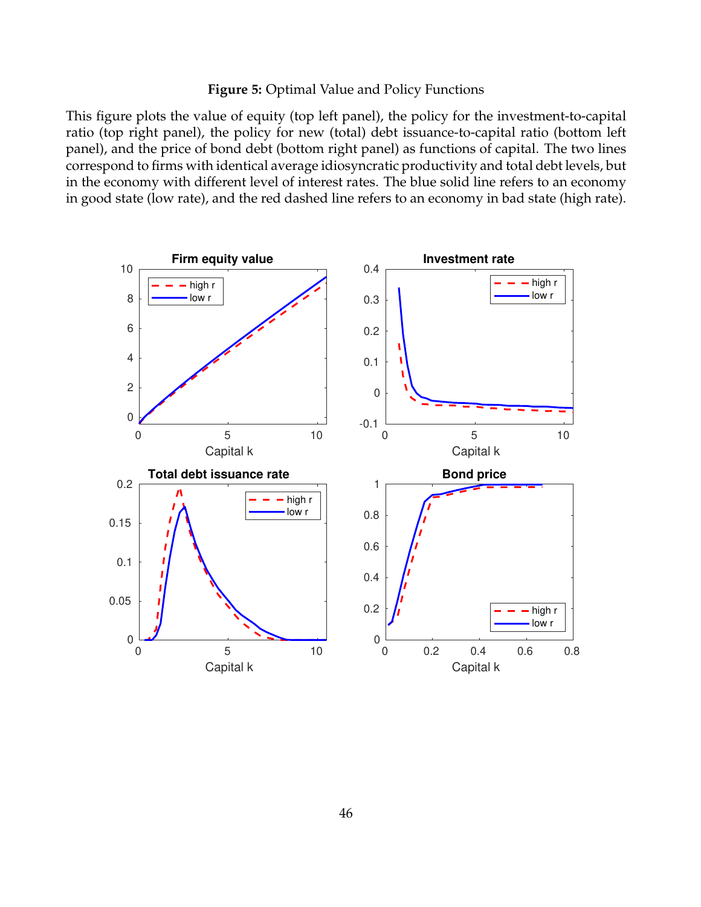#### **Figure 5:** Optimal Value and Policy Functions

This figure plots the value of equity (top left panel), the policy for the investment-to-capital ratio (top right panel), the policy for new (total) debt issuance-to-capital ratio (bottom left panel), and the price of bond debt (bottom right panel) as functions of capital. The two lines correspond to firms with identical average idiosyncratic productivity and total debt levels, but in the economy with different level of interest rates. The blue solid line refers to an economy in good state (low rate), and the red dashed line refers to an economy in bad state (high rate).

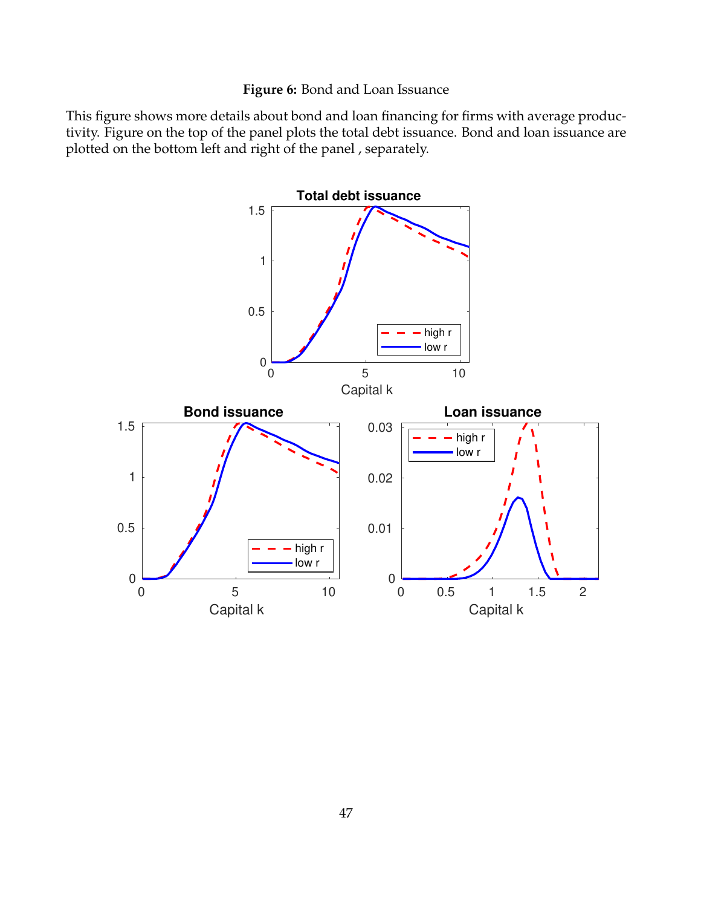## **Figure 6:** Bond and Loan Issuance

This figure shows more details about bond and loan financing for firms with average productivity. Figure on the top of the panel plots the total debt issuance. Bond and loan issuance are plotted on the bottom left and right of the panel , separately.

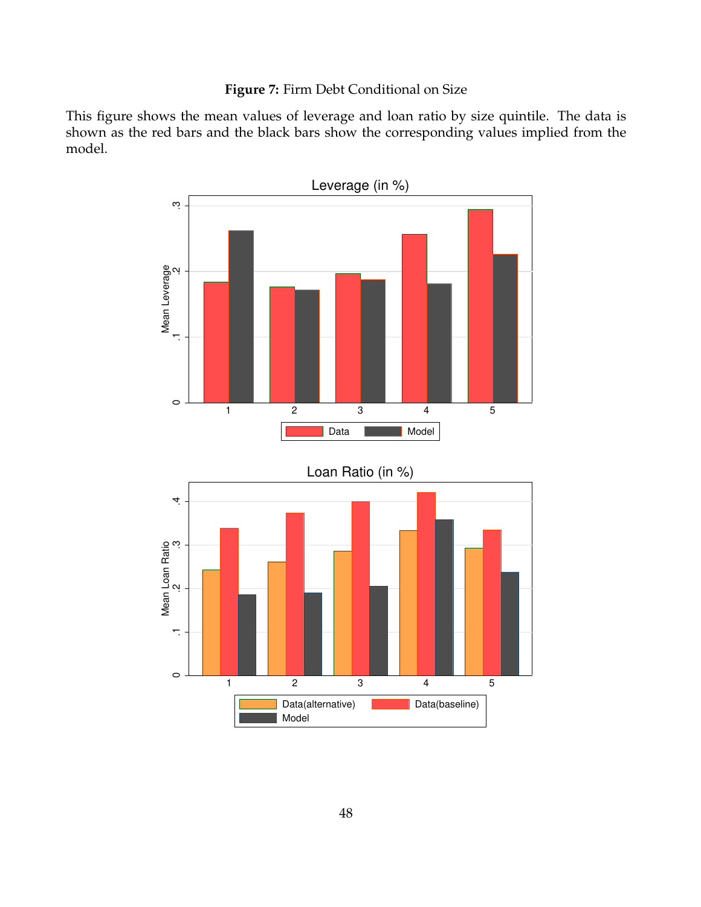# **Figure 7:** Firm Debt Conditional on Size

This figure shows the mean values of leverage and loan ratio by size quintile. The data is shown as the red bars and the black bars show the corresponding values implied from the model.

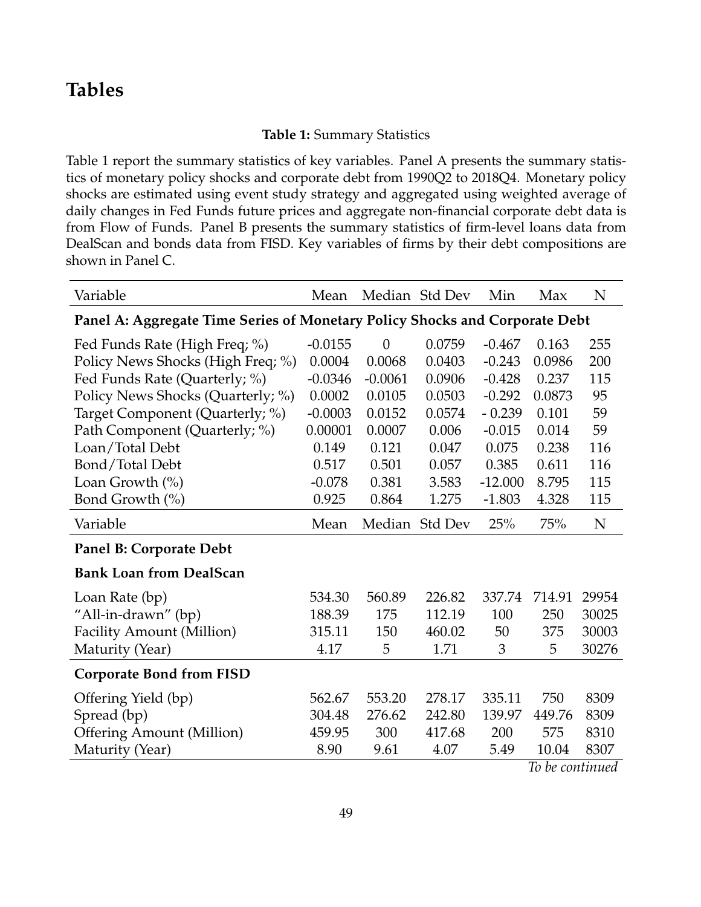# **Tables**

## **Table 1:** Summary Statistics

Table 1 report the summary statistics of key variables. Panel A presents the summary statistics of monetary policy shocks and corporate debt from 1990Q2 to 2018Q4. Monetary policy shocks are estimated using event study strategy and aggregated using weighted average of daily changes in Fed Funds future prices and aggregate non-financial corporate debt data is from Flow of Funds. Panel B presents the summary statistics of firm-level loans data from DealScan and bonds data from FISD. Key variables of firms by their debt compositions are shown in Panel C.

| Variable                                                                    | Mean      |           | Median Std Dev | Min       | Max             | N     |
|-----------------------------------------------------------------------------|-----------|-----------|----------------|-----------|-----------------|-------|
| Panel A: Aggregate Time Series of Monetary Policy Shocks and Corporate Debt |           |           |                |           |                 |       |
| Fed Funds Rate (High Freq; %)                                               | $-0.0155$ | $\theta$  | 0.0759         | $-0.467$  | 0.163           | 255   |
| Policy News Shocks (High Freq; %)                                           | 0.0004    | 0.0068    | 0.0403         | $-0.243$  | 0.0986          | 200   |
| Fed Funds Rate (Quarterly; %)                                               | $-0.0346$ | $-0.0061$ | 0.0906         | $-0.428$  | 0.237           | 115   |
| Policy News Shocks (Quarterly; %)                                           | 0.0002    | 0.0105    | 0.0503         | $-0.292$  | 0.0873          | 95    |
| Target Component (Quarterly; %)                                             | $-0.0003$ | 0.0152    | 0.0574         | $-0.239$  | 0.101           | 59    |
| Path Component (Quarterly; %)                                               | 0.00001   | 0.0007    | 0.006          | $-0.015$  | 0.014           | 59    |
| Loan/Total Debt                                                             | 0.149     | 0.121     | 0.047          | 0.075     | 0.238           | 116   |
| Bond/Total Debt                                                             | 0.517     | 0.501     | 0.057          | 0.385     | 0.611           | 116   |
| Loan Growth $(\% )$                                                         | $-0.078$  | 0.381     | 3.583          | $-12.000$ | 8.795           | 115   |
| Bond Growth (%)                                                             | 0.925     | 0.864     | 1.275          | $-1.803$  | 4.328           | 115   |
| Variable                                                                    | Mean      |           | Median Std Dev | 25%       | 75%             | N     |
| Panel B: Corporate Debt                                                     |           |           |                |           |                 |       |
| <b>Bank Loan from DealScan</b>                                              |           |           |                |           |                 |       |
| Loan Rate (bp)                                                              | 534.30    | 560.89    | 226.82         | 337.74    | 714.91          | 29954 |
| "All-in-drawn" (bp)                                                         | 188.39    | 175       | 112.19         | 100       | 250             | 30025 |
| Facility Amount (Million)                                                   | 315.11    | 150       | 460.02         | 50        | 375             | 30003 |
| Maturity (Year)                                                             | 4.17      | 5         | 1.71           | 3         | 5               | 30276 |
| <b>Corporate Bond from FISD</b>                                             |           |           |                |           |                 |       |
| Offering Yield (bp)                                                         | 562.67    | 553.20    | 278.17         | 335.11    | 750             | 8309  |
| Spread (bp)                                                                 | 304.48    | 276.62    | 242.80         | 139.97    | 449.76          | 8309  |
| <b>Offering Amount (Million)</b>                                            | 459.95    | 300       | 417.68         | 200       | 575             | 8310  |
| Maturity (Year)                                                             | 8.90      | 9.61      | 4.07           | 5.49      | 10.04           | 8307  |
|                                                                             |           |           |                |           | To be continued |       |

*To be continued*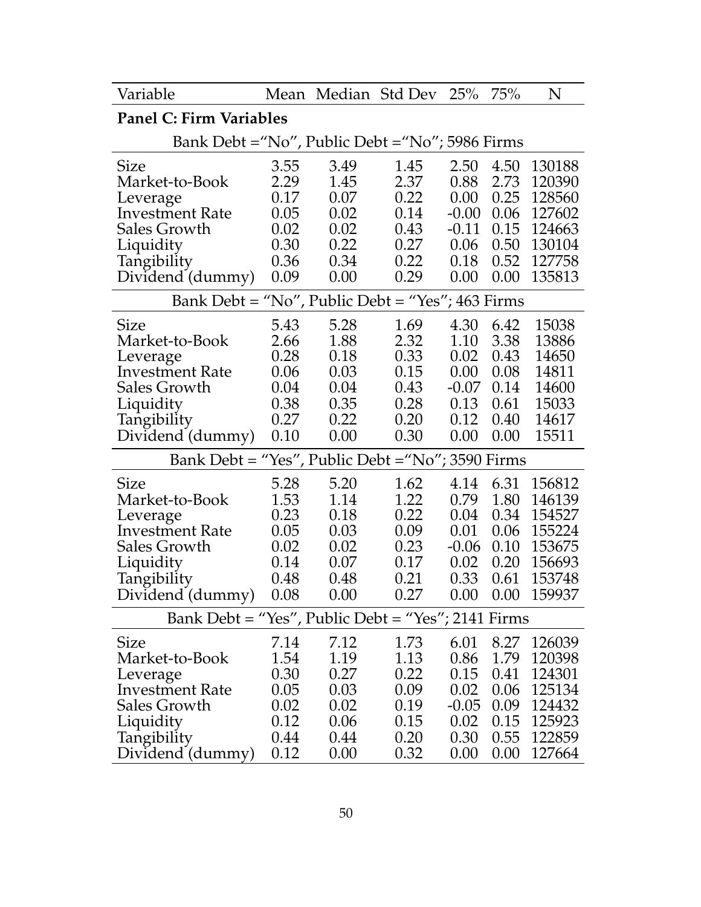| Variable                                           |                                                    |              | Mean Median Std Dev | 25%          | 75%          | N                |  |  |  |  |  |  |
|----------------------------------------------------|----------------------------------------------------|--------------|---------------------|--------------|--------------|------------------|--|--|--|--|--|--|
| <b>Panel C: Firm Variables</b>                     |                                                    |              |                     |              |              |                  |  |  |  |  |  |  |
| Bank Debt = "No", Public Debt = "No"; 5986 Firms   |                                                    |              |                     |              |              |                  |  |  |  |  |  |  |
| <b>Size</b>                                        | 3.55                                               | 3.49         | 1.45                | 2.50         | 4.50         | 130188           |  |  |  |  |  |  |
| Market-to-Book                                     | 2.29                                               | 1.45         | 2.37                | 0.88         | 2.73         | 120390           |  |  |  |  |  |  |
| Leverage                                           | 0.17                                               | 0.07         | 0.22                | 0.00         | 0.25         | 128560           |  |  |  |  |  |  |
| <b>Investment Rate</b>                             | 0.05                                               | 0.02         | 0.14                | $-0.00$      | 0.06         | 127602           |  |  |  |  |  |  |
| Sales Growth                                       | 0.02                                               | 0.02         | 0.43                | $-0.11$      | 0.15         | 124663           |  |  |  |  |  |  |
| Liquidity                                          | 0.30                                               | 0.22         | 0.27                | 0.06         | 0.50         | 130104           |  |  |  |  |  |  |
| Tangibility                                        | 0.36                                               | 0.34         | 0.22                | 0.18         | 0.52         | 127758           |  |  |  |  |  |  |
| Dividend (dummy)                                   | 0.09                                               | 0.00         | 0.29                | 0.00         | 0.00         | 135813           |  |  |  |  |  |  |
|                                                    | Bank Debt = "No", Public Debt = "Yes"; $463$ Firms |              |                     |              |              |                  |  |  |  |  |  |  |
| Size                                               | 5.43                                               | 5.28         | 1.69                | 4.30         | 6.42         | 15038            |  |  |  |  |  |  |
| Market-to-Book                                     | 2.66                                               | 1.88         | 2.32                | 1.10         | 3.38         | 13886            |  |  |  |  |  |  |
| Leverage                                           | 0.28                                               | 0.18         | 0.33                | 0.02         | 0.43         | 14650            |  |  |  |  |  |  |
| <b>Investment Rate</b>                             | 0.06                                               | 0.03         | 0.15                | 0.00         | 0.08         | 14811            |  |  |  |  |  |  |
| Sales Growth                                       | 0.04                                               | 0.04         | 0.43                | $-0.07$      | 0.14         | 14600            |  |  |  |  |  |  |
| Liquidity                                          | 0.38                                               | 0.35         | 0.28                | 0.13         | 0.61         | 15033            |  |  |  |  |  |  |
| Tangibility                                        | 0.27                                               | 0.22         | 0.20                | 0.12         | 0.40         | 14617            |  |  |  |  |  |  |
| Dividend (dummy)                                   | 0.10                                               | 0.00         | 0.30                | 0.00         | 0.00         | 15511            |  |  |  |  |  |  |
| Bank Debt = "Yes", Public Debt = "No"; 3590 Firms  |                                                    |              |                     |              |              |                  |  |  |  |  |  |  |
| Size                                               | 5.28                                               | 5.20         | 1.62                | 4.14         | 6.31         | 156812           |  |  |  |  |  |  |
| Market-to-Book                                     | 1.53                                               | 1.14         | 1.22                | 0.79         | 1.80         | 146139           |  |  |  |  |  |  |
| Leverage                                           | 0.23                                               | 0.18         | 0.22                | 0.04         | 0.34         | 154527           |  |  |  |  |  |  |
| <b>Investment Rate</b>                             | 0.05                                               | 0.03         | 0.09                | 0.01         | 0.06         | 155224           |  |  |  |  |  |  |
| Sales Growth                                       | 0.02                                               | 0.02         | 0.23                | $-0.06$      | 0.10         | 153675           |  |  |  |  |  |  |
| Liquidity                                          | 0.14                                               | 0.07         | 0.17                | 0.02         | 0.20         | 156693           |  |  |  |  |  |  |
|                                                    |                                                    | 0.48         | 0.21                | 0.33         | 0.61         | 153748           |  |  |  |  |  |  |
| Tangibility 0.48<br>Dividend (dummy) 0.08          |                                                    | 0.00         | 0.27                | 0.00         | 0.00         | 159937           |  |  |  |  |  |  |
| Bank Debt = "Yes", Public Debt = "Yes"; 2141 Firms |                                                    |              |                     |              |              |                  |  |  |  |  |  |  |
| Size                                               | 7.14                                               | 7.12         | 1.73                | 6.01         | 8.27         | 126039           |  |  |  |  |  |  |
| Market-to-Book                                     | 1.54                                               | 1.19         | 1.13                | 0.86         | 1.79         | 120398           |  |  |  |  |  |  |
| Leverage                                           | 0.30                                               | 0.27         | 0.22                | 0.15         | 0.41         | 124301           |  |  |  |  |  |  |
| <b>Investment Rate</b>                             | 0.05                                               | 0.03         | 0.09                | 0.02         | 0.06         | 125134           |  |  |  |  |  |  |
| Sales Growth                                       |                                                    |              |                     |              |              |                  |  |  |  |  |  |  |
|                                                    |                                                    |              |                     |              |              |                  |  |  |  |  |  |  |
|                                                    | 0.02                                               | 0.02         | 0.19                | $-0.05$      | 0.09         | 124432           |  |  |  |  |  |  |
| Liquidity<br>Tangibility                           | 0.12<br>0.44                                       | 0.06<br>0.44 | 0.15<br>0.20        | 0.02<br>0.30 | 0.15<br>0.55 | 125923<br>122859 |  |  |  |  |  |  |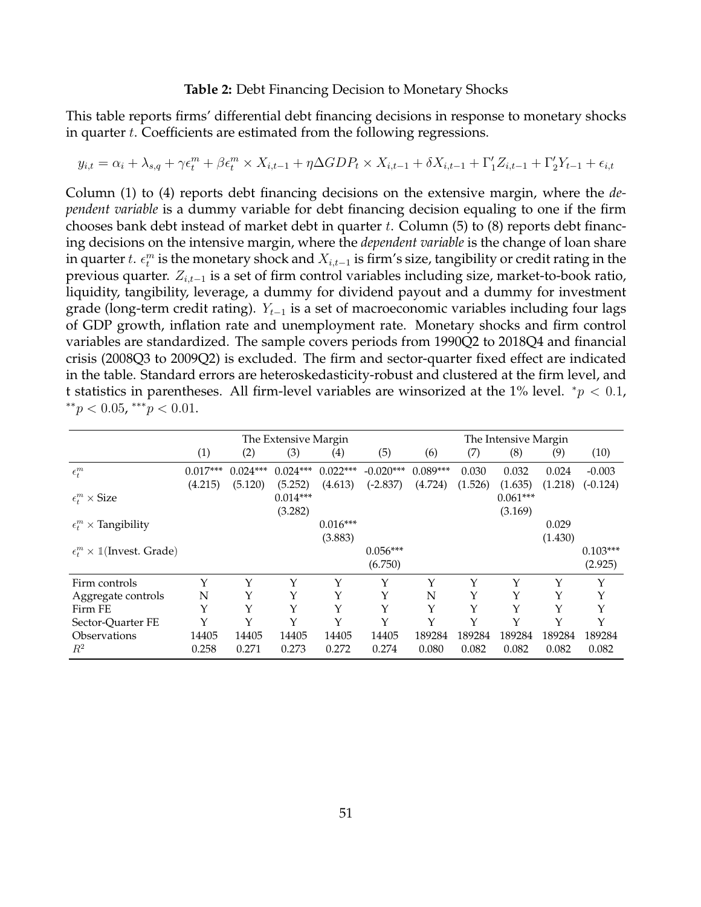#### **Table 2:** Debt Financing Decision to Monetary Shocks

This table reports firms' differential debt financing decisions in response to monetary shocks in quarter t. Coefficients are estimated from the following regressions.

$$
y_{i,t} = \alpha_i + \lambda_{s,q} + \gamma \epsilon_t^m + \beta \epsilon_t^m \times X_{i,t-1} + \eta \Delta GDP_t \times X_{i,t-1} + \delta X_{i,t-1} + \Gamma'_1 Z_{i,t-1} + \Gamma'_2 Y_{t-1} + \epsilon_{i,t}
$$

Column (1) to (4) reports debt financing decisions on the extensive margin, where the *dependent variable* is a dummy variable for debt financing decision equaling to one if the firm chooses bank debt instead of market debt in quarter  $t$ . Column  $(5)$  to  $(8)$  reports debt financing decisions on the intensive margin, where the *dependent variable* is the change of loan share in quarter  $t. \epsilon^m_t$  is the monetary shock and  $X_{i,t-1}$  is firm's size, tangibility or credit rating in the previous quarter.  $Z_{i,t-1}$  is a set of firm control variables including size, market-to-book ratio, liquidity, tangibility, leverage, a dummy for dividend payout and a dummy for investment grade (long-term credit rating).  $Y_{t-1}$  is a set of macroeconomic variables including four lags of GDP growth, inflation rate and unemployment rate. Monetary shocks and firm control variables are standardized. The sample covers periods from 1990Q2 to 2018Q4 and financial crisis (2008Q3 to 2009Q2) is excluded. The firm and sector-quarter fixed effect are indicated in the table. Standard errors are heteroskedasticity-robust and clustered at the firm level, and t statistics in parentheses. All firm-level variables are winsorized at the 1% level.  $p < 0.1$ , \*\* $p < 0.05$ , \*\*\* $p < 0.01$ .

|                                                  |            |            | The Extensive Margin |                     |             |            |         | The Intensive Margin |         |            |
|--------------------------------------------------|------------|------------|----------------------|---------------------|-------------|------------|---------|----------------------|---------|------------|
|                                                  | (1)        | (2)        | (3)                  | $\scriptstyle{(4)}$ | (5)         | (6)        | (7)     | (8)                  | (9)     | (10)       |
| $\epsilon_t^m$                                   | $0.017***$ | $0.024***$ | $0.024***$           | $0.022***$          | $-0.020***$ | $0.089***$ | 0.030   | 0.032                | 0.024   | $-0.003$   |
|                                                  | (4.215)    | (5.120)    | (5.252)              | (4.613)             | $(-2.837)$  | (4.724)    | (1.526) | (1.635)              | (1.218) | $(-0.124)$ |
| $\epsilon_t^m \times \text{Size}$                |            |            | $0.014***$           |                     |             |            |         | $0.061***$           |         |            |
|                                                  |            |            | (3.282)              |                     |             |            |         | (3.169)              |         |            |
| $\epsilon_t^m \times$ Tangibility                |            |            |                      | $0.016***$          |             |            |         |                      | 0.029   |            |
|                                                  |            |            |                      | (3.883)             |             |            |         |                      | (1.430) |            |
| $\epsilon_t^m \times \mathbb{1}$ (Invest. Grade) |            |            |                      |                     | $0.056***$  |            |         |                      |         | $0.103***$ |
|                                                  |            |            |                      |                     | (6.750)     |            |         |                      |         | (2.925)    |
| Firm controls                                    | Υ          | Υ          | Y                    | Y                   | Y           | Υ          | Υ       | Y                    | Y       | Y          |
| Aggregate controls                               | N          | Y          | Y                    | Y                   | Y           | N          | Υ       | Y                    | Y       | Y          |
| Firm FE                                          | Υ          | Y          | Υ                    | Υ                   | Y           | Υ          | Υ       | Y                    | Y       | Y          |
| Sector-Quarter FE                                | Υ          | Υ          | Υ                    | Y                   | Y           | Y          | Υ       | Y                    | Y       | Y          |
| <i><b>Observations</b></i>                       | 14405      | 14405      | 14405                | 14405               | 14405       | 189284     | 189284  | 189284               | 189284  | 189284     |
| $R^2$                                            | 0.258      | 0.271      | 0.273                | 0.272               | 0.274       | 0.080      | 0.082   | 0.082                | 0.082   | 0.082      |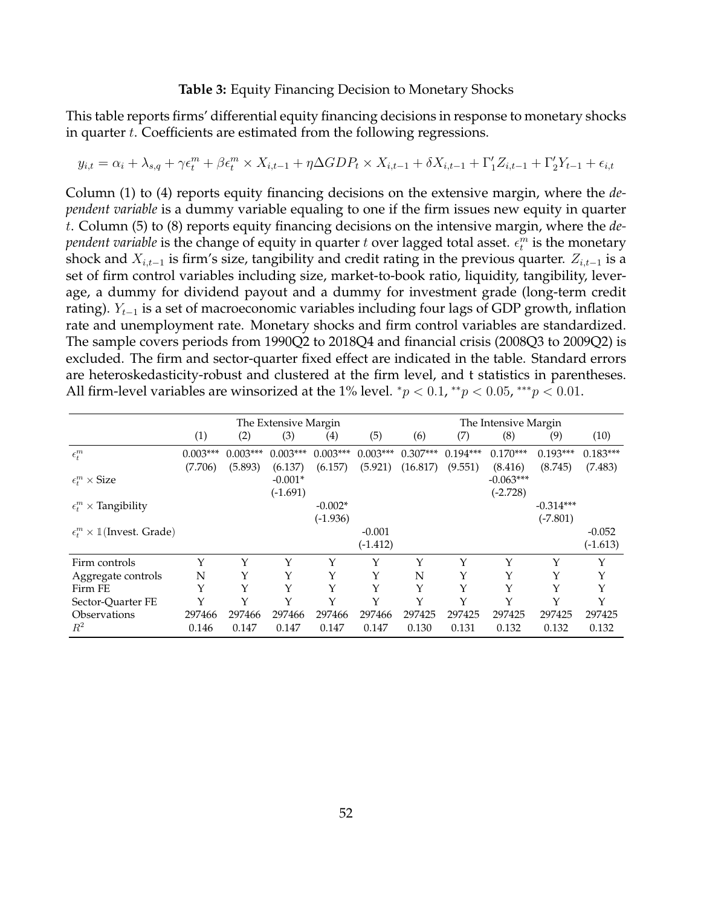#### **Table 3:** Equity Financing Decision to Monetary Shocks

This table reports firms' differential equity financing decisions in response to monetary shocks in quarter  $t$ . Coefficients are estimated from the following regressions.

$$
y_{i,t} = \alpha_i + \lambda_{s,q} + \gamma \epsilon_t^m + \beta \epsilon_t^m \times X_{i,t-1} + \eta \Delta GDP_t \times X_{i,t-1} + \delta X_{i,t-1} + \Gamma'_1 Z_{i,t-1} + \Gamma'_2 Y_{t-1} + \epsilon_{i,t}
$$

Column (1) to (4) reports equity financing decisions on the extensive margin, where the *dependent variable* is a dummy variable equaling to one if the firm issues new equity in quarter t. Column (5) to (8) reports equity financing decisions on the intensive margin, where the *dependent variable* is the change of equity in quarter  $t$  over lagged total asset.  $\epsilon_t^m$  is the monetary shock and  $X_{i,t-1}$  is firm's size, tangibility and credit rating in the previous quarter.  $Z_{i,t-1}$  is a set of firm control variables including size, market-to-book ratio, liquidity, tangibility, leverage, a dummy for dividend payout and a dummy for investment grade (long-term credit rating).  $Y_{t-1}$  is a set of macroeconomic variables including four lags of GDP growth, inflation rate and unemployment rate. Monetary shocks and firm control variables are standardized. The sample covers periods from 1990Q2 to 2018Q4 and financial crisis (2008Q3 to 2009Q2) is excluded. The firm and sector-quarter fixed effect are indicated in the table. Standard errors are heteroskedasticity-robust and clustered at the firm level, and t statistics in parentheses. All firm-level variables are winsorized at the 1% level.  ${}^*p$  < 0.1,  ${}^{**}p$  < 0.05,  ${}^{***}p$  < 0.01.

|                                                  |            |            | The Extensive Margin |            |            |            |            | The Intensive Margin |             |            |
|--------------------------------------------------|------------|------------|----------------------|------------|------------|------------|------------|----------------------|-------------|------------|
|                                                  | (1)        | (2)        | (3)                  | (4)        | (5)        | (6)        | (7)        | (8)                  | (9)         | (10)       |
| $\epsilon^m_t$                                   | $0.003***$ | $0.003***$ | $0.003***$           | $0.003***$ | $0.003***$ | $0.307***$ | $0.194***$ | $0.170***$           | $0.193***$  | $0.183***$ |
|                                                  | (7.706)    | (5.893)    | (6.137)              | (6.157)    | (5.921)    | (16.817)   | (9.551)    | (8.416)              | (8.745)     | (7.483)    |
| $\epsilon^m_t \times \text{Size}$                |            |            | $-0.001*$            |            |            |            |            | $-0.063***$          |             |            |
|                                                  |            |            | $(-1.691)$           |            |            |            |            | $(-2.728)$           |             |            |
| $\epsilon_t^m \times$ Tangibility                |            |            |                      | $-0.002*$  |            |            |            |                      | $-0.314***$ |            |
|                                                  |            |            |                      | $(-1.936)$ |            |            |            |                      | $(-7.801)$  |            |
| $\epsilon_t^m \times \mathbb{1}$ (Invest. Grade) |            |            |                      |            | $-0.001$   |            |            |                      |             | $-0.052$   |
|                                                  |            |            |                      |            | $(-1.412)$ |            |            |                      |             | $(-1.613)$ |
| Firm controls                                    | Y          | Υ          | Υ                    | Υ          | Y          | Y          | Y          | Υ                    | Y           | Υ          |
| Aggregate controls                               | N          | Y          |                      | Y          | Y          | N          |            | Y                    | Y           | Υ          |
| Firm FE                                          | Y          | Υ          |                      | Υ          |            | Y          |            | Y                    | Y           | Y          |
| Sector-Quarter FE                                | Y          | Y          | Υ                    | Y          | Y          | Y          | Y          | Y                    | Υ           | Y          |
| Observations                                     | 297466     | 297466     | 297466               | 297466     | 297466     | 297425     | 297425     | 297425               | 297425      | 297425     |
| $R^2$                                            | 0.146      | 0.147      | 0.147                | 0.147      | 0.147      | 0.130      | 0.131      | 0.132                | 0.132       | 0.132      |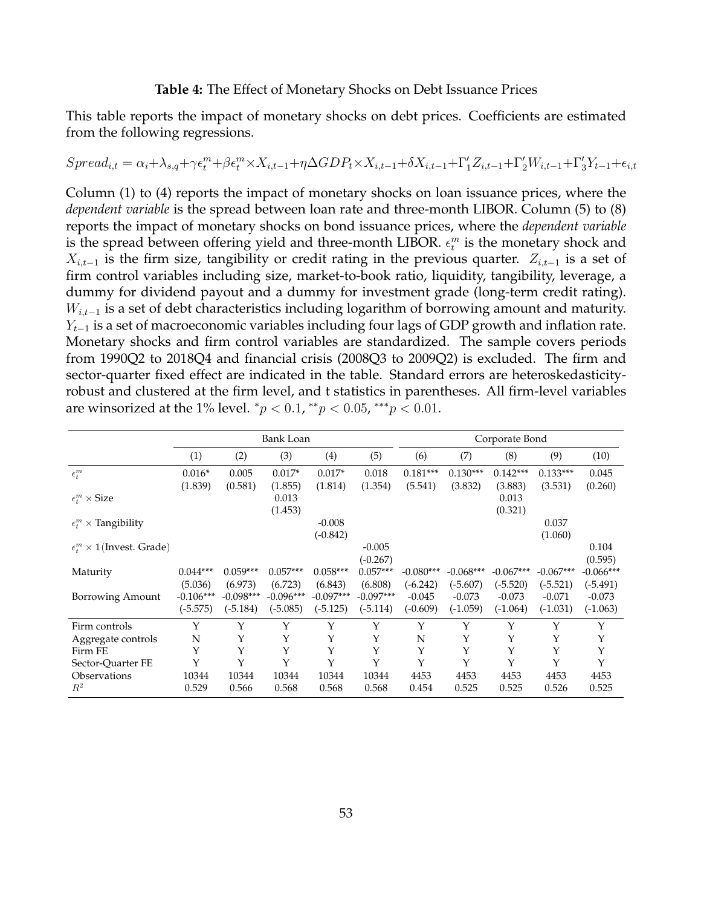#### **Table 4:** The Effect of Monetary Shocks on Debt Issuance Prices

This table reports the impact of monetary shocks on debt prices. Coefficients are estimated from the following regressions.

$$
Spread_{i,t} = \alpha_i + \lambda_{s,q} + \gamma \epsilon_t^m + \beta \epsilon_t^m \times X_{i,t-1} + \eta \Delta GDP_t \times X_{i,t-1} + \delta X_{i,t-1} + \Gamma'_1 Z_{i,t-1} + \Gamma'_2 W_{i,t-1} + \Gamma'_3 Y_{t-1} + \epsilon_{i,t-1} + \gamma \Delta GDP_t \times X_{i,t-1} + \delta Y_{t-1} + \delta Y_{t-1} + \delta Y_{t-1} + \delta Y_{t-1} + \delta Y_{t-1} + \delta Y_{t-1} + \delta Y_{t-1} + \delta Y_{t-1} + \delta Y_{t-1} + \delta Y_{t-1} + \delta Y_{t-1} + \delta Y_{t-1} + \delta Y_{t-1} + \delta Y_{t-1} + \delta Y_{t-1} + \delta Y_{t-1} + \delta Y_{t-1} + \delta Y_{t-1} + \delta Y_{t-1} + \delta Y_{t-1} + \delta Y_{t-1} + \delta Y_{t-1} + \delta Y_{t-1} + \delta Y_{t-1} + \delta Y_{t-1} + \delta Y_{t-1} + \delta Y_{t-1} + \delta Y_{t-1} + \delta Y_{t-1} + \delta Y_{t-1} + \delta Y_{t-1} + \delta Y_{t-1} + \delta Y_{t-1} + \delta Y_{t-1} + \delta Y_{t-1} + \delta Y_{t-1} + \delta Y_{t-1} + \delta Y_{t-1} + \delta Y_{t-1} + \delta Y_{t-1} + \delta Y_{t-1} + \delta Y_{t-1} + \delta Y_{t-1} + \delta Y_{t-1} + \delta Y_{t-1} + \delta Y_{t-1} + \delta Y_{t-1} + \delta Y_{t-1} + \delta Y_{t-1} + \delta Y_{t-1} + \delta Y_{t-1} + \delta Y_{t-1} + \delta Y_{t-1} + \delta Y_{t-1} + \delta Y_{t-1} + \delta Y_{t-1} + \delta Y_{t-1} + \delta Y_{t-1} + \delta Y_{t-1} + \delta Y_{t-1} + \delta Y_{t-1} + \delta Y_{t-1} + \delta Y_{t-1} + \delta Y_{t-1} + \delta Y_{t-1} + \delta Y_{t-1} + \delta Y_{t-1} + \delta Y_{t-1} + \delta Y_{t-1} + \delta Y_{t-1} +
$$

Column (1) to (4) reports the impact of monetary shocks on loan issuance prices, where the *dependent variable* is the spread between loan rate and three-month LIBOR. Column (5) to (8) reports the impact of monetary shocks on bond issuance prices, where the *dependent variable* is the spread between offering yield and three-month LIBOR.  $\epsilon_t^m$  is the monetary shock and  $X_{i,t-1}$  is the firm size, tangibility or credit rating in the previous quarter.  $Z_{i,t-1}$  is a set of firm control variables including size, market-to-book ratio, liquidity, tangibility, leverage, a dummy for dividend payout and a dummy for investment grade (long-term credit rating).  $W_{i,t-1}$  is a set of debt characteristics including logarithm of borrowing amount and maturity.  $Y_{t-1}$  is a set of macroeconomic variables including four lags of GDP growth and inflation rate. Monetary shocks and firm control variables are standardized. The sample covers periods from 1990Q2 to 2018Q4 and financial crisis (2008Q3 to 2009Q2) is excluded. The firm and sector-quarter fixed effect are indicated in the table. Standard errors are heteroskedasticityrobust and clustered at the firm level, and t statistics in parentheses. All firm-level variables are winsorized at the 1% level.  ${}^*p$  < 0.1,  ${}^{**}p$  < 0.05,  ${}^{***}p$  < 0.01.

|                                                  |             |             | Bank Loan   |             |             | Corporate Bond |             |             |             |             |
|--------------------------------------------------|-------------|-------------|-------------|-------------|-------------|----------------|-------------|-------------|-------------|-------------|
|                                                  | (1)         | (2)         | (3)         | (4)         | (5)         | (6)            | (7)         | (8)         | (9)         | (10)        |
| $\epsilon_t^m$                                   | $0.016*$    | 0.005       | $0.017*$    | $0.017*$    | 0.018       | $0.181***$     | $0.130***$  | $0.142***$  | $0.133***$  | 0.045       |
|                                                  | (1.839)     | (0.581)     | (1.855)     | (1.814)     | (1.354)     | (5.541)        | (3.832)     | (3.883)     | (3.531)     | (0.260)     |
| $\epsilon^m_t \times \text{Size}$                |             |             | 0.013       |             |             |                |             | 0.013       |             |             |
|                                                  |             |             | (1.453)     |             |             |                |             | (0.321)     |             |             |
| $\epsilon_t^m \times$ Tangibility                |             |             |             | $-0.008$    |             |                |             |             | 0.037       |             |
|                                                  |             |             |             | $(-0.842)$  |             |                |             |             | (1.060)     |             |
| $\epsilon_t^m \times \mathbb{1}$ (Invest. Grade) |             |             |             |             | $-0.005$    |                |             |             |             | 0.104       |
|                                                  |             |             |             |             | $(-0.267)$  |                |             |             |             | (0.595)     |
| Maturity                                         | $0.044***$  | $0.059***$  | $0.057***$  | $0.058***$  | $0.057***$  | $-0.080***$    | $-0.068***$ | $-0.067***$ | $-0.067***$ | $-0.066***$ |
|                                                  | (5.036)     | (6.973)     | (6.723)     | (6.843)     | (6.808)     | $(-6.242)$     | $(-5.607)$  | $(-5.520)$  | $(-5.521)$  | $(-5.491)$  |
| Borrowing Amount                                 | $-0.106***$ | $-0.098***$ | $-0.096***$ | $-0.097***$ | $-0.097***$ | $-0.045$       | $-0.073$    | $-0.073$    | $-0.071$    | $-0.073$    |
|                                                  | $(-5.575)$  | $(-5.184)$  | $(-5.085)$  | $(-5.125)$  | $(-5.114)$  | $(-0.609)$     | $(-1.059)$  | $(-1.064)$  | $(-1.031)$  | $(-1.063)$  |
| Firm controls                                    | Y           | Υ           | Υ           | Υ           | Y           | Y              | Y           | Y           | Y           | Υ           |
| Aggregate controls                               | N           | Υ           | Υ           | Υ           | Υ           | N              | Y           | Υ           | Υ           | Υ           |
| Firm FE                                          | Υ           | Υ           | Υ           | Υ           | Υ           | Υ              | Y           | Υ           | Υ           | Υ           |
| Sector-Quarter FE                                | Υ           | Υ           | Y           | Y           | Υ           | Y              | Y           | Y           | Y           | $\mathbf Y$ |
| Observations                                     | 10344       | 10344       | 10344       | 10344       | 10344       | 4453           | 4453        | 4453        | 4453        | 4453        |
| $R^2$                                            | 0.529       | 0.566       | 0.568       | 0.568       | 0.568       | 0.454          | 0.525       | 0.525       | 0.526       | 0.525       |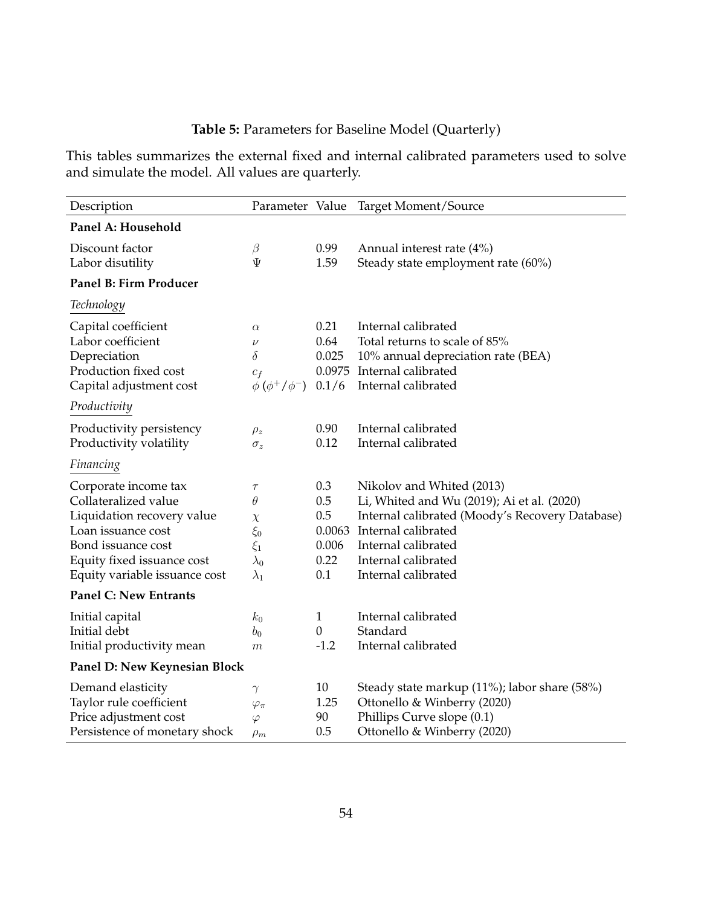# **Table 5:** Parameters for Baseline Model (Quarterly)

This tables summarizes the external fixed and internal calibrated parameters used to solve and simulate the model. All values are quarterly.

| Description                   | Parameter Value            |          | Target Moment/Source                            |
|-------------------------------|----------------------------|----------|-------------------------------------------------|
| Panel A: Household            |                            |          |                                                 |
| Discount factor               | $\beta$                    | 0.99     | Annual interest rate $(4\%)$                    |
| Labor disutility              | Ψ                          | 1.59     | Steady state employment rate (60%)              |
| <b>Panel B: Firm Producer</b> |                            |          |                                                 |
| Technology                    |                            |          |                                                 |
| Capital coefficient           | $\alpha$                   | 0.21     | Internal calibrated                             |
| Labor coefficient             | $\nu$                      | 0.64     | Total returns to scale of 85%                   |
| Depreciation                  | $\delta$                   | 0.025    | 10% annual depreciation rate (BEA)              |
| Production fixed cost         | $c_f$                      | 0.0975   | Internal calibrated                             |
| Capital adjustment cost       | $\phi$ ( $\phi^+/\phi^-$ ) | 0.1/6    | Internal calibrated                             |
| Productivity                  |                            |          |                                                 |
| Productivity persistency      | $\rho_z$                   | 0.90     | Internal calibrated                             |
| Productivity volatility       | $\sigma_z$                 | 0.12     | Internal calibrated                             |
| Financing                     |                            |          |                                                 |
| Corporate income tax          | $\tau$                     | 0.3      | Nikolov and Whited (2013)                       |
| Collateralized value          | $\theta$                   | 0.5      | Li, Whited and Wu (2019); Ai et al. (2020)      |
| Liquidation recovery value    | $\chi$                     | 0.5      | Internal calibrated (Moody's Recovery Database) |
| Loan issuance cost            | $\xi_0$                    | 0.0063   | Internal calibrated                             |
| Bond issuance cost            | $\xi_1$                    | 0.006    | Internal calibrated                             |
| Equity fixed issuance cost    | $\lambda_0$                | 0.22     | Internal calibrated                             |
| Equity variable issuance cost | $\lambda_1$                | 0.1      | Internal calibrated                             |
| <b>Panel C: New Entrants</b>  |                            |          |                                                 |
| Initial capital               | $k_0$                      | 1        | Internal calibrated                             |
| Initial debt                  | $b_0$                      | $\theta$ | Standard                                        |
| Initial productivity mean     | $\boldsymbol{m}$           | $-1.2$   | Internal calibrated                             |
| Panel D: New Keynesian Block  |                            |          |                                                 |
| Demand elasticity             | $\gamma$                   | 10       | Steady state markup (11%); labor share (58%)    |
| Taylor rule coefficient       | $\varphi_{\pi}$            | 1.25     | Ottonello & Winberry (2020)                     |
| Price adjustment cost         | $\varphi$                  | 90       | Phillips Curve slope (0.1)                      |
| Persistence of monetary shock | $\rho_m$                   | 0.5      | Ottonello & Winberry (2020)                     |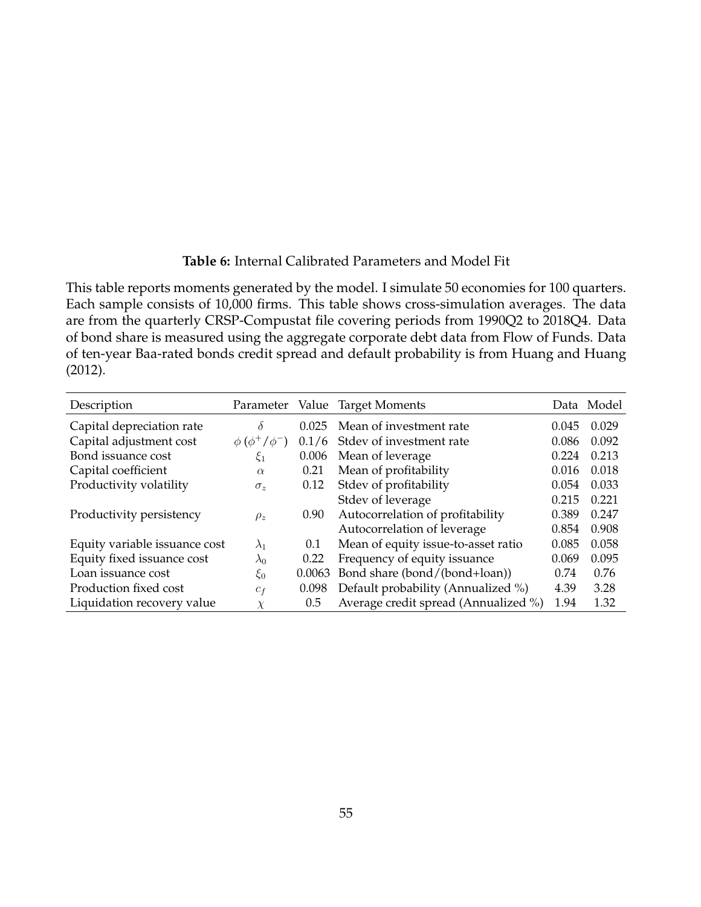## **Table 6:** Internal Calibrated Parameters and Model Fit

This table reports moments generated by the model. I simulate 50 economies for 100 quarters. Each sample consists of 10,000 firms. This table shows cross-simulation averages. The data are from the quarterly CRSP-Compustat file covering periods from 1990Q2 to 2018Q4. Data of bond share is measured using the aggregate corporate debt data from Flow of Funds. Data of ten-year Baa-rated bonds credit spread and default probability is from Huang and Huang (2012).

| Description                   |                          |               | Parameter Value Target Moments       |       | Data Model |
|-------------------------------|--------------------------|---------------|--------------------------------------|-------|------------|
| Capital depreciation rate     | $\delta$                 | 0.025         | Mean of investment rate              | 0.045 | 0.029      |
| Capital adjustment cost       | $\phi (\phi^+ / \phi^-)$ |               | 0.1/6 Stdev of investment rate       | 0.086 | 0.092      |
| Bond issuance cost            | $\xi_1$                  | 0.006         | Mean of leverage                     | 0.224 | 0.213      |
| Capital coefficient           | $\alpha$                 | 0.21          | Mean of profitability                | 0.016 | 0.018      |
| Productivity volatility       | $\sigma_z$               | 0.12          | Stdev of profitability               | 0.054 | 0.033      |
|                               |                          |               | Stdev of leverage                    | 0.215 | 0.221      |
| Productivity persistency      | $\rho_z$                 | 0.90          | Autocorrelation of profitability     | 0.389 | 0.247      |
|                               |                          |               | Autocorrelation of leverage          | 0.854 | 0.908      |
| Equity variable issuance cost | $\lambda_1$              | 0.1           | Mean of equity issue-to-asset ratio  | 0.085 | 0.058      |
| Equity fixed issuance cost    | $\lambda_0$              | 0.22          | Frequency of equity issuance         | 0.069 | 0.095      |
| Loan issuance cost            | $\xi_0$                  | 0.0063        | Bond share (bond/(bond+loan))        | 0.74  | 0.76       |
| Production fixed cost         | $c_f$                    | 0.098         | Default probability (Annualized %)   | 4.39  | 3.28       |
| Liquidation recovery value    | $\chi$                   | $0.5^{\circ}$ | Average credit spread (Annualized %) | 1.94  | 1.32       |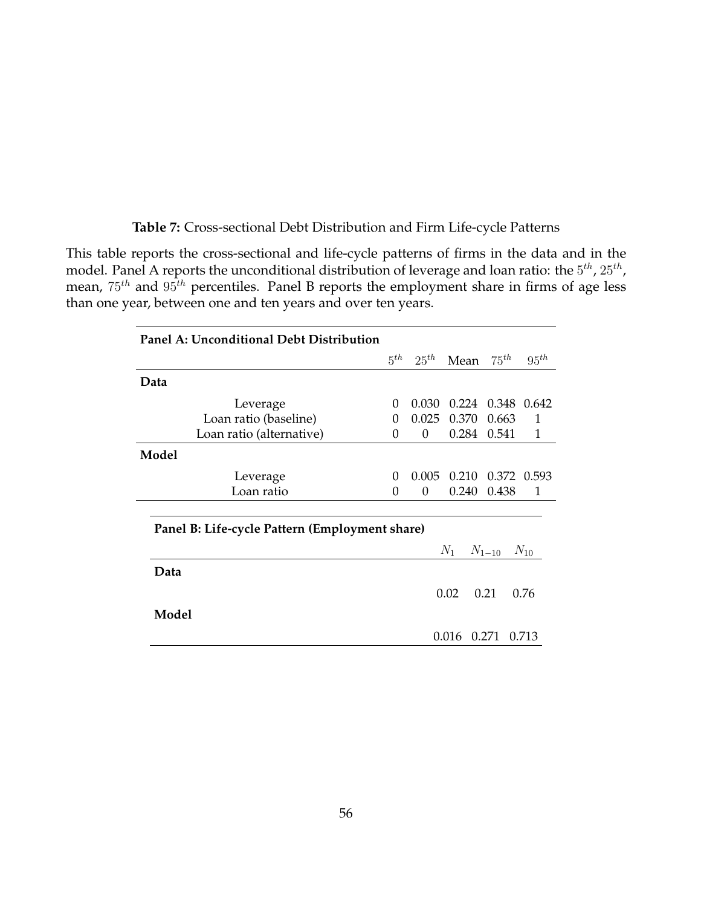**Table 7:** Cross-sectional Debt Distribution and Firm Life-cycle Patterns

This table reports the cross-sectional and life-cycle patterns of firms in the data and in the model. Panel A reports the unconditional distribution of leverage and loan ratio: the  $5^{th}$ ,  $25^{th}$ , mean,  $75^{th}$  and  $95^{th}$  percentiles. Panel B reports the employment share in firms of age less than one year, between one and ten years and over ten years.

|          |          |                                                                     | $75^{th}$                       | $95^{th}$                                                                      |
|----------|----------|---------------------------------------------------------------------|---------------------------------|--------------------------------------------------------------------------------|
|          |          |                                                                     |                                 |                                                                                |
| $\Omega$ | 0.030    |                                                                     |                                 |                                                                                |
| $\Omega$ |          | 0.370                                                               | 0.663                           | 1                                                                              |
| 0        | 0        | 0.284                                                               | 0.541                           | 1                                                                              |
|          |          |                                                                     |                                 |                                                                                |
| 0        |          | 0.210                                                               |                                 |                                                                                |
| 0        | $\Omega$ | 0.240                                                               | 0.438                           | 1                                                                              |
|          |          |                                                                     |                                 | $N_{10}$                                                                       |
|          |          |                                                                     |                                 |                                                                                |
|          |          |                                                                     |                                 | 0.76                                                                           |
|          |          |                                                                     |                                 |                                                                                |
|          |          |                                                                     |                                 | 0.713                                                                          |
|          |          | $5^{th}$<br>0.025<br>Panel B: Life-cycle Pattern (Employment share) | 0.005<br>$N_1$<br>0.02<br>0.016 | $25th$ Mean<br>0.224 0.348 0.642<br>0.372 0.593<br>$N_{1-10}$<br>0.21<br>0.271 |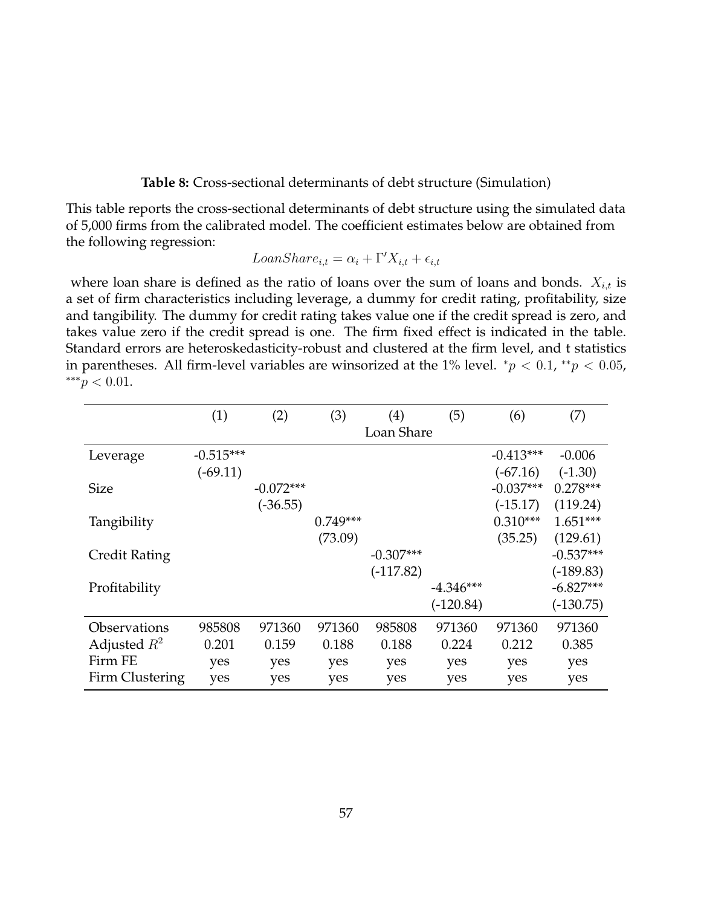#### **Table 8:** Cross-sectional determinants of debt structure (Simulation)

This table reports the cross-sectional determinants of debt structure using the simulated data of 5,000 firms from the calibrated model. The coefficient estimates below are obtained from the following regression:

$$
LoanShare_{i,t} = \alpha_i + \Gamma'X_{i,t} + \epsilon_{i,t}
$$

where loan share is defined as the ratio of loans over the sum of loans and bonds.  $X_{i,t}$  is a set of firm characteristics including leverage, a dummy for credit rating, profitability, size and tangibility. The dummy for credit rating takes value one if the credit spread is zero, and takes value zero if the credit spread is one. The firm fixed effect is indicated in the table. Standard errors are heteroskedasticity-robust and clustered at the firm level, and t statistics in parentheses. All firm-level variables are winsorized at the 1% level.  $^{*}p < 0.1, ^{**}p < 0.05$ , ∗∗∗p < 0.01.

|                      | (1)         | (2)         | (3)        | $\left( 4\right)$ | (5)         | (6)         | (7)         |
|----------------------|-------------|-------------|------------|-------------------|-------------|-------------|-------------|
|                      |             |             |            | Loan Share        |             |             |             |
| Leverage             | $-0.515***$ |             |            |                   |             | $-0.413***$ | $-0.006$    |
|                      | $(-69.11)$  |             |            |                   |             | $(-67.16)$  | $(-1.30)$   |
| <b>Size</b>          |             | $-0.072***$ |            |                   |             | $-0.037***$ | $0.278***$  |
|                      |             | $(-36.55)$  |            |                   |             | $(-15.17)$  | (119.24)    |
| Tangibility          |             |             | $0.749***$ |                   |             | $0.310***$  | $1.651***$  |
|                      |             |             | (73.09)    |                   |             | (35.25)     | (129.61)    |
| <b>Credit Rating</b> |             |             |            | $-0.307***$       |             |             | $-0.537***$ |
|                      |             |             |            | $(-117.82)$       |             |             | $(-189.83)$ |
| Profitability        |             |             |            |                   | $-4.346***$ |             | $-6.827***$ |
|                      |             |             |            |                   | $(-120.84)$ |             | $(-130.75)$ |
| Observations         | 985808      | 971360      | 971360     | 985808            | 971360      | 971360      | 971360      |
| Adjusted $R^2$       | 0.201       | 0.159       | 0.188      | 0.188             | 0.224       | 0.212       | 0.385       |
| Firm FE              | yes         | yes         | yes        | yes               | yes         | yes         | yes         |
| Firm Clustering      | yes         | yes         | yes        | yes               | yes         | yes         | yes         |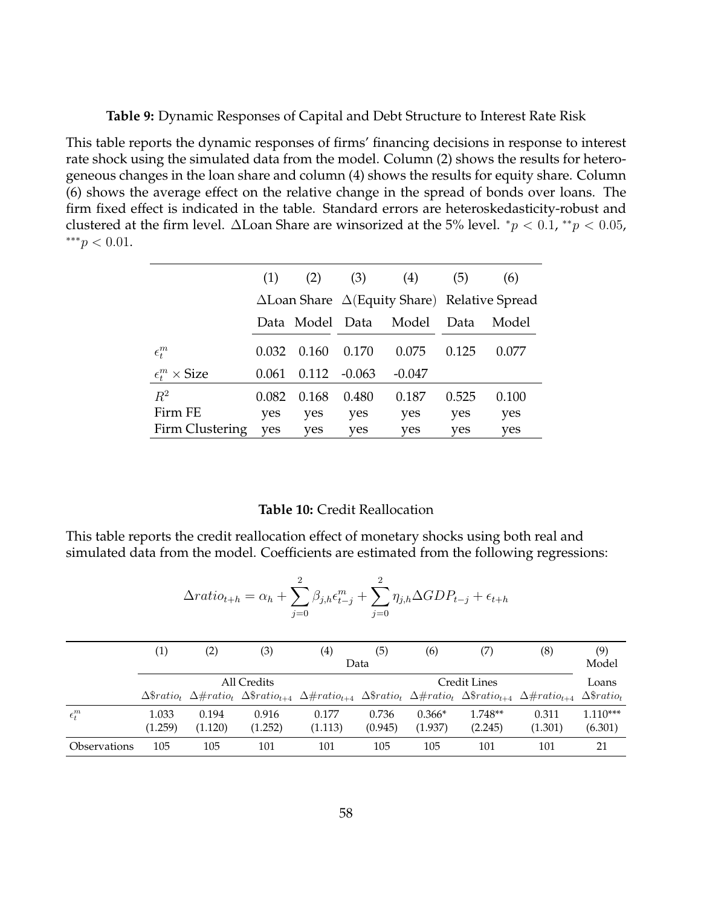**Table 9:** Dynamic Responses of Capital and Debt Structure to Interest Rate Risk

This table reports the dynamic responses of firms' financing decisions in response to interest rate shock using the simulated data from the model. Column (2) shows the results for heterogeneous changes in the loan share and column (4) shows the results for equity share. Column (6) shows the average effect on the relative change in the spread of bonds over loans. The firm fixed effect is indicated in the table. Standard errors are heteroskedasticity-robust and clustered at the firm level.  $\Delta$ Loan Share are winsorized at the 5% level.  $^*p < 0.1, ^{**}p < 0.05$ , ∗∗∗p < 0.01.

|                                   | (1)   | (2)             | (3)                                                         | (4)      | (5)   | (6)   |  |
|-----------------------------------|-------|-----------------|-------------------------------------------------------------|----------|-------|-------|--|
|                                   |       |                 | $\Delta$ Loan Share $\Delta$ (Equity Share) Relative Spread |          |       |       |  |
|                                   |       | Data Model Data |                                                             | Model    | Data  | Model |  |
| $\epsilon_t^m$                    | 0.032 | 0.160           | 0.170                                                       | 0.075    | 0.125 | 0.077 |  |
| $\epsilon_t^m \times \text{Size}$ | 0.061 | 0.112           | $-0.063$                                                    | $-0.047$ |       |       |  |
| $R^2$                             | 0.082 | 0.168           | 0.480                                                       | 0.187    | 0.525 | 0.100 |  |
| Firm FE                           | yes   | yes             | yes                                                         | yes      | yes   | yes   |  |
| Firm Clustering                   | yes   | yes             | yes                                                         | yes      | yes   | yes   |  |

#### **Table 10:** Credit Reallocation

This table reports the credit reallocation effect of monetary shocks using both real and simulated data from the model. Coefficients are estimated from the following regressions:

$$
\Delta ratio_{t+h} = \alpha_h + \sum_{j=0}^{2} \beta_{j,h} \epsilon_{t-j}^m + \sum_{j=0}^{2} \eta_{j,h} \Delta GDP_{t-j} + \epsilon_{t+h}
$$

|                     | (1)     | $\left( 2\right)$                                                                                                                                                                                                                                                                              | (3)     | $\left( 4\right)$ | (5)     | (6)      | (7)     | (8)     | (9)                                      |
|---------------------|---------|------------------------------------------------------------------------------------------------------------------------------------------------------------------------------------------------------------------------------------------------------------------------------------------------|---------|-------------------|---------|----------|---------|---------|------------------------------------------|
|                     |         |                                                                                                                                                                                                                                                                                                |         |                   | Data    |          |         |         | Model                                    |
|                     |         | All Credits<br>Credit Lines<br>$\Delta$ <i>sratio<sub>t</sub></i> $\Delta$ <i>#ratio<sub>t</sub></i> $\Delta$ <i>\$ratio<sub>t+4</sub></i> $\Delta$ <i>#ratio<sub>t+4</sub></i> $\Delta$ <i>#ratio<sub>t+4</sub></i> $\Delta$ <i>#ratio<sub>t+4</sub></i> $\Delta$ <i>#ratio<sub>t+4</sub></i> |         |                   |         |          |         |         |                                          |
|                     |         |                                                                                                                                                                                                                                                                                                |         |                   |         |          |         |         | $\Delta$ <sup>s</sup> ratio <sub>t</sub> |
| $\epsilon_t^m$      | 1.033   | 0.194                                                                                                                                                                                                                                                                                          | 0.916   | 0.177             | 0.736   | $0.366*$ | 1.748** | 0.311   | $1.110***$                               |
|                     | (1.259) | (1.120)                                                                                                                                                                                                                                                                                        | (1.252) | (1.113)           | (0.945) | (1.937)  | (2.245) | (1.301) | (6.301)                                  |
| <b>Observations</b> | 105     | 105                                                                                                                                                                                                                                                                                            | 101     | 101               | 105     | 105      | 101     | 101     | 21                                       |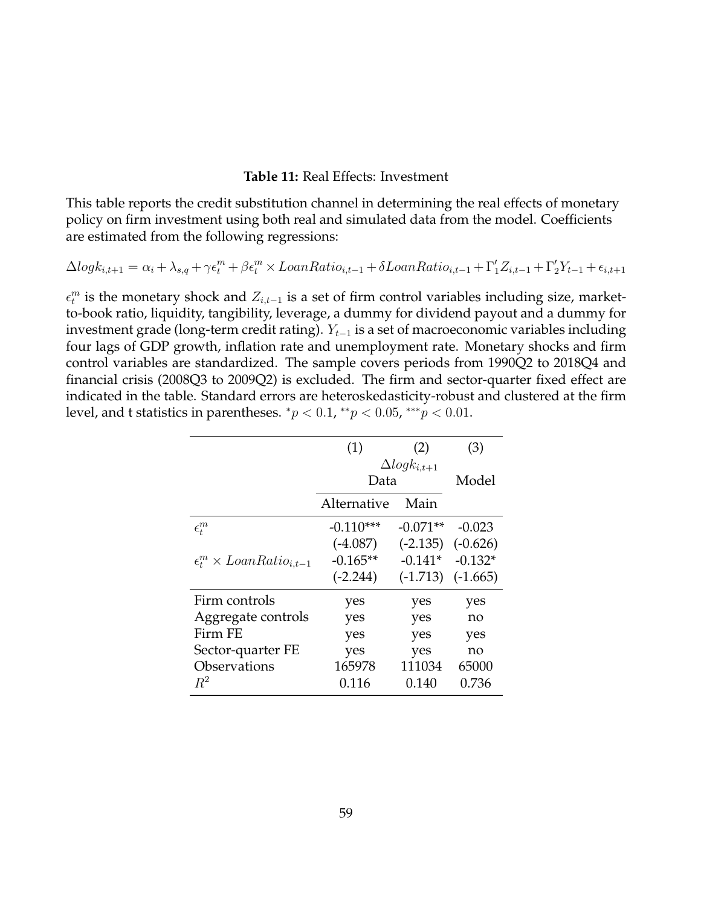## **Table 11:** Real Effects: Investment

This table reports the credit substitution channel in determining the real effects of monetary policy on firm investment using both real and simulated data from the model. Coefficients are estimated from the following regressions:

$$
\Delta log k_{i,t+1} = \alpha_i + \lambda_{s,q} + \gamma \epsilon_t^m + \beta \epsilon_t^m \times LoanRatio_{i,t-1} + \delta LoanRatio_{i,t-1} + \Gamma'_1 Z_{i,t-1} + \Gamma'_2 Y_{t-1} + \epsilon_{i,t+1}
$$

 $\epsilon_t^m$  is the monetary shock and  $Z_{i,t-1}$  is a set of firm control variables including size, marketto-book ratio, liquidity, tangibility, leverage, a dummy for dividend payout and a dummy for investment grade (long-term credit rating).  $Y_{t-1}$  is a set of macroeconomic variables including four lags of GDP growth, inflation rate and unemployment rate. Monetary shocks and firm control variables are standardized. The sample covers periods from 1990Q2 to 2018Q4 and financial crisis (2008Q3 to 2009Q2) is excluded. The firm and sector-quarter fixed effect are indicated in the table. Standard errors are heteroskedasticity-robust and clustered at the firm level, and t statistics in parentheses.  $^*p < 0.1$ ,  $^{**}p < 0.05$ ,  $^{***}p < 0.01$ .

|                                             | (1)         | (2)                    | (3)        |
|---------------------------------------------|-------------|------------------------|------------|
|                                             | Data        | $\Delta log k_{i,t+1}$ | Model      |
|                                             | Alternative | Main                   |            |
| $\epsilon_t^m$                              | $-0.110***$ | $-0.071**$             | $-0.023$   |
|                                             | $(-4.087)$  | $(-2.135)$             | $(-0.626)$ |
| $\epsilon_t^m \times L$ oan $Ratio_{i,t-1}$ | $-0.165**$  | $-0.141*$              | $-0.132*$  |
|                                             | $(-2.244)$  | $(-1.713)$             | $(-1.665)$ |
| Firm controls                               | yes         | yes                    | yes        |
| Aggregate controls                          | yes         | yes                    | no         |
| Firm FE                                     | yes         | yes                    | yes        |
| Sector-quarter FE                           | yes         | yes                    | no         |
| Observations                                | 165978      | 111034                 | 65000      |
| $R^2$                                       | 0.116       | 0.140                  | 0.736      |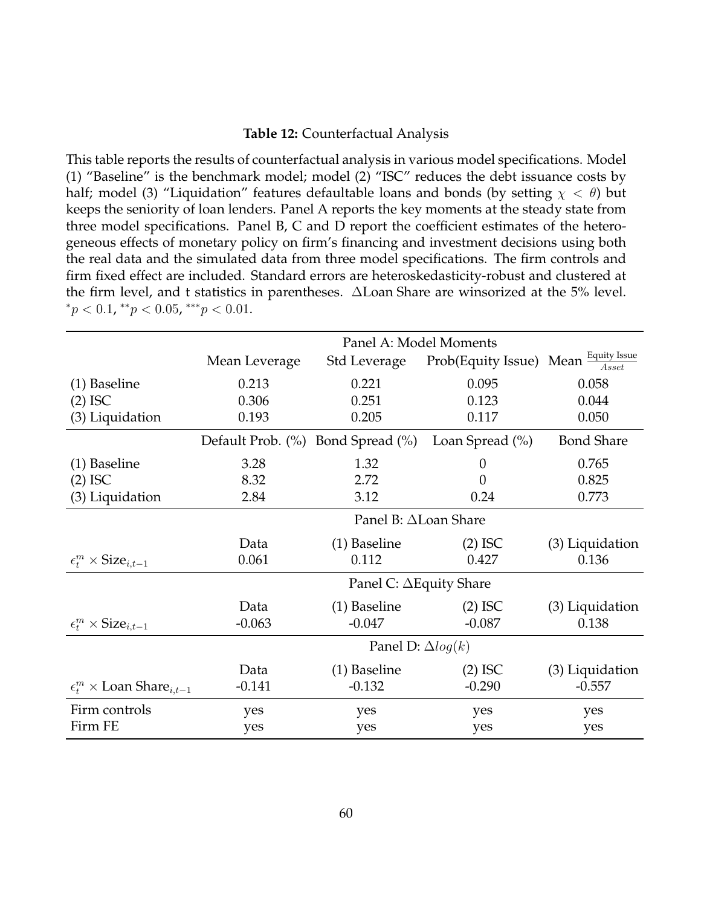#### **Table 12:** Counterfactual Analysis

This table reports the results of counterfactual analysis in various model specifications. Model (1) "Baseline" is the benchmark model; model (2) "ISC" reduces the debt issuance costs by half; model (3) "Liquidation" features defaultable loans and bonds (by setting  $\chi < \theta$ ) but keeps the seniority of loan lenders. Panel A reports the key moments at the steady state from three model specifications. Panel B, C and D report the coefficient estimates of the heterogeneous effects of monetary policy on firm's financing and investment decisions using both the real data and the simulated data from three model specifications. The firm controls and firm fixed effect are included. Standard errors are heteroskedasticity-robust and clustered at the firm level, and t statistics in parentheses. ∆Loan Share are winsorized at the 5% level.  ${}^*p < 0.1, {}^{**}p < 0.05, {}^{***}p < 0.01.$ 

|                                                   |               | Panel A: Model Moments         |                                                                     |                   |
|---------------------------------------------------|---------------|--------------------------------|---------------------------------------------------------------------|-------------------|
|                                                   | Mean Leverage | Std Leverage                   | Prob(Equity Issue) Mean $\frac{Equity\text{ Issue}}{A \text{sset}}$ |                   |
| (1) Baseline                                      | 0.213         | 0.221                          | 0.095                                                               | 0.058             |
| $(2)$ ISC                                         | 0.306         | 0.251                          | 0.123                                                               | 0.044             |
| (3) Liquidation                                   | 0.193         | 0.205                          | 0.117                                                               | 0.050             |
|                                                   |               |                                | Default Prob. (%) Bond Spread (%) Loan Spread (%)                   | <b>Bond Share</b> |
| (1) Baseline                                      | 3.28          | 1.32                           | $\theta$                                                            | 0.765             |
| $(2)$ ISC                                         | 8.32          | 2.72                           | 0                                                                   | 0.825             |
| (3) Liquidation                                   | 2.84          | 3.12                           | 0.24                                                                | 0.773             |
|                                                   |               | Panel B: ∆Loan Share           |                                                                     |                   |
|                                                   | Data          | (1) Baseline                   | $(2)$ ISC                                                           | (3) Liquidation   |
| $\epsilon_t^m \times \text{Size}_{i,t-1}$         | 0.061         | 0.112                          | 0.427                                                               | 0.136             |
|                                                   |               | Panel C: $\Delta$ Equity Share |                                                                     |                   |
|                                                   | Data          | (1) Baseline                   | $(2)$ ISC                                                           | (3) Liquidation   |
| $\epsilon_t^m \times \text{Size}_{i,t-1}$         | $-0.063$      | $-0.047$                       | $-0.087$                                                            | 0.138             |
|                                                   |               | Panel D: $\Delta log(k)$       |                                                                     |                   |
|                                                   | Data          | (1) Baseline                   | $(2)$ ISC                                                           | (3) Liquidation   |
| $\epsilon_t^m \times$ Loan Share <sub>i.t-1</sub> | $-0.141$      | $-0.132$                       | $-0.290$                                                            | $-0.557$          |
| Firm controls                                     | yes           | yes                            | yes                                                                 | yes               |
| Firm FE                                           | yes           | yes                            | yes                                                                 | yes               |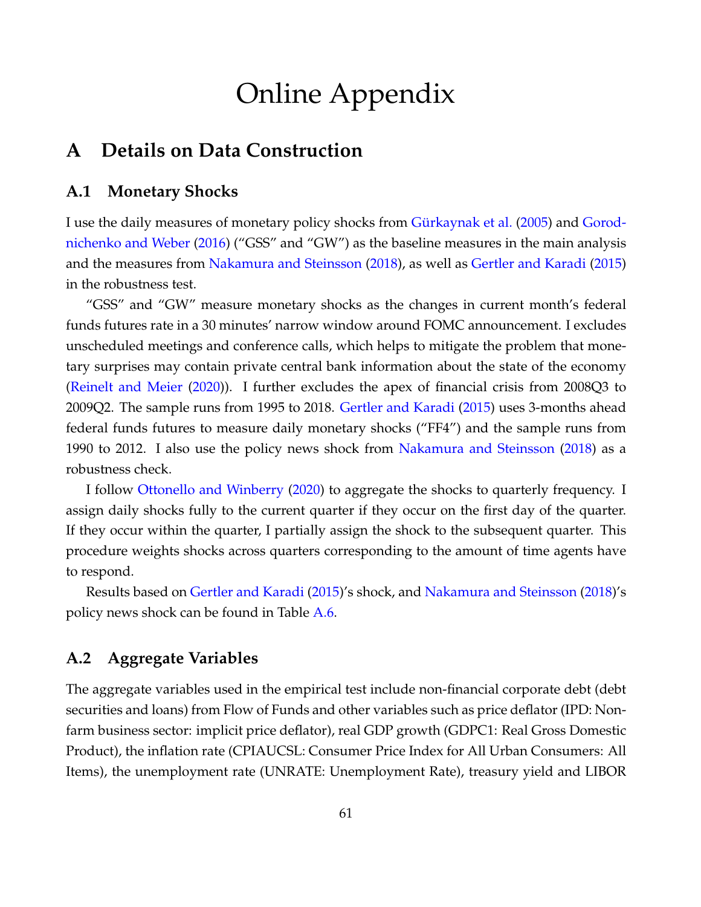# Online Appendix

# **A Details on Data Construction**

# **A.1 Monetary Shocks**

I use the daily measures of monetary policy shocks from Gürkaynak et al. [\(2005\)](#page-38-0) and [Gorod](#page-38-1)[nichenko and Weber](#page-38-1) [\(2016\)](#page-38-1) ("GSS" and "GW") as the baseline measures in the main analysis and the measures from [Nakamura and Steinsson](#page-40-0) [\(2018\)](#page-40-0), as well as [Gertler and Karadi](#page-38-2) [\(2015\)](#page-38-2) in the robustness test.

"GSS" and "GW" measure monetary shocks as the changes in current month's federal funds futures rate in a 30 minutes' narrow window around FOMC announcement. I excludes unscheduled meetings and conference calls, which helps to mitigate the problem that monetary surprises may contain private central bank information about the state of the economy [\(Reinelt and Meier](#page-41-0) [\(2020\)](#page-41-0)). I further excludes the apex of financial crisis from 2008Q3 to 2009Q2. The sample runs from 1995 to 2018. [Gertler and Karadi](#page-38-2) [\(2015\)](#page-38-2) uses 3-months ahead federal funds futures to measure daily monetary shocks ("FF4") and the sample runs from 1990 to 2012. I also use the policy news shock from [Nakamura and Steinsson](#page-40-0) [\(2018\)](#page-40-0) as a robustness check.

I follow [Ottonello and Winberry](#page-40-1) [\(2020\)](#page-40-1) to aggregate the shocks to quarterly frequency. I assign daily shocks fully to the current quarter if they occur on the first day of the quarter. If they occur within the quarter, I partially assign the shock to the subsequent quarter. This procedure weights shocks across quarters corresponding to the amount of time agents have to respond.

Results based on [Gertler and Karadi](#page-38-2) [\(2015\)](#page-38-2)'s shock, and [Nakamura and Steinsson](#page-40-0) [\(2018\)](#page-40-0)'s policy news shock can be found in Table [A.6.](#page-84-0)

# **A.2 Aggregate Variables**

The aggregate variables used in the empirical test include non-financial corporate debt (debt securities and loans) from Flow of Funds and other variables such as price deflator (IPD: Nonfarm business sector: implicit price deflator), real GDP growth (GDPC1: Real Gross Domestic Product), the inflation rate (CPIAUCSL: Consumer Price Index for All Urban Consumers: All Items), the unemployment rate (UNRATE: Unemployment Rate), treasury yield and LIBOR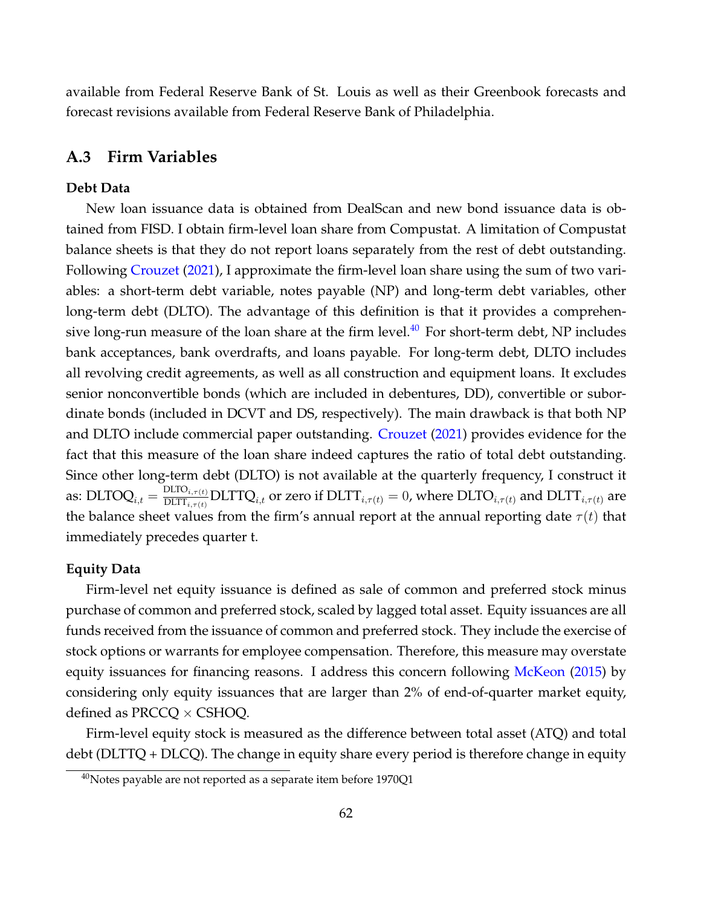available from Federal Reserve Bank of St. Louis as well as their Greenbook forecasts and forecast revisions available from Federal Reserve Bank of Philadelphia.

# **A.3 Firm Variables**

#### **Debt Data**

New loan issuance data is obtained from DealScan and new bond issuance data is obtained from FISD. I obtain firm-level loan share from Compustat. A limitation of Compustat balance sheets is that they do not report loans separately from the rest of debt outstanding. Following [Crouzet](#page-37-0) [\(2021\)](#page-37-0), I approximate the firm-level loan share using the sum of two variables: a short-term debt variable, notes payable (NP) and long-term debt variables, other long-term debt (DLTO). The advantage of this definition is that it provides a comprehen-sive long-run measure of the loan share at the firm level.<sup>[40](#page-62-0)</sup> For short-term debt, NP includes bank acceptances, bank overdrafts, and loans payable. For long-term debt, DLTO includes all revolving credit agreements, as well as all construction and equipment loans. It excludes senior nonconvertible bonds (which are included in debentures, DD), convertible or subordinate bonds (included in DCVT and DS, respectively). The main drawback is that both NP and DLTO include commercial paper outstanding. [Crouzet](#page-37-0) [\(2021\)](#page-37-0) provides evidence for the fact that this measure of the loan share indeed captures the ratio of total debt outstanding. Since other long-term debt (DLTO) is not available at the quarterly frequency, I construct it as:  $\text{DLTOQ}_{i,t} = \frac{\text{DLTO}_{i,\tau(t)}}{\text{DLTT}_{i,\tau(t)}}$  $\frac{\text{DLIO}_{i,\tau(t)}}{\text{DLIT}_{i,\tau(t)}}\text{DLTTQ}_{i,t}$  or zero if  $\text{DLTT}_{i,\tau(t)} = 0$ , where  $\text{DLTO}_{i,\tau(t)}$  and  $\text{DLTT}_{i,\tau(t)}$  are the balance sheet values from the firm's annual report at the annual reporting date  $\tau(t)$  that immediately precedes quarter t.

#### **Equity Data**

Firm-level net equity issuance is defined as sale of common and preferred stock minus purchase of common and preferred stock, scaled by lagged total asset. Equity issuances are all funds received from the issuance of common and preferred stock. They include the exercise of stock options or warrants for employee compensation. Therefore, this measure may overstate equity issuances for financing reasons. I address this concern following [McKeon](#page-40-2) [\(2015\)](#page-40-2) by considering only equity issuances that are larger than 2% of end-of-quarter market equity, defined as PRCCQ  $\times$  CSHOQ.

Firm-level equity stock is measured as the difference between total asset (ATQ) and total debt (DLTTQ + DLCQ). The change in equity share every period is therefore change in equity

<span id="page-62-0"></span> $40$ Notes payable are not reported as a separate item before 1970Q1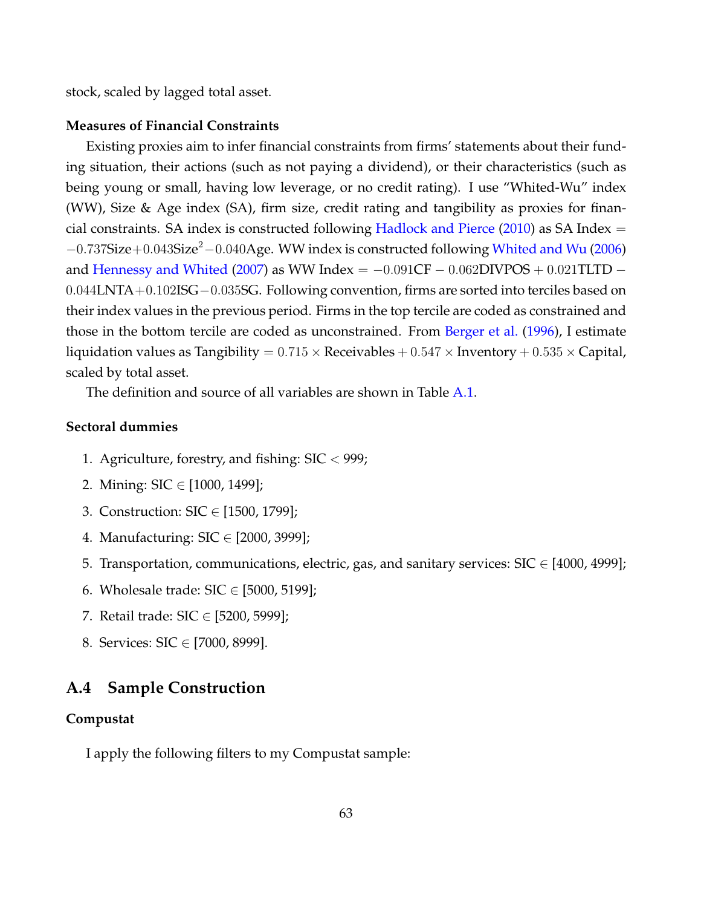stock, scaled by lagged total asset.

#### **Measures of Financial Constraints**

Existing proxies aim to infer financial constraints from firms' statements about their funding situation, their actions (such as not paying a dividend), or their characteristics (such as being young or small, having low leverage, or no credit rating). I use "Whited-Wu" index (WW), Size & Age index (SA), firm size, credit rating and tangibility as proxies for finan-cial constraints. SA index is constructed following [Hadlock and Pierce](#page-39-0)  $(2010)$  as SA Index =  $-0.737\mathrm{Size}+0.043\mathrm{Size}^2-0.040\mathrm{Age}$ . WW index is constructed following [Whited and Wu](#page-41-1) [\(2006\)](#page-41-1) and [Hennessy and Whited](#page-39-1) [\(2007\)](#page-39-1) as WW Index =  $-0.091CF - 0.062$ DIVPOS + 0.021TLTD  $-$ 0.044LNTA+0.102ISG−0.035SG. Following convention, firms are sorted into terciles based on their index values in the previous period. Firms in the top tercile are coded as constrained and those in the bottom tercile are coded as unconstrained. From [Berger et al.](#page-36-0) [\(1996\)](#page-36-0), I estimate liquidation values as Tangibility =  $0.715 \times$  Receivables +  $0.547 \times$  Inventory +  $0.535 \times$  Capital, scaled by total asset.

The definition and source of all variables are shown in Table [A.1.](#page-65-0)

#### **Sectoral dummies**

- 1. Agriculture, forestry, and fishing:  $\text{SIC} < 999$ ;
- 2. Mining: SIC ∈ [1000, 1499];
- 3. Construction: SIC ∈ [1500, 1799];
- 4. Manufacturing: SIC ∈ [2000, 3999];
- 5. Transportation, communications, electric, gas, and sanitary services:  $\text{SIC} \in [4000, 4999]$ ;
- 6. Wholesale trade:  $SIC \in [5000, 5199]$ ;
- 7. Retail trade: SIC ∈ [5200, 5999];
- 8. Services: SIC ∈ [7000, 8999].

## **A.4 Sample Construction**

#### **Compustat**

I apply the following filters to my Compustat sample: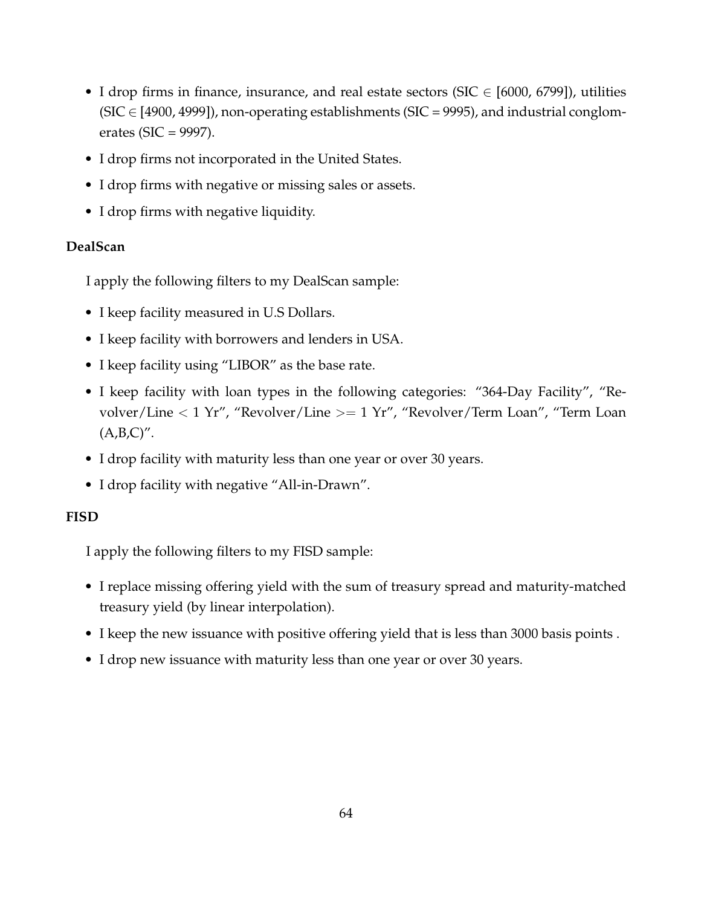- I drop firms in finance, insurance, and real estate sectors (SIC  $\in$  [6000, 6799]), utilities (SIC  $\in$  [4900, 4999]), non-operating establishments (SIC = 9995), and industrial conglomerates (SIC = 9997).
- I drop firms not incorporated in the United States.
- I drop firms with negative or missing sales or assets.
- I drop firms with negative liquidity.

# **DealScan**

I apply the following filters to my DealScan sample:

- I keep facility measured in U.S Dollars.
- I keep facility with borrowers and lenders in USA.
- I keep facility using "LIBOR" as the base rate.
- I keep facility with loan types in the following categories: "364-Day Facility", "Revolver/Line < 1 Yr", "Revolver/Line >= 1 Yr", "Revolver/Term Loan", "Term Loan  $(A,B,C)$ ".
- I drop facility with maturity less than one year or over 30 years.
- I drop facility with negative "All-in-Drawn".

# **FISD**

I apply the following filters to my FISD sample:

- I replace missing offering yield with the sum of treasury spread and maturity-matched treasury yield (by linear interpolation).
- I keep the new issuance with positive offering yield that is less than 3000 basis points .
- I drop new issuance with maturity less than one year or over 30 years.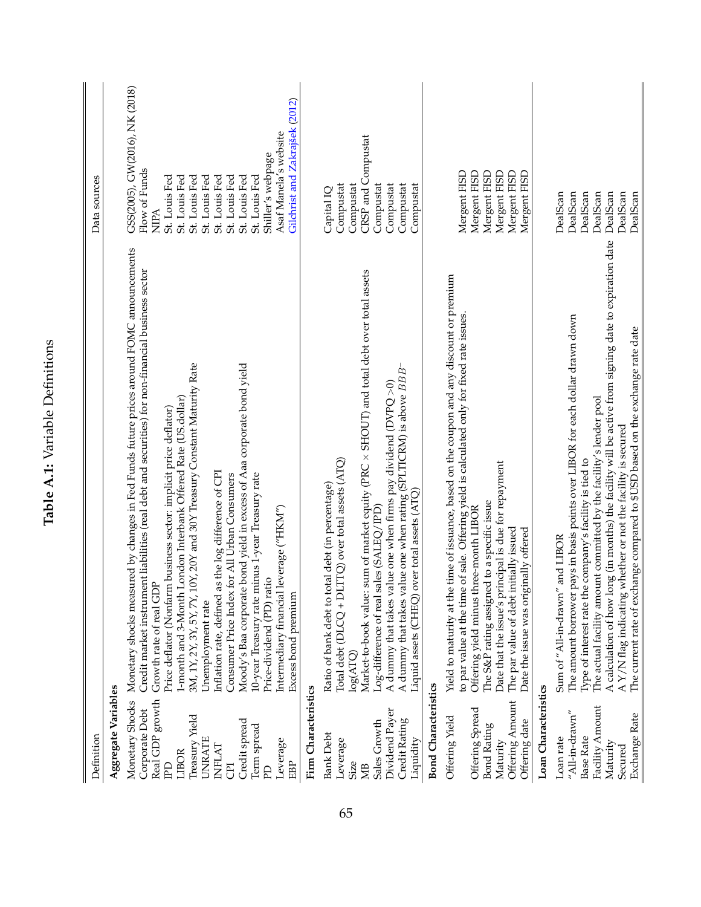<span id="page-65-0"></span>

| Definition                                           |                                                                                                                                                                                                                          | Data sources                                                   |
|------------------------------------------------------|--------------------------------------------------------------------------------------------------------------------------------------------------------------------------------------------------------------------------|----------------------------------------------------------------|
| Aggregate Variables                                  |                                                                                                                                                                                                                          |                                                                |
| Real GDP growth<br>Monetary Shocks<br>Corporate Debt | Monetary shocks measured by changes in Fed Funds future prices around FOMC announcements<br>Credit market instrument liabilities (real debt and securities) for non-financial business sector<br>Growth rate of real GDP | GSS(2005), GW(2016), NK (2018)<br>Flow of Funds<br><b>NIPA</b> |
| LIBOR<br>H                                           | 1-month and 3-Month London Interbank Offered Rate (US.dollar)<br>Price deflator (Nonfarm business sector: implicit price deflator)                                                                                       | St. Louis Fed<br>St. Louis Fed                                 |
| Treasury Yield<br><b>UNRATE</b>                      | 3M, 1Y, 2Y, 3Y, 5Y, 7Y, 10Y, 20Y and 30Y Treasury Constant Maturity Rate<br>Unemployment rate                                                                                                                            | St. Louis Fed<br>St. Louis Fed                                 |
| INFLAT                                               | Inflation rate, defined as the log difference of CPI                                                                                                                                                                     | St. Louis Fed                                                  |
| ā                                                    | Consumer Price Index for All Urban Consumers                                                                                                                                                                             | St. Louis Fed                                                  |
| Credit spread<br>Term spread                         | Moody's Baa corporate bond yield in excess of Aaa corporate bond yield<br>10-year Treasury rate minus 1-year Treasury rate                                                                                               | St. Louis Fed<br>St. Louis Fed                                 |
| F                                                    | Price-dividend (PD) ratio                                                                                                                                                                                                | Shiller's webpage                                              |
| Leverage<br>EBP                                      | Intermediary financial leverage ("HKM")<br>Excess bond premium                                                                                                                                                           | Gilchrist and Zakrajšek (2012)<br>Asaf Manela's website        |
| Firm Characteristics                                 |                                                                                                                                                                                                                          |                                                                |
| <b>Bank Debt</b>                                     | Ratio of bank debt to total debt (in percentage)                                                                                                                                                                         | Capital IQ                                                     |
| Leverage<br>Size                                     | Total debt ( $DLCQ + DLTQ$ ) over total assets (ATQ)<br>$\log(\text{ATQ})$                                                                                                                                               | Compustat                                                      |
| ЖB                                                   | sum of market equity (PRC x SHOUT) and total debt over total assets<br>Market-to-book value:                                                                                                                             | CRSP and Compustat<br>Compustat                                |
| Sales Growth                                         | $Log\text{-difference}$ of real sales (SALEQ/IPD)                                                                                                                                                                        | Compustat                                                      |
| Dividend Payer<br>Credit Rating                      | A dummy that takes value one when rating (SPLTICRM) is above BBB<br>A dummy that takes value one when firms pay dividend ( $\text{DVPQ} > 0$ )                                                                           | Compustat<br>Compustat                                         |
| Liquidity                                            | over total assets (ATQ)<br>Liquid assets (CHEQ)                                                                                                                                                                          | Compustat                                                      |
| <b>Bond Characteristics</b>                          |                                                                                                                                                                                                                          |                                                                |
| Offering Yield                                       | Yield to maturity at the time of issuance, based on the coupon and any discount or premium                                                                                                                               |                                                                |
|                                                      | to par value at the time of sale. Offering yield is calculated only for fixed rate issues.                                                                                                                               | Mergent FISD                                                   |
| Offering Spread<br><b>Bond Rating</b>                | The S&P rating assigned to a specific issue<br>Offering yield minus three-month LIBOR                                                                                                                                    | Mergent FISD<br>Mergent FISD                                   |
| Maturity                                             | Date that the issue's principal is due for repayment                                                                                                                                                                     | Mergent FISD                                                   |
| Offering Amount                                      | The par value of debt initially issued                                                                                                                                                                                   | Mergent FISD                                                   |
| Loan Characteristics<br>Offering date                | Date the issue was originally offered                                                                                                                                                                                    | Mergent FISD                                                   |
| Loan rate                                            | Sum of "All-in-drawn" and LIBOR                                                                                                                                                                                          | DealScan                                                       |
| $''$ All-in-drawn $''$                               | pays in basis points over LIBOR for each dollar drawn down<br>The amount borrower                                                                                                                                        | DealScan                                                       |
| Base Rate                                            | Type of interest rate the company's facility is tied to                                                                                                                                                                  | DealScan                                                       |
| Facility Amount                                      | The actual facility amount committed by the facility's lender pool                                                                                                                                                       | DealScan                                                       |
| Maturity                                             | A calculation of how long (in months) the facility will be active from signing date to expiration date                                                                                                                   | DealScan                                                       |
| Exchange Rate<br>Secured                             | The current rate of exchange compared to \$USD based on the exchange rate date<br>A Y/N flag indicating whether or not the facility is secured                                                                           | DealScan<br>DealScan                                           |
|                                                      |                                                                                                                                                                                                                          |                                                                |

Table A.1: Variable Definitions **Table A.1:** Variable Definitions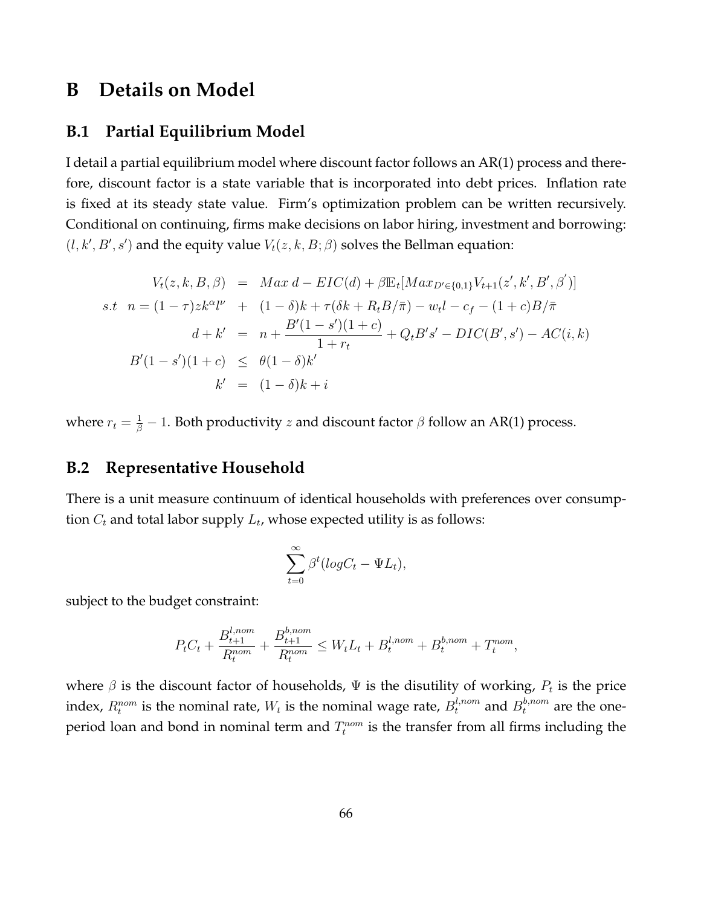# **B Details on Model**

# **B.1 Partial Equilibrium Model**

I detail a partial equilibrium model where discount factor follows an AR(1) process and therefore, discount factor is a state variable that is incorporated into debt prices. Inflation rate is fixed at its steady state value. Firm's optimization problem can be written recursively. Conditional on continuing, firms make decisions on labor hiring, investment and borrowing:  $(l, k', B', s')$  and the equity value  $V_t(z, k, B; \beta)$  solves the Bellman equation:

$$
V_t(z, k, B, \beta) = Max d - EIC(d) + \beta \mathbb{E}_t[Max_{D' \in \{0, 1\}} V_{t+1}(z', k', B', \beta')]
$$
  
s.t  $n = (1 - \tau)zk^{\alpha}l^{\nu} + (1 - \delta)k + \tau(\delta k + R_t B/\bar{\pi}) - w_t l - c_f - (1 + c)B/\bar{\pi}$   
 $d + k' = n + \frac{B'(1 - s')(1 + c)}{1 + r_t} + Q_t B's' - DIC(B', s') - AC(i, k)$   
 $B'(1 - s')(1 + c) \leq \theta(1 - \delta)k'$   
 $k' = (1 - \delta)k + i$ 

where  $r_t = \frac{1}{\beta} - 1$ . Both productivity  $z$  and discount factor  $\beta$  follow an AR(1) process.

# **B.2 Representative Household**

There is a unit measure continuum of identical households with preferences over consumption  $C_t$  and total labor supply  $L_t$ , whose expected utility is as follows:

$$
\sum_{t=0}^{\infty} \beta^t (log C_t - \Psi L_t),
$$

subject to the budget constraint:

$$
P_t C_t + \frac{B_{t+1}^{l,nom}}{R_t^{nom}} + \frac{B_{t+1}^{b,nom}}{R_t^{nom}} \le W_t L_t + B_t^{l,nom} + B_t^{b,nom} + T_t^{nom},
$$

where  $\beta$  is the discount factor of households,  $\Psi$  is the disutility of working,  $P_t$  is the price index,  $R_t^{nom}$  is the nominal rate,  $W_t$  is the nominal wage rate,  $B_t^{l,nom}$  and  $B_t^{b,nom}$  are the oneperiod loan and bond in nominal term and  $T_t^{nom}$  is the transfer from all firms including the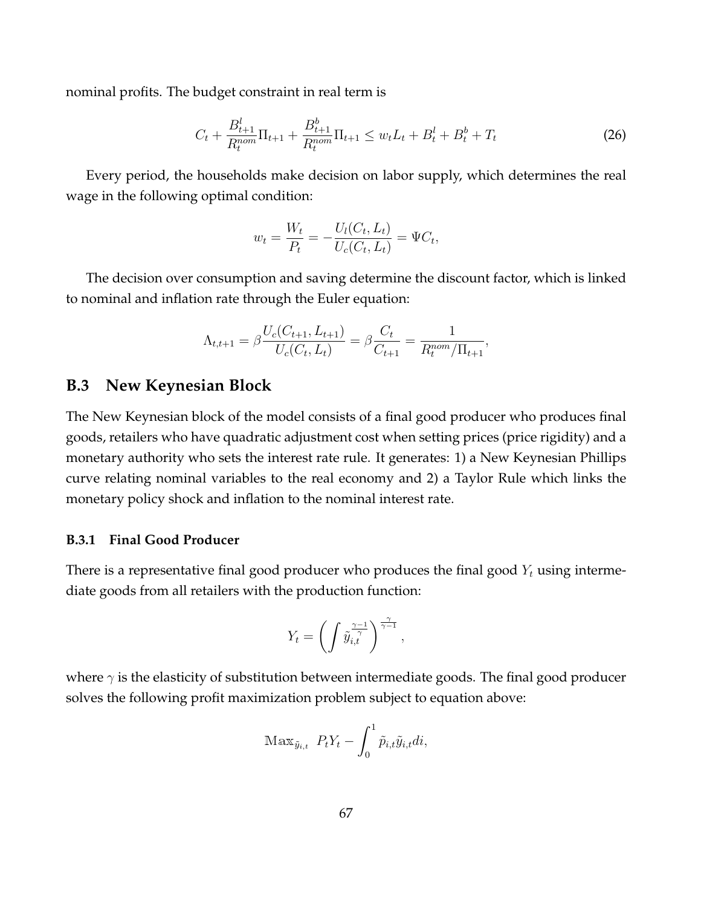nominal profits. The budget constraint in real term is

$$
C_t + \frac{B_{t+1}^l}{R_t^{nom}} \Pi_{t+1} + \frac{B_{t+1}^b}{R_t^{nom}} \Pi_{t+1} \le w_t L_t + B_t^l + B_t^b + T_t \tag{26}
$$

Every period, the households make decision on labor supply, which determines the real wage in the following optimal condition:

$$
w_t = \frac{W_t}{P_t} = -\frac{U_l(C_t, L_t)}{U_c(C_t, L_t)} = \Psi C_t,
$$

The decision over consumption and saving determine the discount factor, which is linked to nominal and inflation rate through the Euler equation:

$$
\Lambda_{t,t+1} = \beta \frac{U_c(C_{t+1}, L_{t+1})}{U_c(C_t, L_t)} = \beta \frac{C_t}{C_{t+1}} = \frac{1}{R_t^{nom}/\Pi_{t+1}},
$$

# **B.3 New Keynesian Block**

The New Keynesian block of the model consists of a final good producer who produces final goods, retailers who have quadratic adjustment cost when setting prices (price rigidity) and a monetary authority who sets the interest rate rule. It generates: 1) a New Keynesian Phillips curve relating nominal variables to the real economy and 2) a Taylor Rule which links the monetary policy shock and inflation to the nominal interest rate.

#### **B.3.1 Final Good Producer**

There is a representative final good producer who produces the final good  $Y_t$  using intermediate goods from all retailers with the production function:

$$
Y_t = \left(\int \tilde{y}_{i,t}^{\frac{\gamma-1}{\gamma}}\right)^{\frac{\gamma}{\gamma-1}},
$$

where  $\gamma$  is the elasticity of substitution between intermediate goods. The final good producer solves the following profit maximization problem subject to equation above:

$$
\text{Max}_{\tilde{y}_{i,t}} P_t Y_t - \int_0^1 \tilde{p}_{i,t} \tilde{y}_{i,t} dt,
$$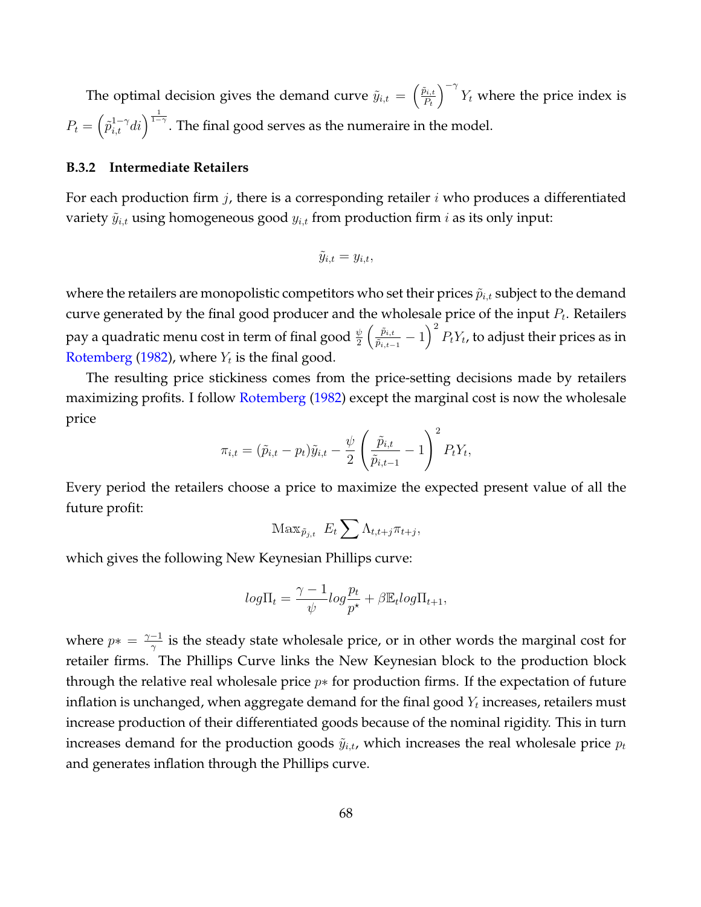The optimal decision gives the demand curve  $\tilde{y}_{i,t} = \begin{pmatrix} \tilde{p}_{i,t} \\ P_t \end{pmatrix}$  $P_t$  $\int_{0}^{-\gamma} Y_t$  where the price index is  $P_t = \left( \tilde{p}^{1-\gamma}_{i,t}di \right)^{\frac{1}{1-\gamma}}$ . The final good serves as the numeraire in the model.

#### **B.3.2 Intermediate Retailers**

For each production firm  $j$ , there is a corresponding retailer  $i$  who produces a differentiated variety  $\tilde{y}_{i,t}$  using homogeneous good  $y_{i,t}$  from production firm i as its only input:

$$
\tilde{y}_{i,t} = y_{i,t},
$$

where the retailers are monopolistic competitors who set their prices  $\tilde{p}_{i,t}$  subject to the demand curve generated by the final good producer and the wholesale price of the input  $P_t$ . Retailers pay a quadratic menu cost in term of final good  $\frac{\psi}{2}\left(\frac{\tilde{p}_{i,t}}{\tilde{p}_{i,t-1}}\right)$  $\left(\frac{\tilde{p}_{i,t}}{\tilde{p}_{i,t-1}}-1\right)^2 P_t Y_t$ , to adjust their prices as in [Rotemberg](#page-41-2) [\(1982\)](#page-41-2), where  $Y_t$  is the final good.

The resulting price stickiness comes from the price-setting decisions made by retailers maximizing profits. I follow [Rotemberg](#page-41-2) [\(1982\)](#page-41-2) except the marginal cost is now the wholesale price

$$
\pi_{i,t} = (\tilde{p}_{i,t} - p_t)\tilde{y}_{i,t} - \frac{\psi}{2} \left(\frac{\tilde{p}_{i,t}}{\tilde{p}_{i,t-1}} - 1\right)^2 P_t Y_t,
$$

Every period the retailers choose a price to maximize the expected present value of all the future profit:

$$
\operatorname{Max}_{\tilde{p}_{j,t}} E_t \sum \Lambda_{t,t+j} \pi_{t+j},
$$

which gives the following New Keynesian Phillips curve:

$$
log\Pi_t = \frac{\gamma - 1}{\psi} log \frac{p_t}{p^{\star}} + \beta \mathbb{E}_t log \Pi_{t+1},
$$

where  $p* = \frac{\gamma - 1}{\gamma}$  $\frac{-1}{\gamma}$  is the steady state wholesale price, or in other words the marginal cost for retailer firms. The Phillips Curve links the New Keynesian block to the production block through the relative real wholesale price  $p*$  for production firms. If the expectation of future inflation is unchanged, when aggregate demand for the final good  $Y_t$  increases, retailers must increase production of their differentiated goods because of the nominal rigidity. This in turn increases demand for the production goods  $\tilde{y}_{i,t}$ , which increases the real wholesale price  $p_t$ and generates inflation through the Phillips curve.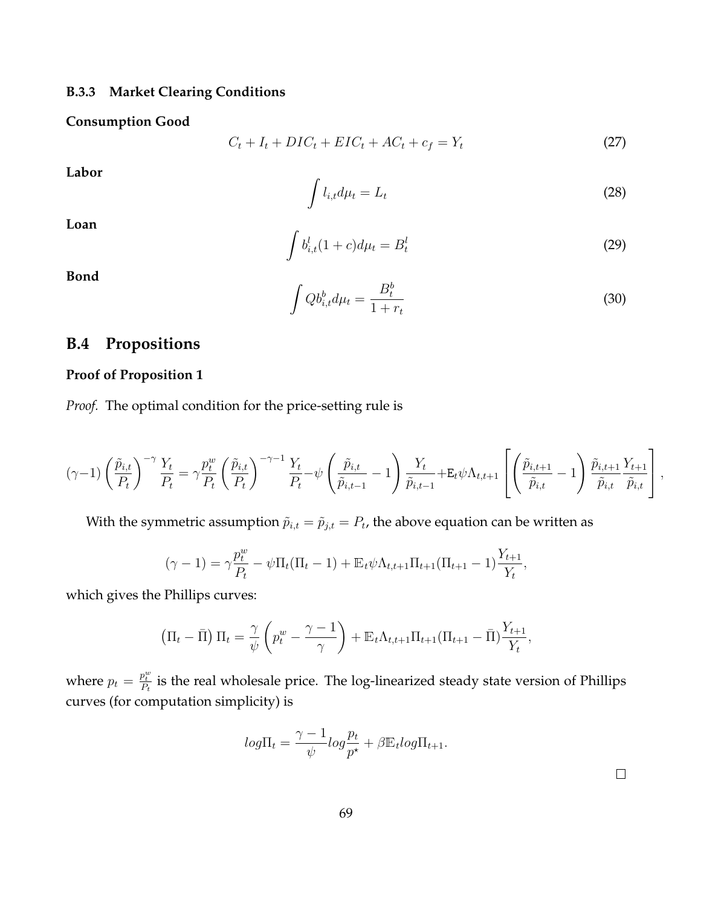## **B.3.3 Market Clearing Conditions**

#### **Consumption Good**

$$
C_t + I_t + DIC_t + EIC_t + AC_t + c_f = Y_t \tag{27}
$$

**Labor**

$$
\int l_{i,t} d\mu_t = L_t \tag{28}
$$

**Loan**

$$
\int b_{i,t}^l (1+c) d\mu_t = B_t^l \tag{29}
$$

**Bond**

$$
\int Q b_{i,t}^b d\mu_t = \frac{B_t^b}{1+r_t} \tag{30}
$$

# **B.4 Propositions**

## **Proof of Proposition 1**

*Proof.* The optimal condition for the price-setting rule is

$$
(\gamma - 1) \left(\frac{\tilde{p}_{i,t}}{P_t}\right)^{-\gamma} \frac{Y_t}{P_t} = \gamma \frac{p_t^w}{P_t} \left(\frac{\tilde{p}_{i,t}}{P_t}\right)^{-\gamma - 1} \frac{Y_t}{P_t} - \psi \left(\frac{\tilde{p}_{i,t}}{\tilde{p}_{i,t-1}} - 1\right) \frac{Y_t}{\tilde{p}_{i,t-1}} + \mathbf{E}_t \psi \Lambda_{t,t+1} \left[\left(\frac{\tilde{p}_{i,t+1}}{\tilde{p}_{i,t}} - 1\right) \frac{\tilde{p}_{i,t+1}}{\tilde{p}_{i,t}} \frac{Y_{t+1}}{\tilde{p}_{i,t}}\right],
$$

With the symmetric assumption  $\tilde{p}_{i,t} = \tilde{p}_{j,t} = P_t$ , the above equation can be written as

$$
(\gamma - 1) = \gamma \frac{p_t^w}{P_t} - \psi \Pi_t (\Pi_t - 1) + \mathbb{E}_t \psi \Lambda_{t,t+1} \Pi_{t+1} (\Pi_{t+1} - 1) \frac{Y_{t+1}}{Y_t},
$$

which gives the Phillips curves:

$$
\left(\Pi_t - \bar{\Pi}\right)\Pi_t = \frac{\gamma}{\psi}\left(p_t^w - \frac{\gamma - 1}{\gamma}\right) + \mathbb{E}_t\Lambda_{t,t+1}\Pi_{t+1}(\Pi_{t+1} - \bar{\Pi})\frac{Y_{t+1}}{Y_t},
$$

where  $p_t = \frac{p_t^w}{P_t}$  is the real wholesale price. The log-linearized steady state version of Phillips curves (for computation simplicity) is

$$
log\Pi_t = \frac{\gamma - 1}{\psi} log \frac{p_t}{p^{\star}} + \beta \mathbb{E}_t log \Pi_{t+1}.
$$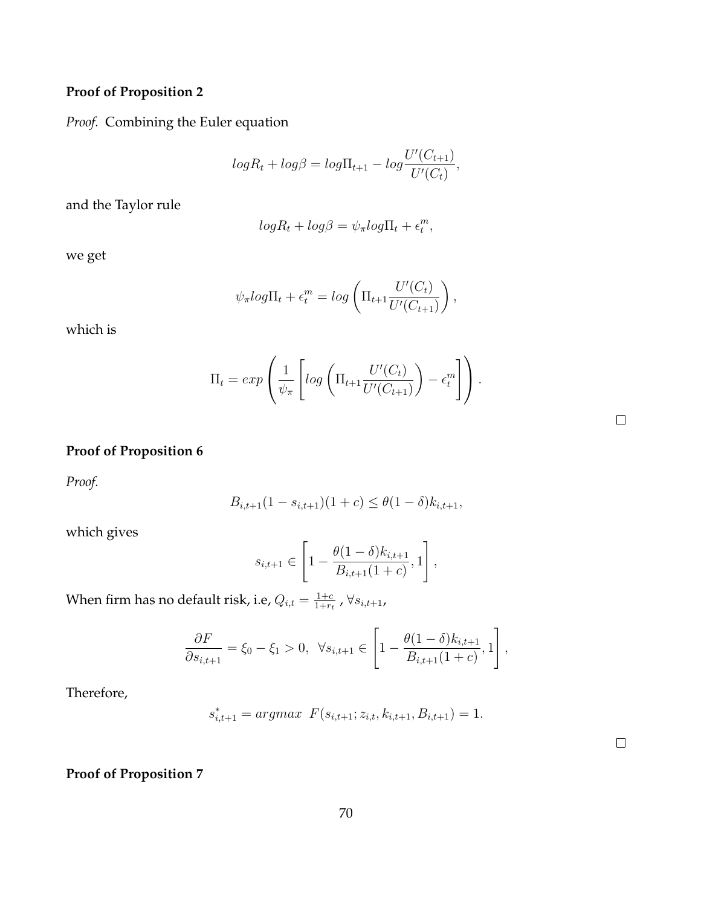# **Proof of Proposition 2**

*Proof.* Combining the Euler equation

$$
logR_t + log\beta = log\Pi_{t+1} - log\frac{U'(C_{t+1})}{U'(C_t)},
$$

and the Taylor rule

$$
logR_t + log\beta = \psi_\pi log\Pi_t + \epsilon_t^m,
$$

we get

$$
\psi_{\pi} log\Pi_t + \epsilon_t^m = log\left(\Pi_{t+1} \frac{U'(C_t)}{U'(C_{t+1})}\right),
$$

which is

$$
\Pi_t = exp\left(\frac{1}{\psi_\pi} \left[log\left(\Pi_{t+1} \frac{U'(C_t)}{U'(C_{t+1})}\right) - \epsilon_t^m\right]\right).
$$

 $\Box$ 

 $\Box$ 

# **Proof of Proposition 6**

*Proof.*

$$
B_{i,t+1}(1 - s_{i,t+1})(1 + c) \le \theta(1 - \delta)k_{i,t+1},
$$

which gives

$$
s_{i,t+1} \in \left[1 - \frac{\theta(1-\delta)k_{i,t+1}}{B_{i,t+1}(1+c)}, 1\right],
$$

When firm has no default risk, i.e,  $Q_{i,t} = \frac{1+c}{1+ct}$  $\frac{1+c}{1+r_t}$  ,  $\forall s_{i,t+1}$ ,

$$
\frac{\partial F}{\partial s_{i,t+1}} = \xi_0 - \xi_1 > 0, \ \ \forall s_{i,t+1} \in \left[1 - \frac{\theta(1-\delta)k_{i,t+1}}{B_{i,t+1}(1+c)}, 1\right],
$$

Therefore,

$$
s_{i,t+1}^* = \arg\max \ F(s_{i,t+1}; z_{i,t}, k_{i,t+1}, B_{i,t+1}) = 1.
$$

**Proof of Proposition 7**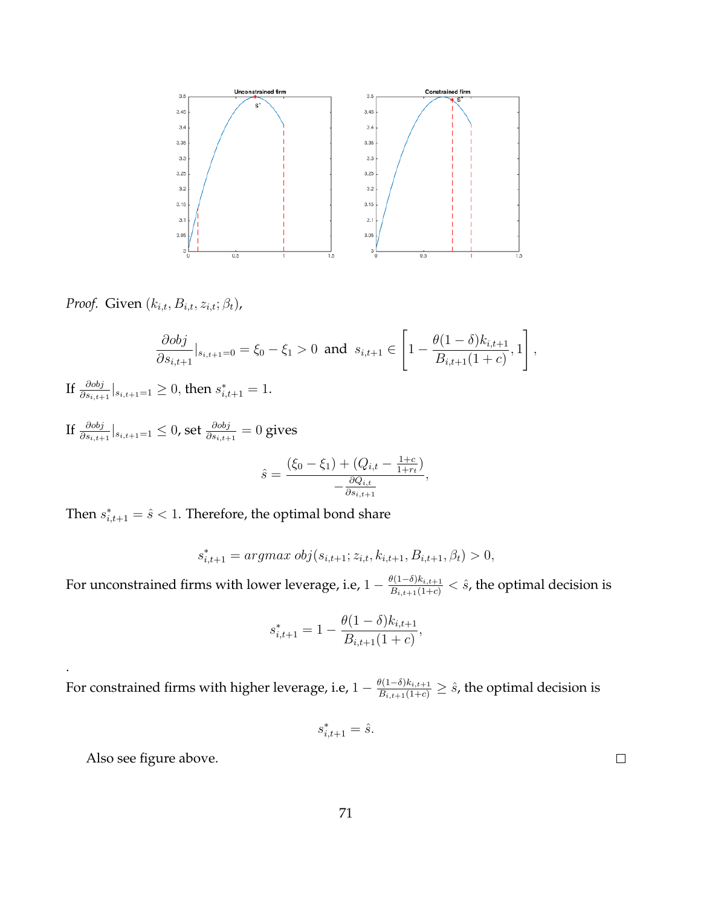

*Proof.* Given  $(k_{i,t}, B_{i,t}, z_{i,t}; \beta_t)$ ,

$$
\frac{\partial obj}{\partial s_{i,t+1}}|_{s_{i,t+1}=0} = \xi_0 - \xi_1 > 0 \text{ and } s_{i,t+1} \in \left[1 - \frac{\theta(1-\delta)k_{i,t+1}}{B_{i,t+1}(1+c)}, 1\right],
$$

If  $\frac{\partial obj}{\partial s_{i,t+1}}|_{s_{i,t+1}=1}\geq 0,$  then  $s^*_{i,t+1}=1.$ 

If  $\frac{\partial{obj}}{\partial{s_{i,t+1}}}|_{s_{i,t+1}=1}\leq0$ , set  $\frac{\partial{obj}}{\partial{s_{i,t+1}}}=0$  gives  $\hat{s} =$  $(\xi_0 - \xi_1) + (Q_{i,t} - \frac{1+c}{1+r_i})$  $\frac{1+c}{1+r_t})$  $-\frac{\partial Q_{i,t}}{\partial s}$  $\partial s_{i,t+1}$ 

Then  $s_{i,t+1}^* = \hat{s} < 1$ . Therefore, the optimal bond share

$$
s_{i,t+1}^* = argmax \ obj(s_{i,t+1}; z_{i,t}, k_{i,t+1}, B_{i,t+1}, \beta_t) > 0,
$$

,

For unconstrained firms with lower leverage, i.e,  $1-\frac{\theta(1-\delta)k_{i,t+1}}{B_{i,t+1}(1+c)} < \hat{s}$ , the optimal decision is

$$
s_{i,t+1}^* = 1 - \frac{\theta(1-\delta)k_{i,t+1}}{B_{i,t+1}(1+c)},
$$

For constrained firms with higher leverage, i.e,  $1-\frac{\theta(1-\delta)k_{i,t+1}}{B_{i,t+1}(1+c)}\geq \hat{s}$ , the optimal decision is

$$
s_{i,t+1}^* = \hat{s}.
$$

Also see figure above.

.

71

 $\Box$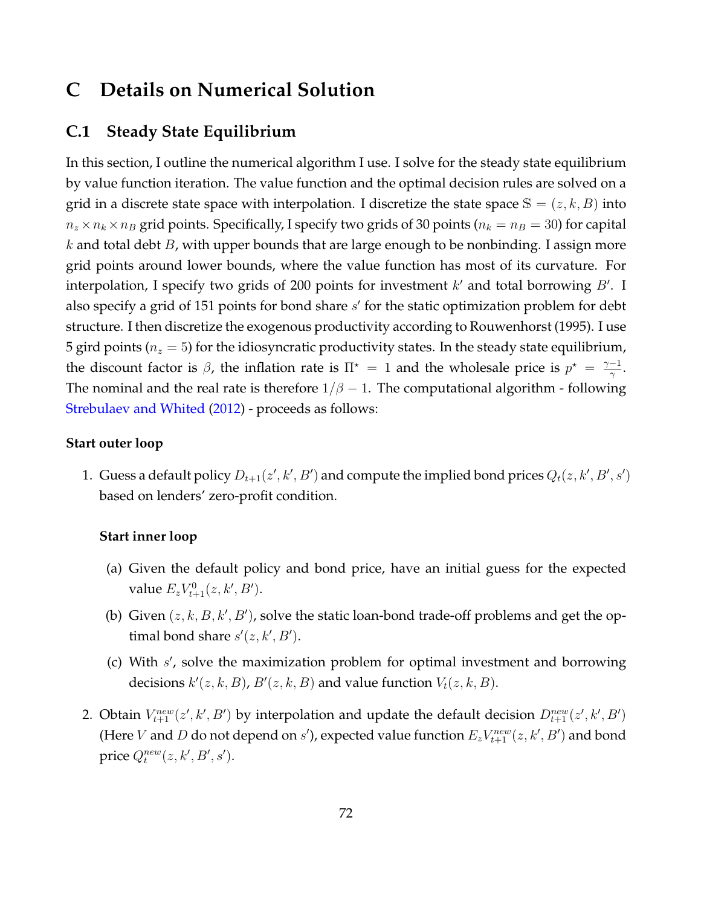# **C Details on Numerical Solution**

# **C.1 Steady State Equilibrium**

In this section, I outline the numerical algorithm I use. I solve for the steady state equilibrium by value function iteration. The value function and the optimal decision rules are solved on a grid in a discrete state space with interpolation. I discretize the state space  $\mathbb{S} = (z, k, B)$  into  $n_z \times n_k \times n_B$  grid points. Specifically, I specify two grids of 30 points ( $n_k = n_B = 30$ ) for capital  $k$  and total debt  $B$ , with upper bounds that are large enough to be nonbinding. I assign more grid points around lower bounds, where the value function has most of its curvature. For interpolation, I specify two grids of 200 points for investment  $k'$  and total borrowing  $B'$ . I also specify a grid of 151 points for bond share s' for the static optimization problem for debt structure. I then discretize the exogenous productivity according to Rouwenhorst (1995). I use 5 gird points ( $n_z = 5$ ) for the idiosyncratic productivity states. In the steady state equilibrium, the discount factor is  $\beta$ , the inflation rate is  $\Pi^* = 1$  and the wholesale price is  $p^* = \frac{\gamma - 1}{\gamma}$  $\frac{-1}{\gamma}$ . The nominal and the real rate is therefore  $1/\beta - 1$ . The computational algorithm - following [Strebulaev and Whited](#page-41-0) [\(2012\)](#page-41-0) - proceeds as follows:

# **Start outer loop**

1. Guess a default policy  $D_{t+1}(z',k',B')$  and compute the implied bond prices  $Q_t(z,k',B',s')$ based on lenders' zero-profit condition.

## **Start inner loop**

- (a) Given the default policy and bond price, have an initial guess for the expected value  $E_z V_{t+1}^0(z, k', B')$ .
- (b) Given  $(z, k, B, k', B')$ , solve the static loan-bond trade-off problems and get the optimal bond share  $s'(z, k', B')$ .
- (c) With s', solve the maximization problem for optimal investment and borrowing decisions  $k'(z, k, B)$ ,  $B'(z, k, B)$  and value function  $V_t(z, k, B)$ .
- 2. Obtain  $V_{t+1}^{new}(z',k',B')$  by interpolation and update the default decision  $D_{t+1}^{new}(z',k',B')$ (Here V and D do not depend on s'), expected value function  $E_zV_{t+1}^{new}(z, k', B')$  and bond price  $Q_t^{new}(z, k', B', s')$ .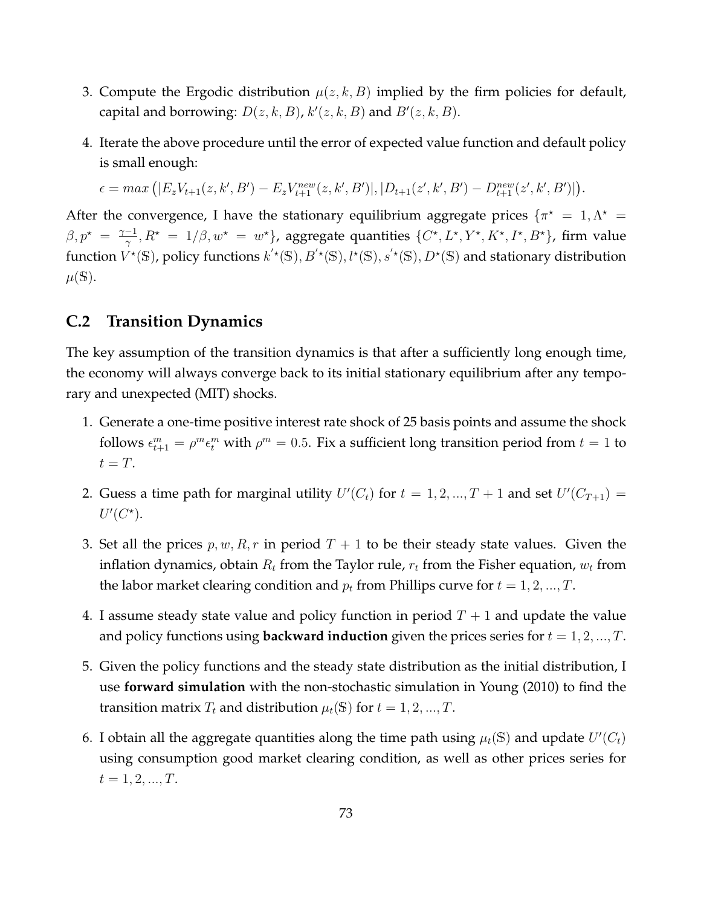- 3. Compute the Ergodic distribution  $\mu(z, k, B)$  implied by the firm policies for default, capital and borrowing:  $D(z, k, B)$ ,  $k'(z, k, B)$  and  $B'(z, k, B)$ .
- 4. Iterate the above procedure until the error of expected value function and default policy is small enough:

 $\epsilon = max \left( |E_z V_{t+1}(z, k', B') - E_z V_{t+1}^{new}(z, k', B')|, |D_{t+1}(z', k', B') - D_{t+1}^{new}(z', k', B')| \right).$ 

After the convergence, I have the stationary equilibrium aggregate prices  $\{\pi^* = 1, \Lambda^* = 1\}$  $\beta, p^* = \frac{\gamma - 1}{\gamma}$  $\frac{q-1}{\gamma},R^\star~=~1/\beta,w^\star~=~w^\star\}$ , aggregate quantities  $\{C^\star,L^\star,Y^\star,K^\star,I^\star,B^\star\}$ , firm value function  $V^{\star}(\mathbb{S})$ , policy functions  $k^{'\star}(\mathbb{S}), B^{'\star}(\mathbb{S}), l^{\star}(\mathbb{S}), S^{'\star}(\mathbb{S}), D^{\star}(\mathbb{S})$  and stationary distribution  $\mu(\mathbb{S}).$ 

# **C.2 Transition Dynamics**

The key assumption of the transition dynamics is that after a sufficiently long enough time, the economy will always converge back to its initial stationary equilibrium after any temporary and unexpected (MIT) shocks.

- 1. Generate a one-time positive interest rate shock of 25 basis points and assume the shock follows  $\epsilon_{t+1}^m = \rho^m \epsilon_t^m$  with  $\rho^m = 0.5$ . Fix a sufficient long transition period from  $t = 1$  to  $t = T$ .
- 2. Guess a time path for marginal utility  $U'(C_t)$  for  $t = 1, 2, ..., T + 1$  and set  $U'(C_{T+1}) =$  $U'(C^{\star}).$
- 3. Set all the prices  $p, w, R, r$  in period  $T + 1$  to be their steady state values. Given the inflation dynamics, obtain  $R_t$  from the Taylor rule,  $r_t$  from the Fisher equation,  $w_t$  from the labor market clearing condition and  $p_t$  from Phillips curve for  $t = 1, 2, ..., T$ .
- 4. I assume steady state value and policy function in period  $T + 1$  and update the value and policy functions using **backward induction** given the prices series for  $t = 1, 2, ..., T$ .
- 5. Given the policy functions and the steady state distribution as the initial distribution, I use **forward simulation** with the non-stochastic simulation in Young (2010) to find the transition matrix  $T_t$  and distribution  $\mu_t(\mathbb{S})$  for  $t = 1, 2, ..., T$ .
- 6. I obtain all the aggregate quantities along the time path using  $\mu_t(\mathbb{S})$  and update  $U'(C_t)$ using consumption good market clearing condition, as well as other prices series for  $t = 1, 2, ..., T$ .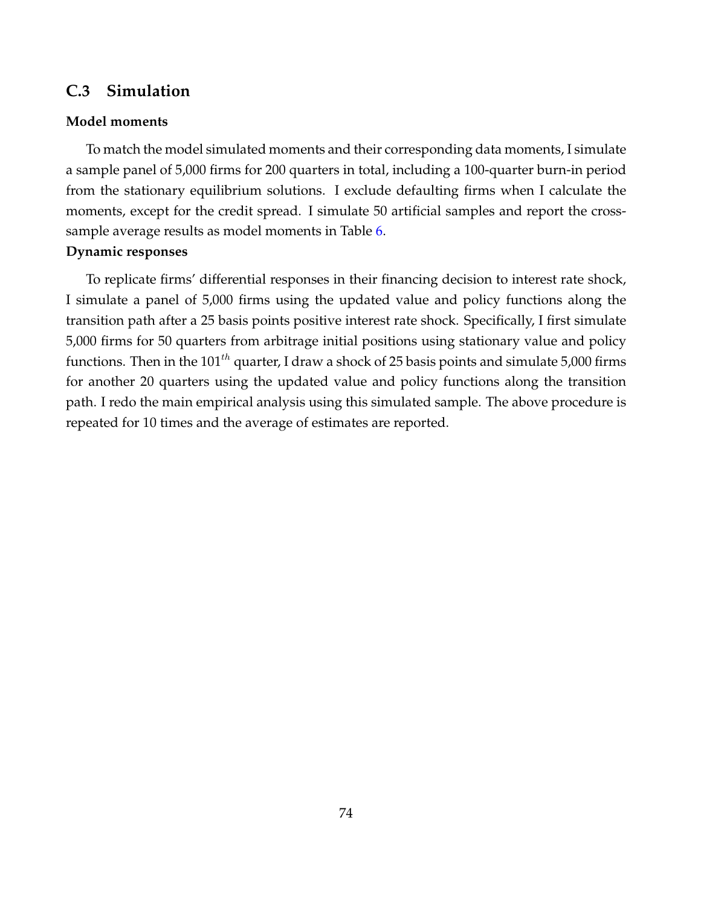# **C.3 Simulation**

# **Model moments**

To match the model simulated moments and their corresponding data moments, I simulate a sample panel of 5,000 firms for 200 quarters in total, including a 100-quarter burn-in period from the stationary equilibrium solutions. I exclude defaulting firms when I calculate the moments, except for the credit spread. I simulate 50 artificial samples and report the crosssample average results as model moments in Table [6.](#page-55-0)

# **Dynamic responses**

To replicate firms' differential responses in their financing decision to interest rate shock, I simulate a panel of 5,000 firms using the updated value and policy functions along the transition path after a 25 basis points positive interest rate shock. Specifically, I first simulate 5,000 firms for 50 quarters from arbitrage initial positions using stationary value and policy functions. Then in the  $101^{th}$  quarter, I draw a shock of 25 basis points and simulate 5,000 firms for another 20 quarters using the updated value and policy functions along the transition path. I redo the main empirical analysis using this simulated sample. The above procedure is repeated for 10 times and the average of estimates are reported.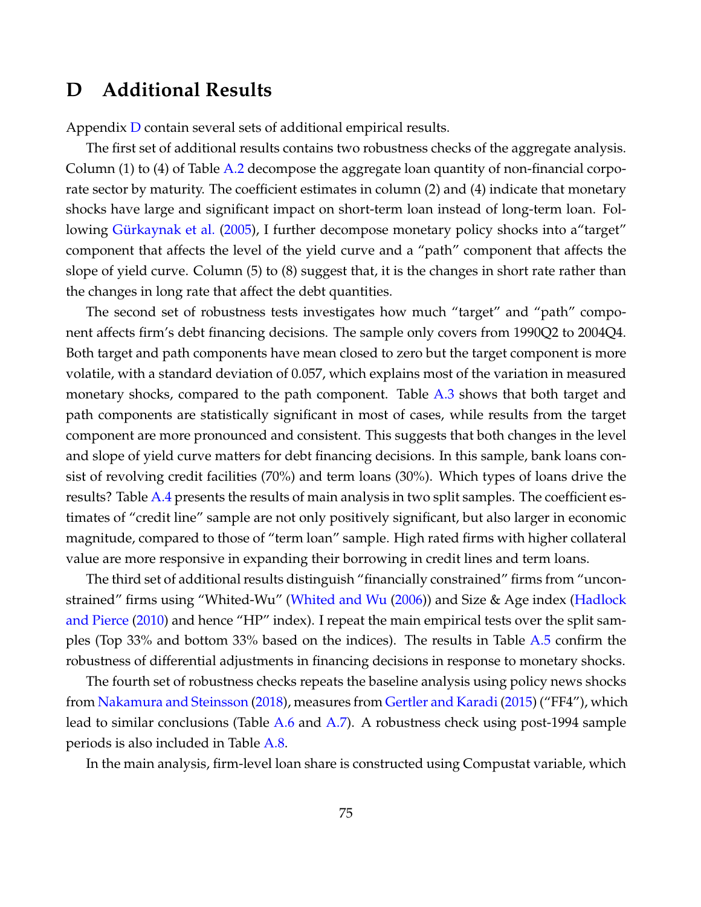# <span id="page-75-0"></span>**D Additional Results**

Appendix [D](#page-75-0) contain several sets of additional empirical results.

The first set of additional results contains two robustness checks of the aggregate analysis. Column (1) to (4) of Table [A.2](#page-80-0) decompose the aggregate loan quantity of non-financial corporate sector by maturity. The coefficient estimates in column (2) and (4) indicate that monetary shocks have large and significant impact on short-term loan instead of long-term loan. Fol-lowing Gürkaynak et al. [\(2005\)](#page-38-0), I further decompose monetary policy shocks into a target" component that affects the level of the yield curve and a "path" component that affects the slope of yield curve. Column (5) to (8) suggest that, it is the changes in short rate rather than the changes in long rate that affect the debt quantities.

The second set of robustness tests investigates how much "target" and "path" component affects firm's debt financing decisions. The sample only covers from 1990Q2 to 2004Q4. Both target and path components have mean closed to zero but the target component is more volatile, with a standard deviation of 0.057, which explains most of the variation in measured monetary shocks, compared to the path component. Table [A.3](#page-81-0) shows that both target and path components are statistically significant in most of cases, while results from the target component are more pronounced and consistent. This suggests that both changes in the level and slope of yield curve matters for debt financing decisions. In this sample, bank loans consist of revolving credit facilities (70%) and term loans (30%). Which types of loans drive the results? Table [A.4](#page-82-0) presents the results of main analysis in two split samples. The coefficient estimates of "credit line" sample are not only positively significant, but also larger in economic magnitude, compared to those of "term loan" sample. High rated firms with higher collateral value are more responsive in expanding their borrowing in credit lines and term loans.

The third set of additional results distinguish "financially constrained" firms from "unconstrained" firms using "Whited-Wu" [\(Whited and Wu](#page-41-1) [\(2006\)](#page-41-1)) and Size & Age index [\(Hadlock](#page-39-0) [and Pierce](#page-39-0) [\(2010\)](#page-39-0) and hence "HP" index). I repeat the main empirical tests over the split samples (Top 33% and bottom 33% based on the indices). The results in Table [A.5](#page-83-0) confirm the robustness of differential adjustments in financing decisions in response to monetary shocks.

The fourth set of robustness checks repeats the baseline analysis using policy news shocks from [Nakamura and Steinsson](#page-40-0) [\(2018\)](#page-40-0), measures from [Gertler and Karadi](#page-38-1) [\(2015\)](#page-38-1) ("FF4"), which lead to similar conclusions (Table [A.6](#page-84-0) and [A.7\)](#page-85-0). A robustness check using post-1994 sample periods is also included in Table [A.8.](#page-86-0)

In the main analysis, firm-level loan share is constructed using Compustat variable, which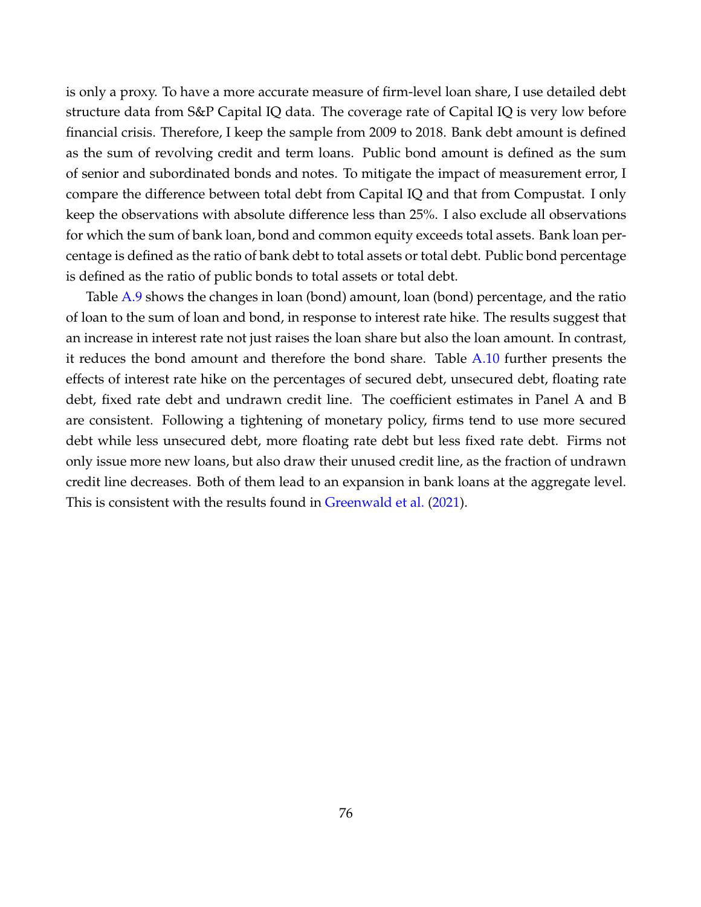is only a proxy. To have a more accurate measure of firm-level loan share, I use detailed debt structure data from S&P Capital IQ data. The coverage rate of Capital IQ is very low before financial crisis. Therefore, I keep the sample from 2009 to 2018. Bank debt amount is defined as the sum of revolving credit and term loans. Public bond amount is defined as the sum of senior and subordinated bonds and notes. To mitigate the impact of measurement error, I compare the difference between total debt from Capital IQ and that from Compustat. I only keep the observations with absolute difference less than 25%. I also exclude all observations for which the sum of bank loan, bond and common equity exceeds total assets. Bank loan percentage is defined as the ratio of bank debt to total assets or total debt. Public bond percentage is defined as the ratio of public bonds to total assets or total debt.

Table [A.9](#page-87-0) shows the changes in loan (bond) amount, loan (bond) percentage, and the ratio of loan to the sum of loan and bond, in response to interest rate hike. The results suggest that an increase in interest rate not just raises the loan share but also the loan amount. In contrast, it reduces the bond amount and therefore the bond share. Table  $A.10$  further presents the effects of interest rate hike on the percentages of secured debt, unsecured debt, floating rate debt, fixed rate debt and undrawn credit line. The coefficient estimates in Panel A and B are consistent. Following a tightening of monetary policy, firms tend to use more secured debt while less unsecured debt, more floating rate debt but less fixed rate debt. Firms not only issue more new loans, but also draw their unused credit line, as the fraction of undrawn credit line decreases. Both of them lead to an expansion in bank loans at the aggregate level. This is consistent with the results found in [Greenwald et al.](#page-38-2) [\(2021\)](#page-38-2).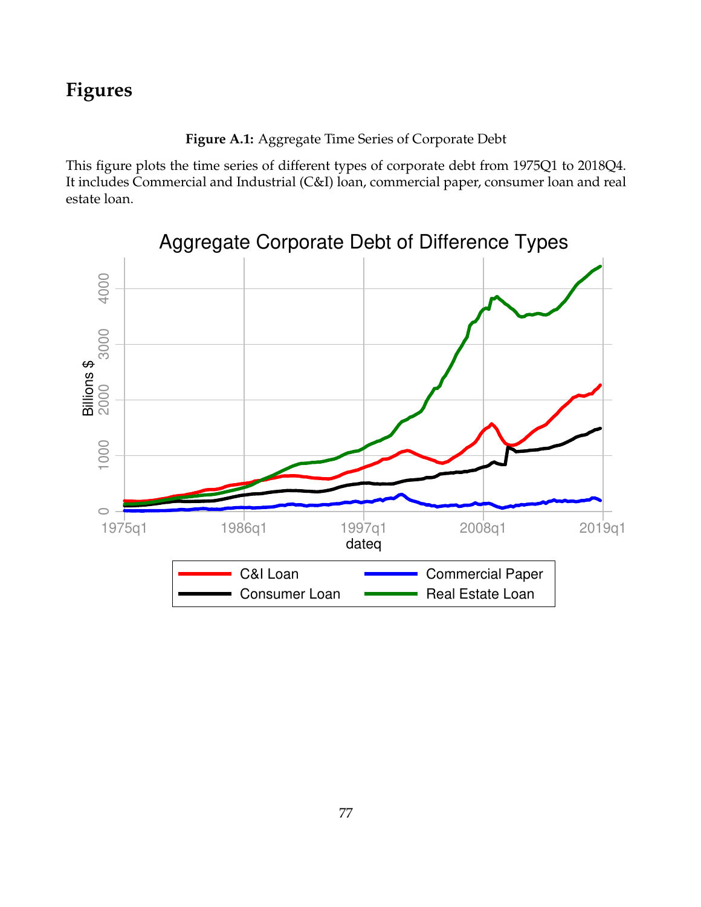**Figure A.1:** Aggregate Time Series of Corporate Debt

This figure plots the time series of different types of corporate debt from 1975Q1 to 2018Q4. It includes Commercial and Industrial (C&I) loan, commercial paper, consumer loan and real estate loan.

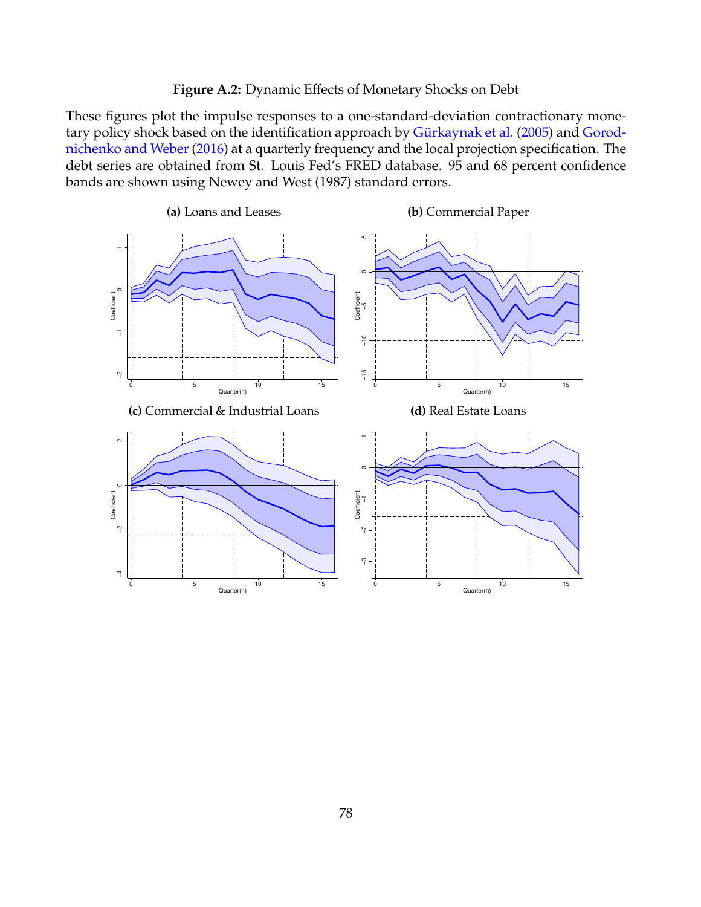```
Figure A.2: Dynamic Effects of Monetary Shocks on Debt
```
These figures plot the impulse responses to a one-standard-deviation contractionary mone-tary policy shock based on the identification approach by Gürkaynak et al. [\(2005\)](#page-38-0) and [Gorod](#page-38-3)[nichenko and Weber](#page-38-3) [\(2016\)](#page-38-3) at a quarterly frequency and the local projection specification. The debt series are obtained from St. Louis Fed's FRED database. 95 and 68 percent confidence bands are shown using Newey and West (1987) standard errors.

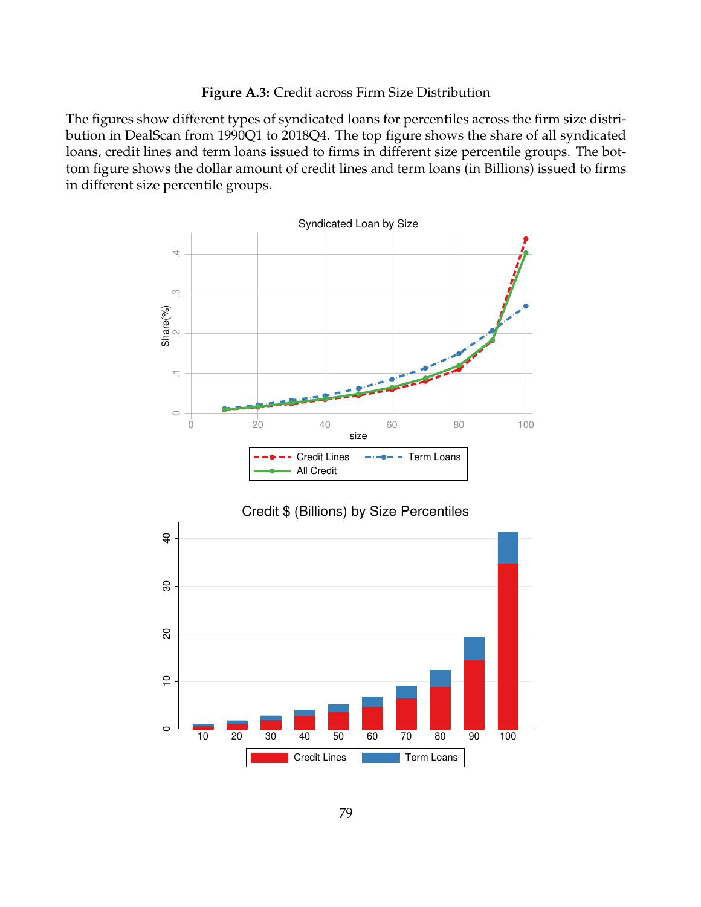# **Figure A.3:** Credit across Firm Size Distribution

The figures show different types of syndicated loans for percentiles across the firm size distribution in DealScan from 1990Q1 to 2018Q4. The top figure shows the share of all syndicated loans, credit lines and term loans issued to firms in different size percentile groups. The bottom figure shows the dollar amount of credit lines and term loans (in Billions) issued to firms in different size percentile groups.



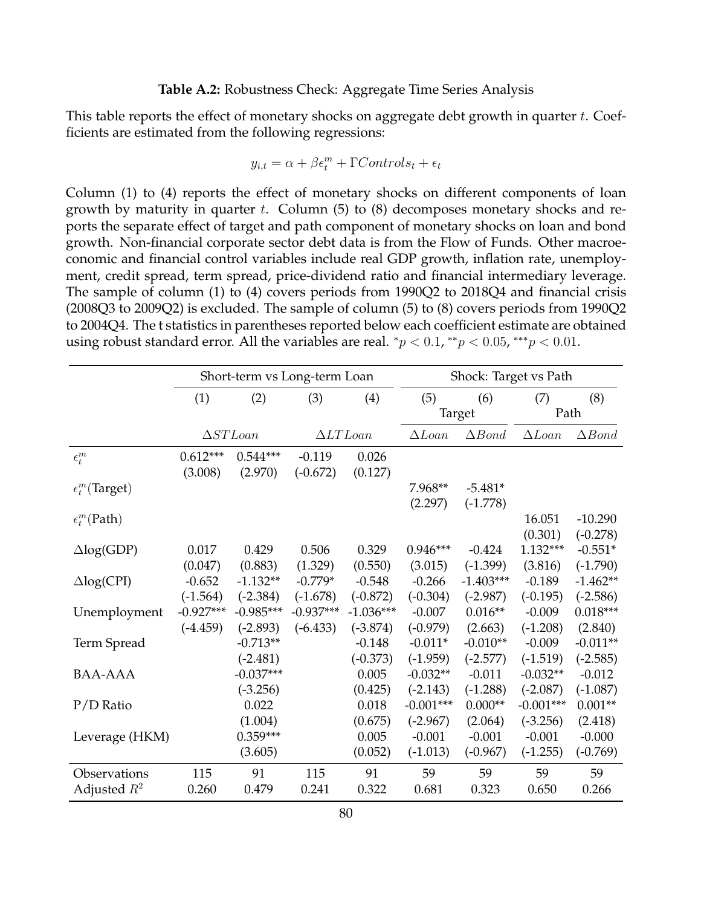### **Table A.2:** Robustness Check: Aggregate Time Series Analysis

<span id="page-80-0"></span>This table reports the effect of monetary shocks on aggregate debt growth in quarter  $t$ . Coefficients are estimated from the following regressions:

$$
y_{i,t} = \alpha + \beta \epsilon_t^m + \Gamma Controls_t + \epsilon_t
$$

Column (1) to (4) reports the effect of monetary shocks on different components of loan growth by maturity in quarter  $t$ . Column  $(5)$  to  $(8)$  decomposes monetary shocks and reports the separate effect of target and path component of monetary shocks on loan and bond growth. Non-financial corporate sector debt data is from the Flow of Funds. Other macroeconomic and financial control variables include real GDP growth, inflation rate, unemployment, credit spread, term spread, price-dividend ratio and financial intermediary leverage. The sample of column (1) to (4) covers periods from 1990Q2 to 2018Q4 and financial crisis (2008Q3 to 2009Q2) is excluded. The sample of column (5) to (8) covers periods from 1990Q2 to 2004Q4. The t statistics in parentheses reported below each coefficient estimate are obtained using robust standard error. All the variables are real.  $^*p < 0.1, ^{**}p < 0.05, ^{***}p < 0.01$ .

|                         |                       | Short-term vs Long-term Loan |                        |                  | Shock: Target vs Path |                  |               |                  |  |
|-------------------------|-----------------------|------------------------------|------------------------|------------------|-----------------------|------------------|---------------|------------------|--|
|                         | (1)                   | (2)                          | (3)                    | (4)              | (5)                   | (6)              | (7)           | (8)              |  |
|                         |                       |                              |                        |                  | Target                |                  | Path          |                  |  |
|                         | $\Delta ST Loan$      |                              | $\Delta LTLoan$        |                  | $\Delta Loan$         | $\triangle Bond$ | $\Delta Loan$ | $\triangle Bond$ |  |
| $\epsilon^m_t$          | $0.612***$<br>(3.008) | $0.544***$<br>(2.970)        | $-0.119$<br>$(-0.672)$ | 0.026<br>(0.127) |                       |                  |               |                  |  |
| $\epsilon_t^m$ (Target) |                       |                              |                        |                  | 7.968**               | $-5.481*$        |               |                  |  |
|                         |                       |                              |                        |                  | (2.297)               | $(-1.778)$       |               |                  |  |
| $\epsilon_t^m$ (Path)   |                       |                              |                        |                  |                       |                  | 16.051        | $-10.290$        |  |
|                         |                       |                              |                        |                  |                       |                  | (0.301)       | $(-0.278)$       |  |
| $\triangle log(GDP)$    | 0.017                 | 0.429                        | 0.506                  | 0.329            | $0.946***$            | $-0.424$         | $1.132***$    | $-0.551*$        |  |
|                         | (0.047)               | (0.883)                      | (1.329)                | (0.550)          | (3.015)               | $(-1.399)$       | (3.816)       | $(-1.790)$       |  |
| $\triangle$ log(CPI)    | $-0.652$              | $-1.132**$                   | $-0.779*$              | $-0.548$         | $-0.266$              | $-1.403***$      | $-0.189$      | $-1.462**$       |  |
|                         | $(-1.564)$            | $(-2.384)$                   | $(-1.678)$             | $(-0.872)$       | $(-0.304)$            | $(-2.987)$       | $(-0.195)$    | $(-2.586)$       |  |
| Unemployment            | $-0.927***$           | $-0.985***$                  | $-0.937***$            | $-1.036***$      | $-0.007$              | $0.016**$        | $-0.009$      | $0.018***$       |  |
|                         | $(-4.459)$            | $(-2.893)$                   | $(-6.433)$             | $(-3.874)$       | $(-0.979)$            | (2.663)          | $(-1.208)$    | (2.840)          |  |
| Term Spread             |                       | $-0.713**$                   |                        | $-0.148$         | $-0.011*$             | $-0.010**$       | $-0.009$      | $-0.011**$       |  |
|                         |                       | $(-2.481)$                   |                        | $(-0.373)$       | $(-1.959)$            | $(-2.577)$       | $(-1.519)$    | $(-2.585)$       |  |
| BAA-AAA                 |                       | $-0.037***$                  |                        | 0.005            | $-0.032**$            | $-0.011$         | $-0.032**$    | $-0.012$         |  |
|                         |                       | $(-3.256)$                   |                        | (0.425)          | $(-2.143)$            | $(-1.288)$       | $(-2.087)$    | $(-1.087)$       |  |
| $P/D$ Ratio             |                       | 0.022                        |                        | 0.018            | $-0.001***$           | $0.000**$        | $-0.001***$   | $0.001**$        |  |
|                         |                       | (1.004)                      |                        | (0.675)          | $(-2.967)$            | (2.064)          | $(-3.256)$    | (2.418)          |  |
| Leverage (HKM)          |                       | $0.359***$                   |                        | 0.005            | $-0.001$              | $-0.001$         | $-0.001$      | $-0.000$         |  |
|                         |                       | (3.605)                      |                        | (0.052)          | $(-1.013)$            | $(-0.967)$       | $(-1.255)$    | $(-0.769)$       |  |
| Observations            | 115                   | 91                           | 115                    | 91               | 59                    | 59               | 59            | 59               |  |
| Adjusted $R^2$          | 0.260                 | 0.479                        | 0.241                  | 0.322            | 0.681                 | 0.323            | 0.650         | 0.266            |  |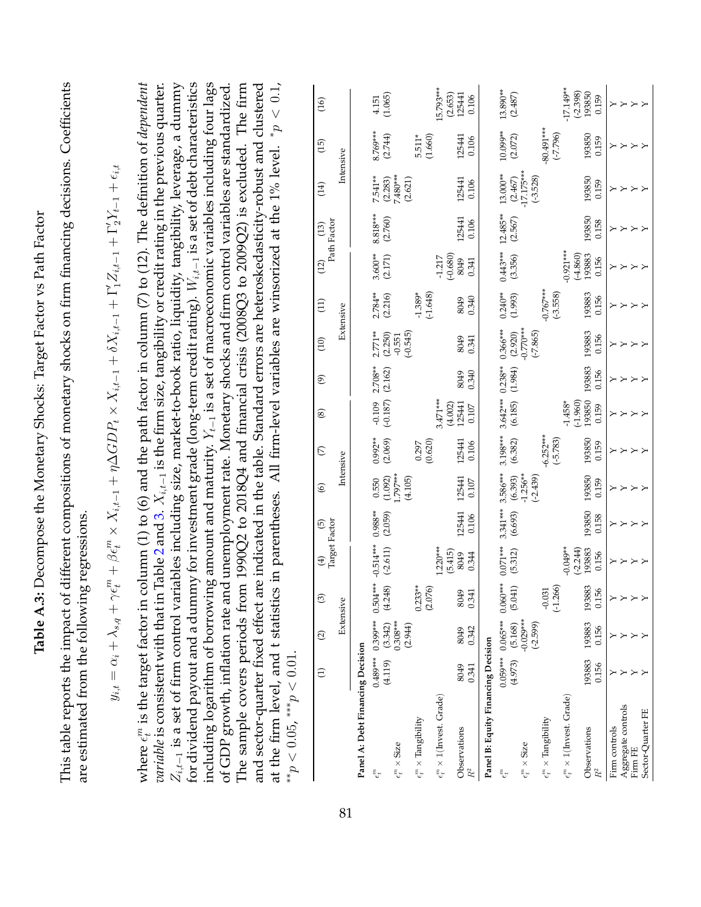<span id="page-81-0"></span>

| Coefficients                                                           |                                                                                                                                                                         | $p_{p} < 0.1$                                                                                                                                                                                                                                                                                                                                                                                                                                                                                                                                                                                                                                                                                                                                                                                                                                                                                                                                                                                                                                       | (16)                |           |                                  | (1.065)<br>4.151                                      |                                          | 15.793***<br>(2.653)                                    | 125441<br>0.106                    |                                    | 13.890**<br>(2.487)   |                                     |                                          | $-17.149**$<br>$(-2.398)$<br>193850                                     | 0.159           | $\succ$<br>$\rightarrow$              | $\rightarrow$ $\rightarrow$        |
|------------------------------------------------------------------------|-------------------------------------------------------------------------------------------------------------------------------------------------------------------------|-----------------------------------------------------------------------------------------------------------------------------------------------------------------------------------------------------------------------------------------------------------------------------------------------------------------------------------------------------------------------------------------------------------------------------------------------------------------------------------------------------------------------------------------------------------------------------------------------------------------------------------------------------------------------------------------------------------------------------------------------------------------------------------------------------------------------------------------------------------------------------------------------------------------------------------------------------------------------------------------------------------------------------------------------------|---------------------|-----------|----------------------------------|-------------------------------------------------------|------------------------------------------|---------------------------------------------------------|------------------------------------|------------------------------------|-----------------------|-------------------------------------|------------------------------------------|-------------------------------------------------------------------------|-----------------|---------------------------------------|------------------------------------|
|                                                                        |                                                                                                                                                                         | Table 2 and 3. $X_{i,t-1}$ is the firm size, tangibility or credit rating in the previous quarter.                                                                                                                                                                                                                                                                                                                                                                                                                                                                                                                                                                                                                                                                                                                                                                                                                                                                                                                                                  | (15)                | Intensive |                                  | 8.769***<br>(2.744)                                   | $5.511*$                                 | (1.660)                                                 | 125441<br>0.106                    |                                    | 10.099**<br>(2.072)   |                                     | $-80.491***$<br>$(-7.796)$               | 193850                                                                  | 0.159           | ≻<br>≻                                |                                    |
| different compositions of monetary shocks on firm financing decisions. | $\epsilon^m_t + \beta \epsilon^m_t \times X_{i,t-1} + \eta \Delta GDP_t \times X_{i,t-1} + \delta X_{i,t-1} + \Gamma'_1 Z_{i,t-1} + \Gamma'_2 Y_{t-1} + \epsilon_{i,t}$ | All firm-level variables are winsorized at the 1% level.                                                                                                                                                                                                                                                                                                                                                                                                                                                                                                                                                                                                                                                                                                                                                                                                                                                                                                                                                                                            | (14)                |           |                                  | 7.480***<br>7.541**<br>(2.283)                        | (2.621)                                  |                                                         | 125441<br>0.106                    |                                    | 13.000**<br>(2.467)   | $-17.175***$<br>$(-3.528)$          |                                          | 193850                                                                  | 0.159           | ≻                                     | ΥY                                 |
|                                                                        |                                                                                                                                                                         |                                                                                                                                                                                                                                                                                                                                                                                                                                                                                                                                                                                                                                                                                                                                                                                                                                                                                                                                                                                                                                                     | Path Factor<br>(13) |           |                                  | 8.818***<br>(2.760)                                   |                                          |                                                         | 125441<br>0.106                    |                                    | 12.485**<br>(2.567)   |                                     |                                          | 193850                                                                  | 0.158           |                                       |                                    |
|                                                                        |                                                                                                                                                                         |                                                                                                                                                                                                                                                                                                                                                                                                                                                                                                                                                                                                                                                                                                                                                                                                                                                                                                                                                                                                                                                     | (12)                |           |                                  | $3.600**$<br>(2.171)                                  |                                          | $(-0.680)$<br>$-1.217$                                  | 8049<br>0.341                      |                                    | $0.443***$<br>(3.356) |                                     |                                          | $-0.921***$<br>$(-4.860)$<br>193883                                     | 0.156           | $\succ$                               | $\rightarrow$ $>$                  |
|                                                                        |                                                                                                                                                                         |                                                                                                                                                                                                                                                                                                                                                                                                                                                                                                                                                                                                                                                                                                                                                                                                                                                                                                                                                                                                                                                     | $\left(11\right)$   | Extensive |                                  | $2.784**$<br>(2.216)                                  | $-1.389*$                                | $(-1.648)$                                              | 0.340<br>8049                      |                                    | $0.240***$<br>(1.993) |                                     | $-0.767***$<br>$(-3.558)$                | 193883                                                                  | 0.156           | ≻                                     | $\mathord{\sim} \mathord{\sim}$    |
|                                                                        |                                                                                                                                                                         |                                                                                                                                                                                                                                                                                                                                                                                                                                                                                                                                                                                                                                                                                                                                                                                                                                                                                                                                                                                                                                                     | $\left(10\right)$   |           |                                  | $2.771**$<br>(2.250)<br>$-0.551$                      | $(-0.545)$                               |                                                         | 8049<br>0.341                      |                                    | $0.366***$<br>(2.920) | $-0.770***$<br>$(-7.865)$           |                                          | 193883                                                                  | 0.156           | ≻<br>$\succ$                          | X<br>X                             |
|                                                                        |                                                                                                                                                                         |                                                                                                                                                                                                                                                                                                                                                                                                                                                                                                                                                                                                                                                                                                                                                                                                                                                                                                                                                                                                                                                     | ම                   |           |                                  | $2.708**$<br>(2.162)                                  |                                          |                                                         | 0.340<br>8049                      |                                    | $0.238**$<br>(1.984)  |                                     |                                          | 193883                                                                  | 0.156           | ≻                                     |                                    |
|                                                                        |                                                                                                                                                                         |                                                                                                                                                                                                                                                                                                                                                                                                                                                                                                                                                                                                                                                                                                                                                                                                                                                                                                                                                                                                                                                     | $\circledS$         |           |                                  | $(-0.187)$<br>$-0.109$                                |                                          | 3.471***<br>(4.002)                                     | 125441<br>$0.107$                  |                                    | $3.642***$<br>(6.185) |                                     |                                          | $(-1.960)$<br>193850<br>$-1.458*$                                       | 0.159           | $\left.\rightleftharpoons$<br>$\succ$ |                                    |
|                                                                        |                                                                                                                                                                         |                                                                                                                                                                                                                                                                                                                                                                                                                                                                                                                                                                                                                                                                                                                                                                                                                                                                                                                                                                                                                                                     | $\mathfrak{S}$      | Intensive |                                  | $0.992**$<br>(2.069)                                  | 0.297                                    | (0.620)                                                 | 125441<br>0.106                    |                                    | 3.198***<br>(6.382)   |                                     | $-6.252***$<br>$(-5.783)$                | 193850                                                                  | 0.159           | ≻                                     |                                    |
|                                                                        |                                                                                                                                                                         |                                                                                                                                                                                                                                                                                                                                                                                                                                                                                                                                                                                                                                                                                                                                                                                                                                                                                                                                                                                                                                                     | $\circledcirc$      |           |                                  | 1.797***<br>(1.092)<br>0.550                          | (4.105)                                  |                                                         | 125441<br>0.107                    |                                    | 3.586***<br>(6.393)   | $-1.256**$<br>$(-2.439)$            |                                          | 193850                                                                  | 0.159           | $\succ$<br>≻                          | $\mathord{\sim} \mathord{\sim}$    |
|                                                                        |                                                                                                                                                                         |                                                                                                                                                                                                                                                                                                                                                                                                                                                                                                                                                                                                                                                                                                                                                                                                                                                                                                                                                                                                                                                     | Target Factor<br>ම  |           |                                  | $0.988**$<br>(2.059)                                  |                                          |                                                         | 125441<br>0.106                    |                                    | $3.341***$<br>(6.693) |                                     |                                          | 193850                                                                  | 0.158           | $\left.\rightleftharpoons$<br>$\succ$ | $\times$                           |
| g regressions                                                          |                                                                                                                                                                         |                                                                                                                                                                                                                                                                                                                                                                                                                                                                                                                                                                                                                                                                                                                                                                                                                                                                                                                                                                                                                                                     | $\bigoplus$         |           |                                  | $-0.514***$<br>$(-2.611)$                             |                                          | $1.220***$                                              | (5.415)<br>8049<br>0.344           |                                    | $0.071***$<br>(5.312) |                                     |                                          | $-0.049**$<br>$(-2.244)$<br>193883                                      | 0.156           | $\succ$<br>≻                          | $\times$                           |
|                                                                        |                                                                                                                                                                         |                                                                                                                                                                                                                                                                                                                                                                                                                                                                                                                                                                                                                                                                                                                                                                                                                                                                                                                                                                                                                                                     | $\odot$             | Extensive |                                  | $0.504***$<br>(4.248)                                 | $0.233**$                                | (2.076)                                                 | 8049<br>0.341                      |                                    | $0.060***$<br>(5.041) |                                     | $(-1.266)$<br>$-0.031$                   |                                                                         | 193883<br>0.156 |                                       | $\mathbb{X}\times\mathbb{X}\times$ |
|                                                                        |                                                                                                                                                                         |                                                                                                                                                                                                                                                                                                                                                                                                                                                                                                                                                                                                                                                                                                                                                                                                                                                                                                                                                                                                                                                     | $\odot$             |           |                                  | 0.399***<br>$(3.342)$<br>$0.308***$                   | (2.944)                                  |                                                         | 0.342<br>8049                      |                                    | $0.065***$<br>(5.168) | $-0.029***$<br>$(-2.599)$           |                                          | 193883                                                                  | 0.156           |                                       |                                    |
|                                                                        | $y_{i,t} = \alpha_i + \lambda_{s,q} + \gamma$                                                                                                                           |                                                                                                                                                                                                                                                                                                                                                                                                                                                                                                                                                                                                                                                                                                                                                                                                                                                                                                                                                                                                                                                     | $\ominus$           |           |                                  | $0.489***$<br>(4.119)                                 |                                          |                                                         | 8049<br>0.341                      |                                    | $0.059***$<br>(4.973) |                                     |                                          | 193883                                                                  | 0.156           |                                       |                                    |
| This table reports the impact of<br>are estimated from the followin    |                                                                                                                                                                         | for dividend payout and a dummy for investment grade (long-term credit rating). $W_{i,t-1}$ is a set of debt characteristics<br>including logarithm of borrowing amount and maturity. $Y_{t-1}$ is a set of macroeconomic variables including four lags<br>where $\epsilon_t^m$ is the target factor in column (1) to (6) and the path factor in column (7) to (12). The definition of <i>dependent</i><br>$Z_{i,t-1}$ is a set of firm control variables including size, market-to-book ratio, liquidity, tangibility, leverage, a dummy<br>of GDP growth, inflation rate and unemployment rate. Monetary shocks and firm control variables are standardized.<br>The sample covers periods from 1990Q2 to 2018Q4 and financial crisis (2008Q3 to 2009Q2) is excluded. The firm<br>and sector-quarter fixed effect are indicated in the table. Standard errors are heteroskedasticity-robust and clustered<br>at the firm level, and t statistics in parentheses.<br><i>variable</i> is consistent with that in<br>** $p < 0.05$ , *** $p < 0.01$ . |                     |           | Panel A: Debt Financing Decision | $\epsilon_t^m \times \mathrm{Size}$<br>$\epsilon_t^n$ | $\epsilon^m_t \times \text{Tangibility}$ | $\epsilon_t^m \times \mathbbm{1}(\text{Invest. Grade})$ | Observations<br>$\ensuremath{R^2}$ | Panel B: Equity Financing Decision | $\epsilon_t^n$        | $\epsilon_t^m \times \mathrm{Size}$ | $\epsilon^m_t \times \text{Tangibility}$ | $\epsilon^m_t \times \mathbbm{1}(\text{Invest. Grade})$<br>Observations | $R^2$           | Aggregate controls<br>Firm controls   | Sector-Quarter FE<br>Firm FE       |
|                                                                        |                                                                                                                                                                         |                                                                                                                                                                                                                                                                                                                                                                                                                                                                                                                                                                                                                                                                                                                                                                                                                                                                                                                                                                                                                                                     |                     | 81        |                                  |                                                       |                                          |                                                         |                                    |                                    |                       |                                     |                                          |                                                                         |                 |                                       |                                    |

Sector-Quarter FE Y Y Y Y Y Y Y Y Y Y Y Y Y Y Y Y

**Table A.3:** Decompose the Monetary Shocks: Target Factor vs Path Factor

Table A.3: Decompose the Monetary Shocks: Target Factor vs Path Factor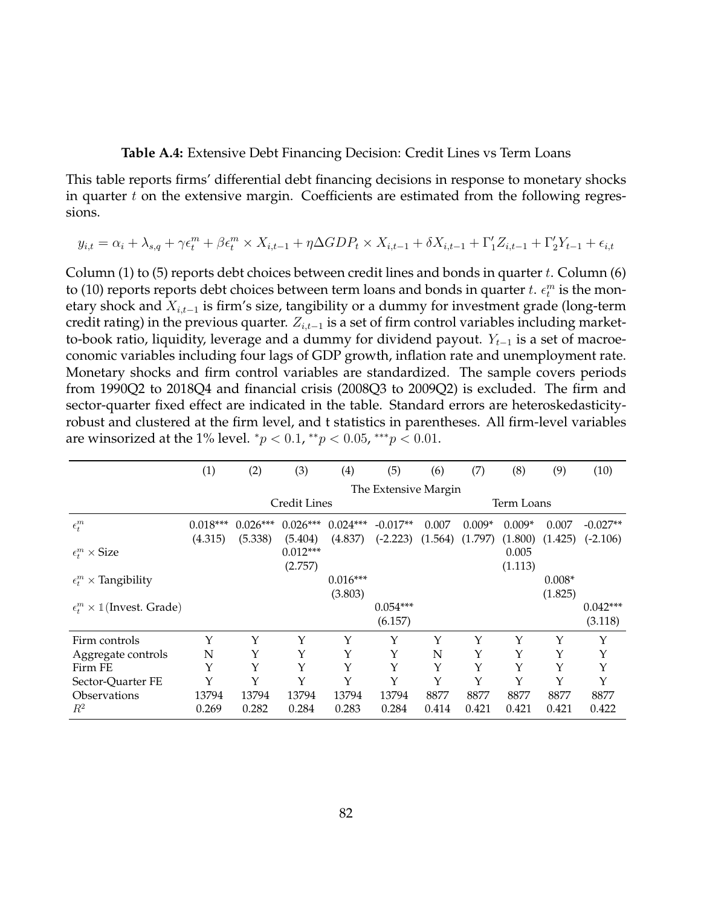#### **Table A.4:** Extensive Debt Financing Decision: Credit Lines vs Term Loans

<span id="page-82-0"></span>This table reports firms' differential debt financing decisions in response to monetary shocks in quarter  $t$  on the extensive margin. Coefficients are estimated from the following regressions.

$$
y_{i,t} = \alpha_i + \lambda_{s,q} + \gamma \epsilon_t^m + \beta \epsilon_t^m \times X_{i,t-1} + \eta \Delta GDP_t \times X_{i,t-1} + \delta X_{i,t-1} + \Gamma'_1 Z_{i,t-1} + \Gamma'_2 Y_{t-1} + \epsilon_{i,t}
$$

Column (1) to (5) reports debt choices between credit lines and bonds in quarter t. Column (6) to (10) reports reports debt choices between term loans and bonds in quarter  $t. \epsilon_t^m$  is the monetary shock and  $X_{i,t-1}$  is firm's size, tangibility or a dummy for investment grade (long-term credit rating) in the previous quarter.  $Z_{i,t-1}$  is a set of firm control variables including marketto-book ratio, liquidity, leverage and a dummy for dividend payout.  $Y_{t-1}$  is a set of macroeconomic variables including four lags of GDP growth, inflation rate and unemployment rate. Monetary shocks and firm control variables are standardized. The sample covers periods from 1990Q2 to 2018Q4 and financial crisis (2008Q3 to 2009Q2) is excluded. The firm and sector-quarter fixed effect are indicated in the table. Standard errors are heteroskedasticityrobust and clustered at the firm level, and t statistics in parentheses. All firm-level variables are winsorized at the 1% level.  ${}^*p$  < 0.1,  ${}^{**}p$  < 0.05,  ${}^{***}p$  < 0.01.

|                                                  | (1)        | (2)        | (3)          | $\left( 4\right)$ | (5)                  | (6)     | (7)        | (8)      | (9)      | (10)       |  |
|--------------------------------------------------|------------|------------|--------------|-------------------|----------------------|---------|------------|----------|----------|------------|--|
|                                                  |            |            |              |                   | The Extensive Margin |         |            |          |          |            |  |
|                                                  |            |            | Credit Lines |                   |                      |         | Term Loans |          |          |            |  |
| $\epsilon_t^m$                                   | $0.018***$ | $0.026***$ | $0.026***$   | $0.024***$        | $-0.017**$           | 0.007   | $0.009*$   | $0.009*$ | 0.007    | $-0.027**$ |  |
|                                                  | (4.315)    | (5.338)    | (5.404)      | (4.837)           | $(-2.223)$           | (1.564) | (1.797)    | (1.800)  | (1.425)  | $(-2.106)$ |  |
| $\epsilon_t^m \times \text{Size}$                |            |            | $0.012***$   |                   |                      |         |            | 0.005    |          |            |  |
|                                                  |            |            | (2.757)      |                   |                      |         |            | (1.113)  |          |            |  |
| $\epsilon_t^m \times$ Tangibility                |            |            |              | $0.016***$        |                      |         |            |          | $0.008*$ |            |  |
|                                                  |            |            |              | (3.803)           |                      |         |            |          | (1.825)  |            |  |
| $\epsilon_t^m \times \mathbb{1}$ (Invest. Grade) |            |            |              |                   | $0.054***$           |         |            |          |          | $0.042***$ |  |
|                                                  |            |            |              |                   | (6.157)              |         |            |          |          | (3.118)    |  |
| Firm controls                                    | Y          | Y          | Y            | Υ                 | Y                    | Y       | Y          | Υ        | Y        | Υ          |  |
| Aggregate controls                               | N          | Υ          | Y            | Υ                 | Υ                    | N       | Υ          | Υ        | Υ        | Υ          |  |
| Firm FE                                          | Y          | Y          | Y            | Υ                 | Y                    | Y       | Y          | Υ        | Y        | Υ          |  |
| Sector-Quarter FE                                | Y          | Y          | Y            | Y                 | Y                    | Y       | Y          | Y        | Y        | Y          |  |
| <b>Observations</b>                              | 13794      | 13794      | 13794        | 13794             | 13794                | 8877    | 8877       | 8877     | 8877     | 8877       |  |
| $R^2$                                            | 0.269      | 0.282      | 0.284        | 0.283             | 0.284                | 0.414   | 0.421      | 0.421    | 0.421    | 0.422      |  |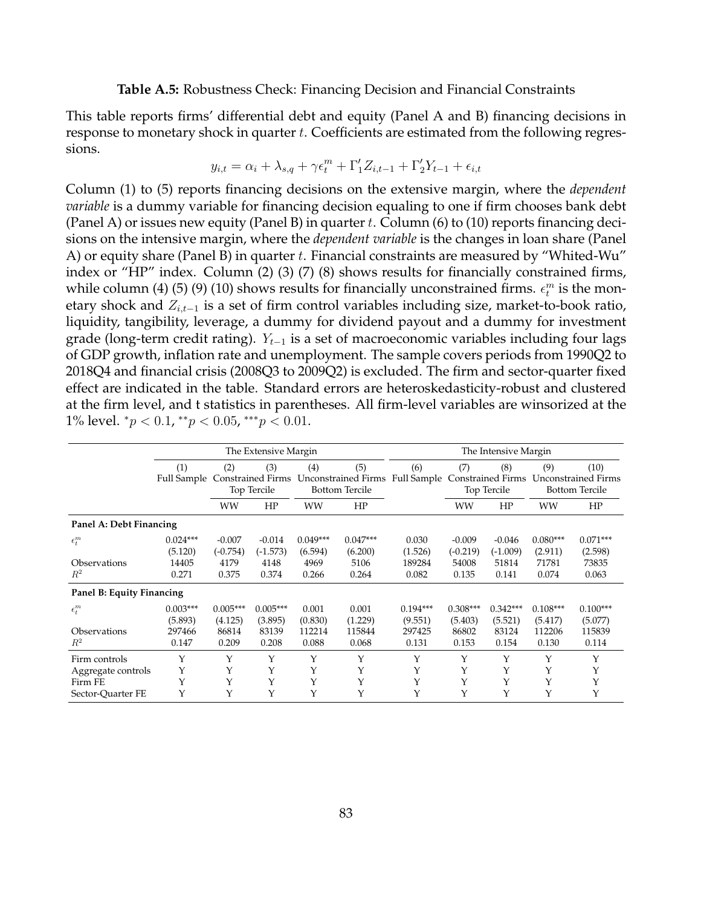#### **Table A.5:** Robustness Check: Financing Decision and Financial Constraints

<span id="page-83-0"></span>This table reports firms' differential debt and equity (Panel A and B) financing decisions in response to monetary shock in quarter t. Coefficients are estimated from the following regressions.

$$
y_{i,t} = \alpha_i + \lambda_{s,q} + \gamma \epsilon_t^m + \Gamma_1' Z_{i,t-1} + \Gamma_2' Y_{t-1} + \epsilon_{i,t}
$$

Column (1) to (5) reports financing decisions on the extensive margin, where the *dependent variable* is a dummy variable for financing decision equaling to one if firm chooses bank debt (Panel A) or issues new equity (Panel B) in quarter t. Column (6) to (10) reports financing decisions on the intensive margin, where the *dependent variable* is the changes in loan share (Panel A) or equity share (Panel B) in quarter t. Financial constraints are measured by "Whited-Wu" index or "HP" index. Column (2) (3) (7) (8) shows results for financially constrained firms, while column (4) (5) (9) (10) shows results for financially unconstrained firms.  $\epsilon_t^m$  is the monetary shock and  $Z_{i,t-1}$  is a set of firm control variables including size, market-to-book ratio, liquidity, tangibility, leverage, a dummy for dividend payout and a dummy for investment grade (long-term credit rating).  $Y_{t-1}$  is a set of macroeconomic variables including four lags of GDP growth, inflation rate and unemployment. The sample covers periods from 1990Q2 to 2018Q4 and financial crisis (2008Q3 to 2009Q2) is excluded. The firm and sector-quarter fixed effect are indicated in the table. Standard errors are heteroskedasticity-robust and clustered at the firm level, and t statistics in parentheses. All firm-level variables are winsorized at the 1% level.  $^*p < 0.1, ^{**}p < 0.05, ^{***}p < 0.01$ .

|                                                    |                                          |                                                       | The Extensive Margin                    |                                     | The Intensive Margin                                       |                                          |                                         |                                                |                                                                    |                                          |
|----------------------------------------------------|------------------------------------------|-------------------------------------------------------|-----------------------------------------|-------------------------------------|------------------------------------------------------------|------------------------------------------|-----------------------------------------|------------------------------------------------|--------------------------------------------------------------------|------------------------------------------|
|                                                    | (1)<br>Full Sample                       | (2)<br>(3)<br><b>Constrained Firms</b><br>Top Tercile |                                         | (4)                                 | (5)<br><b>Unconstrained Firms</b><br><b>Bottom Tercile</b> | (6)<br>Full Sample                       | (7)                                     | (8)<br><b>Constrained Firms</b><br>Top Tercile | (10)<br>(9)<br><b>Unconstrained Firms</b><br><b>Bottom Tercile</b> |                                          |
|                                                    |                                          | WW                                                    | HP                                      | WW                                  | HP                                                         |                                          | WW                                      | HP                                             | WW                                                                 | HP                                       |
| Panel A: Debt Financing                            |                                          |                                                       |                                         |                                     |                                                            |                                          |                                         |                                                |                                                                    |                                          |
| $\epsilon_t^m$                                     | $0.024***$<br>(5.120)                    | $-0.007$<br>$(-0.754)$                                | $-0.014$<br>$(-1.573)$                  | $0.049***$<br>(6.594)               | $0.047***$<br>(6.200)                                      | 0.030<br>(1.526)                         | $-0.009$<br>$(-0.219)$                  | $-0.046$<br>$(-1.009)$                         | $0.080***$<br>(2.911)                                              | $0.071***$<br>(2.598)                    |
| Observations<br>$R^2$                              | 14405<br>0.271                           | 4179<br>0.375                                         | 4148<br>0.374                           | 4969<br>0.266                       | 5106<br>0.264                                              | 189284<br>0.082                          | 54008<br>0.135                          | 51814<br>0.141                                 | 71781<br>0.074                                                     | 73835<br>0.063                           |
| Panel B: Equity Financing                          |                                          |                                                       |                                         |                                     |                                                            |                                          |                                         |                                                |                                                                    |                                          |
| $\epsilon_t^m$<br>Observations<br>$R^2$            | $0.003***$<br>(5.893)<br>297466<br>0.147 | $0.005***$<br>(4.125)<br>86814<br>0.209               | $0.005***$<br>(3.895)<br>83139<br>0.208 | 0.001<br>(0.830)<br>112214<br>0.088 | 0.001<br>(1.229)<br>115844<br>0.068                        | $0.194***$<br>(9.551)<br>297425<br>0.131 | $0.308***$<br>(5.403)<br>86802<br>0.153 | $0.342***$<br>(5.521)<br>83124<br>0.154        | $0.108***$<br>(5.417)<br>112206<br>0.130                           | $0.100***$<br>(5.077)<br>115839<br>0.114 |
| Firm controls                                      | Υ                                        | Υ                                                     | Y                                       | Y                                   | Υ                                                          | Υ                                        | Υ                                       | Υ                                              | Υ                                                                  | Υ                                        |
| Aggregate controls<br>Firm FE<br>Sector-Ouarter FE | Υ<br>Υ<br>Υ                              | Y<br>Υ<br>Υ                                           | Y<br>Y<br>Υ                             | Υ<br>Y<br>Y                         | Υ<br>Y<br>Y                                                | Υ<br>Υ                                   | Υ<br>Y<br>Y                             | Υ<br>Υ<br>Y                                    | Υ<br>Y<br>Y                                                        | Y<br>Υ<br>Υ                              |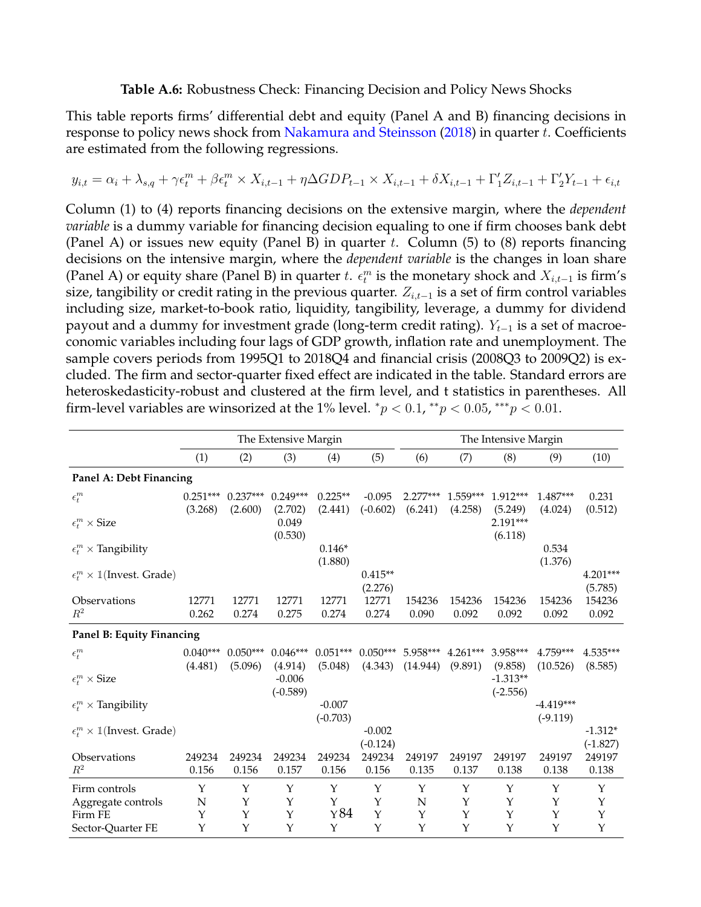## **Table A.6:** Robustness Check: Financing Decision and Policy News Shocks

<span id="page-84-0"></span>This table reports firms' differential debt and equity (Panel A and B) financing decisions in response to policy news shock from [Nakamura and Steinsson](#page-40-0) [\(2018\)](#page-40-0) in quarter t. Coefficients are estimated from the following regressions.

$$
y_{i,t} = \alpha_i + \lambda_{s,q} + \gamma \epsilon_t^m + \beta \epsilon_t^m \times X_{i,t-1} + \eta \Delta GDP_{t-1} \times X_{i,t-1} + \delta X_{i,t-1} + \Gamma'_1 Z_{i,t-1} + \Gamma'_2 Y_{t-1} + \epsilon_{i,t}
$$

Column (1) to (4) reports financing decisions on the extensive margin, where the *dependent variable* is a dummy variable for financing decision equaling to one if firm chooses bank debt (Panel A) or issues new equity (Panel B) in quarter t. Column  $(5)$  to  $(8)$  reports financing decisions on the intensive margin, where the *dependent variable* is the changes in loan share (Panel A) or equity share (Panel B) in quarter t.  $\epsilon_t^m$  is the monetary shock and  $X_{i,t-1}$  is firm's size, tangibility or credit rating in the previous quarter.  $Z_{i,t-1}$  is a set of firm control variables including size, market-to-book ratio, liquidity, tangibility, leverage, a dummy for dividend payout and a dummy for investment grade (long-term credit rating).  $Y_{t-1}$  is a set of macroeconomic variables including four lags of GDP growth, inflation rate and unemployment. The sample covers periods from 1995Q1 to 2018Q4 and financial crisis (2008Q3 to 2009Q2) is excluded. The firm and sector-quarter fixed effect are indicated in the table. Standard errors are heteroskedasticity-robust and clustered at the firm level, and t statistics in parentheses. All firm-level variables are winsorized at the 1% level.  ${}^*p$  < 0.1,  ${}^{**}p$  < 0.05,  ${}^{***}p$  < 0.01.

|                                                  |            |            | The Extensive Margin |                        | The Intensive Margin |             |             |            |                           |             |
|--------------------------------------------------|------------|------------|----------------------|------------------------|----------------------|-------------|-------------|------------|---------------------------|-------------|
|                                                  | (1)        | (2)        | (3)                  | (4)                    | (5)                  | (6)         | (7)         | (8)        | (9)                       | (10)        |
| Panel A: Debt Financing                          |            |            |                      |                        |                      |             |             |            |                           |             |
| $\epsilon^m_t$                                   | $0.251***$ | $0.237***$ | $0.249***$           | $0.225**$              | $-0.095$             | $2.277***$  | $1.559***$  | 1.912***   | $1.487***$                | 0.231       |
|                                                  | (3.268)    | (2.600)    | (2.702)              | (2.441)                | $(-0.602)$           | (6.241)     | (4.258)     | (5.249)    | (4.024)                   | (0.512)     |
| $\epsilon_t^m \times \text{Size}$                |            |            | 0.049<br>(0.530)     |                        |                      |             |             | 2.191***   |                           |             |
| $\epsilon_t^m \times$ Tangibility                |            |            |                      | $0.146*$               |                      |             |             | (6.118)    | 0.534                     |             |
|                                                  |            |            |                      | (1.880)                |                      |             |             |            | (1.376)                   |             |
| $\epsilon_t^m \times \mathbb{1}$ (Invest. Grade) |            |            |                      |                        | $0.415**$            |             |             |            |                           | $4.201***$  |
|                                                  |            |            |                      |                        | (2.276)              |             |             |            |                           | (5.785)     |
| Observations                                     | 12771      | 12771      | 12771                | 12771                  | 12771                | 154236      | 154236      | 154236     | 154236                    | 154236      |
| $R^2$                                            | 0.262      | 0.274      | 0.275                | 0.274                  | 0.274                | 0.090       | 0.092       | 0.092      | 0.092                     | 0.092       |
| Panel B: Equity Financing                        |            |            |                      |                        |                      |             |             |            |                           |             |
| $\epsilon^m_t$                                   | $0.040***$ | $0.050***$ | $0.046***$           | $0.051***$             | $0.050***$           | 5.958***    | $4.261***$  | 3.958***   | 4.759***                  | $4.535***$  |
|                                                  | (4.481)    | (5.096)    | (4.914)              | (5.048)                | (4.343)              | (14.944)    | (9.891)     | (9.858)    | (10.526)                  | (8.585)     |
| $\epsilon_t^m \times \text{Size}$                |            |            | $-0.006$             |                        |                      |             |             | $-1.313**$ |                           |             |
|                                                  |            |            | $(-0.589)$           |                        |                      |             |             | $(-2.556)$ |                           |             |
| $\epsilon_t^m \times$ Tangibility                |            |            |                      | $-0.007$<br>$(-0.703)$ |                      |             |             |            | $-4.419***$<br>$(-9.119)$ |             |
| $\epsilon_t^m \times \mathbb{1}$ (Invest. Grade) |            |            |                      |                        | $-0.002$             |             |             |            |                           | $-1.312*$   |
|                                                  |            |            |                      |                        | $(-0.124)$           |             |             |            |                           | $(-1.827)$  |
| Observations                                     | 249234     | 249234     | 249234               | 249234                 | 249234               | 249197      | 249197      | 249197     | 249197                    | 249197      |
| $R^2$                                            | 0.156      | 0.156      | 0.157                | 0.156                  | 0.156                | 0.135       | 0.137       | 0.138      | 0.138                     | 0.138       |
| Firm controls                                    | Y          | Y          | Y                    | Υ                      | Υ                    | Υ           | $\mathbf Y$ | Υ          | Υ                         | Y           |
| Aggregate controls                               | N          | Y          | Y                    | Y                      | Y                    | $\mathbf N$ | Y           | Y          | Y                         | $\mathbf Y$ |
| Firm FE                                          | Y          | Y          | $\mathbf Y$          | Y84                    | Y                    | Y           | Y           | Y          | Y                         | $\mathbf Y$ |
| Sector-Quarter FE                                | Y          | Y          | Y                    | Y                      | Y                    | Y           | Y           | Y          | Y                         | Y           |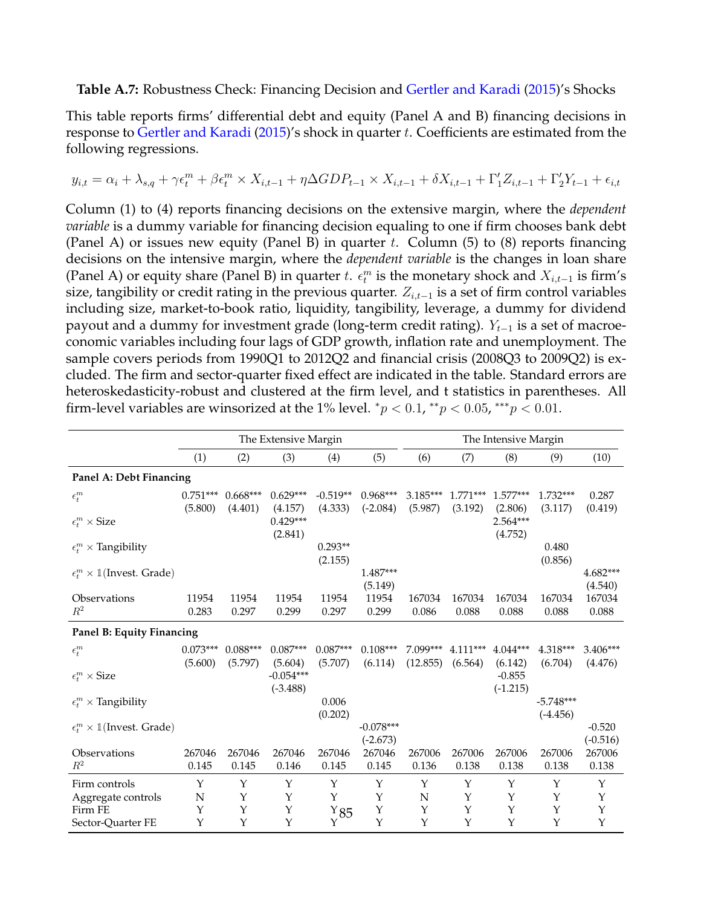## <span id="page-85-0"></span>**Table A.7:** Robustness Check: Financing Decision and [Gertler and Karadi](#page-38-1) [\(2015\)](#page-38-1)'s Shocks

This table reports firms' differential debt and equity (Panel A and B) financing decisions in response to [Gertler and Karadi](#page-38-1) [\(2015\)](#page-38-1)'s shock in quarter t. Coefficients are estimated from the following regressions.

$$
y_{i,t} = \alpha_i + \lambda_{s,q} + \gamma \epsilon_t^m + \beta \epsilon_t^m \times X_{i,t-1} + \eta \Delta GDP_{t-1} \times X_{i,t-1} + \delta X_{i,t-1} + \Gamma'_1 Z_{i,t-1} + \Gamma'_2 Y_{t-1} + \epsilon_{i,t}
$$

Column (1) to (4) reports financing decisions on the extensive margin, where the *dependent variable* is a dummy variable for financing decision equaling to one if firm chooses bank debt (Panel A) or issues new equity (Panel B) in quarter t. Column  $(5)$  to  $(8)$  reports financing decisions on the intensive margin, where the *dependent variable* is the changes in loan share (Panel A) or equity share (Panel B) in quarter t.  $\epsilon_t^m$  is the monetary shock and  $X_{i,t-1}$  is firm's size, tangibility or credit rating in the previous quarter.  $Z_{i,t-1}$  is a set of firm control variables including size, market-to-book ratio, liquidity, tangibility, leverage, a dummy for dividend payout and a dummy for investment grade (long-term credit rating).  $Y_{t-1}$  is a set of macroeconomic variables including four lags of GDP growth, inflation rate and unemployment. The sample covers periods from 1990Q1 to 2012Q2 and financial crisis (2008Q3 to 2009Q2) is excluded. The firm and sector-quarter fixed effect are indicated in the table. Standard errors are heteroskedasticity-robust and clustered at the firm level, and t statistics in parentheses. All firm-level variables are winsorized at the 1% level.  ${}^*p$  < 0.1,  ${}^{**}p$  < 0.05,  ${}^{***}p$  < 0.01.

|                                                  | The Extensive Margin |            |                       |               |                      |             | The Intensive Margin |                     |             |                      |  |  |
|--------------------------------------------------|----------------------|------------|-----------------------|---------------|----------------------|-------------|----------------------|---------------------|-------------|----------------------|--|--|
|                                                  | (1)                  | (2)        | (3)                   | (4)           | (5)                  | (6)         | (7)                  | (8)                 | (9)         | (10)                 |  |  |
| Panel A: Debt Financing                          |                      |            |                       |               |                      |             |                      |                     |             |                      |  |  |
| $\epsilon_t^m$                                   | $0.751***$           | $0.668***$ | $0.629***$            | $-0.519**$    | $0.968***$           | $3.185***$  | $1.771***$           | $1.577***$          | $1.732***$  | 0.287                |  |  |
|                                                  | (5.800)              | (4.401)    | (4.157)               | (4.333)       | $(-2.084)$           | (5.987)     | (3.192)              | (2.806)             | (3.117)     | (0.419)              |  |  |
| $\epsilon^m_t \times \text{Size}$                |                      |            | $0.429***$<br>(2.841) |               |                      |             |                      | 2.564***<br>(4.752) |             |                      |  |  |
| $\epsilon_t^m \times$ Tangibility                |                      |            |                       | $0.293**$     |                      |             |                      |                     | 0.480       |                      |  |  |
|                                                  |                      |            |                       | (2.155)       |                      |             |                      |                     | (0.856)     |                      |  |  |
| $\epsilon_t^m \times \mathbb{1}$ (Invest. Grade) |                      |            |                       |               | 1.487***             |             |                      |                     |             | $4.682***$           |  |  |
|                                                  |                      |            |                       |               | (5.149)              |             |                      |                     |             | (4.540)              |  |  |
| Observations                                     | 11954                | 11954      | 11954                 | 11954         | 11954                | 167034      | 167034               | 167034              | 167034      | 167034               |  |  |
| $R^2$                                            | 0.283                | 0.297      | 0.299                 | 0.297         | 0.299                | 0.086       | 0.088                | 0.088               | 0.088       | 0.088                |  |  |
| Panel B: Equity Financing                        |                      |            |                       |               |                      |             |                      |                     |             |                      |  |  |
| $\epsilon^m_t$                                   | $0.073***$           | $0.088***$ | $0.087***$            | $0.087***$    | $0.108***$           | 7.099***    | $4.111***$           | $4.044***$          | 4.318***    | $3.406***$           |  |  |
|                                                  | (5.600)              | (5.797)    | (5.604)               | (5.707)       | (6.114)              | (12.855)    | (6.564)              | (6.142)             | (6.704)     | (4.476)              |  |  |
| $\epsilon_t^m \times \text{Size}$                |                      |            | $-0.054***$           |               |                      |             |                      | $-0.855$            |             |                      |  |  |
|                                                  |                      |            | $(-3.488)$            |               |                      |             |                      | $(-1.215)$          |             |                      |  |  |
| $\epsilon_t^m \times$ Tangibility                |                      |            |                       | 0.006         |                      |             |                      |                     | $-5.748***$ |                      |  |  |
|                                                  |                      |            |                       | (0.202)       |                      |             |                      |                     | $(-4.456)$  |                      |  |  |
| $\epsilon_t^m \times \mathbb{1}$ (Invest. Grade) |                      |            |                       |               | $-0.078***$          |             |                      |                     |             | $-0.520$             |  |  |
| Observations                                     | 267046               | 267046     | 267046                | 267046        | $(-2.673)$<br>267046 | 267006      | 267006               | 267006              | 267006      | $(-0.516)$<br>267006 |  |  |
| $R^2$                                            | 0.145                | 0.145      | 0.146                 | 0.145         | 0.145                | 0.136       | 0.138                | 0.138               | 0.138       | 0.138                |  |  |
|                                                  |                      |            |                       |               |                      |             |                      |                     |             |                      |  |  |
| Firm controls                                    | Y                    | Y          | Y                     | Υ             | Y                    | Y           | Y                    | Υ                   | Y           | Υ                    |  |  |
| Aggregate controls                               | $\mathbf N$          | Y          | Y                     | Y             | $\mathbf Y$          | $\mathbf N$ | $\mathbf Y$          | Y                   | $\mathbf Y$ | Y                    |  |  |
| Firm FE                                          | Y                    | Y          | Y                     | $Y_{85}$<br>Y | $\mathbf Y$<br>Y     | Y           | $\mathbf Y$<br>Y     | Y                   | Y<br>Y      | Y<br>$\mathbf Y$     |  |  |
| Sector-Quarter FE                                | Y                    | Y          | Y                     |               |                      | Y           |                      | Y                   |             |                      |  |  |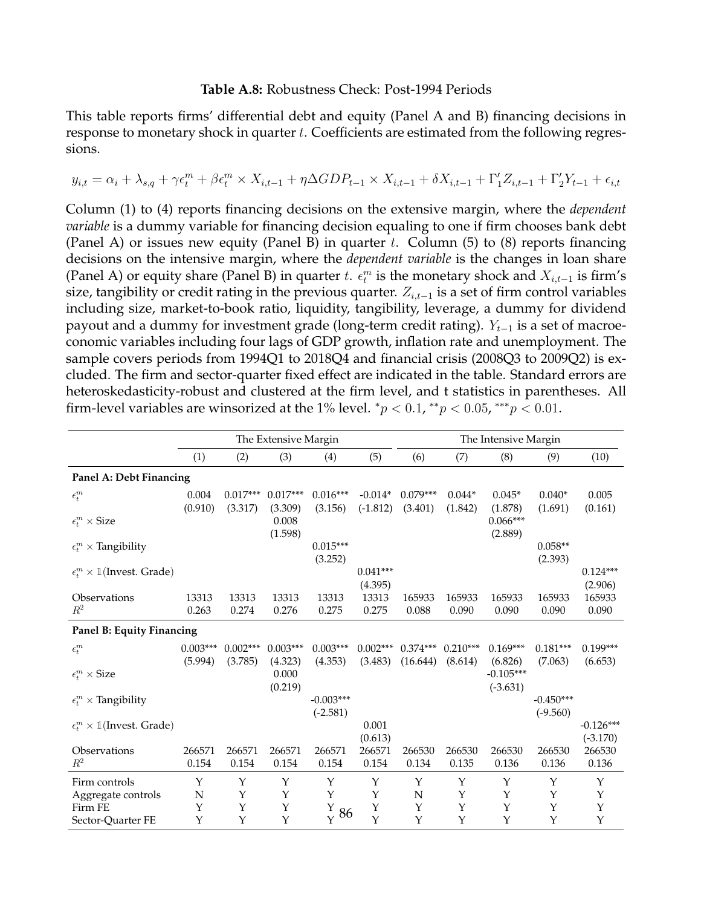#### **Table A.8:** Robustness Check: Post-1994 Periods

<span id="page-86-0"></span>This table reports firms' differential debt and equity (Panel A and B) financing decisions in response to monetary shock in quarter t. Coefficients are estimated from the following regressions.

$$
y_{i,t} = \alpha_i + \lambda_{s,q} + \gamma \epsilon_t^m + \beta \epsilon_t^m \times X_{i,t-1} + \eta \Delta GDP_{t-1} \times X_{i,t-1} + \delta X_{i,t-1} + \Gamma'_1 Z_{i,t-1} + \Gamma'_2 Y_{t-1} + \epsilon_{i,t}
$$

Column (1) to (4) reports financing decisions on the extensive margin, where the *dependent variable* is a dummy variable for financing decision equaling to one if firm chooses bank debt (Panel A) or issues new equity (Panel B) in quarter t. Column  $(5)$  to  $(8)$  reports financing decisions on the intensive margin, where the *dependent variable* is the changes in loan share (Panel A) or equity share (Panel B) in quarter t.  $\epsilon_t^m$  is the monetary shock and  $X_{i,t-1}$  is firm's size, tangibility or credit rating in the previous quarter.  $Z_{i,t-1}$  is a set of firm control variables including size, market-to-book ratio, liquidity, tangibility, leverage, a dummy for dividend payout and a dummy for investment grade (long-term credit rating).  $Y_{t-1}$  is a set of macroeconomic variables including four lags of GDP growth, inflation rate and unemployment. The sample covers periods from 1994Q1 to 2018Q4 and financial crisis (2008Q3 to 2009Q2) is excluded. The firm and sector-quarter fixed effect are indicated in the table. Standard errors are heteroskedasticity-robust and clustered at the firm level, and t statistics in parentheses. All firm-level variables are winsorized at the 1% level.  ${}^*p$  < 0.1,  ${}^{**}p$  < 0.05,  ${}^{***}p$  < 0.01.

|                                                  | The Extensive Margin  |                       |                             |                           |                       |                        | The Intensive Margin  |                                  |                           |                           |  |  |
|--------------------------------------------------|-----------------------|-----------------------|-----------------------------|---------------------------|-----------------------|------------------------|-----------------------|----------------------------------|---------------------------|---------------------------|--|--|
|                                                  | (1)                   | (2)                   | (3)                         | (4)                       | (5)                   | (6)                    | (7)                   | (8)                              | (9)                       | (10)                      |  |  |
| Panel A: Debt Financing                          |                       |                       |                             |                           |                       |                        |                       |                                  |                           |                           |  |  |
| $\epsilon^m_t$                                   | 0.004                 | $0.017***$            | $0.017***$                  | $0.016***$                | $-0.014*$             | $0.079***$             | $0.044*$              | $0.045*$                         | $0.040*$                  | 0.005                     |  |  |
| $\epsilon_t^m \times \text{Size}$                | (0.910)               | (3.317)               | (3.309)<br>0.008<br>(1.598) | (3.156)                   | $(-1.812)$            | (3.401)                | (1.842)               | (1.878)<br>$0.066***$<br>(2.889) | (1.691)                   | (0.161)                   |  |  |
| $\epsilon_t^m \times$ Tangibility                |                       |                       |                             | $0.015***$<br>(3.252)     |                       |                        |                       |                                  | $0.058**$<br>(2.393)      |                           |  |  |
| $\epsilon_t^m \times \mathbb{1}$ (Invest. Grade) |                       |                       |                             |                           | $0.041***$<br>(4.395) |                        |                       |                                  |                           | $0.124***$<br>(2.906)     |  |  |
| Observations<br>$\mathbb{R}^2$                   | 13313<br>0.263        | 13313<br>0.274        | 13313<br>0.276              | 13313<br>0.275            | 13313<br>0.275        | 165933<br>0.088        | 165933<br>0.090       | 165933<br>0.090                  | 165933<br>0.090           | 165933<br>0.090           |  |  |
| Panel B: Equity Financing                        |                       |                       |                             |                           |                       |                        |                       |                                  |                           |                           |  |  |
| $\epsilon^m_t$                                   | $0.003***$<br>(5.994) | $0.002***$<br>(3.785) | $0.003***$<br>(4.323)       | $0.003***$<br>(4.353)     | $0.002***$<br>(3.483) | $0.374***$<br>(16.644) | $0.210***$<br>(8.614) | $0.169***$<br>(6.826)            | $0.181***$<br>(7.063)     | $0.199***$<br>(6.653)     |  |  |
| $\epsilon_t^m \times \text{Size}$                |                       |                       | 0.000<br>(0.219)            |                           |                       |                        |                       | $-0.105***$<br>$(-3.631)$        |                           |                           |  |  |
| $\epsilon_t^m \times$ Tangibility                |                       |                       |                             | $-0.003***$<br>$(-2.581)$ |                       |                        |                       |                                  | $-0.450***$<br>$(-9.560)$ |                           |  |  |
| $\epsilon_t^m \times \mathbb{1}$ (Invest. Grade) |                       |                       |                             |                           | 0.001<br>(0.613)      |                        |                       |                                  |                           | $-0.126***$<br>$(-3.170)$ |  |  |
| Observations<br>$R^2$                            | 266571<br>0.154       | 266571<br>0.154       | 266571<br>0.154             | 266571<br>0.154           | 266571<br>0.154       | 266530<br>0.134        | 266530<br>0.135       | 266530<br>0.136                  | 266530<br>0.136           | 266530<br>0.136           |  |  |
| Firm controls                                    | Y                     | Y                     | Y                           | Y                         | Y                     | Υ                      | Y                     | Y                                | Y                         | Y                         |  |  |
| Aggregate controls                               | N                     | Υ                     | Y                           | Y                         | Υ                     | N                      | Υ                     | Υ                                | Y                         | Υ                         |  |  |
| Firm FE                                          | Y                     | Υ                     | Y                           | Y<br>86                   | Y                     | Υ                      | Υ                     | Υ                                | Y                         | Y                         |  |  |
| Sector-Quarter FE                                | Y                     | Y                     | Y                           | $\mathbf{Y}$              | Y                     | Y                      | Y                     | Y                                | Υ                         | Y                         |  |  |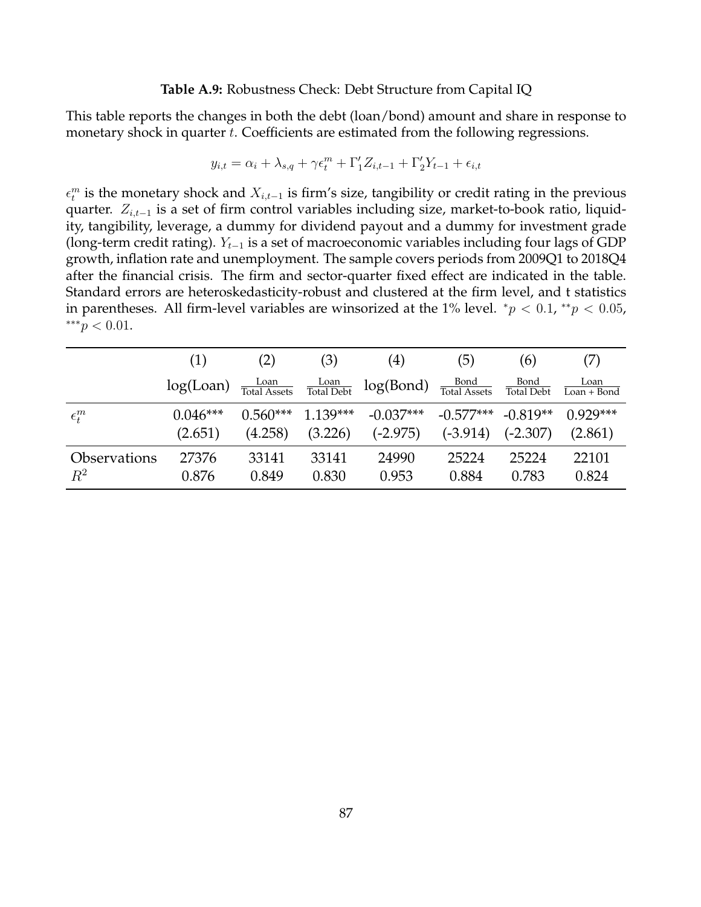### **Table A.9:** Robustness Check: Debt Structure from Capital IQ

<span id="page-87-0"></span>This table reports the changes in both the debt (loan/bond) amount and share in response to monetary shock in quarter t. Coefficients are estimated from the following regressions.

$$
y_{i,t} = \alpha_i + \lambda_{s,q} + \gamma \epsilon_t^m + \Gamma'_1 Z_{i,t-1} + \Gamma'_2 Y_{t-1} + \epsilon_{i,t}
$$

 $\epsilon_t^m$  is the monetary shock and  $X_{i,t-1}$  is firm's size, tangibility or credit rating in the previous quarter.  $Z_{i,t-1}$  is a set of firm control variables including size, market-to-book ratio, liquidity, tangibility, leverage, a dummy for dividend payout and a dummy for investment grade (long-term credit rating).  $Y_{t-1}$  is a set of macroeconomic variables including four lags of GDP growth, inflation rate and unemployment. The sample covers periods from 2009Q1 to 2018Q4 after the financial crisis. The firm and sector-quarter fixed effect are indicated in the table. Standard errors are heteroskedasticity-robust and clustered at the firm level, and t statistics in parentheses. All firm-level variables are winsorized at the 1% level.  $^{*}p < 0.1, ^{**}p < 0.05$ , ∗∗∗p < 0.01.

|                     | (1)             | (2)                  | (3)                                     | $\left( 4\right)$ | (5)                         | (6)                       | (7)                   |
|---------------------|-----------------|----------------------|-----------------------------------------|-------------------|-----------------------------|---------------------------|-----------------------|
|                     | $log($ Loan $)$ | Loan<br>Total Assets | $\frac{\text{Loan}}{\text{Total Debt}}$ | log(Bond)         | Bond<br><b>Total Assets</b> | Bond<br><b>Total Debt</b> | Loan<br>Loan $+$ Bond |
| $\epsilon_t^m$      | $0.046***$      | $0.560***$           | $1.139***$                              | $-0.037***$       | $-0.577***$                 | $-0.819**$                | $0.929***$            |
|                     | (2.651)         | (4.258)              | (3.226)                                 | $(-2.975)$        | $(-3.914)$                  | $(-2.307)$                | (2.861)               |
| <b>Observations</b> | 27376           | 33141                | 33141                                   | 24990             | 25224                       | 25224                     | 22101                 |
| $R^2$               | 0.876           | 0.849                | 0.830                                   | 0.953             | 0.884                       | 0.783                     | 0.824                 |